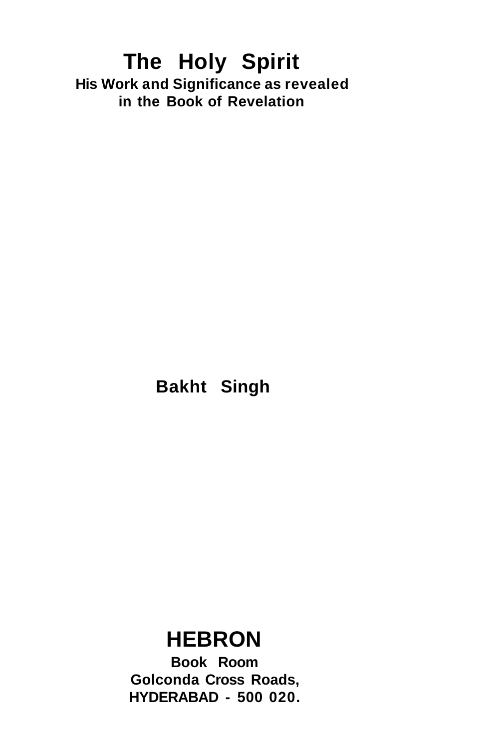## **The Holy Spirit His Work and Significance as revealed in the Book of Revelation**

**Bakht Singh** 

## **HEBRON**

**Book Room Golconda Cross Roads, HYDERABAD - 500 020.**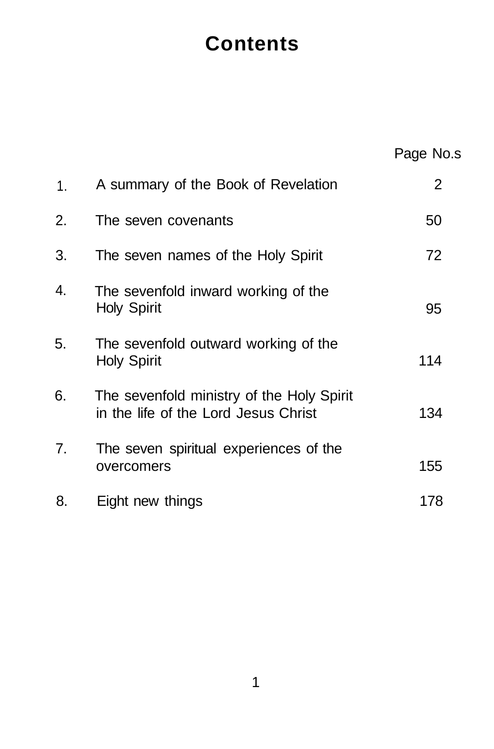# **Contents**

|    |                                                                                   | Page No.s |
|----|-----------------------------------------------------------------------------------|-----------|
| 1. | A summary of the Book of Revelation                                               | 2         |
| 2. | The seven covenants                                                               | 50        |
| 3. | The seven names of the Holy Spirit                                                | 72        |
| 4. | The sevenfold inward working of the<br>Holy Spirit                                | 95        |
| 5. | The sevenfold outward working of the<br>Holy Spirit                               | 114       |
| 6. | The sevenfold ministry of the Holy Spirit<br>in the life of the Lord Jesus Christ | 134       |
| 7. | The seven spiritual experiences of the<br>overcomers                              | 155       |
| 8. | Eight new things                                                                  | 178       |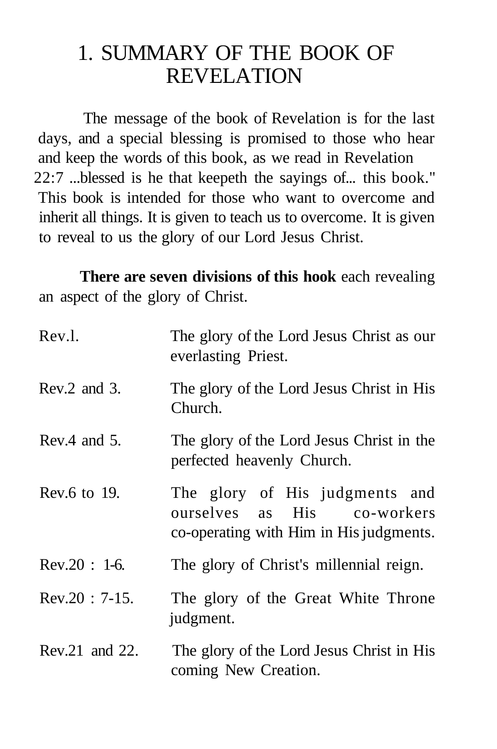## 1. SUMMARY OF THE BOOK OF REVELATION

The message of the book of Revelation is for the last days, and a special blessing is promised to those who hear and keep the words of this book, as we read in Revelation 22:7 ...blessed is he that keepeth the sayings of... this book." This book is intended for those who want to overcome and inherit all things. It is given to teach us to overcome. It is given to reveal to us the glory of our Lord Jesus Christ.

**There are seven divisions of this hook** each revealing an aspect of the glory of Christ.

| Rev.l.           | The glory of the Lord Jesus Christ as our<br>everlasting Priest.                                         |
|------------------|----------------------------------------------------------------------------------------------------------|
| Rev.2 and 3.     | The glory of the Lord Jesus Christ in His<br>Church.                                                     |
| Rev.4 and $5$ .  | The glory of the Lord Jesus Christ in the<br>perfected heavenly Church.                                  |
| Rev.6 to $19$ .  | The glory of His judgments and<br>ourselves as His co-workers<br>co-operating with Him in His judgments. |
| $Rev.20 : 1-6.$  | The glory of Christ's millennial reign.                                                                  |
| $Rev.20$ : 7-15. | The glory of the Great White Throne<br>judgment.                                                         |
| Rev.21 and 22.   | The glory of the Lord Jesus Christ in His<br>coming New Creation.                                        |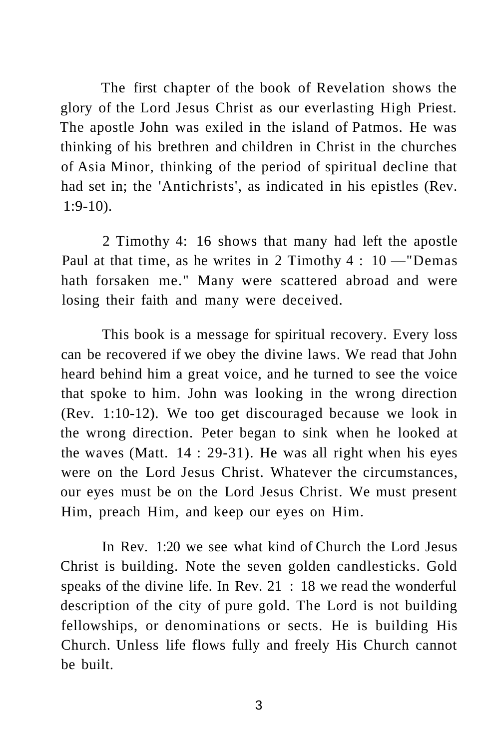The first chapter of the book of Revelation shows the glory of the Lord Jesus Christ as our everlasting High Priest. The apostle John was exiled in the island of Patmos. He was thinking of his brethren and children in Christ in the churches of Asia Minor, thinking of the period of spiritual decline that had set in; the 'Antichrists', as indicated in his epistles (Rev. 1:9-10).

2 Timothy 4: 16 shows that many had left the apostle Paul at that time, as he writes in 2 Timothy  $4:10$  -"Demas hath forsaken me." Many were scattered abroad and were losing their faith and many were deceived.

This book is a message for spiritual recovery. Every loss can be recovered if we obey the divine laws. We read that John heard behind him a great voice, and he turned to see the voice that spoke to him. John was looking in the wrong direction (Rev. 1:10-12). We too get discouraged because we look in the wrong direction. Peter began to sink when he looked at the waves (Matt. 14 : 29-31). He was all right when his eyes were on the Lord Jesus Christ. Whatever the circumstances, our eyes must be on the Lord Jesus Christ. We must present Him, preach Him, and keep our eyes on Him.

In Rev. 1:20 we see what kind of Church the Lord Jesus Christ is building. Note the seven golden candlesticks. Gold speaks of the divine life. In Rev. 21 : 18 we read the wonderful description of the city of pure gold. The Lord is not building fellowships, or denominations or sects. He is building His Church. Unless life flows fully and freely His Church cannot be built.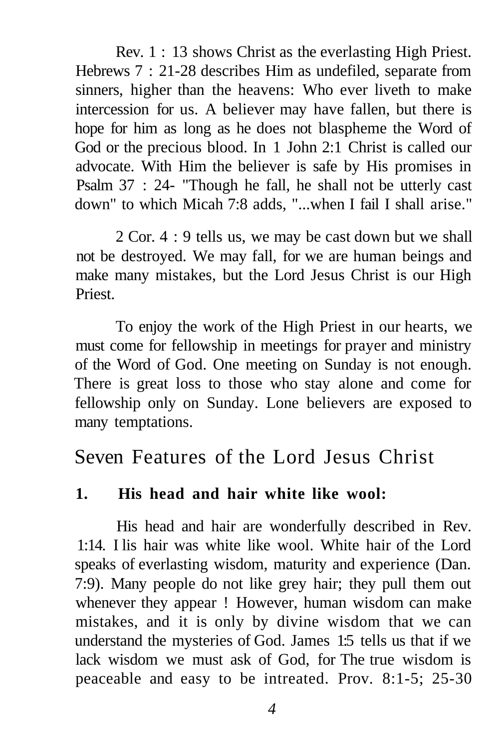Rev. 1 : 13 shows Christ as the everlasting High Priest. Hebrews 7 : 21-28 describes Him as undefiled, separate from sinners, higher than the heavens: Who ever liveth to make intercession for us. A believer may have fallen, but there is hope for him as long as he does not blaspheme the Word of God or the precious blood. In 1 John 2:1 Christ is called our advocate. With Him the believer is safe by His promises in Psalm 37 : 24- "Though he fall, he shall not be utterly cast down" to which Micah 7:8 adds, "...when I fail I shall arise."

2 Cor. 4 : 9 tells us, we may be cast down but we shall not be destroyed. We may fall, for we are human beings and make many mistakes, but the Lord Jesus Christ is our High Priest.

To enjoy the work of the High Priest in our hearts, we must come for fellowship in meetings for prayer and ministry of the Word of God. One meeting on Sunday is not enough. There is great loss to those who stay alone and come for fellowship only on Sunday. Lone believers are exposed to many temptations.

## Seven Features of the Lord Jesus Christ

## **1. His head and hair white like wool:**

His head and hair are wonderfully described in Rev. 1:14. I lis hair was white like wool. White hair of the Lord speaks of everlasting wisdom, maturity and experience (Dan. 7:9). Many people do not like grey hair; they pull them out whenever they appear ! However, human wisdom can make mistakes, and it is only by divine wisdom that we can understand the mysteries of God. James 1:5 tells us that if we lack wisdom we must ask of God, for The true wisdom is peaceable and easy to be intreated. Prov. 8:1-5; 25-30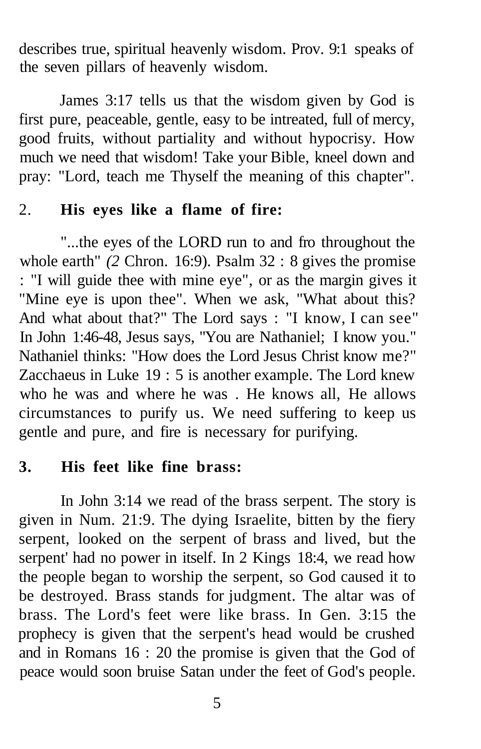describes true, spiritual heavenly wisdom. Prov. 9:1 speaks of the seven pillars of heavenly wisdom.

James 3:17 tells us that the wisdom given by God is first pure, peaceable, gentle, easy to be intreated, full of mercy, good fruits, without partiality and without hypocrisy. How much we need that wisdom! Take your Bible, kneel down and pray: "Lord, teach me Thyself the meaning of this chapter".

### 2. **His eyes like a flame of fire:**

"...the eyes of the LORD run to and fro throughout the whole earth" (2 Chron. 16:9). Psalm 32 : 8 gives the promise : "I will guide thee with mine eye", or as the margin gives it "Mine eye is upon thee". When we ask, "What about this? And what about that?" The Lord says : "I know, I can see" In John 1:46-48, Jesus says, "You are Nathaniel; I know you." Nathaniel thinks: "How does the Lord Jesus Christ know me?" Zacchaeus in Luke 19 : 5 is another example. The Lord knew who he was and where he was . He knows all, He allows circumstances to purify us. We need suffering to keep us gentle and pure, and fire is necessary for purifying.

## **3. His feet like fine brass:**

In John 3:14 we read of the brass serpent. The story is given in Num. 21:9. The dying Israelite, bitten by the fiery serpent, looked on the serpent of brass and lived, but the serpent' had no power in itself. In 2 Kings 18:4, we read how the people began to worship the serpent, so God caused it to be destroyed. Brass stands for judgment. The altar was of brass. The Lord's feet were like brass. In Gen. 3:15 the prophecy is given that the serpent's head would be crushed and in Romans 16 : 20 the promise is given that the God of peace would soon bruise Satan under the feet of God's people.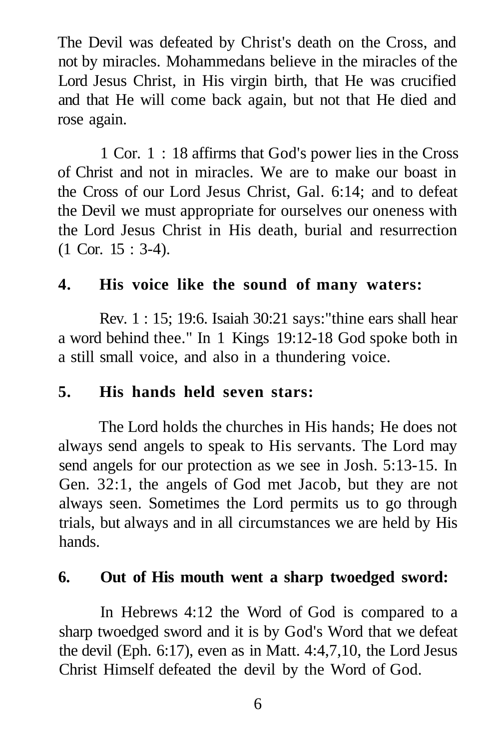The Devil was defeated by Christ's death on the Cross, and not by miracles. Mohammedans believe in the miracles of the Lord Jesus Christ, in His virgin birth, that He was crucified and that He will come back again, but not that He died and rose again.

1 Cor. 1 : 18 affirms that God's power lies in the Cross of Christ and not in miracles. We are to make our boast in the Cross of our Lord Jesus Christ, Gal. 6:14; and to defeat the Devil we must appropriate for ourselves our oneness with the Lord Jesus Christ in His death, burial and resurrection (1 Cor. 15 : 3-4).

## **4. His voice like the sound of many waters:**

Rev. 1 : 15; 19:6. Isaiah 30:21 says:"thine ears shall hear a word behind thee." In 1 Kings 19:12-18 God spoke both in a still small voice, and also in a thundering voice.

## **5. His hands held seven stars:**

The Lord holds the churches in His hands; He does not always send angels to speak to His servants. The Lord may send angels for our protection as we see in Josh. 5:13-15. In Gen. 32:1, the angels of God met Jacob, but they are not always seen. Sometimes the Lord permits us to go through trials, but always and in all circumstances we are held by His hands.

## **6. Out of His mouth went a sharp twoedged sword:**

In Hebrews 4:12 the Word of God is compared to a sharp twoedged sword and it is by God's Word that we defeat the devil (Eph. 6:17), even as in Matt. 4:4,7,10, the Lord Jesus Christ Himself defeated the devil by the Word of God.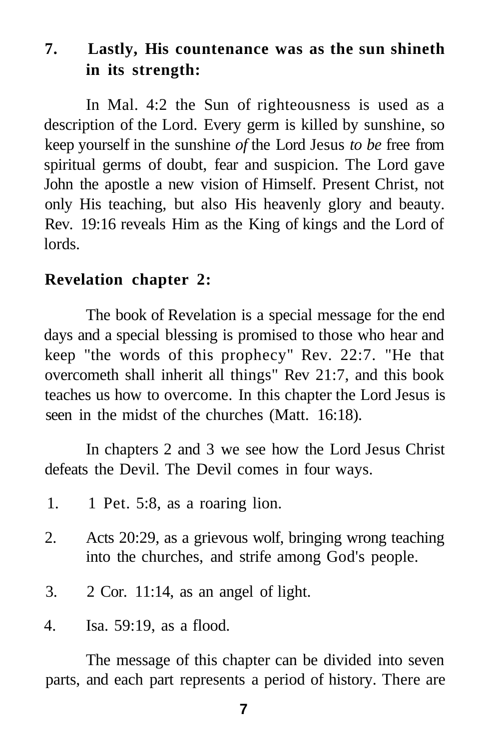## **7. Lastly, His countenance was as the sun shineth in its strength:**

In Mal. 4:2 the Sun of righteousness is used as a description of the Lord. Every germ is killed by sunshine, so keep yourself in the sunshine *of* the Lord Jesus *to be* free from spiritual germs of doubt, fear and suspicion. The Lord gave John the apostle a new vision of Himself. Present Christ, not only His teaching, but also His heavenly glory and beauty. Rev. 19:16 reveals Him as the King of kings and the Lord of lords.

### **Revelation chapter 2:**

The book of Revelation is a special message for the end days and a special blessing is promised to those who hear and keep "the words of this prophecy" Rev. 22:7. "He that overcometh shall inherit all things" Rev 21:7, and this book teaches us how to overcome. In this chapter the Lord Jesus is seen in the midst of the churches (Matt. 16:18).

In chapters 2 and 3 we see how the Lord Jesus Christ defeats the Devil. The Devil comes in four ways.

- 1. 1 Pet. 5:8, as a roaring lion.
- 2. Acts 20:29, as a grievous wolf, bringing wrong teaching into the churches, and strife among God's people.
- 3. 2 Cor. 11:14, as an angel of light.
- 4. Isa. 59:19, as a flood.

The message of this chapter can be divided into seven parts, and each part represents a period of history. There are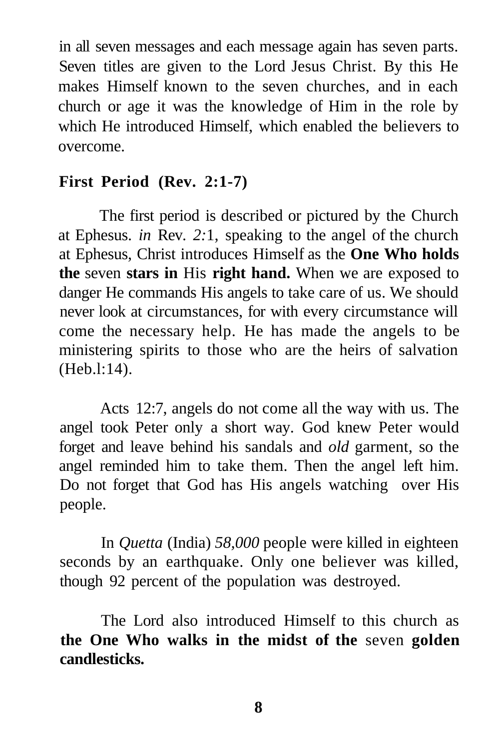in all seven messages and each message again has seven parts. Seven titles are given to the Lord Jesus Christ. By this He makes Himself known to the seven churches, and in each church or age it was the knowledge of Him in the role by which He introduced Himself, which enabled the believers to overcome.

## **First Period (Rev. 2:1-7)**

The first period is described or pictured by the Church at Ephesus. *in* Rev. *2:*1, speaking to the angel of the church at Ephesus, Christ introduces Himself as the **One Who holds the** seven **stars in** His **right hand.** When we are exposed to danger He commands His angels to take care of us. We should never look at circumstances, for with every circumstance will come the necessary help. He has made the angels to be ministering spirits to those who are the heirs of salvation (Heb.l:14).

Acts 12:7, angels do not come all the way with us. The angel took Peter only a short way. God knew Peter would forget and leave behind his sandals and *old* garment, so the angel reminded him to take them. Then the angel left him. Do not forget that God has His angels watching over His people.

In *Quetta* (India) *58,000* people were killed in eighteen seconds by an earthquake. Only one believer was killed, though 92 percent of the population was destroyed.

The Lord also introduced Himself to this church as **the One Who walks in the midst of the** seven **golden candlesticks.**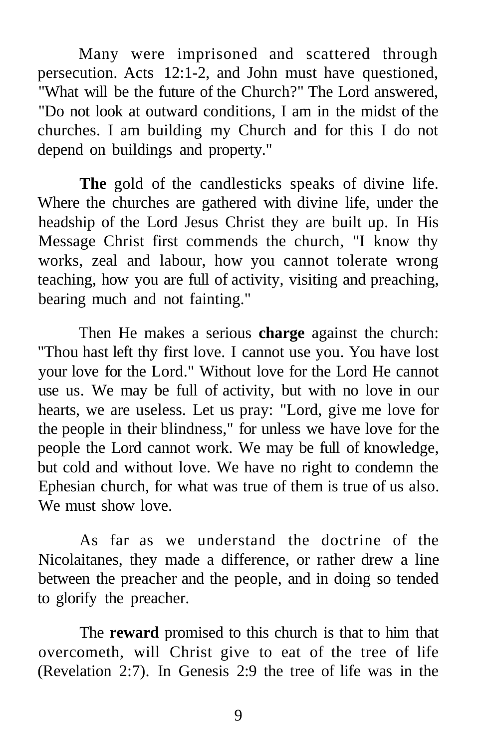Many were imprisoned and scattered through persecution. Acts 12:1-2, and John must have questioned, "What will be the future of the Church?" The Lord answered, "Do not look at outward conditions, I am in the midst of the churches. I am building my Church and for this I do not depend on buildings and property."

**The** gold of the candlesticks speaks of divine life. Where the churches are gathered with divine life, under the headship of the Lord Jesus Christ they are built up. In His Message Christ first commends the church, "I know thy works, zeal and labour, how you cannot tolerate wrong teaching, how you are full of activity, visiting and preaching, bearing much and not fainting."

Then He makes a serious **charge** against the church: "Thou hast left thy first love. I cannot use you. You have lost your love for the Lord." Without love for the Lord He cannot use us. We may be full of activity, but with no love in our hearts, we are useless. Let us pray: "Lord, give me love for the people in their blindness," for unless we have love for the people the Lord cannot work. We may be full of knowledge, but cold and without love. We have no right to condemn the Ephesian church, for what was true of them is true of us also. We must show love.

As far as we understand the doctrine of the Nicolaitanes, they made a difference, or rather drew a line between the preacher and the people, and in doing so tended to glorify the preacher.

The **reward** promised to this church is that to him that overcometh, will Christ give to eat of the tree of life (Revelation 2:7). In Genesis 2:9 the tree of life was in the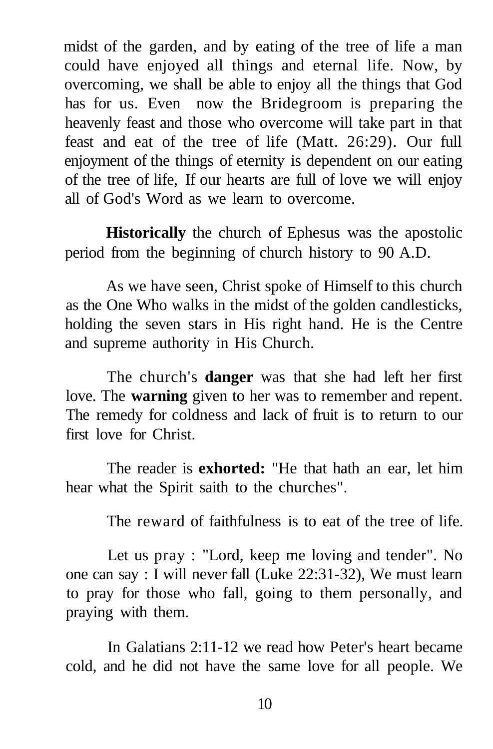midst of the garden, and by eating of the tree of life a man could have enjoyed all things and eternal life. Now, by overcoming, we shall be able to enjoy all the things that God has for us. Even now the Bridegroom is preparing the heavenly feast and those who overcome will take part in that feast and eat of the tree of life (Matt. 26:29). Our full enjoyment of the things of eternity is dependent on our eating of the tree of life, If our hearts are full of love we will enjoy all of God's Word as we learn to overcome.

**Historically** the church of Ephesus was the apostolic period from the beginning of church history to 90 A.D.

As we have seen, Christ spoke of Himself to this church as the One Who walks in the midst of the golden candlesticks, holding the seven stars in His right hand. He is the Centre and supreme authority in His Church.

The church's **danger** was that she had left her first love. The **warning** given to her was to remember and repent. The remedy for coldness and lack of fruit is to return to our first love for Christ.

The reader is **exhorted:** "He that hath an ear, let him hear what the Spirit saith to the churches".

The reward of faithfulness is to eat of the tree of life.

Let us pray : "Lord, keep me loving and tender". No one can say : I will never fall (Luke 22:31-32), We must learn to pray for those who fall, going to them personally, and praying with them.

In Galatians 2:11-12 we read how Peter's heart became cold, and he did not have the same love for all people. We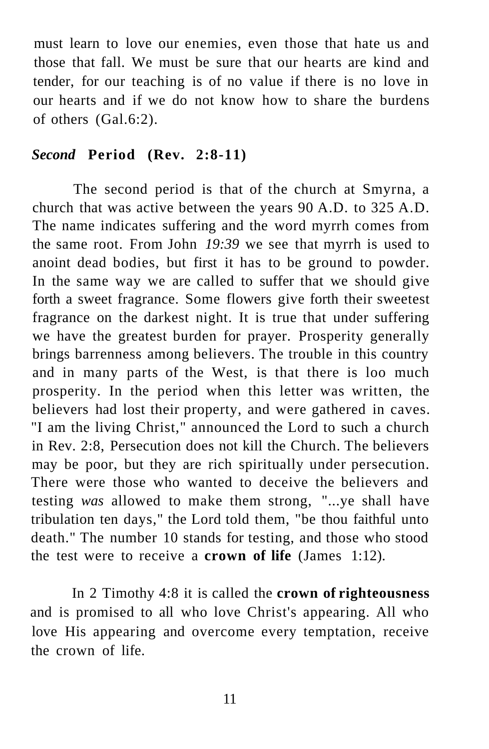must learn to love our enemies, even those that hate us and those that fall. We must be sure that our hearts are kind and tender, for our teaching is of no value if there is no love in our hearts and if we do not know how to share the burdens of others (Gal.6:2).

#### *Second* **Period (Rev. 2:8-11)**

The second period is that of the church at Smyrna, a church that was active between the years 90 A.D. to 325 A.D. The name indicates suffering and the word myrrh comes from the same root. From John *19:39* we see that myrrh is used to anoint dead bodies, but first it has to be ground to powder. In the same way we are called to suffer that we should give forth a sweet fragrance. Some flowers give forth their sweetest fragrance on the darkest night. It is true that under suffering we have the greatest burden for prayer. Prosperity generally brings barrenness among believers. The trouble in this country and in many parts of the West, is that there is loo much prosperity. In the period when this letter was written, the believers had lost their property, and were gathered in caves. "I am the living Christ," announced the Lord to such a church in Rev. 2:8, Persecution does not kill the Church. The believers may be poor, but they are rich spiritually under persecution. There were those who wanted to deceive the believers and testing *was* allowed to make them strong, "...ye shall have tribulation ten days," the Lord told them, "be thou faithful unto death." The number 10 stands for testing, and those who stood the test were to receive a **crown of life** (James 1:12).

In 2 Timothy 4:8 it is called the **crown of righteousness**  and is promised to all who love Christ's appearing. All who love His appearing and overcome every temptation, receive the crown of life.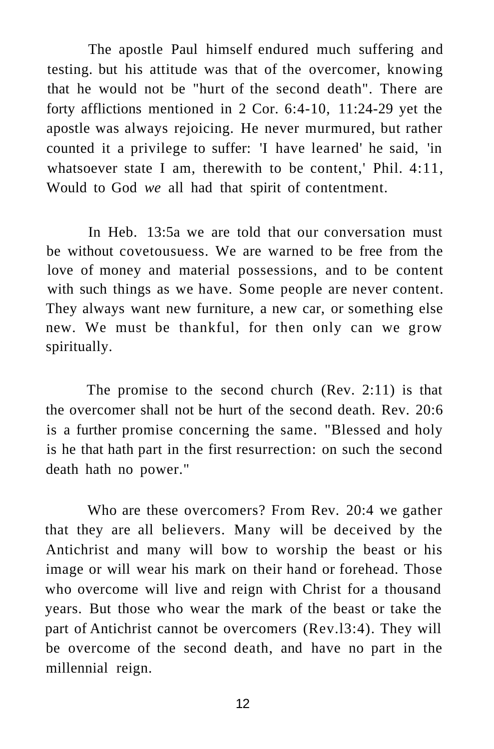The apostle Paul himself endured much suffering and testing. but his attitude was that of the overcomer, knowing that he would not be "hurt of the second death". There are forty afflictions mentioned in 2 Cor. 6:4-10, 11:24-29 yet the apostle was always rejoicing. He never murmured, but rather counted it a privilege to suffer: 'I have learned' he said, 'in whatsoever state I am, therewith to be content,' Phil. 4:11, Would to God *we* all had that spirit of contentment.

In Heb. 13:5a we are told that our conversation must be without covetousuess. We are warned to be free from the love of money and material possessions, and to be content with such things as we have. Some people are never content. They always want new furniture, a new car, or something else new. We must be thankful, for then only can we grow spiritually.

The promise to the second church (Rev. 2:11) is that the overcomer shall not be hurt of the second death. Rev. 20:6 is a further promise concerning the same. "Blessed and holy is he that hath part in the first resurrection: on such the second death hath no power."

Who are these overcomers? From Rev. 20:4 we gather that they are all believers. Many will be deceived by the Antichrist and many will bow to worship the beast or his image or will wear his mark on their hand or forehead. Those who overcome will live and reign with Christ for a thousand years. But those who wear the mark of the beast or take the part of Antichrist cannot be overcomers (Rev.l3:4). They will be overcome of the second death, and have no part in the millennial reign.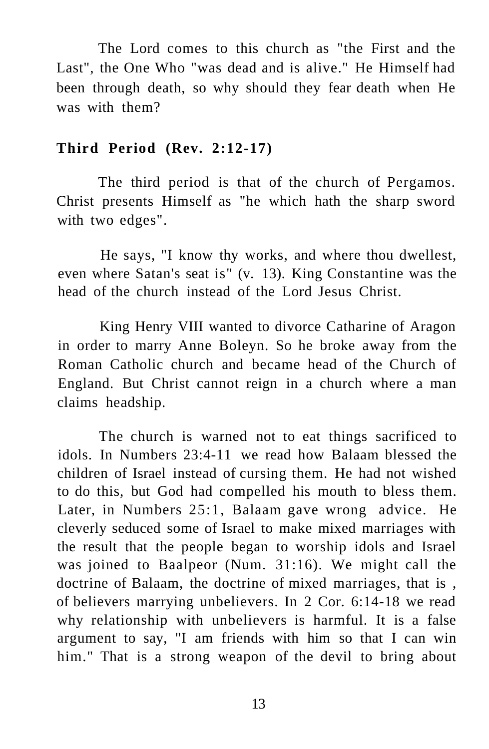The Lord comes to this church as "the First and the Last", the One Who "was dead and is alive." He Himself had been through death, so why should they fear death when He was with them?

#### **Third Period (Rev. 2:12-17)**

The third period is that of the church of Pergamos. Christ presents Himself as "he which hath the sharp sword with two edges".

He says, "I know thy works, and where thou dwellest, even where Satan's seat is" (v. 13). King Constantine was the head of the church instead of the Lord Jesus Christ.

King Henry VIII wanted to divorce Catharine of Aragon in order to marry Anne Boleyn. So he broke away from the Roman Catholic church and became head of the Church of England. But Christ cannot reign in a church where a man claims headship.

The church is warned not to eat things sacrificed to idols. In Numbers 23:4-11 we read how Balaam blessed the children of Israel instead of cursing them. He had not wished to do this, but God had compelled his mouth to bless them. Later, in Numbers 25:1, Balaam gave wrong advice. He cleverly seduced some of Israel to make mixed marriages with the result that the people began to worship idols and Israel was joined to Baalpeor (Num. 31:16). We might call the doctrine of Balaam, the doctrine of mixed marriages, that is , of believers marrying unbelievers. In 2 Cor. 6:14-18 we read why relationship with unbelievers is harmful. It is a false argument to say, "I am friends with him so that I can win him." That is a strong weapon of the devil to bring about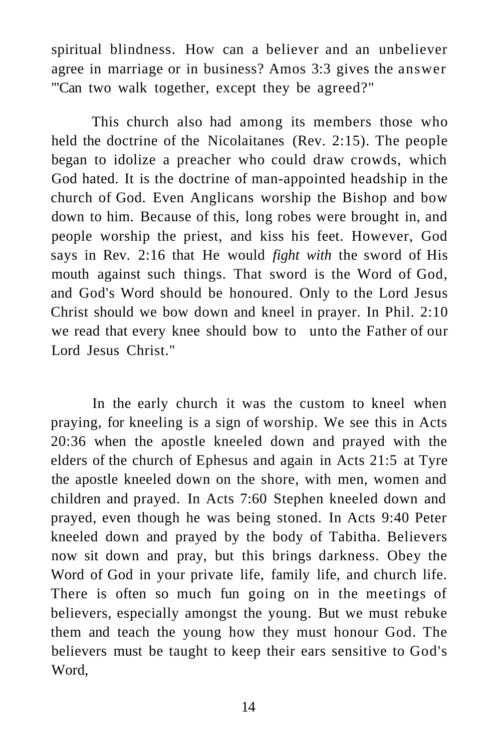spiritual blindness. How can a believer and an unbeliever agree in marriage or in business? Amos 3:3 gives the answer '"Can two walk together, except they be agreed?"

This church also had among its members those who held the doctrine of the Nicolaitanes (Rev. 2:15). The people began to idolize a preacher who could draw crowds, which God hated. It is the doctrine of man-appointed headship in the church of God. Even Anglicans worship the Bishop and bow down to him. Because of this, long robes were brought in, and people worship the priest, and kiss his feet. However, God says in Rev. 2:16 that He would *fight with* the sword of His mouth against such things. That sword is the Word of God, and God's Word should be honoured. Only to the Lord Jesus Christ should we bow down and kneel in prayer. In Phil. 2:10 we read that every knee should bow to unto the Father of our Lord Jesus Christ."

In the early church it was the custom to kneel when praying, for kneeling is a sign of worship. We see this in Acts 20:36 when the apostle kneeled down and prayed with the elders of the church of Ephesus and again in Acts 21:5 at Tyre the apostle kneeled down on the shore, with men, women and children and prayed. In Acts 7:60 Stephen kneeled down and prayed, even though he was being stoned. In Acts 9:40 Peter kneeled down and prayed by the body of Tabitha. Believers now sit down and pray, but this brings darkness. Obey the Word of God in your private life, family life, and church life. There is often so much fun going on in the meetings of believers, especially amongst the young. But we must rebuke them and teach the young how they must honour God. The believers must be taught to keep their ears sensitive to God's Word,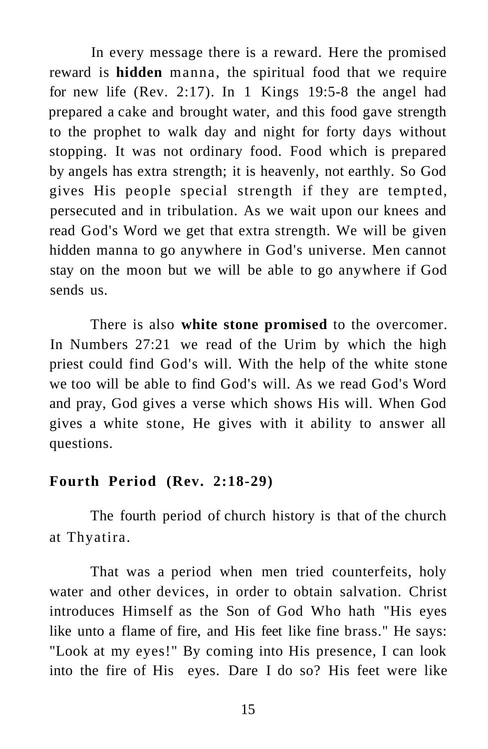In every message there is a reward. Here the promised reward is **hidden** manna, the spiritual food that we require for new life (Rev. 2:17). In 1 Kings 19:5-8 the angel had prepared a cake and brought water, and this food gave strength to the prophet to walk day and night for forty days without stopping. It was not ordinary food. Food which is prepared by angels has extra strength; it is heavenly, not earthly. So God gives His people special strength if they are tempted, persecuted and in tribulation. As we wait upon our knees and read God's Word we get that extra strength. We will be given hidden manna to go anywhere in God's universe. Men cannot stay on the moon but we will be able to go anywhere if God sends us.

There is also **white stone promised** to the overcomer. In Numbers 27:21 we read of the Urim by which the high priest could find God's will. With the help of the white stone we too will be able to find God's will. As we read God's Word and pray, God gives a verse which shows His will. When God gives a white stone, He gives with it ability to answer all questions.

#### **Fourth Period (Rev. 2:18-29)**

The fourth period of church history is that of the church at Thyatira.

That was a period when men tried counterfeits, holy water and other devices, in order to obtain salvation. Christ introduces Himself as the Son of God Who hath "His eyes like unto a flame of fire, and His feet like fine brass." He says: "Look at my eyes!" By coming into His presence, I can look into the fire of His eyes. Dare I do so? His feet were like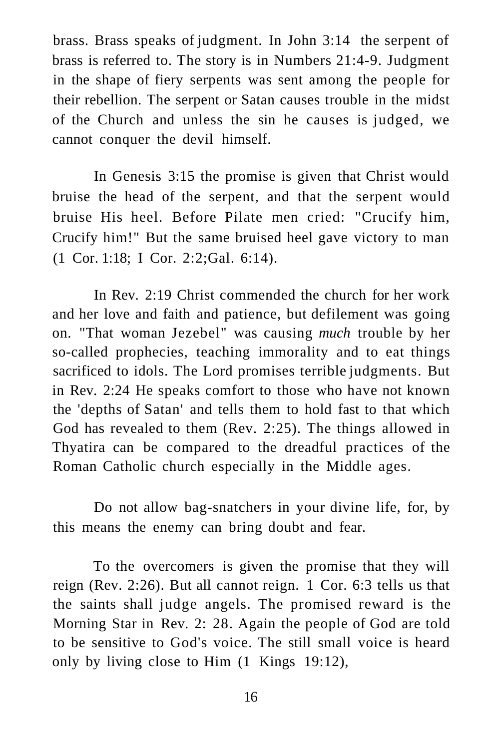brass. Brass speaks of judgment. In John 3:14 the serpent of brass is referred to. The story is in Numbers 21:4-9. Judgment in the shape of fiery serpents was sent among the people for their rebellion. The serpent or Satan causes trouble in the midst of the Church and unless the sin he causes is judged, we cannot conquer the devil himself.

In Genesis 3:15 the promise is given that Christ would bruise the head of the serpent, and that the serpent would bruise His heel. Before Pilate men cried: "Crucify him, Crucify him!" But the same bruised heel gave victory to man (1 Cor. 1:18; I Cor. 2:2;Gal. 6:14).

In Rev. 2:19 Christ commended the church for her work and her love and faith and patience, but defilement was going on. "That woman Jezebel" was causing *much* trouble by her so-called prophecies, teaching immorality and to eat things sacrificed to idols. The Lord promises terrible judgments. But in Rev. 2:24 He speaks comfort to those who have not known the 'depths of Satan' and tells them to hold fast to that which God has revealed to them (Rev. 2:25). The things allowed in Thyatira can be compared to the dreadful practices of the Roman Catholic church especially in the Middle ages.

Do not allow bag-snatchers in your divine life, for, by this means the enemy can bring doubt and fear.

To the overcomers is given the promise that they will reign (Rev. 2:26). But all cannot reign. 1 Cor. 6:3 tells us that the saints shall judge angels. The promised reward is the Morning Star in Rev. 2: 28. Again the people of God are told to be sensitive to God's voice. The still small voice is heard only by living close to Him (1 Kings 19:12),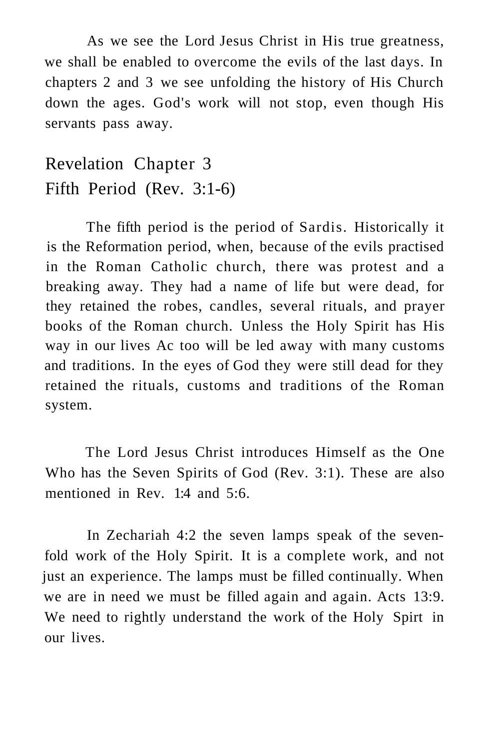As we see the Lord Jesus Christ in His true greatness, we shall be enabled to overcome the evils of the last days. In chapters 2 and 3 we see unfolding the history of His Church down the ages. God's work will not stop, even though His servants pass away.

## Revelation Chapter 3 Fifth Period (Rev. 3:1-6)

The fifth period is the period of Sardis. Historically it is the Reformation period, when, because of the evils practised in the Roman Catholic church, there was protest and a breaking away. They had a name of life but were dead, for they retained the robes, candles, several rituals, and prayer books of the Roman church. Unless the Holy Spirit has His way in our lives Ac too will be led away with many customs and traditions. In the eyes of God they were still dead for they retained the rituals, customs and traditions of the Roman system.

The Lord Jesus Christ introduces Himself as the One Who has the Seven Spirits of God (Rev. 3:1). These are also mentioned in Rev. 1:4 and 5:6.

In Zechariah 4:2 the seven lamps speak of the sevenfold work of the Holy Spirit. It is a complete work, and not just an experience. The lamps must be filled continually. When we are in need we must be filled again and again. Acts 13:9. We need to rightly understand the work of the Holy Spirt in our lives.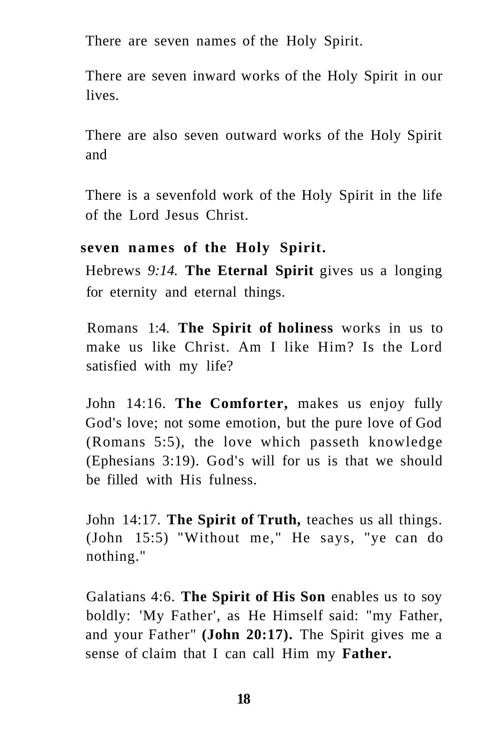There are seven names of the Holy Spirit.

There are seven inward works of the Holy Spirit in our lives.

There are also seven outward works of the Holy Spirit and

There is a sevenfold work of the Holy Spirit in the life of the Lord Jesus Christ.

#### **seven names of the Holy Spirit.**

Hebrews *9:14.* **The Eternal Spirit** gives us a longing for eternity and eternal things.

Romans 1:4. **The Spirit of holiness** works in us to make us like Christ. Am I like Him? Is the Lord satisfied with my life?

John 14:16. **The Comforter,** makes us enjoy fully God's love; not some emotion, but the pure love of God (Romans 5:5), the love which passeth knowledge (Ephesians 3:19). God's will for us is that we should be filled with His fulness.

John 14:17. **The Spirit of Truth,** teaches us all things. (John 15:5) "Without me," He says, "ye can do nothing."

Galatians 4:6. **The Spirit of His Son** enables us to soy boldly: 'My Father', as He Himself said: "my Father, and your Father" **(John 20:17).** The Spirit gives me a sense of claim that I can call Him my **Father.**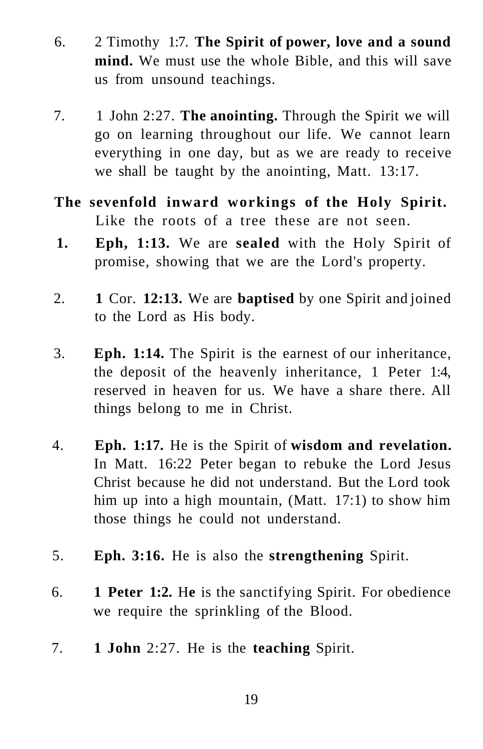- 6. 2 Timothy 1:7. **The Spirit of power, love and a sound mind.** We must use the whole Bible, and this will save us from unsound teachings.
- 7. 1 John 2:27. **The anointing.** Through the Spirit we will go on learning throughout our life. We cannot learn everything in one day, but as we are ready to receive we shall be taught by the anointing, Matt. 13:17.
- **The sevenfold inward workings of the Holy Spirit.**  Like the roots of a tree these are not seen.
- **1. Eph, 1:13.** We are **sealed** with the Holy Spirit of promise, showing that we are the Lord's property.
- 2. **1** Cor. **12:13.** We are **baptised** by one Spirit and joined to the Lord as His body.
- 3. **Eph. 1:14.** The Spirit is the earnest of our inheritance, the deposit of the heavenly inheritance, 1 Peter 1:4, reserved in heaven for us. We have a share there. All things belong to me in Christ.
- 4. **Eph. 1:17.** He is the Spirit of **wisdom and revelation.**  In Matt. 16:22 Peter began to rebuke the Lord Jesus Christ because he did not understand. But the Lord took him up into a high mountain, (Matt. 17:1) to show him those things he could not understand.
- 5. **Eph. 3:16.** He is also the **strengthening** Spirit.
- 6. **1 Peter 1:2.** H**e** is the sanctifying Spirit. For obedience we require the sprinkling of the Blood.
- 7. **1 John** 2:27. He is the **teaching** Spirit.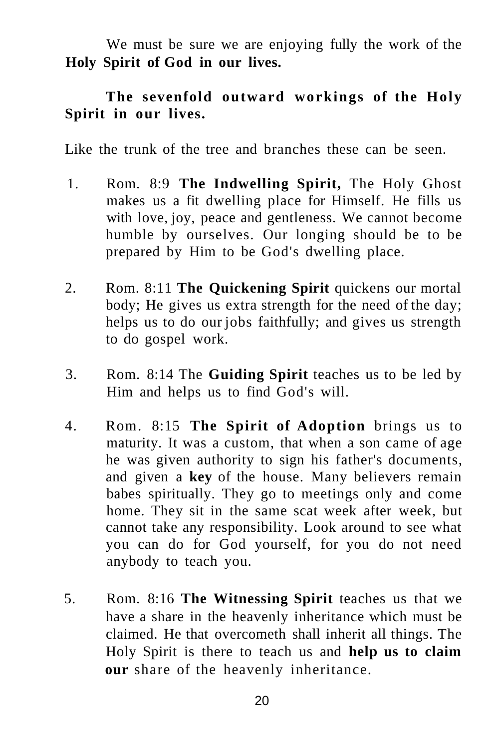We must be sure we are enjoying fully the work of the **Holy Spirit of God in our lives.** 

### **The sevenfold outward workings of the Holy Spirit in our lives.**

Like the trunk of the tree and branches these can be seen.

- 1. Rom. 8:9 **The Indwelling Spirit,** The Holy Ghost makes us a fit dwelling place for Himself. He fills us with love, joy, peace and gentleness. We cannot become humble by ourselves. Our longing should be to be prepared by Him to be God's dwelling place.
- 2. Rom. 8:11 **The Quickening Spirit** quickens our mortal body; He gives us extra strength for the need of the day; helps us to do our jobs faithfully; and gives us strength to do gospel work.
- 3. Rom. 8:14 The **Guiding Spirit** teaches us to be led by Him and helps us to find God's will.
- 4. Rom. 8:15 **The Spirit of Adoption** brings us to maturity. It was a custom, that when a son came of age he was given authority to sign his father's documents, and given a **key** of the house. Many believers remain babes spiritually. They go to meetings only and come home. They sit in the same scat week after week, but cannot take any responsibility. Look around to see what you can do for God yourself, for you do not need anybody to teach you.
- 5. Rom. 8:16 **The Witnessing Spirit** teaches us that we have a share in the heavenly inheritance which must be claimed. He that overcometh shall inherit all things. The Holy Spirit is there to teach us and **help us to claim our** share of the heavenly inheritance.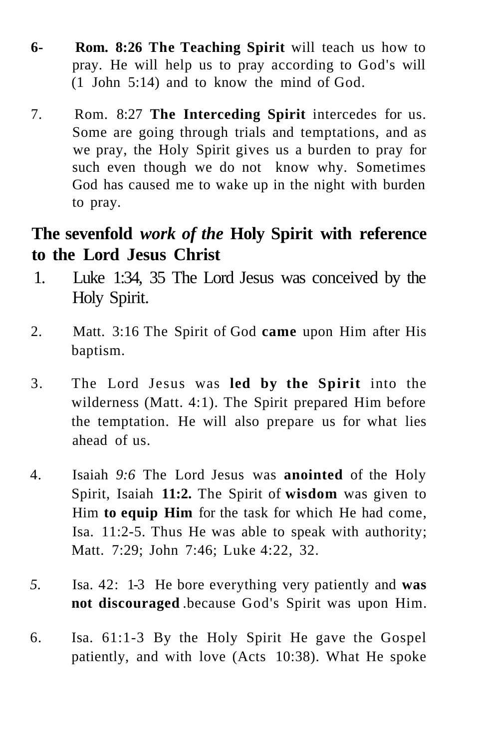- **6- Rom. 8:26 The Teaching Spirit** will teach us how to pray. He will help us to pray according to God's will (1 John 5:14) and to know the mind of God.
- 7. Rom. 8:27 **The Interceding Spirit** intercedes for us. Some are going through trials and temptations, and as we pray, the Holy Spirit gives us a burden to pray for such even though we do not know why. Sometimes God has caused me to wake up in the night with burden to pray.

## **The sevenfold** *work of the* **Holy Spirit with reference to the Lord Jesus Christ**

- 1. Luke 1:34, 35 The Lord Jesus was conceived by the Holy Spirit.
- 2. Matt. 3:16 The Spirit of God **came** upon Him after His baptism.
- 3. The Lord Jesus was **led by the Spirit** into the wilderness (Matt. 4:1). The Spirit prepared Him before the temptation. He will also prepare us for what lies ahead of us.
- 4. Isaiah *9:6* The Lord Jesus was **anointed** of the Holy Spirit, Isaiah **11:2.** The Spirit of **wisdom** was given to Him **to equip Him** for the task for which He had come, Isa. 11:2-5. Thus He was able to speak with authority; Matt. 7:29; John 7:46; Luke 4:22, 32.
- *5.* Isa. 42: 1-3 He bore everything very patiently and **was not discouraged** .because God's Spirit was upon Him.
- 6. Isa. 61:1-3 By the Holy Spirit He gave the Gospel patiently, and with love (Acts 10:38). What He spoke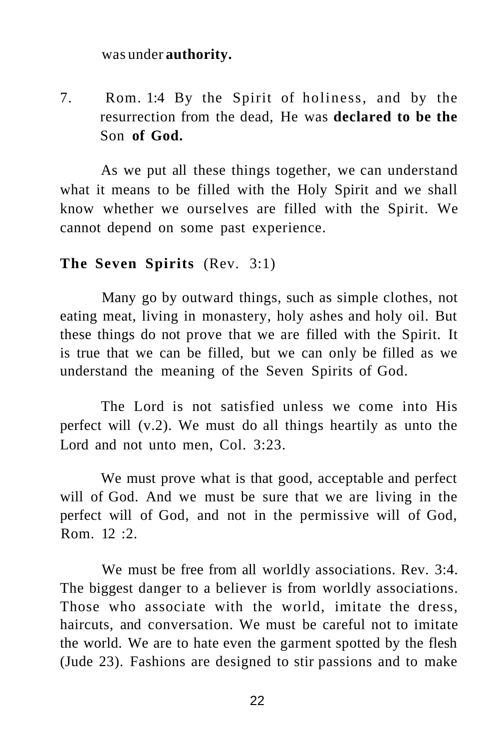#### was under **authority.**

7. Rom. 1:4 By the Spirit of holiness, and by the resurrection from the dead, He was **declared to be the**  Son **of God.** 

As we put all these things together, we can understand what it means to be filled with the Holy Spirit and we shall know whether we ourselves are filled with the Spirit. We cannot depend on some past experience.

#### **The Seven Spirits** (Rev. 3:1)

Many go by outward things, such as simple clothes, not eating meat, living in monastery, holy ashes and holy oil. But these things do not prove that we are filled with the Spirit. It is true that we can be filled, but we can only be filled as we understand the meaning of the Seven Spirits of God.

The Lord is not satisfied unless we come into His perfect will (v.2). We must do all things heartily as unto the Lord and not unto men, Col. 3:23.

We must prove what is that good, acceptable and perfect will of God. And we must be sure that we are living in the perfect will of God, and not in the permissive will of God, Rom.  $12 \cdot 2$ .

We must be free from all worldly associations. Rev. 3:4. The biggest danger to a believer is from worldly associations. Those who associate with the world, imitate the dress, haircuts, and conversation. We must be careful not to imitate the world. We are to hate even the garment spotted by the flesh (Jude 23). Fashions are designed to stir passions and to make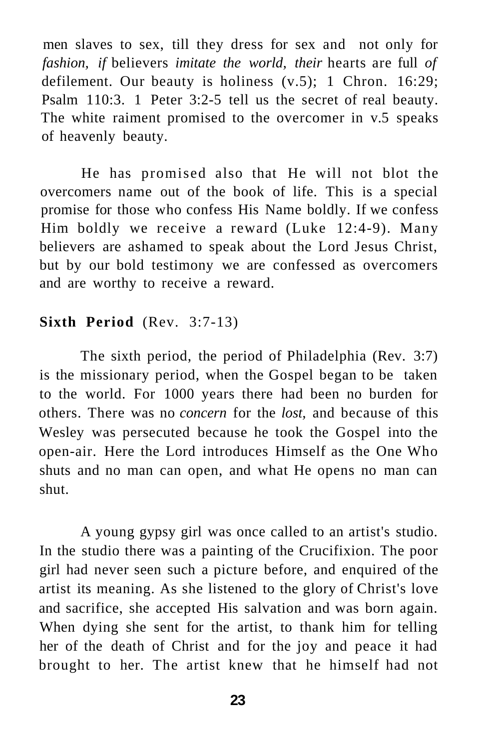men slaves to sex, till they dress for sex and not only for *fashion, if* believers *imitate the world, their* hearts are full *of*  defilement. Our beauty is holiness (v.5); 1 Chron. 16:29; Psalm 110:3. 1 Peter 3:2-5 tell us the secret of real beauty. The white raiment promised to the overcomer in v.5 speaks of heavenly beauty.

He has promised also that He will not blot the overcomers name out of the book of life. This is a special promise for those who confess His Name boldly. If we confess Him boldly we receive a reward (Luke 12:4-9). Many believers are ashamed to speak about the Lord Jesus Christ, but by our bold testimony we are confessed as overcomers and are worthy to receive a reward.

#### **Sixth Period** (Rev. 3:7-13)

The sixth period, the period of Philadelphia (Rev. 3:7) is the missionary period, when the Gospel began to be taken to the world. For 1000 years there had been no burden for others. There was no *concern* for the *lost,* and because of this Wesley was persecuted because he took the Gospel into the open-air. Here the Lord introduces Himself as the One Who shuts and no man can open, and what He opens no man can shut.

A young gypsy girl was once called to an artist's studio. In the studio there was a painting of the Crucifixion. The poor girl had never seen such a picture before, and enquired of the artist its meaning. As she listened to the glory of Christ's love and sacrifice, she accepted His salvation and was born again. When dying she sent for the artist, to thank him for telling her of the death of Christ and for the joy and peace it had brought to her. The artist knew that he himself had not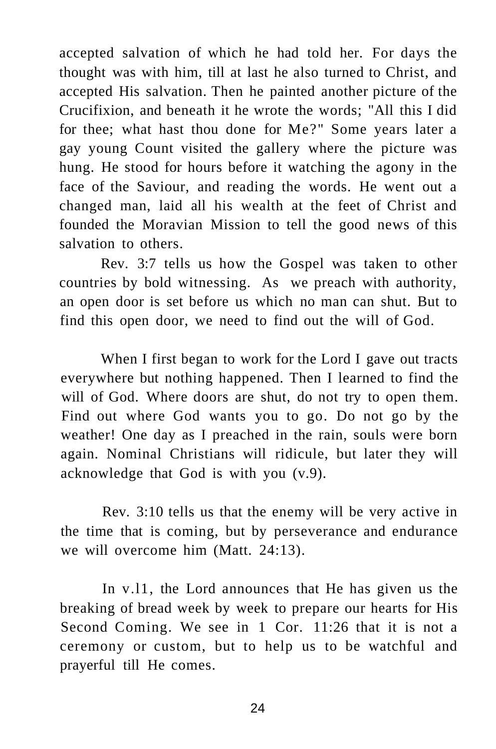accepted salvation of which he had told her. For days the thought was with him, till at last he also turned to Christ, and accepted His salvation. Then he painted another picture of the Crucifixion, and beneath it he wrote the words; "All this I did for thee; what hast thou done for Me?" Some years later a gay young Count visited the gallery where the picture was hung. He stood for hours before it watching the agony in the face of the Saviour, and reading the words. He went out a changed man, laid all his wealth at the feet of Christ and founded the Moravian Mission to tell the good news of this salvation to others.

Rev. 3:7 tells us how the Gospel was taken to other countries by bold witnessing. As we preach with authority, an open door is set before us which no man can shut. But to find this open door, we need to find out the will of God.

When I first began to work for the Lord I gave out tracts everywhere but nothing happened. Then I learned to find the will of God. Where doors are shut, do not try to open them. Find out where God wants you to go. Do not go by the weather! One day as I preached in the rain, souls were born again. Nominal Christians will ridicule, but later they will acknowledge that God is with you (v.9).

Rev. 3:10 tells us that the enemy will be very active in the time that is coming, but by perseverance and endurance we will overcome him (Matt. 24:13).

In v.l1, the Lord announces that He has given us the breaking of bread week by week to prepare our hearts for His Second Coming. We see in 1 Cor. 11:26 that it is not a ceremony or custom, but to help us to be watchful and prayerful till He comes.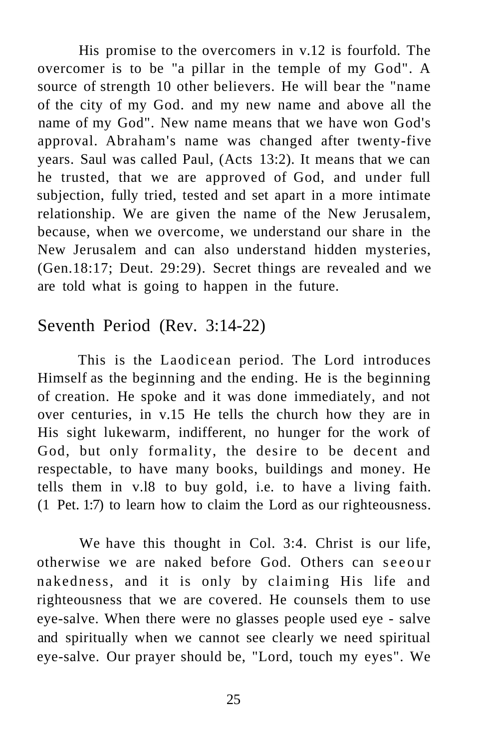His promise to the overcomers in v.12 is fourfold. The overcomer is to be "a pillar in the temple of my God". A source of strength 10 other believers. He will bear the "name of the city of my God. and my new name and above all the name of my God". New name means that we have won God's approval. Abraham's name was changed after twenty-five years. Saul was called Paul, (Acts 13:2). It means that we can he trusted, that we are approved of God, and under full subjection, fully tried, tested and set apart in a more intimate relationship. We are given the name of the New Jerusalem, because, when we overcome, we understand our share in the New Jerusalem and can also understand hidden mysteries, (Gen.18:17; Deut. 29:29). Secret things are revealed and we are told what is going to happen in the future.

## Seventh Period (Rev. 3:14-22)

This is the Laodicean period. The Lord introduces Himself as the beginning and the ending. He is the beginning of creation. He spoke and it was done immediately, and not over centuries, in v.15 He tells the church how they are in His sight lukewarm, indifferent, no hunger for the work of God, but only formality, the desire to be decent and respectable, to have many books, buildings and money. He tells them in v.l8 to buy gold, i.e. to have a living faith. (1 Pet. 1:7) to learn how to claim the Lord as our righteousness.

We have this thought in Col. 3:4. Christ is our life, otherwise we are naked before God. Others can seeour nakedness, and it is only by claiming His life and righteousness that we are covered. He counsels them to use eye-salve. When there were no glasses people used eye - salve and spiritually when we cannot see clearly we need spiritual eye-salve. Our prayer should be, "Lord, touch my eyes". We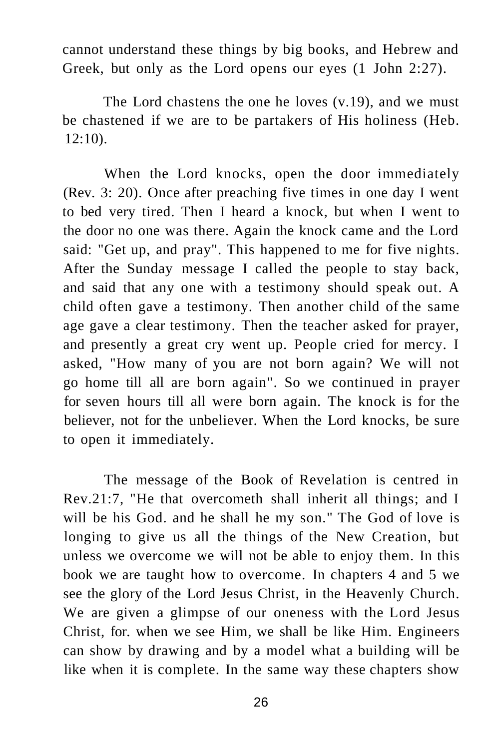cannot understand these things by big books, and Hebrew and Greek, but only as the Lord opens our eyes (1 John 2:27).

The Lord chastens the one he loves (v.19), and we must be chastened if we are to be partakers of His holiness (Heb. 12:10).

When the Lord knocks, open the door immediately (Rev. 3: 20). Once after preaching five times in one day I went to bed very tired. Then I heard a knock, but when I went to the door no one was there. Again the knock came and the Lord said: "Get up, and pray". This happened to me for five nights. After the Sunday message I called the people to stay back, and said that any one with a testimony should speak out. A child often gave a testimony. Then another child of the same age gave a clear testimony. Then the teacher asked for prayer, and presently a great cry went up. People cried for mercy. I asked, "How many of you are not born again? We will not go home till all are born again". So we continued in prayer for seven hours till all were born again. The knock is for the believer, not for the unbeliever. When the Lord knocks, be sure to open it immediately.

The message of the Book of Revelation is centred in Rev.21:7, "He that overcometh shall inherit all things; and I will be his God. and he shall he my son." The God of love is longing to give us all the things of the New Creation, but unless we overcome we will not be able to enjoy them. In this book we are taught how to overcome. In chapters 4 and 5 we see the glory of the Lord Jesus Christ, in the Heavenly Church. We are given a glimpse of our oneness with the Lord Jesus Christ, for. when we see Him, we shall be like Him. Engineers can show by drawing and by a model what a building will be like when it is complete. In the same way these chapters show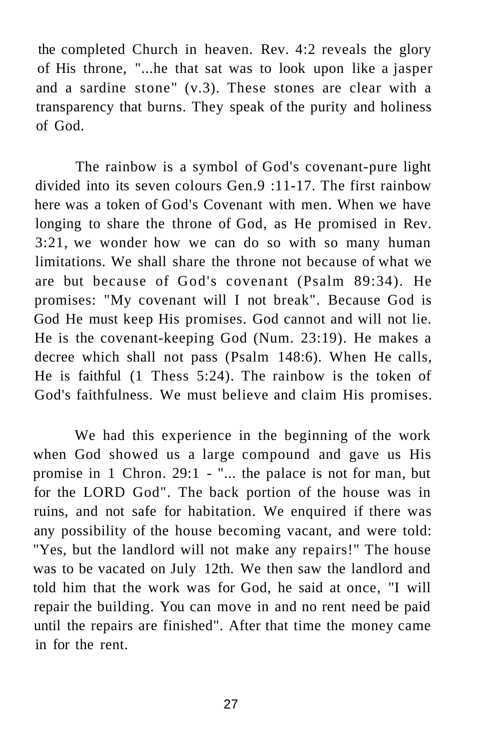the completed Church in heaven. Rev. 4:2 reveals the glory of His throne, "...he that sat was to look upon like a jasper and a sardine stone" (v.3). These stones are clear with a transparency that burns. They speak of the purity and holiness of God.

The rainbow is a symbol of God's covenant-pure light divided into its seven colours Gen.9 :11-17. The first rainbow here was a token of God's Covenant with men. When we have longing to share the throne of God, as He promised in Rev. 3:21, we wonder how we can do so with so many human limitations. We shall share the throne not because of what we are but because of God's covenant (Psalm 89:34). He promises: "My covenant will I not break". Because God is God He must keep His promises. God cannot and will not lie. He is the covenant-keeping God (Num. 23:19). He makes a decree which shall not pass (Psalm 148:6). When He calls, He is faithful (1 Thess 5:24). The rainbow is the token of God's faithfulness. We must believe and claim His promises.

We had this experience in the beginning of the work when God showed us a large compound and gave us His promise in 1 Chron. 29:1 - "... the palace is not for man, but for the LORD God". The back portion of the house was in ruins, and not safe for habitation. We enquired if there was any possibility of the house becoming vacant, and were told: "Yes, but the landlord will not make any repairs!" The house was to be vacated on July 12th. We then saw the landlord and told him that the work was for God, he said at once, "I will repair the building. You can move in and no rent need be paid until the repairs are finished". After that time the money came in for the rent.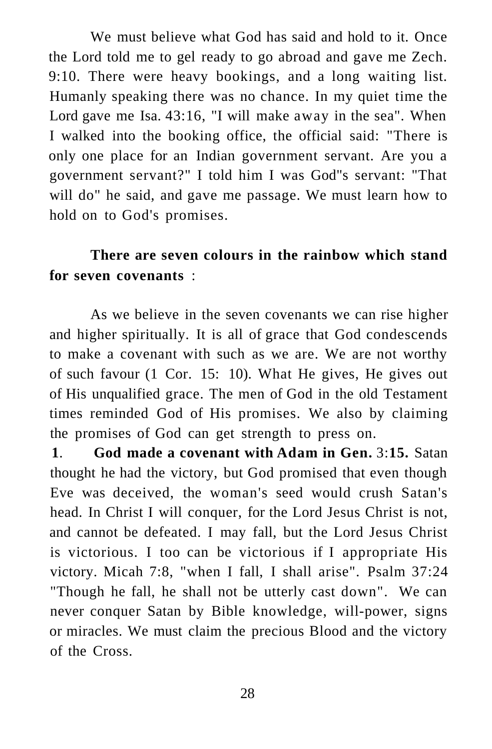We must believe what God has said and hold to it. Once the Lord told me to gel ready to go abroad and gave me Zech. 9:10. There were heavy bookings, and a long waiting list. Humanly speaking there was no chance. In my quiet time the Lord gave me Isa. 43:16, "I will make away in the sea". When I walked into the booking office, the official said: "There is only one place for an Indian government servant. Are you a government servant?" I told him I was God"s servant: "That will do" he said, and gave me passage. We must learn how to hold on to God's promises.

## **There are seven colours in the rainbow which stand for seven covenants** :

As we believe in the seven covenants we can rise higher and higher spiritually. It is all of grace that God condescends to make a covenant with such as we are. We are not worthy of such favour (1 Cor. 15: 10). What He gives, He gives out of His unqualified grace. The men of God in the old Testament times reminded God of His promises. We also by claiming the promises of God can get strength to press on.

**1**. **God made a covenant with Adam in Gen.** 3:**15.** Satan thought he had the victory, but God promised that even though Eve was deceived, the woman's seed would crush Satan's head. In Christ I will conquer, for the Lord Jesus Christ is not, and cannot be defeated. I may fall, but the Lord Jesus Christ is victorious. I too can be victorious if I appropriate His victory. Micah 7:8, "when I fall, I shall arise". Psalm 37:24 "Though he fall, he shall not be utterly cast down". We can never conquer Satan by Bible knowledge, will-power, signs or miracles. We must claim the precious Blood and the victory of the Cross.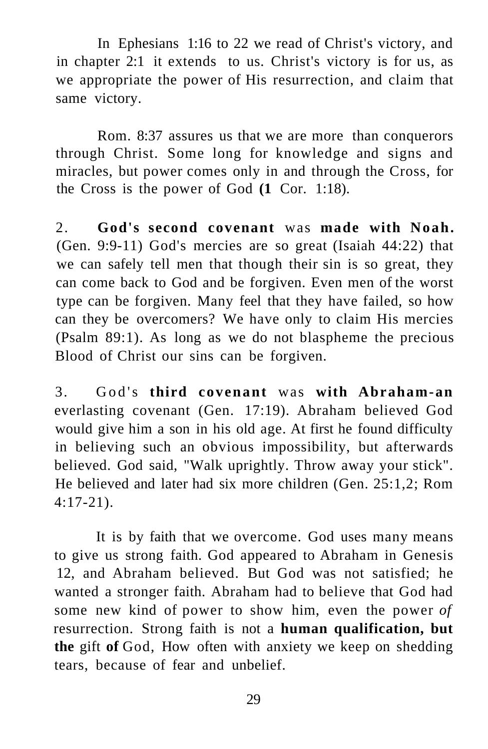In Ephesians 1:16 to 22 we read of Christ's victory, and in chapter 2:1 it extends to us. Christ's victory is for us, as we appropriate the power of His resurrection, and claim that same victory.

Rom. 8:37 assures us that we are more than conquerors through Christ. Some long for knowledge and signs and miracles, but power comes only in and through the Cross, for the Cross is the power of God **(1** Cor. 1:18).

2. **God's second covenant** was **made with Noah.**  (Gen. 9:9-11) God's mercies are so great (Isaiah 44:22) that we can safely tell men that though their sin is so great, they can come back to God and be forgiven. Even men of the worst type can be forgiven. Many feel that they have failed, so how can they be overcomers? We have only to claim His mercies (Psalm 89:1). As long as we do not blaspheme the precious Blood of Christ our sins can be forgiven.

3. God's **third covenant** was **with Abraham-an**  everlasting covenant (Gen. 17:19). Abraham believed God would give him a son in his old age. At first he found difficulty in believing such an obvious impossibility, but afterwards believed. God said, "Walk uprightly. Throw away your stick". He believed and later had six more children (Gen. 25:1,2; Rom 4:17-21).

It is by faith that we overcome. God uses many means to give us strong faith. God appeared to Abraham in Genesis 12, and Abraham believed. But God was not satisfied; he wanted a stronger faith. Abraham had to believe that God had some new kind of power to show him, even the power *of*  resurrection. Strong faith is not a **human qualification, but the** gift **of** God, How often with anxiety we keep on shedding tears, because of fear and unbelief.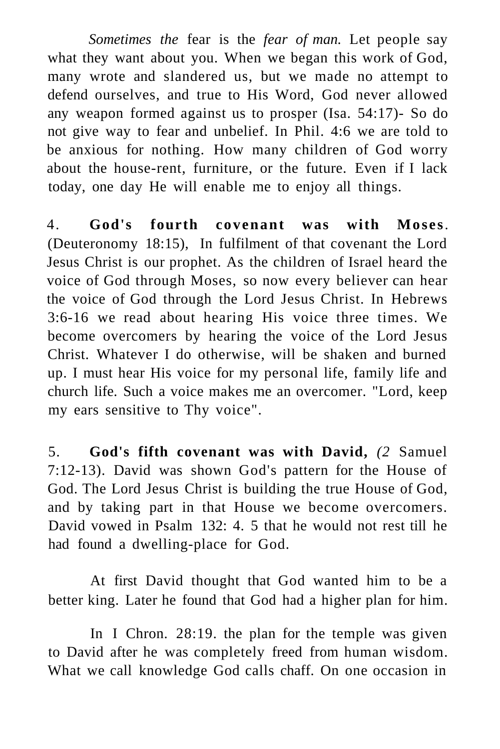*Sometimes the* fear is the *fear of man.* Let people say what they want about you. When we began this work of God, many wrote and slandered us, but we made no attempt to defend ourselves, and true to His Word, God never allowed any weapon formed against us to prosper (Isa. 54:17)- So do not give way to fear and unbelief. In Phil. 4:6 we are told to be anxious for nothing. How many children of God worry about the house-rent, furniture, or the future. Even if I lack today, one day He will enable me to enjoy all things.

4. **God's fourth covenant was with Moses**. (Deuteronomy 18:15), In fulfilment of that covenant the Lord Jesus Christ is our prophet. As the children of Israel heard the voice of God through Moses, so now every believer can hear the voice of God through the Lord Jesus Christ. In Hebrews 3:6-16 we read about hearing His voice three times. We become overcomers by hearing the voice of the Lord Jesus Christ. Whatever I do otherwise, will be shaken and burned up. I must hear His voice for my personal life, family life and church life. Such a voice makes me an overcomer. "Lord, keep my ears sensitive to Thy voice".

5. **God's fifth covenant was with David,** *(2* Samuel 7:12-13). David was shown God's pattern for the House of God. The Lord Jesus Christ is building the true House of God, and by taking part in that House we become overcomers. David vowed in Psalm 132: 4. 5 that he would not rest till he had found a dwelling-place for God.

At first David thought that God wanted him to be a better king. Later he found that God had a higher plan for him.

In I Chron. 28:19. the plan for the temple was given to David after he was completely freed from human wisdom. What we call knowledge God calls chaff. On one occasion in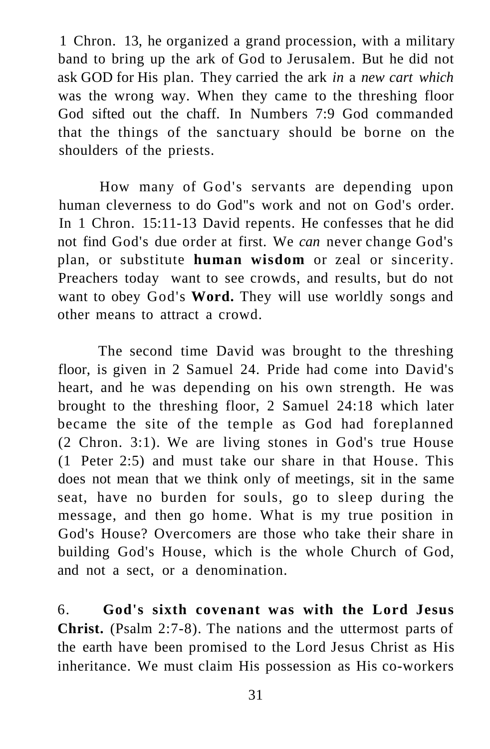1 Chron. 13, he organized a grand procession, with a military band to bring up the ark of God to Jerusalem. But he did not ask GOD for His plan. They carried the ark *in* a *new cart which*  was the wrong way. When they came to the threshing floor God sifted out the chaff. In Numbers 7:9 God commanded that the things of the sanctuary should be borne on the shoulders of the priests.

How many of God's servants are depending upon human cleverness to do God"s work and not on God's order. In 1 Chron. 15:11-13 David repents. He confesses that he did not find God's due order at first. We *can* never change God's plan, or substitute **human wisdom** or zeal or sincerity. Preachers today want to see crowds, and results, but do not want to obey God's **Word.** They will use worldly songs and other means to attract a crowd.

The second time David was brought to the threshing floor, is given in 2 Samuel 24. Pride had come into David's heart, and he was depending on his own strength. He was brought to the threshing floor, 2 Samuel 24:18 which later became the site of the temple as God had foreplanned (2 Chron. 3:1). We are living stones in God's true House (1 Peter 2:5) and must take our share in that House. This does not mean that we think only of meetings, sit in the same seat, have no burden for souls, go to sleep during the message, and then go home. What is my true position in God's House? Overcomers are those who take their share in building God's House, which is the whole Church of God, and not a sect, or a denomination.

6. **God's sixth covenant was with the Lord Jesus Christ.** (Psalm 2:7-8). The nations and the uttermost parts of the earth have been promised to the Lord Jesus Christ as His inheritance. We must claim His possession as His co-workers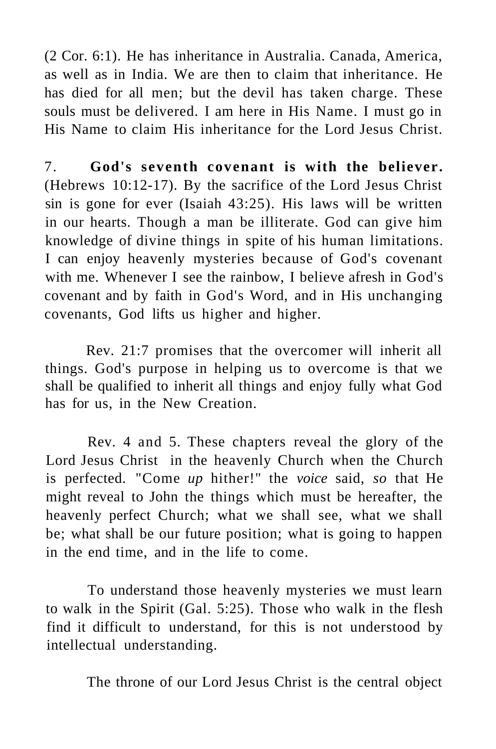(2 Cor. 6:1). He has inheritance in Australia. Canada, America, as well as in India. We are then to claim that inheritance. He has died for all men; but the devil has taken charge. These souls must be delivered. I am here in His Name. I must go in His Name to claim His inheritance for the Lord Jesus Christ.

7. **God's seventh covenant is with the believer.**  (Hebrews 10:12-17). By the sacrifice of the Lord Jesus Christ sin is gone for ever (Isaiah 43:25). His laws will be written in our hearts. Though a man be illiterate. God can give him knowledge of divine things in spite of his human limitations. I can enjoy heavenly mysteries because of God's covenant with me. Whenever I see the rainbow, I believe afresh in God's covenant and by faith in God's Word, and in His unchanging covenants, God lifts us higher and higher.

Rev. 21:7 promises that the overcomer will inherit all things. God's purpose in helping us to overcome is that we shall be qualified to inherit all things and enjoy fully what God has for us, in the New Creation.

Rev. 4 and 5. These chapters reveal the glory of the Lord Jesus Christ in the heavenly Church when the Church is perfected. "Come *up* hither!" the *voice* said, *so* that He might reveal to John the things which must be hereafter, the heavenly perfect Church; what we shall see, what we shall be; what shall be our future position; what is going to happen in the end time, and in the life to come.

To understand those heavenly mysteries we must learn to walk in the Spirit (Gal. 5:25). Those who walk in the flesh find it difficult to understand, for this is not understood by intellectual understanding.

The throne of our Lord Jesus Christ is the central object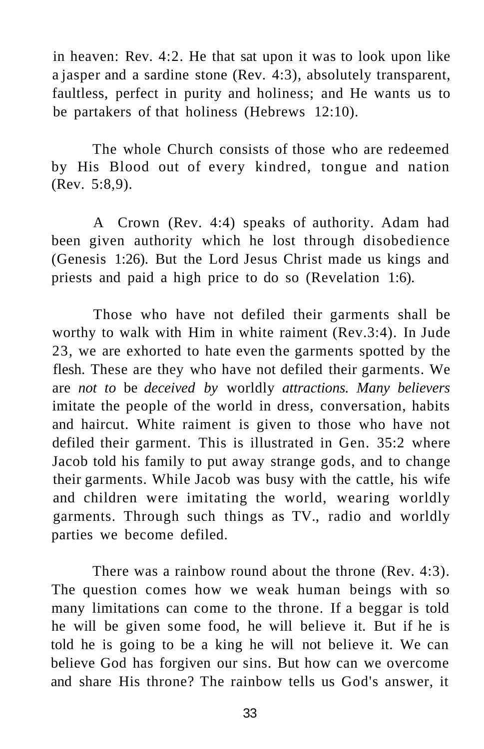in heaven: Rev. 4:2. He that sat upon it was to look upon like a jasper and a sardine stone (Rev. 4:3), absolutely transparent, faultless, perfect in purity and holiness; and He wants us to be partakers of that holiness (Hebrews 12:10).

The whole Church consists of those who are redeemed by His Blood out of every kindred, tongue and nation (Rev. 5:8,9).

A Crown (Rev. 4:4) speaks of authority. Adam had been given authority which he lost through disobedience (Genesis 1:26). But the Lord Jesus Christ made us kings and priests and paid a high price to do so (Revelation 1:6).

Those who have not defiled their garments shall be worthy to walk with Him in white raiment (Rev.3:4). In Jude 23, we are exhorted to hate even the garments spotted by the flesh. These are they who have not defiled their garments. We are *not to* be *deceived by* worldly *attractions. Many believers*  imitate the people of the world in dress, conversation, habits and haircut. White raiment is given to those who have not defiled their garment. This is illustrated in Gen. 35:2 where Jacob told his family to put away strange gods, and to change their garments. While Jacob was busy with the cattle, his wife and children were imitating the world, wearing worldly garments. Through such things as TV., radio and worldly parties we become defiled.

There was a rainbow round about the throne (Rev. 4:3). The question comes how we weak human beings with so many limitations can come to the throne. If a beggar is told he will be given some food, he will believe it. But if he is told he is going to be a king he will not believe it. We can believe God has forgiven our sins. But how can we overcome and share His throne? The rainbow tells us God's answer, it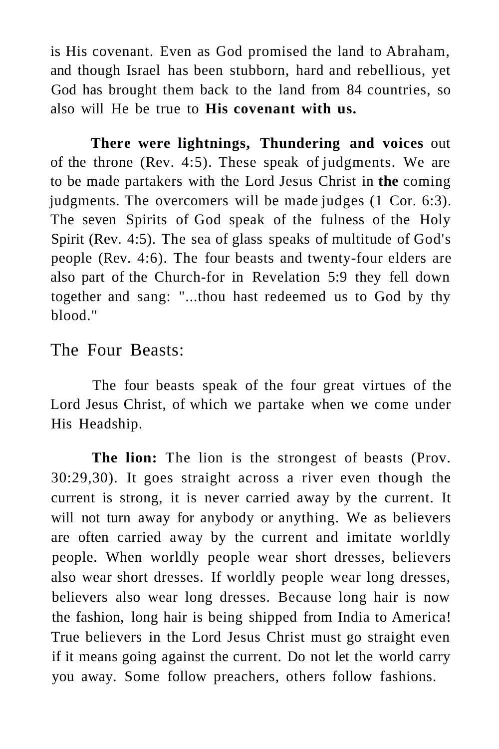is His covenant. Even as God promised the land to Abraham, and though Israel has been stubborn, hard and rebellious, yet God has brought them back to the land from 84 countries, so also will He be true to **His covenant with us.** 

**There were lightnings, Thundering and voices** out of the throne (Rev. 4:5). These speak of judgments. We are to be made partakers with the Lord Jesus Christ in **the** coming judgments. The overcomers will be made judges (1 Cor. 6:3). The seven Spirits of God speak of the fulness of the Holy Spirit (Rev. 4:5). The sea of glass speaks of multitude of God's people (Rev. 4:6). The four beasts and twenty-four elders are also part of the Church-for in Revelation 5:9 they fell down together and sang: "...thou hast redeemed us to God by thy blood."

## The Four Beasts:

The four beasts speak of the four great virtues of the Lord Jesus Christ, of which we partake when we come under His Headship.

**The lion:** The lion is the strongest of beasts (Prov. 30:29,30). It goes straight across a river even though the current is strong, it is never carried away by the current. It will not turn away for anybody or anything. We as believers are often carried away by the current and imitate worldly people. When worldly people wear short dresses, believers also wear short dresses. If worldly people wear long dresses, believers also wear long dresses. Because long hair is now the fashion, long hair is being shipped from India to America! True believers in the Lord Jesus Christ must go straight even if it means going against the current. Do not let the world carry you away. Some follow preachers, others follow fashions.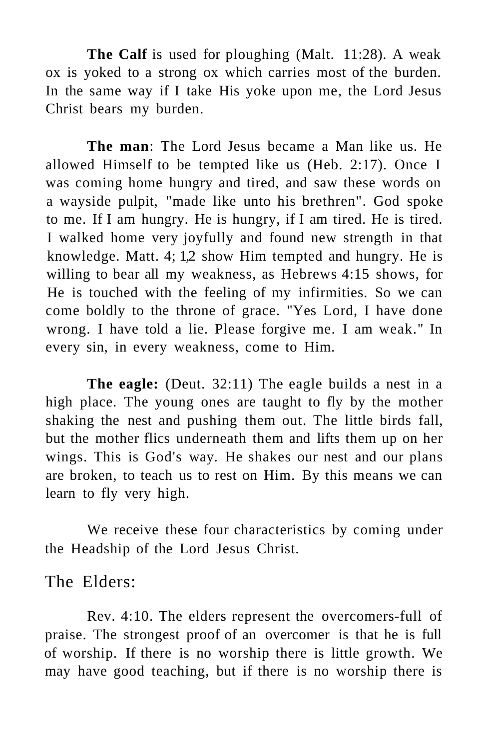**The Calf** is used for ploughing (Malt. 11:28). A weak ox is yoked to a strong ox which carries most of the burden. In the same way if I take His yoke upon me, the Lord Jesus Christ bears my burden.

**The man**: The Lord Jesus became a Man like us. He allowed Himself to be tempted like us (Heb. 2:17). Once I was coming home hungry and tired, and saw these words on a wayside pulpit, "made like unto his brethren". God spoke to me. If I am hungry. He is hungry, if I am tired. He is tired. I walked home very joyfully and found new strength in that knowledge. Matt. 4; 1,2 show Him tempted and hungry. He is willing to bear all my weakness, as Hebrews 4:15 shows, for He is touched with the feeling of my infirmities. So we can come boldly to the throne of grace. "Yes Lord, I have done wrong. I have told a lie. Please forgive me. I am weak." In every sin, in every weakness, come to Him.

**The eagle:** (Deut. 32:11) The eagle builds a nest in a high place. The young ones are taught to fly by the mother shaking the nest and pushing them out. The little birds fall, but the mother flics underneath them and lifts them up on her wings. This is God's way. He shakes our nest and our plans are broken, to teach us to rest on Him. By this means we can learn to fly very high.

We receive these four characteristics by coming under the Headship of the Lord Jesus Christ.

The Elders:

Rev. 4:10. The elders represent the overcomers-full of praise. The strongest proof of an overcomer is that he is full of worship. If there is no worship there is little growth. We may have good teaching, but if there is no worship there is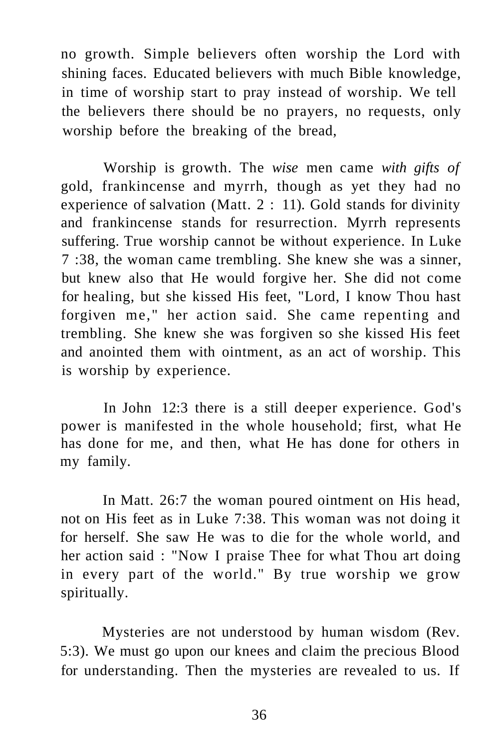no growth. Simple believers often worship the Lord with shining faces. Educated believers with much Bible knowledge, in time of worship start to pray instead of worship. We tell the believers there should be no prayers, no requests, only worship before the breaking of the bread,

Worship is growth. The *wise* men came *with gifts of*  gold, frankincense and myrrh, though as yet they had no experience of salvation (Matt. 2 : 11). Gold stands for divinity and frankincense stands for resurrection. Myrrh represents suffering. True worship cannot be without experience. In Luke 7 :38, the woman came trembling. She knew she was a sinner, but knew also that He would forgive her. She did not come for healing, but she kissed His feet, "Lord, I know Thou hast forgiven me," her action said. She came repenting and trembling. She knew she was forgiven so she kissed His feet and anointed them with ointment, as an act of worship. This is worship by experience.

In John 12:3 there is a still deeper experience. God's power is manifested in the whole household; first, what He has done for me, and then, what He has done for others in my family.

In Matt. 26:7 the woman poured ointment on His head, not on His feet as in Luke 7:38. This woman was not doing it for herself. She saw He was to die for the whole world, and her action said : "Now I praise Thee for what Thou art doing in every part of the world." By true worship we grow spiritually.

Mysteries are not understood by human wisdom (Rev. 5:3). We must go upon our knees and claim the precious Blood for understanding. Then the mysteries are revealed to us. If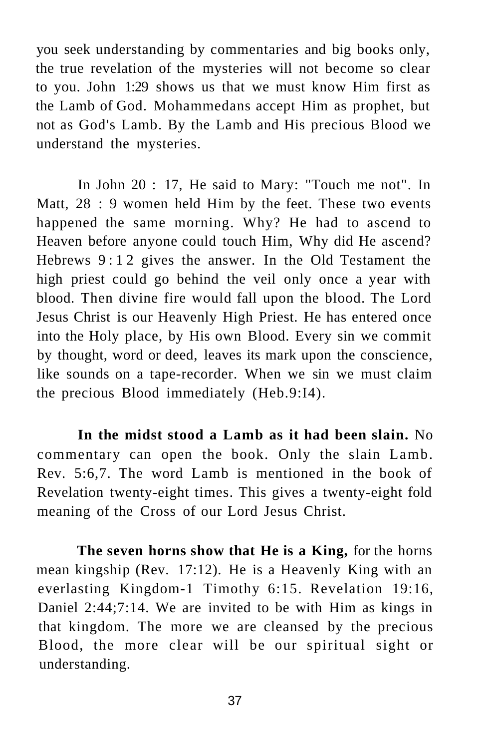you seek understanding by commentaries and big books only, the true revelation of the mysteries will not become so clear to you. John 1:29 shows us that we must know Him first as the Lamb of God. Mohammedans accept Him as prophet, but not as God's Lamb. By the Lamb and His precious Blood we understand the mysteries.

In John 20 : 17, He said to Mary: "Touch me not". In Matt, 28 : 9 women held Him by the feet. These two events happened the same morning. Why? He had to ascend to Heaven before anyone could touch Him, Why did He ascend? Hebrews 9:1 2 gives the answer. In the Old Testament the high priest could go behind the veil only once a year with blood. Then divine fire would fall upon the blood. The Lord Jesus Christ is our Heavenly High Priest. He has entered once into the Holy place, by His own Blood. Every sin we commit by thought, word or deed, leaves its mark upon the conscience, like sounds on a tape-recorder. When we sin we must claim the precious Blood immediately (Heb.9:I4).

**In the midst stood a Lamb as it had been slain.** No commentary can open the book. Only the slain Lamb. Rev. 5:6,7. The word Lamb is mentioned in the book of Revelation twenty-eight times. This gives a twenty-eight fold meaning of the Cross of our Lord Jesus Christ.

**The seven horns show that He is a King,** for the horns mean kingship (Rev. 17:12). He is a Heavenly King with an everlasting Kingdom-1 Timothy 6:15. Revelation 19:16, Daniel 2:44;7:14. We are invited to be with Him as kings in that kingdom. The more we are cleansed by the precious Blood, the more clear will be our spiritual sight or understanding.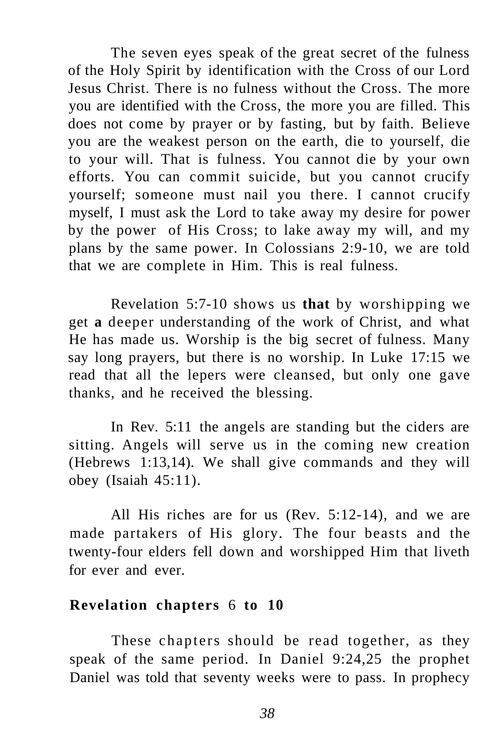The seven eyes speak of the great secret of the fulness of the Holy Spirit by identification with the Cross of our Lord Jesus Christ. There is no fulness without the Cross. The more you are identified with the Cross, the more you are filled. This does not come by prayer or by fasting, but by faith. Believe you are the weakest person on the earth, die to yourself, die to your will. That is fulness. You cannot die by your own efforts. You can commit suicide, but you cannot crucify yourself; someone must nail you there. I cannot crucify myself, I must ask the Lord to take away my desire for power by the power of His Cross; to lake away my will, and my plans by the same power. In Colossians 2:9-10, we are told that we are complete in Him. This is real fulness.

Revelation 5:7-10 shows us **that** by worshipping we get **a** deeper understanding of the work of Christ, and what He has made us. Worship is the big secret of fulness. Many say long prayers, but there is no worship. In Luke 17:15 we read that all the lepers were cleansed, but only one gave thanks, and he received the blessing.

In Rev. 5:11 the angels are standing but the ciders are sitting. Angels will serve us in the coming new creation (Hebrews 1:13,14). We shall give commands and they will obey (Isaiah 45:11).

All His riches are for us (Rev. 5:12-14), and we are made partakers of His glory. The four beasts and the twenty-four elders fell down and worshipped Him that liveth for ever and ever.

#### **Revelation chapters** 6 **to 10**

These chapters should be read together, as they speak of the same period. In Daniel 9:24,25 the prophet Daniel was told that seventy weeks were to pass. In prophecy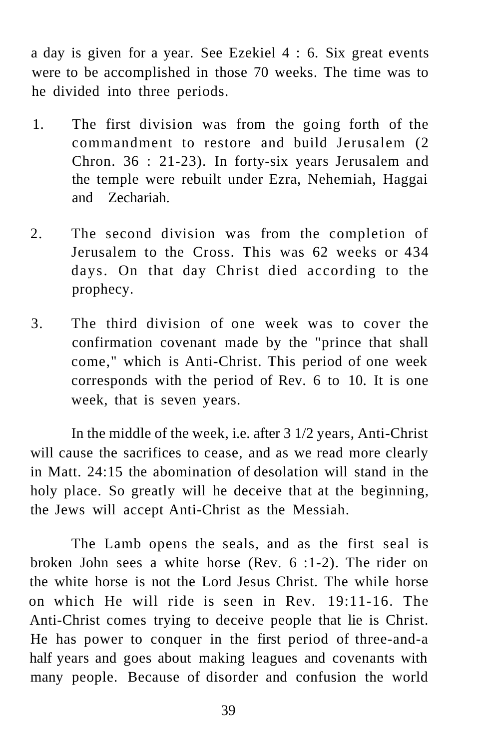a day is given for a year. See Ezekiel 4 : 6. Six great events were to be accomplished in those 70 weeks. The time was to he divided into three periods.

- 1. The first division was from the going forth of the commandment to restore and build Jerusalem (2 Chron. 36 : 21-23). In forty-six years Jerusalem and the temple were rebuilt under Ezra, Nehemiah, Haggai and Zechariah.
- 2. The second division was from the completion of Jerusalem to the Cross. This was 62 weeks or 434 days. On that day Christ died according to the prophecy.
- 3. The third division of one week was to cover the confirmation covenant made by the "prince that shall come," which is Anti-Christ. This period of one week corresponds with the period of Rev. 6 to 10. It is one week, that is seven years.

In the middle of the week, i.e. after 3 1/2 years, Anti-Christ will cause the sacrifices to cease, and as we read more clearly in Matt. 24:15 the abomination of desolation will stand in the holy place. So greatly will he deceive that at the beginning, the Jews will accept Anti-Christ as the Messiah.

The Lamb opens the seals, and as the first seal is broken John sees a white horse (Rev. 6 :1-2). The rider on the white horse is not the Lord Jesus Christ. The while horse on which He will ride is seen in Rev. 19:11-16. The Anti-Christ comes trying to deceive people that lie is Christ. He has power to conquer in the first period of three-and-a half years and goes about making leagues and covenants with many people. Because of disorder and confusion the world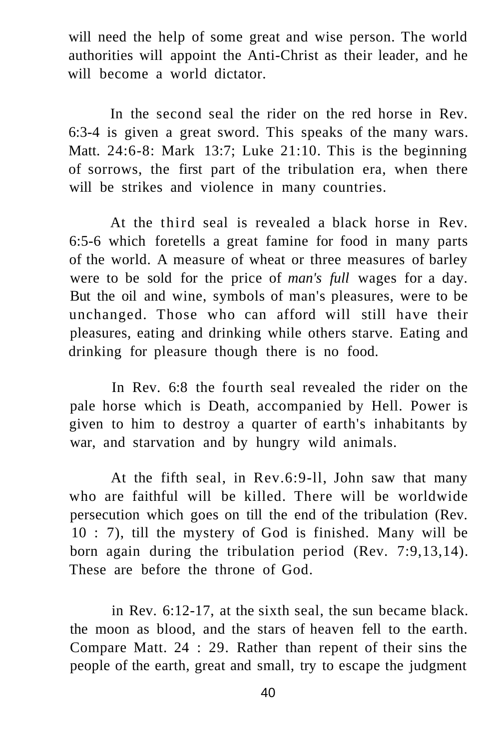will need the help of some great and wise person. The world authorities will appoint the Anti-Christ as their leader, and he will become a world dictator.

In the second seal the rider on the red horse in Rev. 6:3-4 is given a great sword. This speaks of the many wars. Matt. 24:6-8: Mark 13:7; Luke 21:10. This is the beginning of sorrows, the first part of the tribulation era, when there will be strikes and violence in many countries.

At the third seal is revealed a black horse in Rev. 6:5-6 which foretells a great famine for food in many parts of the world. A measure of wheat or three measures of barley were to be sold for the price of *man's full* wages for a day. But the oil and wine, symbols of man's pleasures, were to be unchanged. Those who can afford will still have their pleasures, eating and drinking while others starve. Eating and drinking for pleasure though there is no food.

In Rev. 6:8 the fourth seal revealed the rider on the pale horse which is Death, accompanied by Hell. Power is given to him to destroy a quarter of earth's inhabitants by war, and starvation and by hungry wild animals.

At the fifth seal, in Rev.6:9-ll, John saw that many who are faithful will be killed. There will be worldwide persecution which goes on till the end of the tribulation (Rev. 10 : 7), till the mystery of God is finished. Many will be born again during the tribulation period (Rev. 7:9,13,14). These are before the throne of God.

in Rev. 6:12-17, at the sixth seal, the sun became black. the moon as blood, and the stars of heaven fell to the earth. Compare Matt. 24 : 29. Rather than repent of their sins the people of the earth, great and small, try to escape the judgment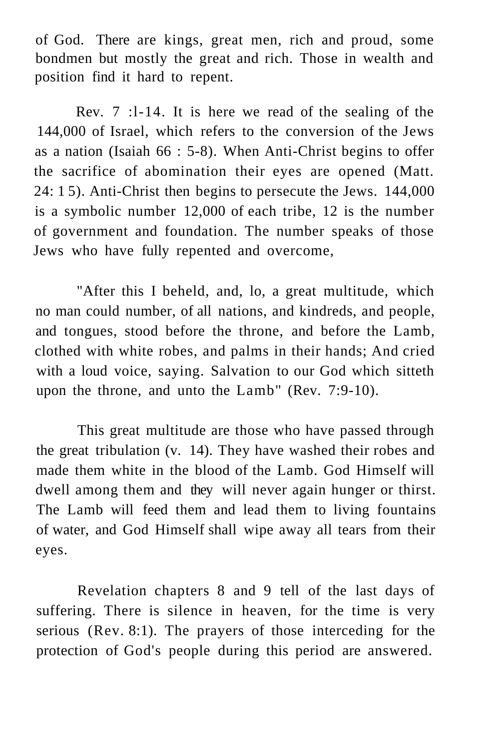of God. There are kings, great men, rich and proud, some bondmen but mostly the great and rich. Those in wealth and position find it hard to repent.

Rev. 7 :l-14. It is here we read of the sealing of the 144,000 of Israel, which refers to the conversion of the Jews as a nation (Isaiah 66 : 5-8). When Anti-Christ begins to offer the sacrifice of abomination their eyes are opened (Matt. 24: 1 5). Anti-Christ then begins to persecute the Jews. 144,000 is a symbolic number 12,000 of each tribe, 12 is the number of government and foundation. The number speaks of those Jews who have fully repented and overcome,

"After this I beheld, and, lo, a great multitude, which no man could number, of all nations, and kindreds, and people, and tongues, stood before the throne, and before the Lamb, clothed with white robes, and palms in their hands; And cried with a loud voice, saying. Salvation to our God which sitteth upon the throne, and unto the Lamb" (Rev. 7:9-10).

This great multitude are those who have passed through the great tribulation (v. 14). They have washed their robes and made them white in the blood of the Lamb. God Himself will dwell among them and they will never again hunger or thirst. The Lamb will feed them and lead them to living fountains of water, and God Himself shall wipe away all tears from their eyes.

Revelation chapters 8 and 9 tell of the last days of suffering. There is silence in heaven, for the time is very serious (Rev. 8:1). The prayers of those interceding for the protection of God's people during this period are answered.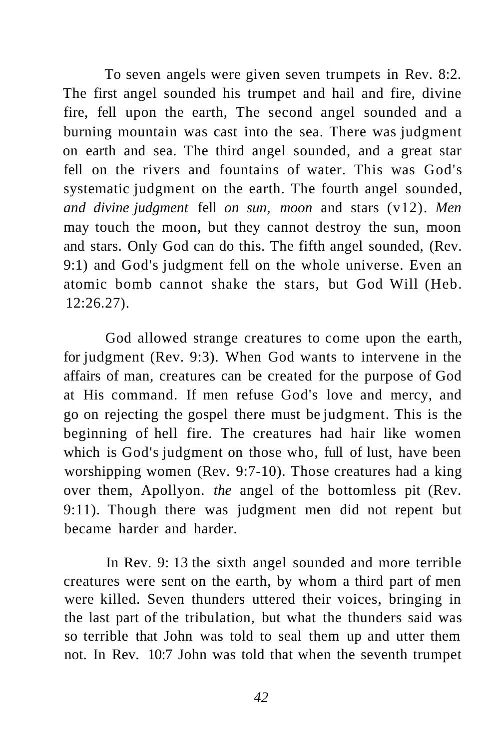To seven angels were given seven trumpets in Rev. 8:2. The first angel sounded his trumpet and hail and fire, divine fire, fell upon the earth, The second angel sounded and a burning mountain was cast into the sea. There was judgment on earth and sea. The third angel sounded, and a great star fell on the rivers and fountains of water. This was God's systematic judgment on the earth. The fourth angel sounded, *and divine judgment* fell *on sun, moon* and stars (v12). *Men*  may touch the moon, but they cannot destroy the sun, moon and stars. Only God can do this. The fifth angel sounded, (Rev. 9:1) and God's judgment fell on the whole universe. Even an atomic bomb cannot shake the stars, but God Will (Heb. 12:26.27).

God allowed strange creatures to come upon the earth, for judgment (Rev. 9:3). When God wants to intervene in the affairs of man, creatures can be created for the purpose of God at His command. If men refuse God's love and mercy, and go on rejecting the gospel there must be judgment. This is the beginning of hell fire. The creatures had hair like women which is God's judgment on those who, full of lust, have been worshipping women (Rev. 9:7-10). Those creatures had a king over them, Apollyon. *the* angel of the bottomless pit (Rev. 9:11). Though there was judgment men did not repent but became harder and harder.

In Rev. 9: 13 the sixth angel sounded and more terrible creatures were sent on the earth, by whom a third part of men were killed. Seven thunders uttered their voices, bringing in the last part of the tribulation, but what the thunders said was so terrible that John was told to seal them up and utter them not. In Rev. 10:7 John was told that when the seventh trumpet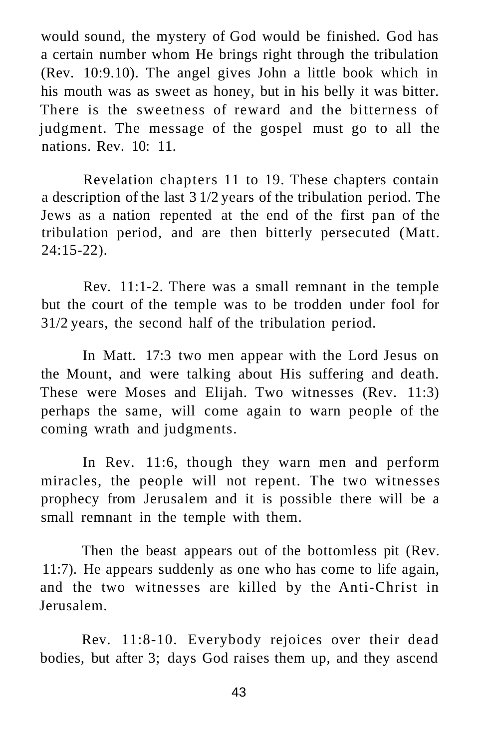would sound, the mystery of God would be finished. God has a certain number whom He brings right through the tribulation (Rev. 10:9.10). The angel gives John a little book which in his mouth was as sweet as honey, but in his belly it was bitter. There is the sweetness of reward and the bitterness of judgment. The message of the gospel must go to all the nations. Rev. 10: 11.

Revelation chapters 11 to 19. These chapters contain a description of the last 3 1/2 years of the tribulation period. The Jews as a nation repented at the end of the first pan of the tribulation period, and are then bitterly persecuted (Matt. 24:15-22).

Rev. 11:1-2. There was a small remnant in the temple but the court of the temple was to be trodden under fool for 31/2 years, the second half of the tribulation period.

In Matt. 17:3 two men appear with the Lord Jesus on the Mount, and were talking about His suffering and death. These were Moses and Elijah. Two witnesses (Rev. 11:3) perhaps the same, will come again to warn people of the coming wrath and judgments.

In Rev. 11:6, though they warn men and perform miracles, the people will not repent. The two witnesses prophecy from Jerusalem and it is possible there will be a small remnant in the temple with them.

Then the beast appears out of the bottomless pit (Rev. 11:7). He appears suddenly as one who has come to life again, and the two witnesses are killed by the Anti-Christ in Jerusalem.

Rev. 11:8-10. Everybody rejoices over their dead bodies, but after 3; days God raises them up, and they ascend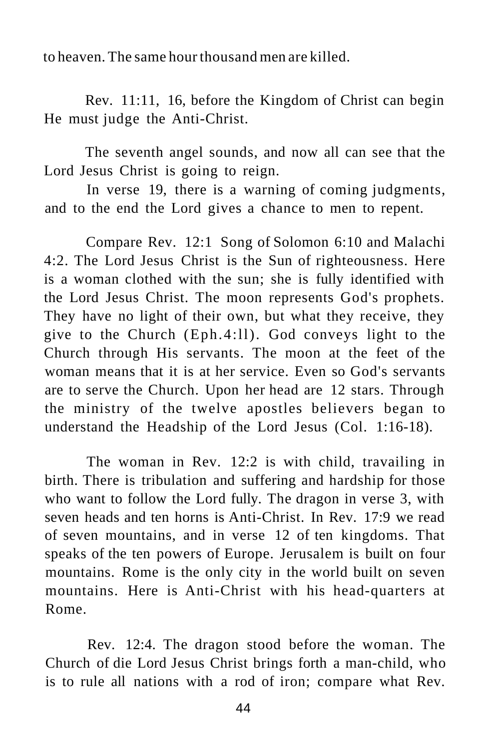to heaven. The same hour thousand men are killed.

Rev. 11:11, 16, before the Kingdom of Christ can begin He must judge the Anti-Christ.

The seventh angel sounds, and now all can see that the Lord Jesus Christ is going to reign.

In verse 19, there is a warning of coming judgments, and to the end the Lord gives a chance to men to repent.

Compare Rev. 12:1 Song of Solomon 6:10 and Malachi 4:2. The Lord Jesus Christ is the Sun of righteousness. Here is a woman clothed with the sun; she is fully identified with the Lord Jesus Christ. The moon represents God's prophets. They have no light of their own, but what they receive, they give to the Church (Eph.4:ll). God conveys light to the Church through His servants. The moon at the feet of the woman means that it is at her service. Even so God's servants are to serve the Church. Upon her head are 12 stars. Through the ministry of the twelve apostles believers began to understand the Headship of the Lord Jesus (Col. 1:16-18).

The woman in Rev. 12:2 is with child, travailing in birth. There is tribulation and suffering and hardship for those who want to follow the Lord fully. The dragon in verse 3, with seven heads and ten horns is Anti-Christ. In Rev. 17:9 we read of seven mountains, and in verse 12 of ten kingdoms. That speaks of the ten powers of Europe. Jerusalem is built on four mountains. Rome is the only city in the world built on seven mountains. Here is Anti-Christ with his head-quarters at Rome.

Rev. 12:4. The dragon stood before the woman. The Church of die Lord Jesus Christ brings forth a man-child, who is to rule all nations with a rod of iron; compare what Rev.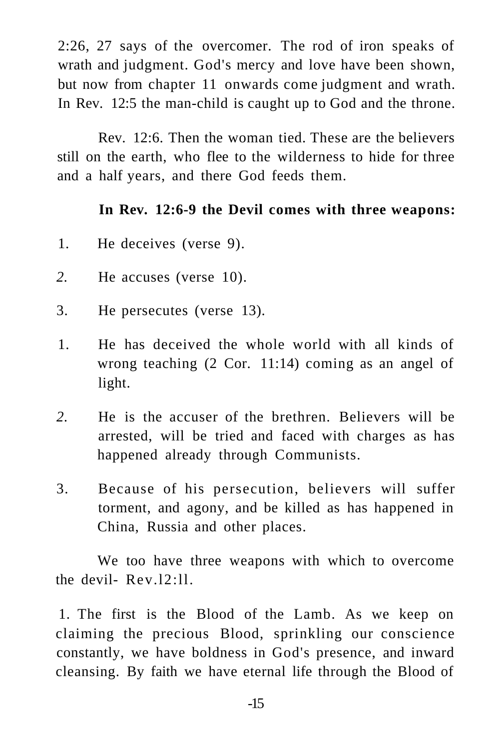2:26, 27 says of the overcomer. The rod of iron speaks of wrath and judgment. God's mercy and love have been shown, but now from chapter 11 onwards come judgment and wrath. In Rev. 12:5 the man-child is caught up to God and the throne.

Rev. 12:6. Then the woman tied. These are the believers still on the earth, who flee to the wilderness to hide for three and a half years, and there God feeds them.

#### **In Rev. 12:6-9 the Devil comes with three weapons:**

- 1. He deceives (verse 9).
- *2.* He accuses (verse 10).
- 3. He persecutes (verse 13).
- 1. He has deceived the whole world with all kinds of wrong teaching (2 Cor. 11:14) coming as an angel of light.
- *2.* He is the accuser of the brethren. Believers will be arrested, will be tried and faced with charges as has happened already through Communists.
- 3. Because of his persecution, believers will suffer torment, and agony, and be killed as has happened in China, Russia and other places.

We too have three weapons with which to overcome the devil- Rev.l2:ll.

1. The first is the Blood of the Lamb. As we keep on claiming the precious Blood, sprinkling our conscience constantly, we have boldness in God's presence, and inward cleansing. By faith we have eternal life through the Blood of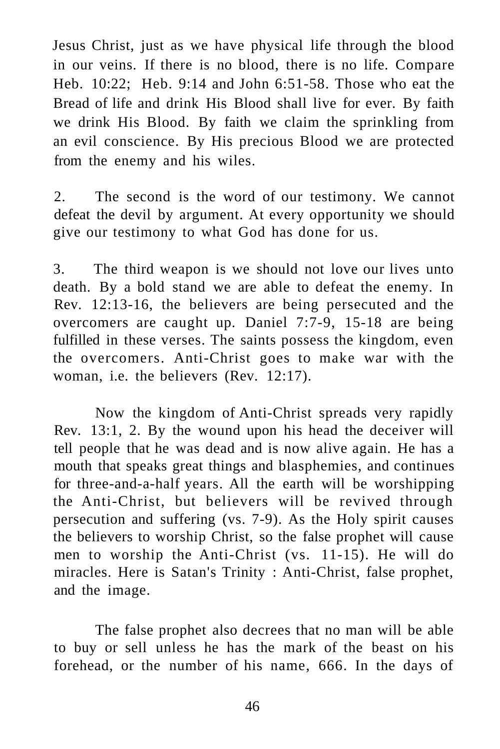Jesus Christ, just as we have physical life through the blood in our veins. If there is no blood, there is no life. Compare Heb. 10:22; Heb. 9:14 and John 6:51-58. Those who eat the Bread of life and drink His Blood shall live for ever. By faith we drink His Blood. By faith we claim the sprinkling from an evil conscience. By His precious Blood we are protected from the enemy and his wiles.

2. The second is the word of our testimony. We cannot defeat the devil by argument. At every opportunity we should give our testimony to what God has done for us.

3. The third weapon is we should not love our lives unto death. By a bold stand we are able to defeat the enemy. In Rev. 12:13-16, the believers are being persecuted and the overcomers are caught up. Daniel 7:7-9, 15-18 are being fulfilled in these verses. The saints possess the kingdom, even the overcomers. Anti-Christ goes to make war with the woman, i.e. the believers (Rev. 12:17).

Now the kingdom of Anti-Christ spreads very rapidly Rev. 13:1, 2. By the wound upon his head the deceiver will tell people that he was dead and is now alive again. He has a mouth that speaks great things and blasphemies, and continues for three-and-a-half years. All the earth will be worshipping the Anti-Christ, but believers will be revived through persecution and suffering (vs. 7-9). As the Holy spirit causes the believers to worship Christ, so the false prophet will cause men to worship the Anti-Christ (vs. 11-15). He will do miracles. Here is Satan's Trinity : Anti-Christ, false prophet, and the image.

The false prophet also decrees that no man will be able to buy or sell unless he has the mark of the beast on his forehead, or the number of his name, 666. In the days of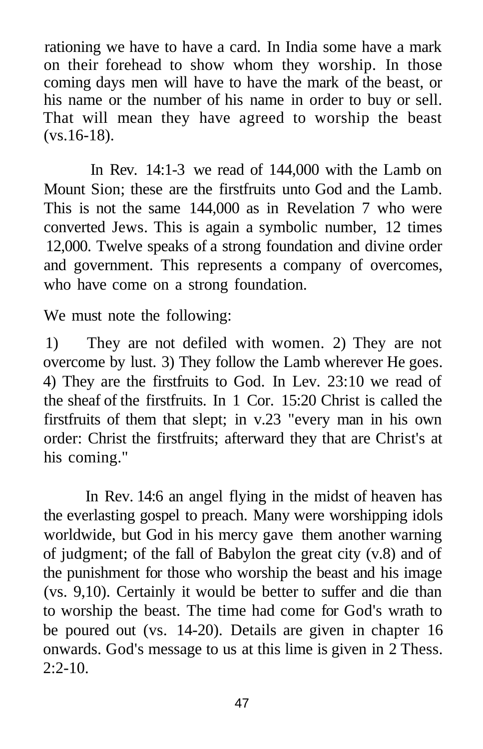rationing we have to have a card. In India some have a mark on their forehead to show whom they worship. In those coming days men will have to have the mark of the beast, or his name or the number of his name in order to buy or sell. That will mean they have agreed to worship the beast (vs.16-18).

In Rev. 14:1-3 we read of 144,000 with the Lamb on Mount Sion; these are the firstfruits unto God and the Lamb. This is not the same 144,000 as in Revelation 7 who were converted Jews. This is again a symbolic number, 12 times 12,000. Twelve speaks of a strong foundation and divine order and government. This represents a company of overcomes, who have come on a strong foundation.

We must note the following:

1) They are not defiled with women. 2) They are not overcome by lust. 3) They follow the Lamb wherever He goes. 4) They are the firstfruits to God. In Lev. 23:10 we read of the sheaf of the firstfruits. In 1 Cor. 15:20 Christ is called the firstfruits of them that slept; in v.23 "every man in his own order: Christ the firstfruits; afterward they that are Christ's at his coming."

In Rev. 14:6 an angel flying in the midst of heaven has the everlasting gospel to preach. Many were worshipping idols worldwide, but God in his mercy gave them another warning of judgment; of the fall of Babylon the great city (v.8) and of the punishment for those who worship the beast and his image (vs. 9,10). Certainly it would be better to suffer and die than to worship the beast. The time had come for God's wrath to be poured out (vs. 14-20). Details are given in chapter 16 onwards. God's message to us at this lime is given in 2 Thess.  $2:2-10$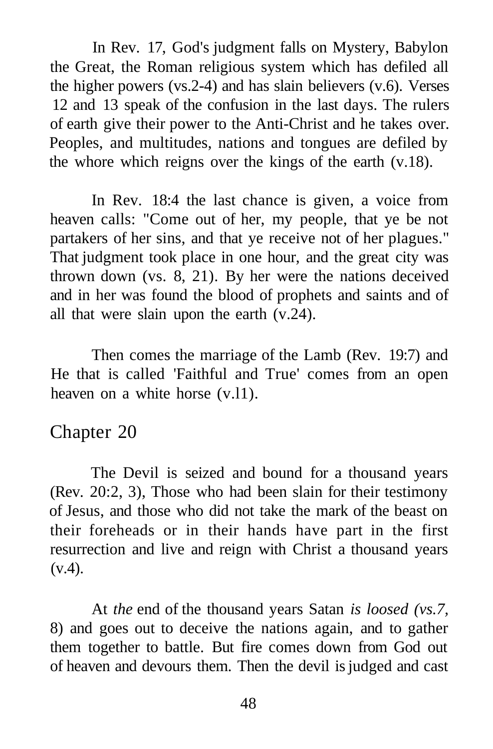In Rev. 17, God's judgment falls on Mystery, Babylon the Great, the Roman religious system which has defiled all the higher powers (vs.2-4) and has slain believers (v.6). Verses 12 and 13 speak of the confusion in the last days. The rulers of earth give their power to the Anti-Christ and he takes over. Peoples, and multitudes, nations and tongues are defiled by the whore which reigns over the kings of the earth (v.18).

In Rev. 18:4 the last chance is given, a voice from heaven calls: "Come out of her, my people, that ye be not partakers of her sins, and that ye receive not of her plagues." That judgment took place in one hour, and the great city was thrown down (vs. 8, 21). By her were the nations deceived and in her was found the blood of prophets and saints and of all that were slain upon the earth (v.24).

Then comes the marriage of the Lamb (Rev. 19:7) and He that is called 'Faithful and True' comes from an open heaven on a white horse (v.l1).

## Chapter 20

The Devil is seized and bound for a thousand years (Rev. 20:2, 3), Those who had been slain for their testimony of Jesus, and those who did not take the mark of the beast on their foreheads or in their hands have part in the first resurrection and live and reign with Christ a thousand years  $(v.4)$ .

At *the* end of the thousand years Satan *is loosed (vs.7,*  8) and goes out to deceive the nations again, and to gather them together to battle. But fire comes down from God out of heaven and devours them. Then the devil is judged and cast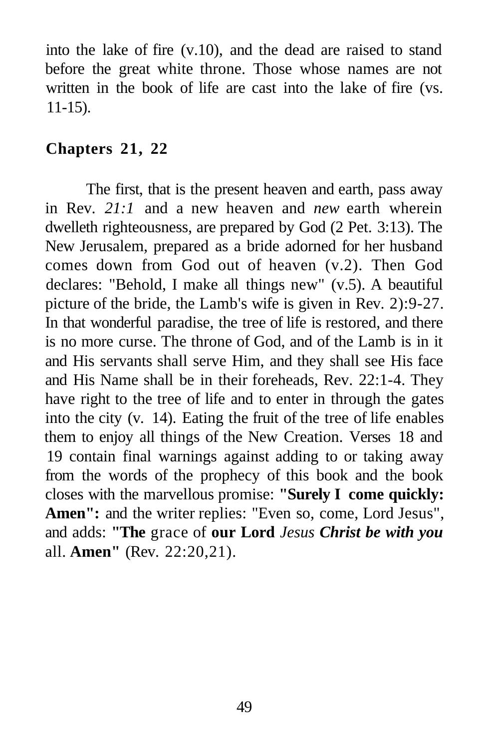into the lake of fire (v.10), and the dead are raised to stand before the great white throne. Those whose names are not written in the book of life are cast into the lake of fire (vs. 11-15).

### **Chapters 21, 22**

The first, that is the present heaven and earth, pass away in Rev. *21:1* and a new heaven and *new* earth wherein dwelleth righteousness, are prepared by God (2 Pet. 3:13). The New Jerusalem, prepared as a bride adorned for her husband comes down from God out of heaven (v.2). Then God declares: "Behold, I make all things new" (v.5). A beautiful picture of the bride, the Lamb's wife is given in Rev. 2):9-27. In that wonderful paradise, the tree of life is restored, and there is no more curse. The throne of God, and of the Lamb is in it and His servants shall serve Him, and they shall see His face and His Name shall be in their foreheads, Rev. 22:1-4. They have right to the tree of life and to enter in through the gates into the city (v. 14). Eating the fruit of the tree of life enables them to enjoy all things of the New Creation. Verses 18 and 19 contain final warnings against adding to or taking away from the words of the prophecy of this book and the book closes with the marvellous promise: **"Surely I come quickly:**  Amen": and the writer replies: "Even so, come, Lord Jesus", and adds: **"The** grace of **our Lord** *Jesus Christ be with you*  all. **Amen"** (Rev. 22:20,21).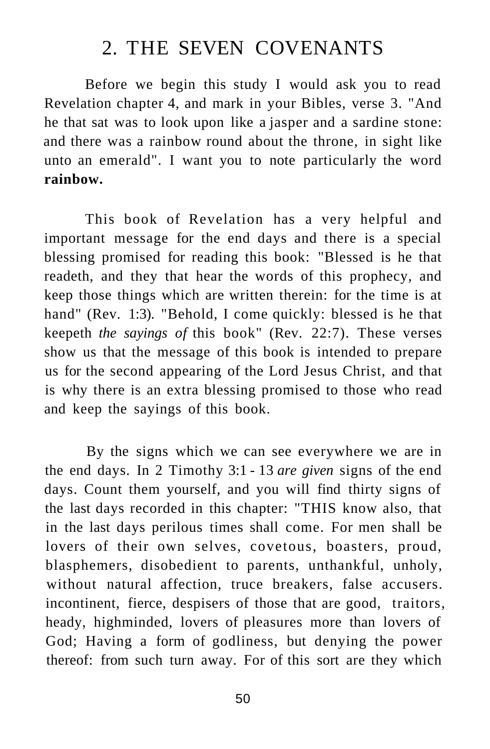# 2. THE SEVEN COVENANTS

Before we begin this study I would ask you to read Revelation chapter 4, and mark in your Bibles, verse 3. "And he that sat was to look upon like a jasper and a sardine stone: and there was a rainbow round about the throne, in sight like unto an emerald". I want you to note particularly the word **rainbow.** 

This book of Revelation has a very helpful and important message for the end days and there is a special blessing promised for reading this book: "Blessed is he that readeth, and they that hear the words of this prophecy, and keep those things which are written therein: for the time is at hand" (Rev. 1:3). "Behold, I come quickly: blessed is he that keepeth *the sayings of* this book" (Rev. 22:7). These verses show us that the message of this book is intended to prepare us for the second appearing of the Lord Jesus Christ, and that is why there is an extra blessing promised to those who read and keep the sayings of this book.

By the signs which we can see everywhere we are in the end days. In 2 Timothy 3:1 - 13 *are given* signs of the end days. Count them yourself, and you will find thirty signs of the last days recorded in this chapter: "THIS know also, that in the last days perilous times shall come. For men shall be lovers of their own selves, covetous, boasters, proud, blasphemers, disobedient to parents, unthankful, unholy, without natural affection, truce breakers, false accusers. incontinent, fierce, despisers of those that are good, traitors, heady, highminded, lovers of pleasures more than lovers of God; Having a form of godliness, but denying the power thereof: from such turn away. For of this sort are they which

50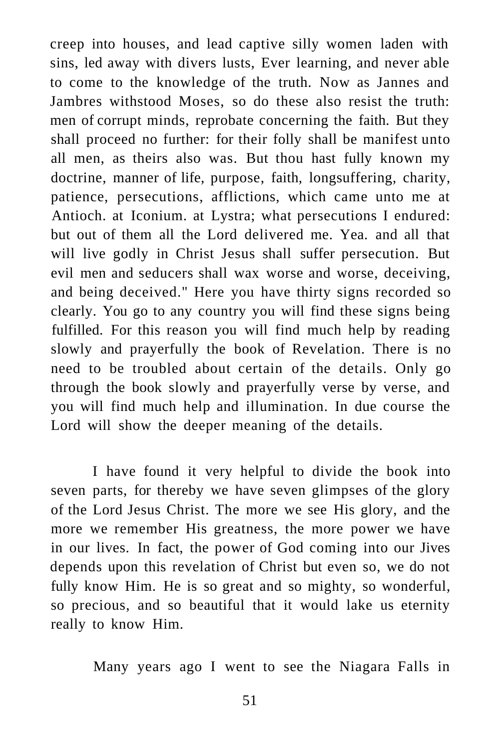creep into houses, and lead captive silly women laden with sins, led away with divers lusts, Ever learning, and never able to come to the knowledge of the truth. Now as Jannes and Jambres withstood Moses, so do these also resist the truth: men of corrupt minds, reprobate concerning the faith. But they shall proceed no further: for their folly shall be manifest unto all men, as theirs also was. But thou hast fully known my doctrine, manner of life, purpose, faith, longsuffering, charity, patience, persecutions, afflictions, which came unto me at Antioch. at Iconium. at Lystra; what persecutions I endured: but out of them all the Lord delivered me. Yea. and all that will live godly in Christ Jesus shall suffer persecution. But evil men and seducers shall wax worse and worse, deceiving, and being deceived." Here you have thirty signs recorded so clearly. You go to any country you will find these signs being fulfilled. For this reason you will find much help by reading slowly and prayerfully the book of Revelation. There is no need to be troubled about certain of the details. Only go through the book slowly and prayerfully verse by verse, and you will find much help and illumination. In due course the Lord will show the deeper meaning of the details.

I have found it very helpful to divide the book into seven parts, for thereby we have seven glimpses of the glory of the Lord Jesus Christ. The more we see His glory, and the more we remember His greatness, the more power we have in our lives. In fact, the power of God coming into our Jives depends upon this revelation of Christ but even so, we do not fully know Him. He is so great and so mighty, so wonderful, so precious, and so beautiful that it would lake us eternity really to know Him.

Many years ago I went to see the Niagara Falls in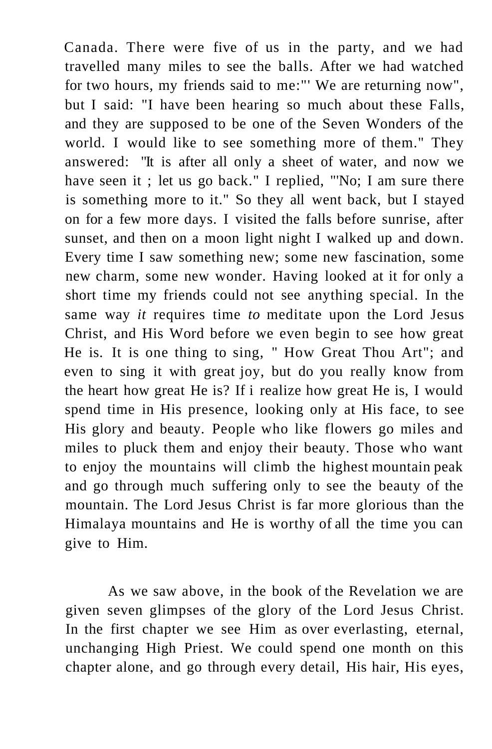Canada. There were five of us in the party, and we had travelled many miles to see the balls. After we had watched for two hours, my friends said to me:"' We are returning now", but I said: "I have been hearing so much about these Falls, and they are supposed to be one of the Seven Wonders of the world. I would like to see something more of them." They answered: "It is after all only a sheet of water, and now we have seen it ; let us go back." I replied, "'No; I am sure there is something more to it." So they all went back, but I stayed on for a few more days. I visited the falls before sunrise, after sunset, and then on a moon light night I walked up and down. Every time I saw something new; some new fascination, some new charm, some new wonder. Having looked at it for only a short time my friends could not see anything special. In the same way *it* requires time *to* meditate upon the Lord Jesus Christ, and His Word before we even begin to see how great He is. It is one thing to sing, " How Great Thou Art"; and even to sing it with great joy, but do you really know from the heart how great He is? If i realize how great He is, I would spend time in His presence, looking only at His face, to see His glory and beauty. People who like flowers go miles and miles to pluck them and enjoy their beauty. Those who want to enjoy the mountains will climb the highest mountain peak and go through much suffering only to see the beauty of the mountain. The Lord Jesus Christ is far more glorious than the Himalaya mountains and He is worthy of all the time you can give to Him.

As we saw above, in the book of the Revelation we are given seven glimpses of the glory of the Lord Jesus Christ. In the first chapter we see Him as over everlasting, eternal, unchanging High Priest. We could spend one month on this chapter alone, and go through every detail, His hair, His eyes,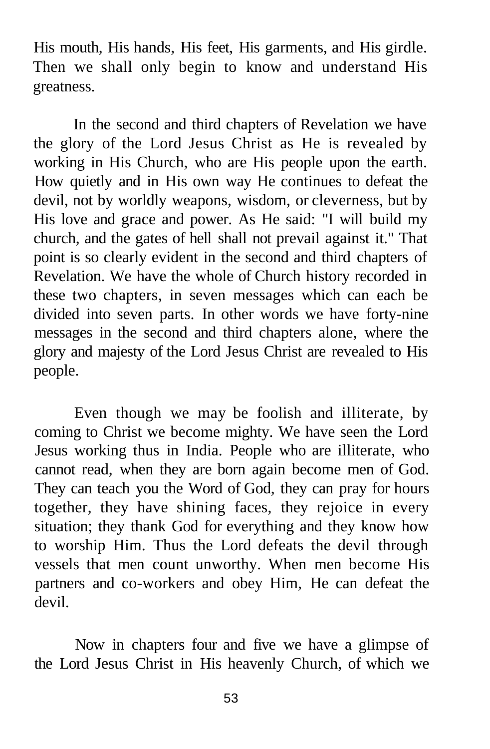His mouth, His hands, His feet, His garments, and His girdle. Then we shall only begin to know and understand His greatness.

In the second and third chapters of Revelation we have the glory of the Lord Jesus Christ as He is revealed by working in His Church, who are His people upon the earth. How quietly and in His own way He continues to defeat the devil, not by worldly weapons, wisdom, or cleverness, but by His love and grace and power. As He said: "I will build my church, and the gates of hell shall not prevail against it." That point is so clearly evident in the second and third chapters of Revelation. We have the whole of Church history recorded in these two chapters, in seven messages which can each be divided into seven parts. In other words we have forty-nine messages in the second and third chapters alone, where the glory and majesty of the Lord Jesus Christ are revealed to His people.

Even though we may be foolish and illiterate, by coming to Christ we become mighty. We have seen the Lord Jesus working thus in India. People who are illiterate, who cannot read, when they are born again become men of God. They can teach you the Word of God, they can pray for hours together, they have shining faces, they rejoice in every situation; they thank God for everything and they know how to worship Him. Thus the Lord defeats the devil through vessels that men count unworthy. When men become His partners and co-workers and obey Him, He can defeat the devil.

Now in chapters four and five we have a glimpse of the Lord Jesus Christ in His heavenly Church, of which we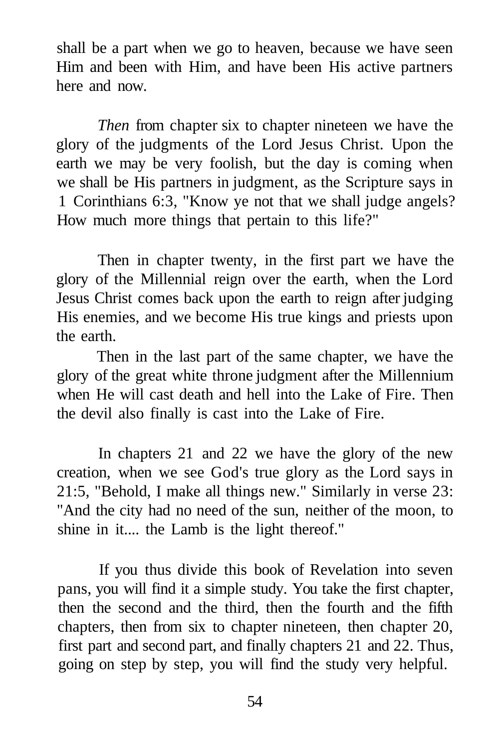shall be a part when we go to heaven, because we have seen Him and been with Him, and have been His active partners here and now.

*Then* from chapter six to chapter nineteen we have the glory of the judgments of the Lord Jesus Christ. Upon the earth we may be very foolish, but the day is coming when we shall be His partners in judgment, as the Scripture says in 1 Corinthians 6:3, "Know ye not that we shall judge angels? How much more things that pertain to this life?"

Then in chapter twenty, in the first part we have the glory of the Millennial reign over the earth, when the Lord Jesus Christ comes back upon the earth to reign after judging His enemies, and we become His true kings and priests upon the earth.

Then in the last part of the same chapter, we have the glory of the great white throne judgment after the Millennium when He will cast death and hell into the Lake of Fire. Then the devil also finally is cast into the Lake of Fire.

In chapters 21 and 22 we have the glory of the new creation, when we see God's true glory as the Lord says in 21:5, "Behold, I make all things new." Similarly in verse 23: "And the city had no need of the sun, neither of the moon, to shine in it.... the Lamb is the light thereof."

If you thus divide this book of Revelation into seven pans, you will find it a simple study. You take the first chapter, then the second and the third, then the fourth and the fifth chapters, then from six to chapter nineteen, then chapter 20, first part and second part, and finally chapters 21 and 22. Thus, going on step by step, you will find the study very helpful.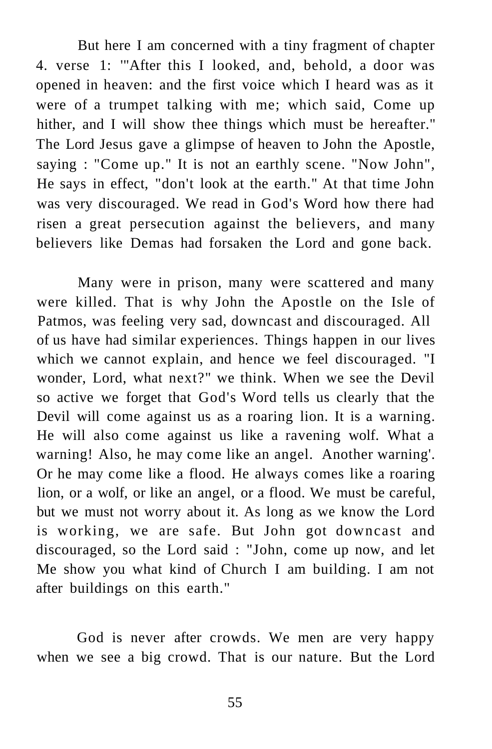But here I am concerned with a tiny fragment of chapter 4. verse 1: '"After this I looked, and, behold, a door was opened in heaven: and the first voice which I heard was as it were of a trumpet talking with me; which said, Come up hither, and I will show thee things which must be hereafter." The Lord Jesus gave a glimpse of heaven to John the Apostle, saying : "Come up." It is not an earthly scene. "Now John", He says in effect, "don't look at the earth." At that time John was very discouraged. We read in God's Word how there had risen a great persecution against the believers, and many believers like Demas had forsaken the Lord and gone back.

Many were in prison, many were scattered and many were killed. That is why John the Apostle on the Isle of Patmos, was feeling very sad, downcast and discouraged. All of us have had similar experiences. Things happen in our lives which we cannot explain, and hence we feel discouraged. "I wonder, Lord, what next?" we think. When we see the Devil so active we forget that God's Word tells us clearly that the Devil will come against us as a roaring lion. It is a warning. He will also come against us like a ravening wolf. What a warning! Also, he may come like an angel. Another warning'. Or he may come like a flood. He always comes like a roaring lion, or a wolf, or like an angel, or a flood. We must be careful, but we must not worry about it. As long as we know the Lord is working, we are safe. But John got downcast and discouraged, so the Lord said : "John, come up now, and let Me show you what kind of Church I am building. I am not after buildings on this earth."

God is never after crowds. We men are very happy when we see a big crowd. That is our nature. But the Lord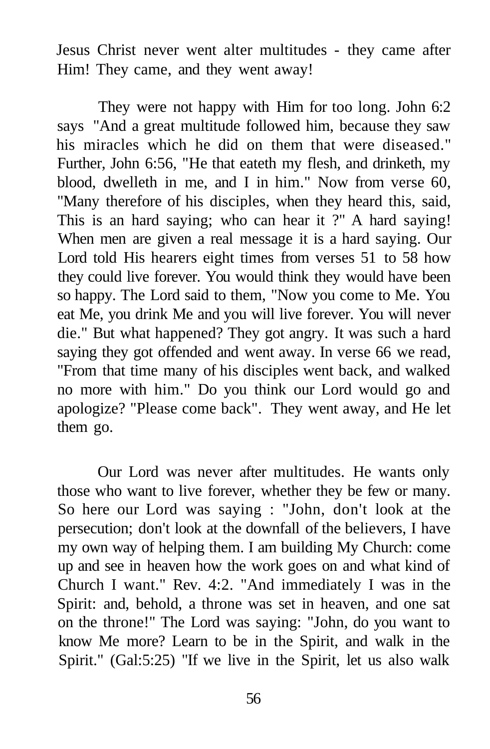Jesus Christ never went alter multitudes - they came after Him! They came, and they went away!

They were not happy with Him for too long. John 6:2 says "And a great multitude followed him, because they saw his miracles which he did on them that were diseased." Further, John 6:56, "He that eateth my flesh, and drinketh, my blood, dwelleth in me, and I in him." Now from verse 60, "Many therefore of his disciples, when they heard this, said, This is an hard saying; who can hear it ?" A hard saying! When men are given a real message it is a hard saying. Our Lord told His hearers eight times from verses 51 to 58 how they could live forever. You would think they would have been so happy. The Lord said to them, "Now you come to Me. You eat Me, you drink Me and you will live forever. You will never die." But what happened? They got angry. It was such a hard saying they got offended and went away. In verse 66 we read, "From that time many of his disciples went back, and walked no more with him." Do you think our Lord would go and apologize? "Please come back". They went away, and He let them go.

Our Lord was never after multitudes. He wants only those who want to live forever, whether they be few or many. So here our Lord was saying : "John, don't look at the persecution; don't look at the downfall of the believers, I have my own way of helping them. I am building My Church: come up and see in heaven how the work goes on and what kind of Church I want." Rev. 4:2. "And immediately I was in the Spirit: and, behold, a throne was set in heaven, and one sat on the throne!" The Lord was saying: "John, do you want to know Me more? Learn to be in the Spirit, and walk in the Spirit." (Gal:5:25) "If we live in the Spirit, let us also walk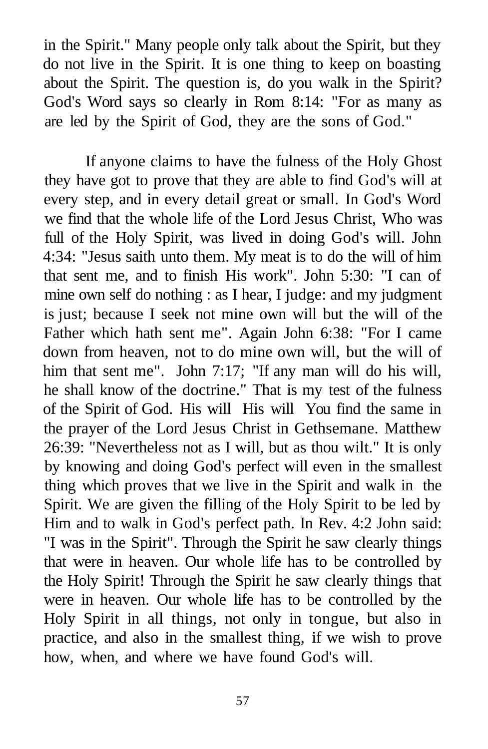in the Spirit." Many people only talk about the Spirit, but they do not live in the Spirit. It is one thing to keep on boasting about the Spirit. The question is, do you walk in the Spirit? God's Word says so clearly in Rom 8:14: "For as many as are led by the Spirit of God, they are the sons of God."

If anyone claims to have the fulness of the Holy Ghost they have got to prove that they are able to find God's will at every step, and in every detail great or small. In God's Word we find that the whole life of the Lord Jesus Christ, Who was full of the Holy Spirit, was lived in doing God's will. John 4:34: "Jesus saith unto them. My meat is to do the will of him that sent me, and to finish His work". John 5:30: "I can of mine own self do nothing : as I hear, I judge: and my judgment is just; because I seek not mine own will but the will of the Father which hath sent me". Again John 6:38: "For I came down from heaven, not to do mine own will, but the will of him that sent me". John 7:17; "If any man will do his will, he shall know of the doctrine." That is my test of the fulness of the Spirit of God. His will His will You find the same in the prayer of the Lord Jesus Christ in Gethsemane. Matthew 26:39: "Nevertheless not as I will, but as thou wilt." It is only by knowing and doing God's perfect will even in the smallest thing which proves that we live in the Spirit and walk in the Spirit. We are given the filling of the Holy Spirit to be led by Him and to walk in God's perfect path. In Rev. 4:2 John said: "I was in the Spirit". Through the Spirit he saw clearly things that were in heaven. Our whole life has to be controlled by the Holy Spirit! Through the Spirit he saw clearly things that were in heaven. Our whole life has to be controlled by the Holy Spirit in all things, not only in tongue, but also in practice, and also in the smallest thing, if we wish to prove how, when, and where we have found God's will.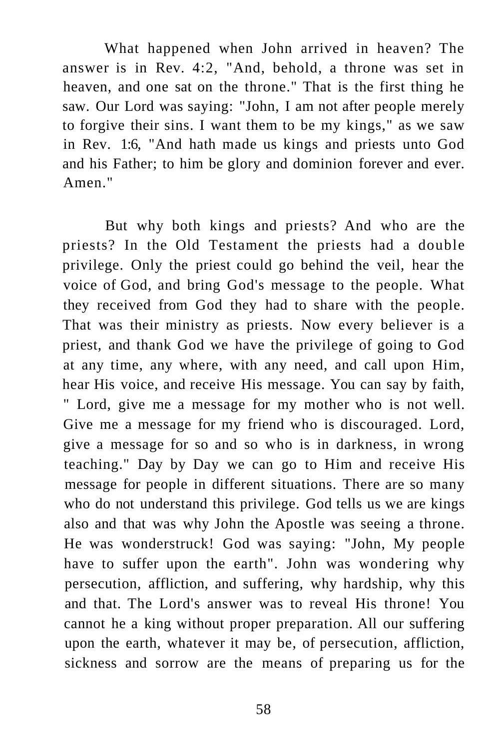What happened when John arrived in heaven? The answer is in Rev. 4:2, "And, behold, a throne was set in heaven, and one sat on the throne." That is the first thing he saw. Our Lord was saying: "John, I am not after people merely to forgive their sins. I want them to be my kings," as we saw in Rev. 1:6, "And hath made us kings and priests unto God and his Father; to him be glory and dominion forever and ever. Amen."

But why both kings and priests? And who are the priests? In the Old Testament the priests had a double privilege. Only the priest could go behind the veil, hear the voice of God, and bring God's message to the people. What they received from God they had to share with the people. That was their ministry as priests. Now every believer is a priest, and thank God we have the privilege of going to God at any time, any where, with any need, and call upon Him, hear His voice, and receive His message. You can say by faith, " Lord, give me a message for my mother who is not well. Give me a message for my friend who is discouraged. Lord, give a message for so and so who is in darkness, in wrong teaching." Day by Day we can go to Him and receive His message for people in different situations. There are so many who do not understand this privilege. God tells us we are kings also and that was why John the Apostle was seeing a throne. He was wonderstruck! God was saying: "John, My people have to suffer upon the earth". John was wondering why persecution, affliction, and suffering, why hardship, why this and that. The Lord's answer was to reveal His throne! You cannot he a king without proper preparation. All our suffering upon the earth, whatever it may be, of persecution, affliction, sickness and sorrow are the means of preparing us for the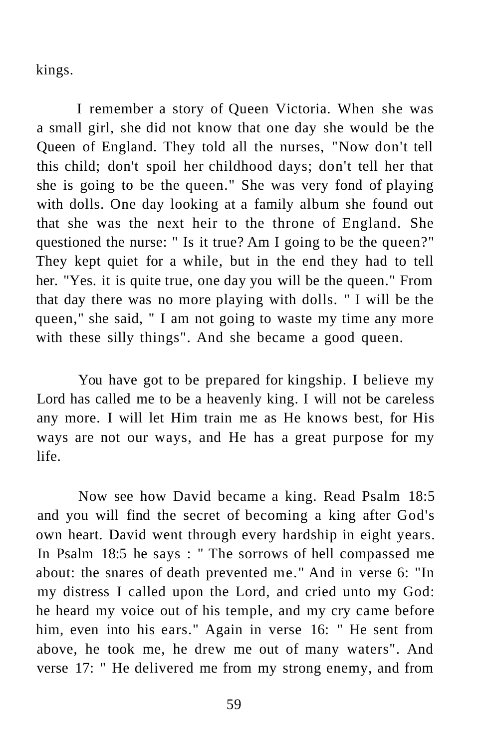kings.

I remember a story of Queen Victoria. When she was a small girl, she did not know that one day she would be the Queen of England. They told all the nurses, "Now don't tell this child; don't spoil her childhood days; don't tell her that she is going to be the queen." She was very fond of playing with dolls. One day looking at a family album she found out that she was the next heir to the throne of England. She questioned the nurse: " Is it true? Am I going to be the queen?" They kept quiet for a while, but in the end they had to tell her. "Yes. it is quite true, one day you will be the queen." From that day there was no more playing with dolls. " I will be the queen," she said, " I am not going to waste my time any more with these silly things". And she became a good queen.

You have got to be prepared for kingship. I believe my Lord has called me to be a heavenly king. I will not be careless any more. I will let Him train me as He knows best, for His ways are not our ways, and He has a great purpose for my life.

Now see how David became a king. Read Psalm 18:5 and you will find the secret of becoming a king after God's own heart. David went through every hardship in eight years. In Psalm 18:5 he says : " The sorrows of hell compassed me about: the snares of death prevented me." And in verse 6: "In my distress I called upon the Lord, and cried unto my God: he heard my voice out of his temple, and my cry came before him, even into his ears." Again in verse 16: " He sent from above, he took me, he drew me out of many waters". And verse 17: " He delivered me from my strong enemy, and from

59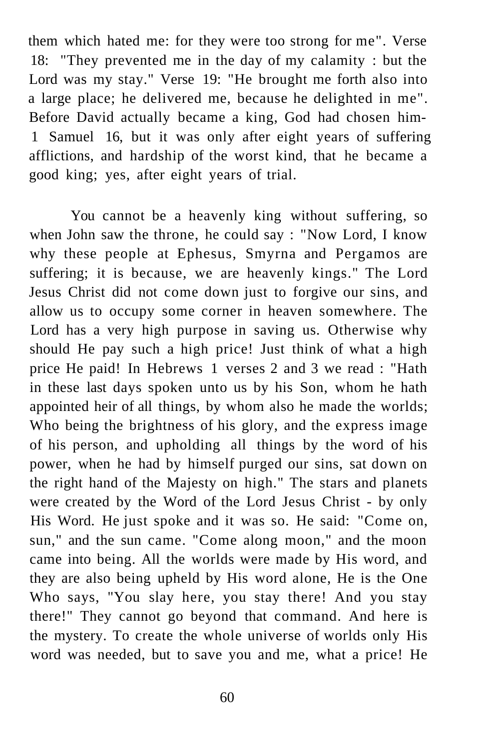them which hated me: for they were too strong for me". Verse 18: "They prevented me in the day of my calamity : but the Lord was my stay." Verse 19: "He brought me forth also into a large place; he delivered me, because he delighted in me". Before David actually became a king, God had chosen him-1 Samuel 16, but it was only after eight years of suffering afflictions, and hardship of the worst kind, that he became a good king; yes, after eight years of trial.

You cannot be a heavenly king without suffering, so when John saw the throne, he could say : "Now Lord, I know why these people at Ephesus, Smyrna and Pergamos are suffering; it is because, we are heavenly kings." The Lord Jesus Christ did not come down just to forgive our sins, and allow us to occupy some corner in heaven somewhere. The Lord has a very high purpose in saving us. Otherwise why should He pay such a high price! Just think of what a high price He paid! In Hebrews 1 verses 2 and 3 we read : "Hath in these last days spoken unto us by his Son, whom he hath appointed heir of all things, by whom also he made the worlds; Who being the brightness of his glory, and the express image of his person, and upholding all things by the word of his power, when he had by himself purged our sins, sat down on the right hand of the Majesty on high." The stars and planets were created by the Word of the Lord Jesus Christ - by only His Word. He just spoke and it was so. He said: "Come on, sun," and the sun came. "Come along moon," and the moon came into being. All the worlds were made by His word, and they are also being upheld by His word alone, He is the One Who says, "You slay here, you stay there! And you stay there!" They cannot go beyond that command. And here is the mystery. To create the whole universe of worlds only His word was needed, but to save you and me, what a price! He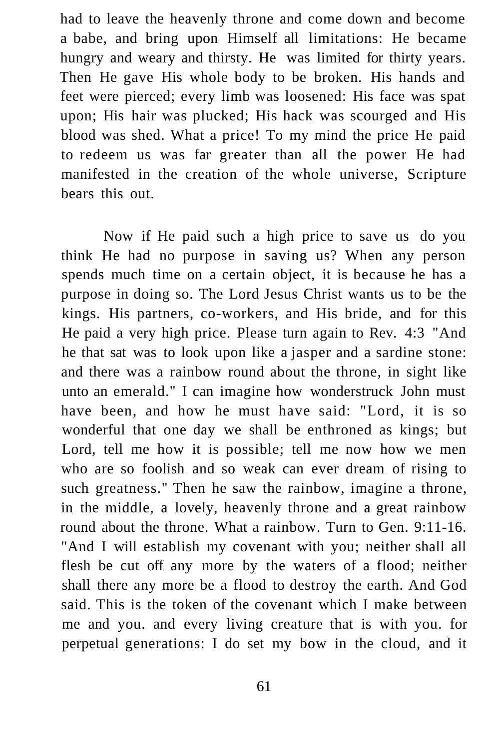had to leave the heavenly throne and come down and become a babe, and bring upon Himself all limitations: He became hungry and weary and thirsty. He was limited for thirty years. Then He gave His whole body to be broken. His hands and feet were pierced; every limb was loosened: His face was spat upon; His hair was plucked; His hack was scourged and His blood was shed. What a price! To my mind the price He paid to redeem us was far greater than all the power He had manifested in the creation of the whole universe, Scripture bears this out.

Now if He paid such a high price to save us do you think He had no purpose in saving us? When any person spends much time on a certain object, it is because he has a purpose in doing so. The Lord Jesus Christ wants us to be the kings. His partners, co-workers, and His bride, and for this He paid a very high price. Please turn again to Rev. 4:3 "And he that sat was to look upon like a jasper and a sardine stone: and there was a rainbow round about the throne, in sight like unto an emerald." I can imagine how wonderstruck John must have been, and how he must have said: "Lord, it is so wonderful that one day we shall be enthroned as kings; but Lord, tell me how it is possible; tell me now how we men who are so foolish and so weak can ever dream of rising to such greatness." Then he saw the rainbow, imagine a throne, in the middle, a lovely, heavenly throne and a great rainbow round about the throne. What a rainbow. Turn to Gen. 9:11-16. "And I will establish my covenant with you; neither shall all flesh be cut off any more by the waters of a flood; neither shall there any more be a flood to destroy the earth. And God said. This is the token of the covenant which I make between me and you. and every living creature that is with you. for perpetual generations: I do set my bow in the cloud, and it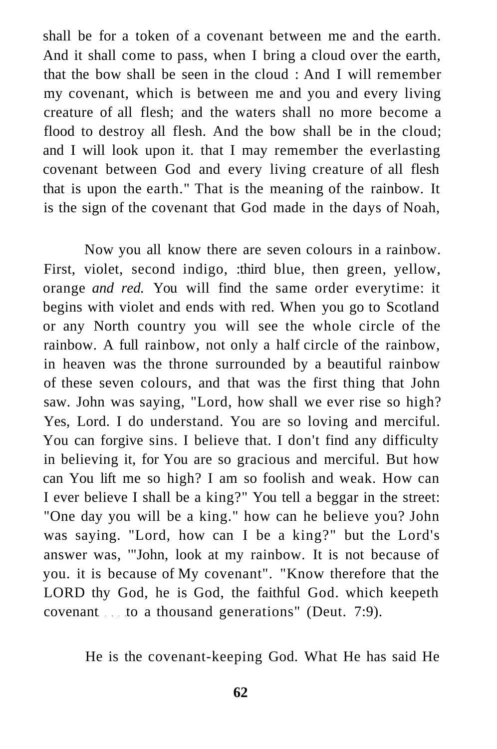shall be for a token of a covenant between me and the earth. And it shall come to pass, when I bring a cloud over the earth, that the bow shall be seen in the cloud : And I will remember my covenant, which is between me and you and every living creature of all flesh; and the waters shall no more become a flood to destroy all flesh. And the bow shall be in the cloud; and I will look upon it. that I may remember the everlasting covenant between God and every living creature of all flesh that is upon the earth." That is the meaning of the rainbow. It is the sign of the covenant that God made in the days of Noah,

Now you all know there are seven colours in a rainbow. First, violet, second indigo, :third blue, then green, yellow, orange *and red.* You will find the same order everytime: it begins with violet and ends with red. When you go to Scotland or any North country you will see the whole circle of the rainbow. A full rainbow, not only a half circle of the rainbow, in heaven was the throne surrounded by a beautiful rainbow of these seven colours, and that was the first thing that John saw. John was saying, "Lord, how shall we ever rise so high? Yes, Lord. I do understand. You are so loving and merciful. You can forgive sins. I believe that. I don't find any difficulty in believing it, for You are so gracious and merciful. But how can You lift me so high? I am so foolish and weak. How can I ever believe I shall be a king?" You tell a beggar in the street: "One day you will be a king." how can he believe you? John was saying. "Lord, how can I be a king?" but the Lord's answer was, '"John, look at my rainbow. It is not because of you. it is because of My covenant". "Know therefore that the LORD thy God, he is God, the faithful God. which keepeth covenant to a thousand generations" (Deut. 7:9).

He is the covenant-keeping God. What He has said He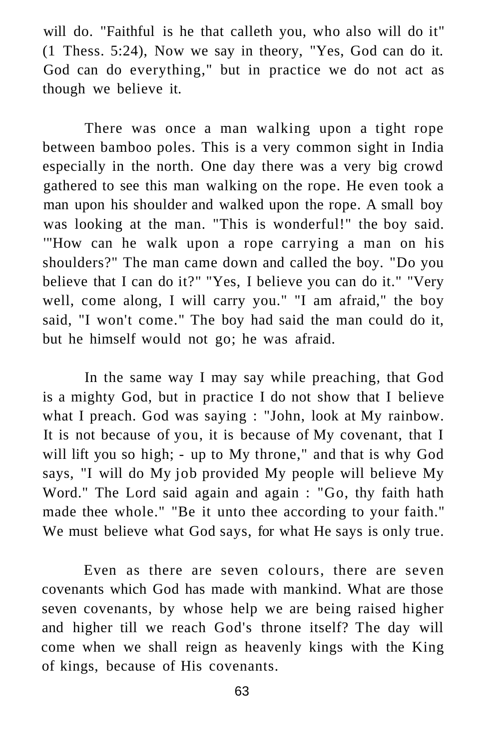will do. "Faithful is he that calleth you, who also will do it" (1 Thess. 5:24), Now we say in theory, "Yes, God can do it. God can do everything," but in practice we do not act as though we believe it.

There was once a man walking upon a tight rope between bamboo poles. This is a very common sight in India especially in the north. One day there was a very big crowd gathered to see this man walking on the rope. He even took a man upon his shoulder and walked upon the rope. A small boy was looking at the man. "This is wonderful!" the boy said. '"How can he walk upon a rope carrying a man on his shoulders?" The man came down and called the boy. "Do you believe that I can do it?" "Yes, I believe you can do it." "Very well, come along, I will carry you." "I am afraid," the boy said, "I won't come." The boy had said the man could do it, but he himself would not go; he was afraid.

In the same way I may say while preaching, that God is a mighty God, but in practice I do not show that I believe what I preach. God was saying : "John, look at My rainbow. It is not because of you, it is because of My covenant, that I will lift you so high; - up to My throne," and that is why God says, "I will do My job provided My people will believe My Word." The Lord said again and again : "Go, thy faith hath made thee whole." "Be it unto thee according to your faith." We must believe what God says, for what He says is only true.

Even as there are seven colours, there are seven covenants which God has made with mankind. What are those seven covenants, by whose help we are being raised higher and higher till we reach God's throne itself? The day will come when we shall reign as heavenly kings with the King of kings, because of His covenants.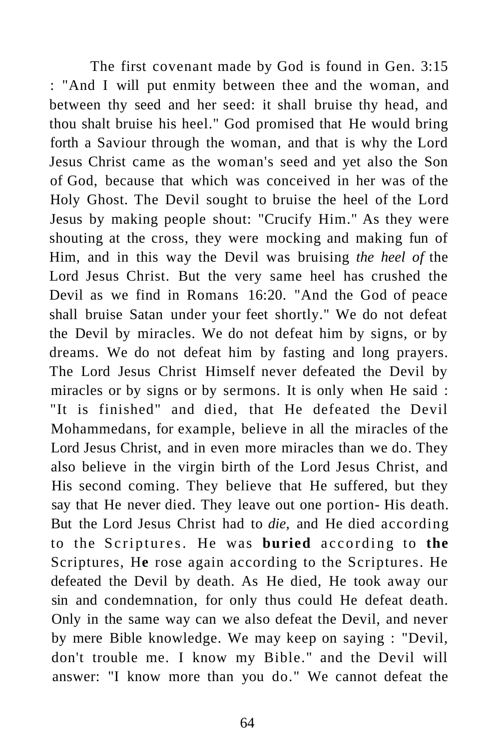The first covenant made by God is found in Gen. 3:15 : "And I will put enmity between thee and the woman, and between thy seed and her seed: it shall bruise thy head, and thou shalt bruise his heel." God promised that He would bring forth a Saviour through the woman, and that is why the Lord Jesus Christ came as the woman's seed and yet also the Son of God, because that which was conceived in her was of the Holy Ghost. The Devil sought to bruise the heel of the Lord Jesus by making people shout: "Crucify Him." As they were shouting at the cross, they were mocking and making fun of Him, and in this way the Devil was bruising *the heel of* the Lord Jesus Christ. But the very same heel has crushed the Devil as we find in Romans 16:20. "And the God of peace shall bruise Satan under your feet shortly." We do not defeat the Devil by miracles. We do not defeat him by signs, or by dreams. We do not defeat him by fasting and long prayers. The Lord Jesus Christ Himself never defeated the Devil by miracles or by signs or by sermons. It is only when He said : "It is finished" and died, that He defeated the Devil Mohammedans, for example, believe in all the miracles of the Lord Jesus Christ, and in even more miracles than we do. They also believe in the virgin birth of the Lord Jesus Christ, and His second coming. They believe that He suffered, but they say that He never died. They leave out one portion- His death. But the Lord Jesus Christ had to *die,* and He died according to the Scriptures. He was **buried** according to the Scriptures, H**e** rose again according to the Scriptures. He defeated the Devil by death. As He died, He took away our sin and condemnation, for only thus could He defeat death. Only in the same way can we also defeat the Devil, and never by mere Bible knowledge. We may keep on saying : "Devil, don't trouble me. I know my Bible." and the Devil will answer: "I know more than you do." We cannot defeat the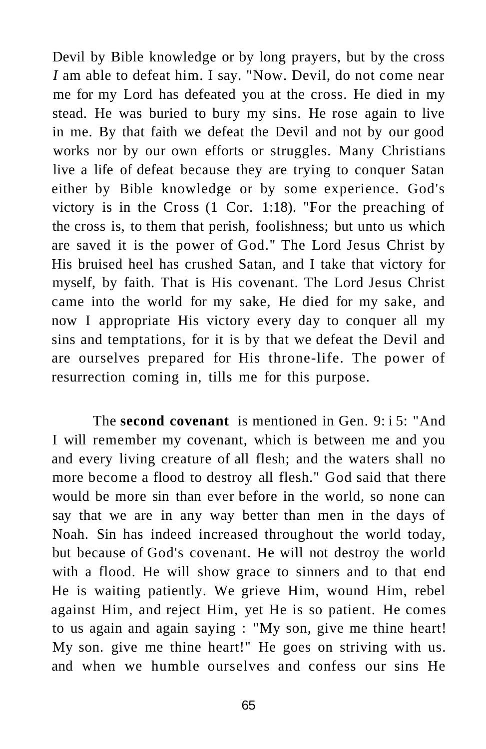Devil by Bible knowledge or by long prayers, but by the cross *I* am able to defeat him. I say. "Now. Devil, do not come near me for my Lord has defeated you at the cross. He died in my stead. He was buried to bury my sins. He rose again to live in me. By that faith we defeat the Devil and not by our good works nor by our own efforts or struggles. Many Christians live a life of defeat because they are trying to conquer Satan either by Bible knowledge or by some experience. God's victory is in the Cross (1 Cor. 1:18). "For the preaching of the cross is, to them that perish, foolishness; but unto us which are saved it is the power of God." The Lord Jesus Christ by His bruised heel has crushed Satan, and I take that victory for myself, by faith. That is His covenant. The Lord Jesus Christ came into the world for my sake, He died for my sake, and now I appropriate His victory every day to conquer all my sins and temptations, for it is by that we defeat the Devil and are ourselves prepared for His throne-life. The power of resurrection coming in, tills me for this purpose.

The **second covenant** is mentioned in Gen. 9: i 5: "And I will remember my covenant, which is between me and you and every living creature of all flesh; and the waters shall no more become a flood to destroy all flesh." God said that there would be more sin than ever before in the world, so none can say that we are in any way better than men in the days of Noah. Sin has indeed increased throughout the world today, but because of God's covenant. He will not destroy the world with a flood. He will show grace to sinners and to that end He is waiting patiently. We grieve Him, wound Him, rebel against Him, and reject Him, yet He is so patient. He comes to us again and again saying : "My son, give me thine heart! My son. give me thine heart!" He goes on striving with us. and when we humble ourselves and confess our sins He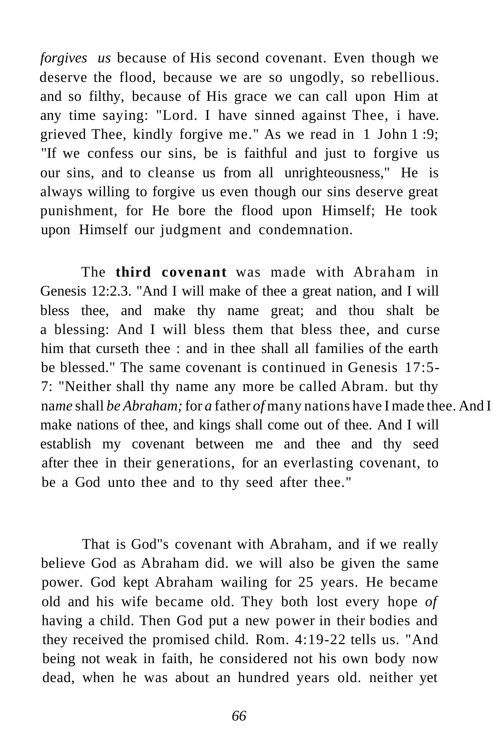*forgives us* because of His second covenant. Even though we deserve the flood, because we are so ungodly, so rebellious. and so filthy, because of His grace we can call upon Him at any time saying: "Lord. I have sinned against Thee, i have. grieved Thee, kindly forgive me." As we read in 1 John 1 :9; "If we confess our sins, be is faithful and just to forgive us our sins, and to cleanse us from all unrighteousness," He is always willing to forgive us even though our sins deserve great punishment, for He bore the flood upon Himself; He took upon Himself our judgment and condemnation.

The **third covenant** was made with Abraham in Genesis 12:2.3. "And I will make of thee a great nation, and I will bless thee, and make thy name great; and thou shalt be a blessing: And I will bless them that bless thee, and curse him that curseth thee : and in thee shall all families of the earth be blessed." The same covenant is continued in Genesis 17:5- 7: "Neither shall thy name any more be called Abram. but thy name shall be Abraham; for a father of many nations have I made thee. And I make nations of thee, and kings shall come out of thee. And I will establish my covenant between me and thee and thy seed after thee in their generations, for an everlasting covenant, to be a God unto thee and to thy seed after thee."

That is God"s covenant with Abraham, and if we really believe God as Abraham did. we will also be given the same power. God kept Abraham wailing for 25 years. He became old and his wife became old. They both lost every hope *of*  having a child. Then God put a new power in their bodies and they received the promised child. Rom. 4:19-22 tells us. "And being not weak in faith, he considered not his own body now dead, when he was about an hundred years old. neither yet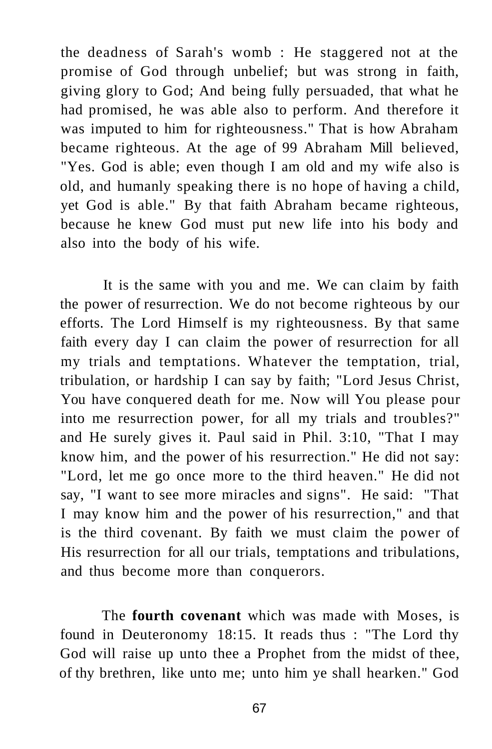the deadness of Sarah's womb : He staggered not at the promise of God through unbelief; but was strong in faith, giving glory to God; And being fully persuaded, that what he had promised, he was able also to perform. And therefore it was imputed to him for righteousness." That is how Abraham became righteous. At the age of 99 Abraham Mill believed, "Yes. God is able; even though I am old and my wife also is old, and humanly speaking there is no hope of having a child, yet God is able." By that faith Abraham became righteous, because he knew God must put new life into his body and also into the body of his wife.

It is the same with you and me. We can claim by faith the power of resurrection. We do not become righteous by our efforts. The Lord Himself is my righteousness. By that same faith every day I can claim the power of resurrection for all my trials and temptations. Whatever the temptation, trial, tribulation, or hardship I can say by faith; "Lord Jesus Christ, You have conquered death for me. Now will You please pour into me resurrection power, for all my trials and troubles?" and He surely gives it. Paul said in Phil. 3:10, "That I may know him, and the power of his resurrection." He did not say: "Lord, let me go once more to the third heaven." He did not say, "I want to see more miracles and signs". He said: "That I may know him and the power of his resurrection," and that is the third covenant. By faith we must claim the power of His resurrection for all our trials, temptations and tribulations, and thus become more than conquerors.

The **fourth covenant** which was made with Moses, is found in Deuteronomy 18:15. It reads thus : "The Lord thy God will raise up unto thee a Prophet from the midst of thee, of thy brethren, like unto me; unto him ye shall hearken." God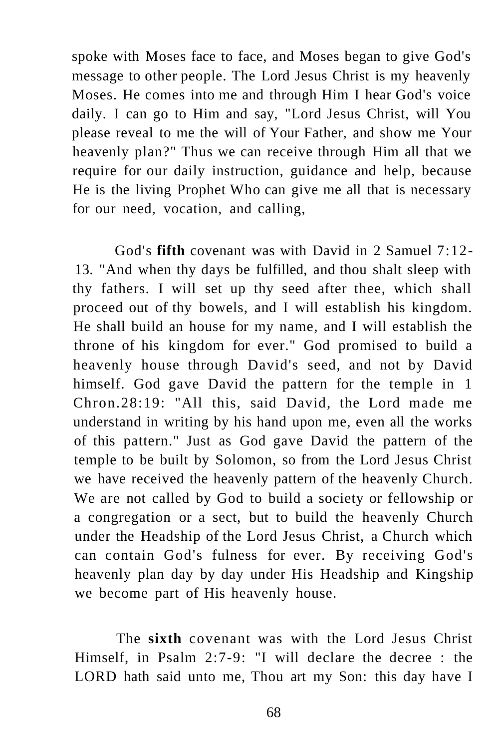spoke with Moses face to face, and Moses began to give God's message to other people. The Lord Jesus Christ is my heavenly Moses. He comes into me and through Him I hear God's voice daily. I can go to Him and say, "Lord Jesus Christ, will You please reveal to me the will of Your Father, and show me Your heavenly plan?" Thus we can receive through Him all that we require for our daily instruction, guidance and help, because He is the living Prophet Who can give me all that is necessary for our need, vocation, and calling,

God's **fifth** covenant was with David in 2 Samuel 7:12- 13. "And when thy days be fulfilled, and thou shalt sleep with thy fathers. I will set up thy seed after thee, which shall proceed out of thy bowels, and I will establish his kingdom. He shall build an house for my name, and I will establish the throne of his kingdom for ever." God promised to build a heavenly house through David's seed, and not by David himself. God gave David the pattern for the temple in 1 Chron.28:19: "All this, said David, the Lord made me understand in writing by his hand upon me, even all the works of this pattern." Just as God gave David the pattern of the temple to be built by Solomon, so from the Lord Jesus Christ we have received the heavenly pattern of the heavenly Church. We are not called by God to build a society or fellowship or a congregation or a sect, but to build the heavenly Church under the Headship of the Lord Jesus Christ, a Church which can contain God's fulness for ever. By receiving God's heavenly plan day by day under His Headship and Kingship we become part of His heavenly house.

The **sixth** covenant was with the Lord Jesus Christ Himself, in Psalm 2:7-9: "I will declare the decree : the LORD hath said unto me, Thou art my Son: this day have I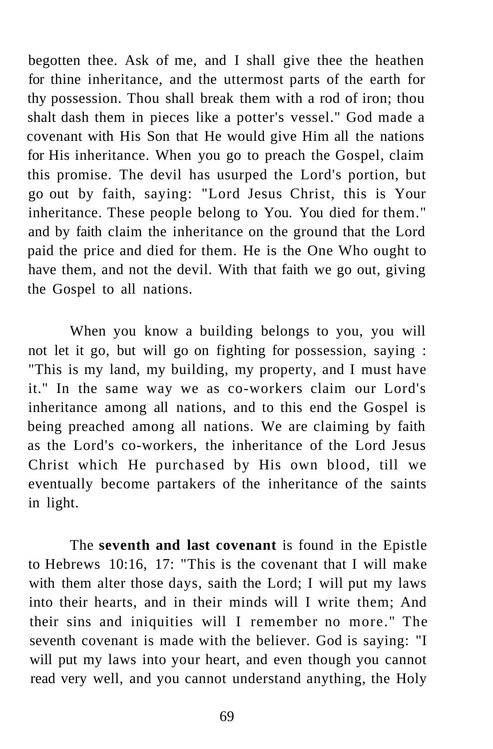begotten thee. Ask of me, and I shall give thee the heathen for thine inheritance, and the uttermost parts of the earth for thy possession. Thou shall break them with a rod of iron; thou shalt dash them in pieces like a potter's vessel." God made a covenant with His Son that He would give Him all the nations for His inheritance. When you go to preach the Gospel, claim this promise. The devil has usurped the Lord's portion, but go out by faith, saying: "Lord Jesus Christ, this is Your inheritance. These people belong to You. You died for them." and by faith claim the inheritance on the ground that the Lord paid the price and died for them. He is the One Who ought to have them, and not the devil. With that faith we go out, giving the Gospel to all nations.

When you know a building belongs to you, you will not let it go, but will go on fighting for possession, saying : "This is my land, my building, my property, and I must have it." In the same way we as co-workers claim our Lord's inheritance among all nations, and to this end the Gospel is being preached among all nations. We are claiming by faith as the Lord's co-workers, the inheritance of the Lord Jesus Christ which He purchased by His own blood, till we eventually become partakers of the inheritance of the saints in light.

The **seventh and last covenant** is found in the Epistle to Hebrews 10:16, 17: "This is the covenant that I will make with them alter those days, saith the Lord; I will put my laws into their hearts, and in their minds will I write them; And their sins and iniquities will I remember no more." The seventh covenant is made with the believer. God is saying: "I will put my laws into your heart, and even though you cannot read very well, and you cannot understand anything, the Holy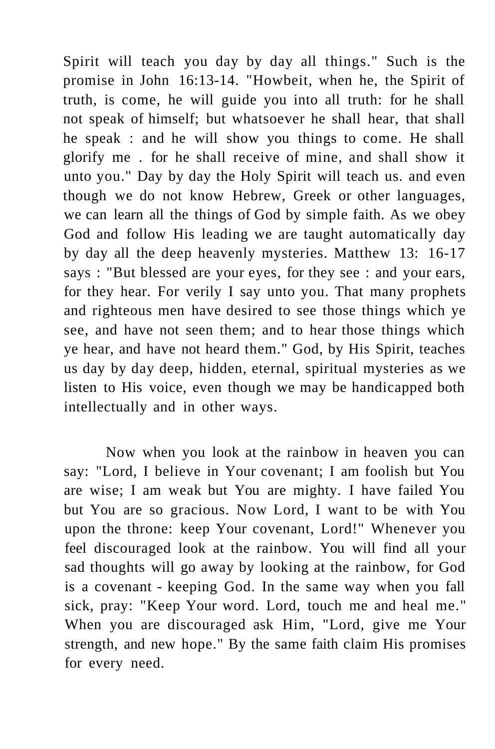Spirit will teach you day by day all things." Such is the promise in John 16:13-14. "Howbeit, when he, the Spirit of truth, is come, he will guide you into all truth: for he shall not speak of himself; but whatsoever he shall hear, that shall he speak : and he will show you things to come. He shall glorify me . for he shall receive of mine, and shall show it unto you." Day by day the Holy Spirit will teach us. and even though we do not know Hebrew, Greek or other languages, we can learn all the things of God by simple faith. As we obey God and follow His leading we are taught automatically day by day all the deep heavenly mysteries. Matthew 13: 16-17 says : "But blessed are your eyes, for they see : and your ears, for they hear. For verily I say unto you. That many prophets and righteous men have desired to see those things which ye see, and have not seen them; and to hear those things which ye hear, and have not heard them." God, by His Spirit, teaches us day by day deep, hidden, eternal, spiritual mysteries as we listen to His voice, even though we may be handicapped both intellectually and in other ways.

Now when you look at the rainbow in heaven you can say: "Lord, I believe in Your covenant; I am foolish but You are wise; I am weak but You are mighty. I have failed You but You are so gracious. Now Lord, I want to be with You upon the throne: keep Your covenant, Lord!" Whenever you feel discouraged look at the rainbow. You will find all your sad thoughts will go away by looking at the rainbow, for God is a covenant - keeping God. In the same way when you fall sick, pray: "Keep Your word. Lord, touch me and heal me." When you are discouraged ask Him, "Lord, give me Your strength, and new hope." By the same faith claim His promises for every need.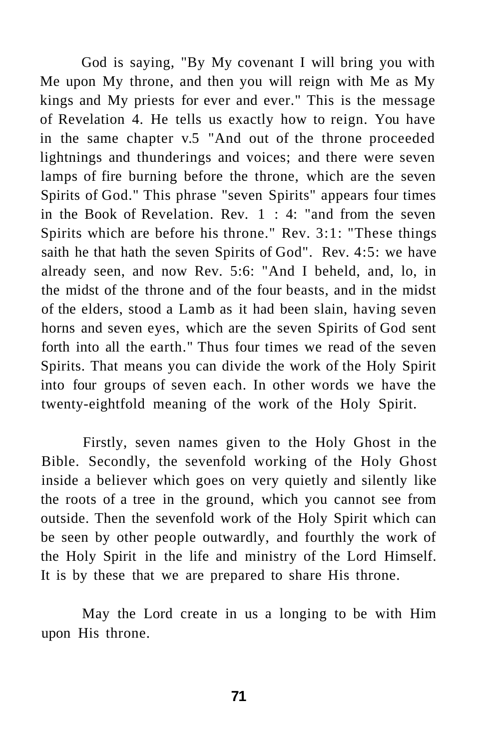God is saying, "By My covenant I will bring you with Me upon My throne, and then you will reign with Me as My kings and My priests for ever and ever." This is the message of Revelation 4. He tells us exactly how to reign. You have in the same chapter v.5 "And out of the throne proceeded lightnings and thunderings and voices; and there were seven lamps of fire burning before the throne, which are the seven Spirits of God." This phrase "seven Spirits" appears four times in the Book of Revelation. Rev.  $1 : 4:$  "and from the seven Spirits which are before his throne." Rev. 3:1: "These things saith he that hath the seven Spirits of God". Rev. 4:5: we have already seen, and now Rev. 5:6: "And I beheld, and, lo, in the midst of the throne and of the four beasts, and in the midst of the elders, stood a Lamb as it had been slain, having seven horns and seven eyes, which are the seven Spirits of God sent forth into all the earth." Thus four times we read of the seven Spirits. That means you can divide the work of the Holy Spirit into four groups of seven each. In other words we have the twenty-eightfold meaning of the work of the Holy Spirit.

Firstly, seven names given to the Holy Ghost in the Bible. Secondly, the sevenfold working of the Holy Ghost inside a believer which goes on very quietly and silently like the roots of a tree in the ground, which you cannot see from outside. Then the sevenfold work of the Holy Spirit which can be seen by other people outwardly, and fourthly the work of the Holy Spirit in the life and ministry of the Lord Himself. It is by these that we are prepared to share His throne.

May the Lord create in us a longing to be with Him upon His throne.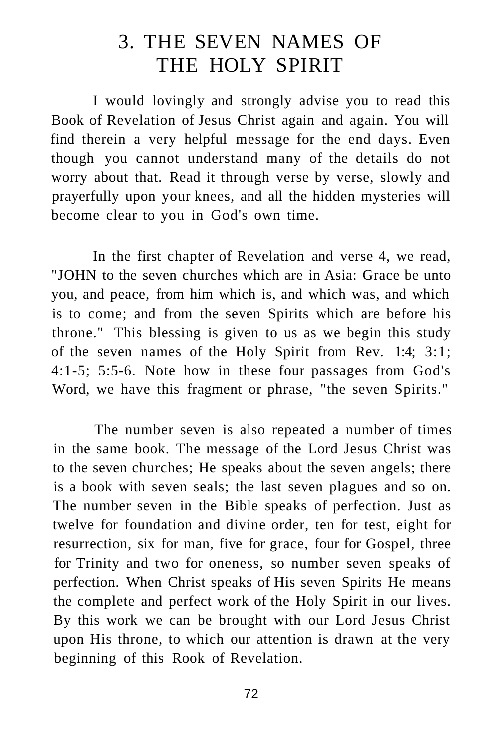## 3. THE SEVEN NAMES OF THE HOLY SPIRIT

I would lovingly and strongly advise you to read this Book of Revelation of Jesus Christ again and again. You will find therein a very helpful message for the end days. Even though you cannot understand many of the details do not worry about that. Read it through verse by [verse,](http://ver.se) slowly and prayerfully upon your knees, and all the hidden mysteries will become clear to you in God's own time.

In the first chapter of Revelation and verse 4, we read, "JOHN to the seven churches which are in Asia: Grace be unto you, and peace, from him which is, and which was, and which is to come; and from the seven Spirits which are before his throne." This blessing is given to us as we begin this study of the seven names of the Holy Spirit from Rev. 1:4; 3:1; 4:1-5; 5:5-6. Note how in these four passages from God's Word, we have this fragment or phrase, "the seven Spirits."

The number seven is also repeated a number of times in the same book. The message of the Lord Jesus Christ was to the seven churches; He speaks about the seven angels; there is a book with seven seals; the last seven plagues and so on. The number seven in the Bible speaks of perfection. Just as twelve for foundation and divine order, ten for test, eight for resurrection, six for man, five for grace, four for Gospel, three for Trinity and two for oneness, so number seven speaks of perfection. When Christ speaks of His seven Spirits He means the complete and perfect work of the Holy Spirit in our lives. By this work we can be brought with our Lord Jesus Christ upon His throne, to which our attention is drawn at the very beginning of this Rook of Revelation.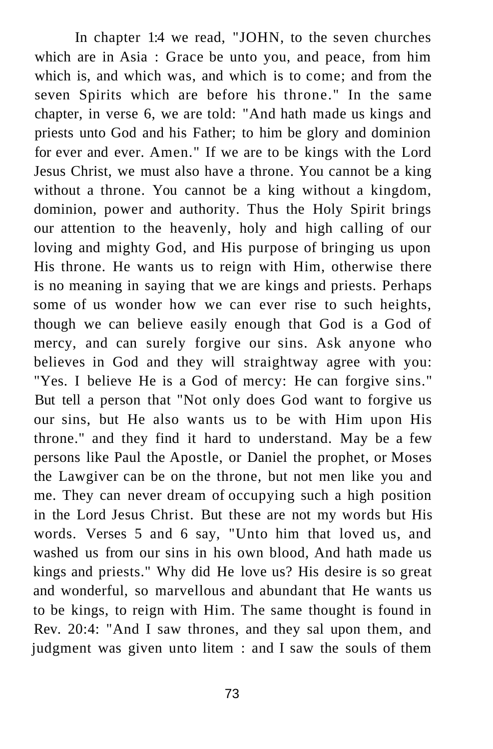In chapter 1:4 we read, "JOHN, to the seven churches which are in Asia : Grace be unto you, and peace, from him which is, and which was, and which is to come; and from the seven Spirits which are before his throne." In the same chapter, in verse 6, we are told: "And hath made us kings and priests unto God and his Father; to him be glory and dominion for ever and ever. Amen." If we are to be kings with the Lord Jesus Christ, we must also have a throne. You cannot be a king without a throne. You cannot be a king without a kingdom, dominion, power and authority. Thus the Holy Spirit brings our attention to the heavenly, holy and high calling of our loving and mighty God, and His purpose of bringing us upon His throne. He wants us to reign with Him, otherwise there is no meaning in saying that we are kings and priests. Perhaps some of us wonder how we can ever rise to such heights, though we can believe easily enough that God is a God of mercy, and can surely forgive our sins. Ask anyone who believes in God and they will straightway agree with you: "Yes. I believe He is a God of mercy: He can forgive sins." But tell a person that "Not only does God want to forgive us our sins, but He also wants us to be with Him upon His throne." and they find it hard to understand. May be a few persons like Paul the Apostle, or Daniel the prophet, or Moses the Lawgiver can be on the throne, but not men like you and me. They can never dream of occupying such a high position in the Lord Jesus Christ. But these are not my words but His words. Verses 5 and 6 say, "Unto him that loved us, and washed us from our sins in his own blood, And hath made us kings and priests." Why did He love us? His desire is so great and wonderful, so marvellous and abundant that He wants us to be kings, to reign with Him. The same thought is found in Rev. 20:4: "And I saw thrones, and they sal upon them, and judgment was given unto litem : and I saw the souls of them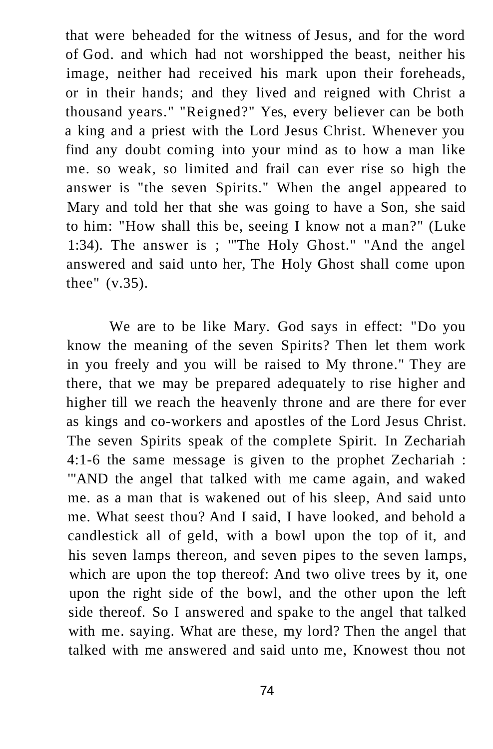that were beheaded for the witness of Jesus, and for the word of God. and which had not worshipped the beast, neither his image, neither had received his mark upon their foreheads, or in their hands; and they lived and reigned with Christ a thousand years." "Reigned?" Yes, every believer can be both a king and a priest with the Lord Jesus Christ. Whenever you find any doubt coming into your mind as to how a man like me. so weak, so limited and frail can ever rise so high the answer is "the seven Spirits." When the angel appeared to Mary and told her that she was going to have a Son, she said to him: "How shall this be, seeing I know not a man?" (Luke 1:34). The answer is ; '"The Holy Ghost." "And the angel answered and said unto her, The Holy Ghost shall come upon thee" (v.35).

We are to be like Mary. God says in effect: "Do you know the meaning of the seven Spirits? Then let them work in you freely and you will be raised to My throne." They are there, that we may be prepared adequately to rise higher and higher till we reach the heavenly throne and are there for ever as kings and co-workers and apostles of the Lord Jesus Christ. The seven Spirits speak of the complete Spirit. In Zechariah 4:1-6 the same message is given to the prophet Zechariah : '"AND the angel that talked with me came again, and waked me. as a man that is wakened out of his sleep, And said unto me. What seest thou? And I said, I have looked, and behold a candlestick all of geld, with a bowl upon the top of it, and his seven lamps thereon, and seven pipes to the seven lamps, which are upon the top thereof: And two olive trees by it, one upon the right side of the bowl, and the other upon the left side thereof. So I answered and spake to the angel that talked with me. saying. What are these, my lord? Then the angel that talked with me answered and said unto me, Knowest thou not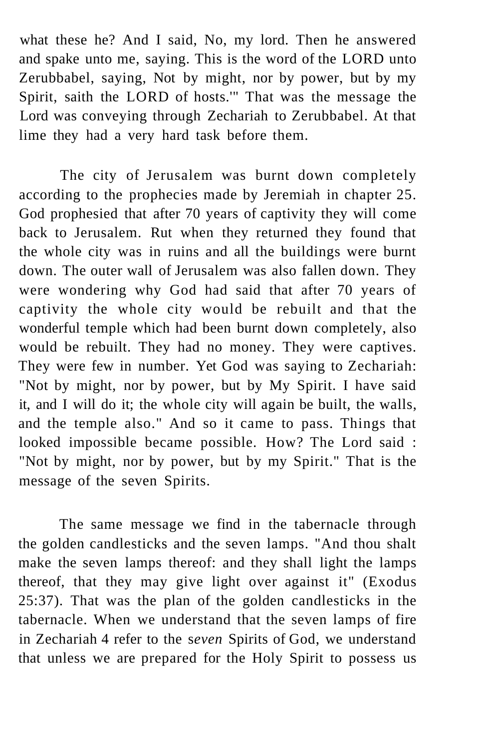what these he? And I said, No, my lord. Then he answered and spake unto me, saying. This is the word of the LORD unto Zerubbabel, saying, Not by might, nor by power, but by my Spirit, saith the LORD of hosts.'" That was the message the Lord was conveying through Zechariah to Zerubbabel. At that lime they had a very hard task before them.

The city of Jerusalem was burnt down completely according to the prophecies made by Jeremiah in chapter 25. God prophesied that after 70 years of captivity they will come back to Jerusalem. Rut when they returned they found that the whole city was in ruins and all the buildings were burnt down. The outer wall of Jerusalem was also fallen down. They were wondering why God had said that after 70 years of captivity the whole city would be rebuilt and that the wonderful temple which had been burnt down completely, also would be rebuilt. They had no money. They were captives. They were few in number. Yet God was saying to Zechariah: "Not by might, nor by power, but by My Spirit. I have said it, and I will do it; the whole city will again be built, the walls, and the temple also." And so it came to pass. Things that looked impossible became possible. How? The Lord said : "Not by might, nor by power, but by my Spirit." That is the message of the seven Spirits.

The same message we find in the tabernacle through the golden candlesticks and the seven lamps. "And thou shalt make the seven lamps thereof: and they shall light the lamps thereof, that they may give light over against it" (Exodus 25:37). That was the plan of the golden candlesticks in the tabernacle. When we understand that the seven lamps of fire in Zechariah 4 refer to the s*even* Spirits of God, we understand that unless we are prepared for the Holy Spirit to possess us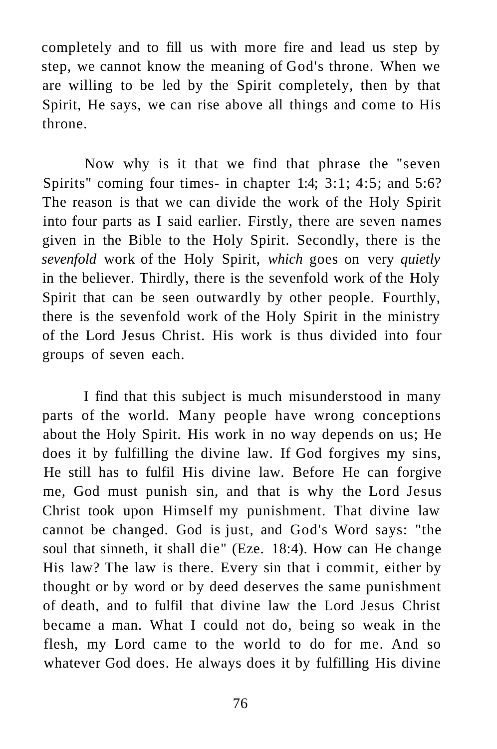completely and to fill us with more fire and lead us step by step, we cannot know the meaning of God's throne. When we are willing to be led by the Spirit completely, then by that Spirit, He says, we can rise above all things and come to His throne.

Now why is it that we find that phrase the "seven Spirits" coming four times- in chapter 1:4; 3:1; 4:5; and 5:6? The reason is that we can divide the work of the Holy Spirit into four parts as I said earlier. Firstly, there are seven names given in the Bible to the Holy Spirit. Secondly, there is the *sevenfold* work of the Holy Spirit, *which* goes on very *quietly*  in the believer. Thirdly, there is the sevenfold work of the Holy Spirit that can be seen outwardly by other people. Fourthly, there is the sevenfold work of the Holy Spirit in the ministry of the Lord Jesus Christ. His work is thus divided into four groups of seven each.

I find that this subject is much misunderstood in many parts of the world. Many people have wrong conceptions about the Holy Spirit. His work in no way depends on us; He does it by fulfilling the divine law. If God forgives my sins, He still has to fulfil His divine law. Before He can forgive me, God must punish sin, and that is why the Lord Jesus Christ took upon Himself my punishment. That divine law cannot be changed. God is just, and God's Word says: "the soul that sinneth, it shall die" (Eze. 18:4). How can He change His law? The law is there. Every sin that i commit, either by thought or by word or by deed deserves the same punishment of death, and to fulfil that divine law the Lord Jesus Christ became a man. What I could not do, being so weak in the flesh, my Lord came to the world to do for me. And so whatever God does. He always does it by fulfilling His divine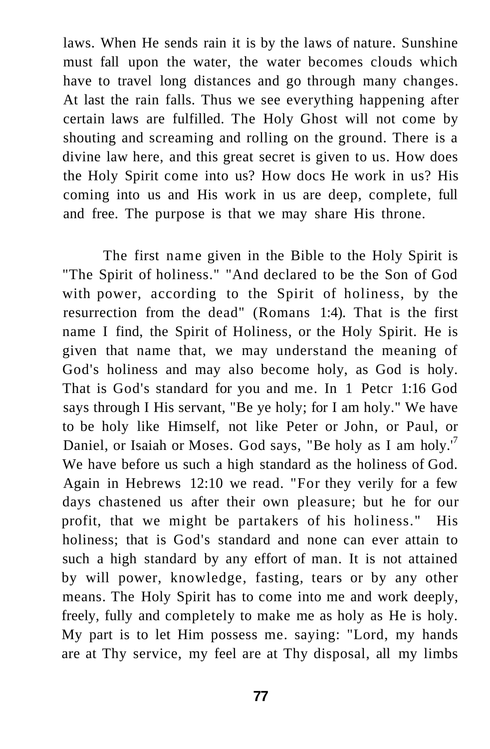laws. When He sends rain it is by the laws of nature. Sunshine must fall upon the water, the water becomes clouds which have to travel long distances and go through many changes. At last the rain falls. Thus we see everything happening after certain laws are fulfilled. The Holy Ghost will not come by shouting and screaming and rolling on the ground. There is a divine law here, and this great secret is given to us. How does the Holy Spirit come into us? How docs He work in us? His coming into us and His work in us are deep, complete, full and free. The purpose is that we may share His throne.

The first name given in the Bible to the Holy Spirit is "The Spirit of holiness." "And declared to be the Son of God with power, according to the Spirit of holiness, by the resurrection from the dead" (Romans 1:4). That is the first name I find, the Spirit of Holiness, or the Holy Spirit. He is given that name that, we may understand the meaning of God's holiness and may also become holy, as God is holy. That is God's standard for you and me. In 1 Petcr 1:16 God says through I His servant, "Be ye holy; for I am holy." We have to be holy like Himself, not like Peter or John, or Paul, or Daniel, or Isaiah or Moses. God says, "Be holy as I am holy.'<sup>7</sup> We have before us such a high standard as the holiness of God. Again in Hebrews 12:10 we read. "For they verily for a few days chastened us after their own pleasure; but he for our profit, that we might be partakers of his holiness." His holiness; that is God's standard and none can ever attain to such a high standard by any effort of man. It is not attained by will power, knowledge, fasting, tears or by any other means. The Holy Spirit has to come into me and work deeply, freely, fully and completely to make me as holy as He is holy. My part is to let Him possess me. saying: "Lord, my hands are at Thy service, my feel are at Thy disposal, all my limbs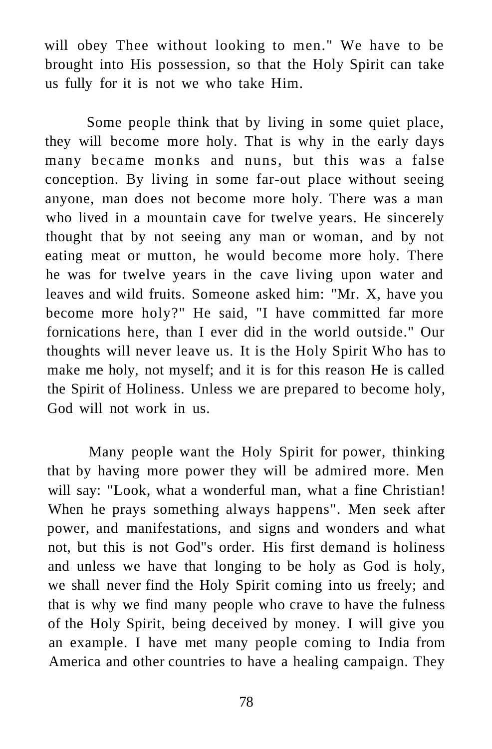will obey Thee without looking to men." We have to be brought into His possession, so that the Holy Spirit can take us fully for it is not we who take Him.

Some people think that by living in some quiet place, they will become more holy. That is why in the early days many became monks and nuns, but this was a false conception. By living in some far-out place without seeing anyone, man does not become more holy. There was a man who lived in a mountain cave for twelve years. He sincerely thought that by not seeing any man or woman, and by not eating meat or mutton, he would become more holy. There he was for twelve years in the cave living upon water and leaves and wild fruits. Someone asked him: "Mr. X, have you become more holy?" He said, "I have committed far more fornications here, than I ever did in the world outside." Our thoughts will never leave us. It is the Holy Spirit Who has to make me holy, not myself; and it is for this reason He is called the Spirit of Holiness. Unless we are prepared to become holy, God will not work in us.

Many people want the Holy Spirit for power, thinking that by having more power they will be admired more. Men will say: "Look, what a wonderful man, what a fine Christian! When he prays something always happens". Men seek after power, and manifestations, and signs and wonders and what not, but this is not God"s order. His first demand is holiness and unless we have that longing to be holy as God is holy, we shall never find the Holy Spirit coming into us freely; and that is why we find many people who crave to have the fulness of the Holy Spirit, being deceived by money. I will give you an example. I have met many people coming to India from America and other countries to have a healing campaign. They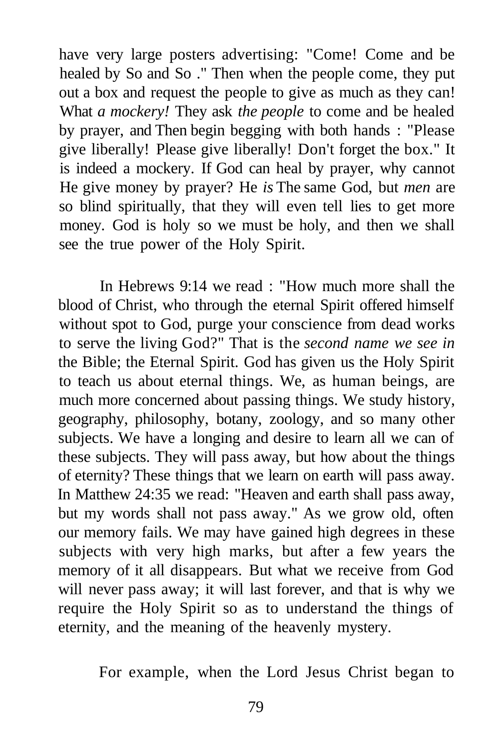have very large posters advertising: "Come! Come and be healed by So and So ." Then when the people come, they put out a box and request the people to give as much as they can! What *a mockery!* They ask *the people* to come and be healed by prayer, and Then begin begging with both hands : "Please give liberally! Please give liberally! Don't forget the box." It is indeed a mockery. If God can heal by prayer, why cannot He give money by prayer? He *is* The same God, but *men* are so blind spiritually, that they will even tell lies to get more money. God is holy so we must be holy, and then we shall see the true power of the Holy Spirit.

In Hebrews 9:14 we read : "How much more shall the blood of Christ, who through the eternal Spirit offered himself without spot to God, purge your conscience from dead works to serve the living God?" That is the *second name we see in*  the Bible; the Eternal Spirit. God has given us the Holy Spirit to teach us about eternal things. We, as human beings, are much more concerned about passing things. We study history, geography, philosophy, botany, zoology, and so many other subjects. We have a longing and desire to learn all we can of these subjects. They will pass away, but how about the things of eternity? These things that we learn on earth will pass away. In Matthew 24:35 we read: "Heaven and earth shall pass away, but my words shall not pass away." As we grow old, often our memory fails. We may have gained high degrees in these subjects with very high marks, but after a few years the memory of it all disappears. But what we receive from God will never pass away; it will last forever, and that is why we require the Holy Spirit so as to understand the things of eternity, and the meaning of the heavenly mystery.

For example, when the Lord Jesus Christ began to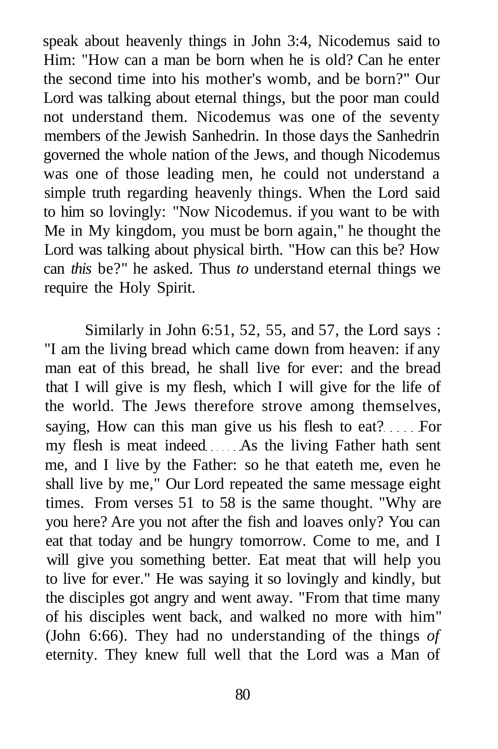speak about heavenly things in John 3:4, Nicodemus said to Him: "How can a man be born when he is old? Can he enter the second time into his mother's womb, and be born?" Our Lord was talking about eternal things, but the poor man could not understand them. Nicodemus was one of the seventy members of the Jewish Sanhedrin. In those days the Sanhedrin governed the whole nation of the Jews, and though Nicodemus was one of those leading men, he could not understand a simple truth regarding heavenly things. When the Lord said to him so lovingly: "Now Nicodemus. if you want to be with Me in My kingdom, you must be born again," he thought the Lord was talking about physical birth. "How can this be? How can *this* be?" he asked. Thus *to* understand eternal things we require the Holy Spirit.

Similarly in John 6:51, 52, 55, and 57, the Lord says : "I am the living bread which came down from heaven: if any man eat of this bread, he shall live for ever: and the bread that I will give is my flesh, which I will give for the life of the world. The Jews therefore strove among themselves, saying, How can this man give us his flesh to eat? For my flesh is meat indeed As the living Father hath sent me, and I live by the Father: so he that eateth me, even he shall live by me," Our Lord repeated the same message eight times. From verses 51 to 58 is the same thought. "Why are you here? Are you not after the fish and loaves only? You can eat that today and be hungry tomorrow. Come to me, and I will give you something better. Eat meat that will help you to live for ever." He was saying it so lovingly and kindly, but the disciples got angry and went away. "From that time many of his disciples went back, and walked no more with him" (John 6:66). They had no understanding of the things *of*  eternity. They knew full well that the Lord was a Man of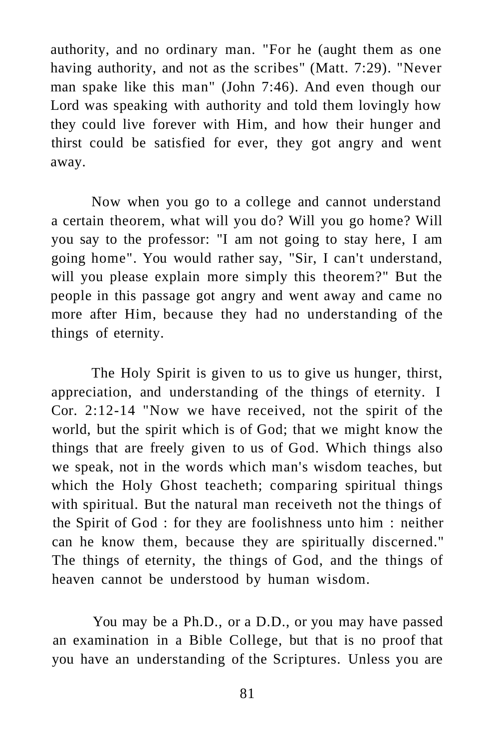authority, and no ordinary man. "For he (aught them as one having authority, and not as the scribes" (Matt. 7:29). "Never man spake like this man" (John 7:46). And even though our Lord was speaking with authority and told them lovingly how they could live forever with Him, and how their hunger and thirst could be satisfied for ever, they got angry and went away.

Now when you go to a college and cannot understand a certain theorem, what will you do? Will you go home? Will you say to the professor: "I am not going to stay here, I am going home". You would rather say, "Sir, I can't understand, will you please explain more simply this theorem?" But the people in this passage got angry and went away and came no more after Him, because they had no understanding of the things of eternity.

The Holy Spirit is given to us to give us hunger, thirst, appreciation, and understanding of the things of eternity. I Cor. 2:12-14 "Now we have received, not the spirit of the world, but the spirit which is of God; that we might know the things that are freely given to us of God. Which things also we speak, not in the words which man's wisdom teaches, but which the Holy Ghost teacheth; comparing spiritual things with spiritual. But the natural man receiveth not the things of the Spirit of God : for they are foolishness unto him : neither can he know them, because they are spiritually discerned." The things of eternity, the things of God, and the things of heaven cannot be understood by human wisdom.

You may be a Ph.D., or a D.D., or you may have passed an examination in a Bible College, but that is no proof that you have an understanding of the Scriptures. Unless you are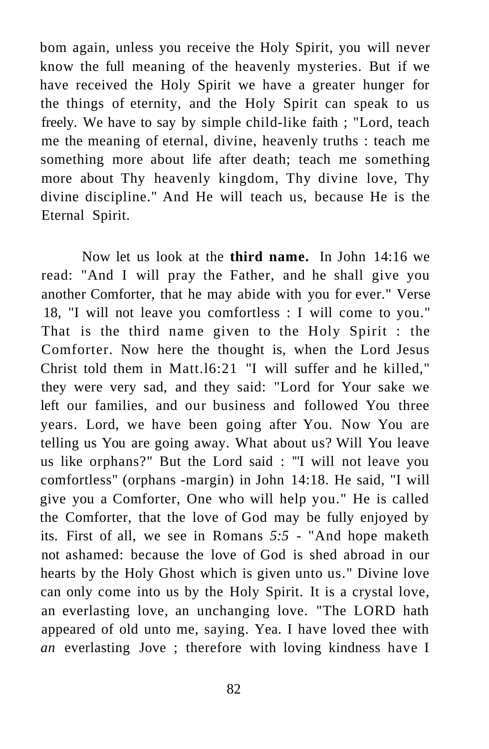bom again, unless you receive the Holy Spirit, you will never know the full meaning of the heavenly mysteries. But if we have received the Holy Spirit we have a greater hunger for the things of eternity, and the Holy Spirit can speak to us freely. We have to say by simple child-like faith ; "Lord, teach me the meaning of eternal, divine, heavenly truths : teach me something more about life after death; teach me something more about Thy heavenly kingdom, Thy divine love, Thy divine discipline." And He will teach us, because He is the Eternal Spirit.

Now let us look at the **third name.** In John 14:16 we read: "And I will pray the Father, and he shall give you another Comforter, that he may abide with you for ever." Verse 18, "I will not leave you comfortless : I will come to you." That is the third name given to the Holy Spirit : the Comforter. Now here the thought is, when the Lord Jesus Christ told them in Matt.l6:21 "I will suffer and he killed," they were very sad, and they said: "Lord for Your sake we left our families, and our business and followed You three years. Lord, we have been going after You. Now You are telling us You are going away. What about us? Will You leave us like orphans?" But the Lord said : '"I will not leave you comfortless" (orphans -margin) in John 14:18. He said, "I will give you a Comforter, One who will help you." He is called the Comforter, that the love of God may be fully enjoyed by its. First of all, we see in Romans *5:5* - "And hope maketh not ashamed: because the love of God is shed abroad in our hearts by the Holy Ghost which is given unto us." Divine love can only come into us by the Holy Spirit. It is a crystal love, an everlasting love, an unchanging love. "The LORD hath appeared of old unto me, saying. Yea. I have loved thee with *an* everlasting Jove ; therefore with loving kindness have I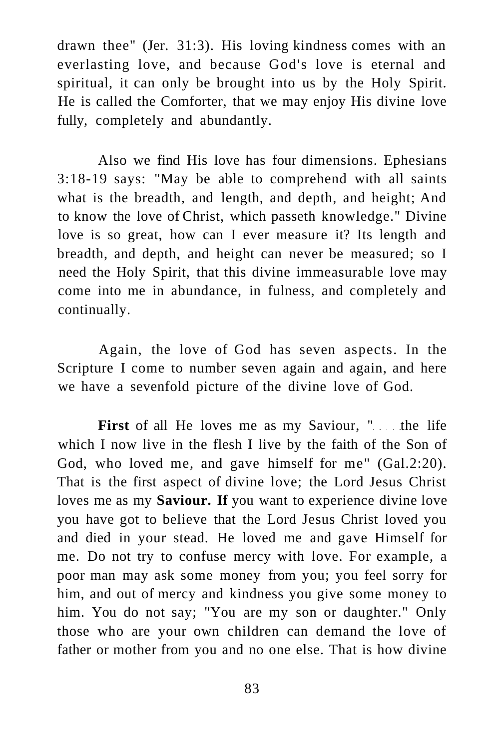drawn thee" (Jer. 31:3). His loving kindness comes with an everlasting love, and because God's love is eternal and spiritual, it can only be brought into us by the Holy Spirit. He is called the Comforter, that we may enjoy His divine love fully, completely and abundantly.

Also we find His love has four dimensions. Ephesians 3:18-19 says: "May be able to comprehend with all saints what is the breadth, and length, and depth, and height; And to know the love of Christ, which passeth knowledge." Divine love is so great, how can I ever measure it? Its length and breadth, and depth, and height can never be measured; so I need the Holy Spirit, that this divine immeasurable love may come into me in abundance, in fulness, and completely and continually.

Again, the love of God has seven aspects. In the Scripture I come to number seven again and again, and here we have a sevenfold picture of the divine love of God.

First of all He loves me as my Saviour, " the life which I now live in the flesh I live by the faith of the Son of God, who loved me, and gave himself for me" (Gal.2:20). That is the first aspect of divine love; the Lord Jesus Christ loves me as my **Saviour. If** you want to experience divine love you have got to believe that the Lord Jesus Christ loved you and died in your stead. He loved me and gave Himself for me. Do not try to confuse mercy with love. For example, a poor man may ask some money from you; you feel sorry for him, and out of mercy and kindness you give some money to him. You do not say; "You are my son or daughter." Only those who are your own children can demand the love of father or mother from you and no one else. That is how divine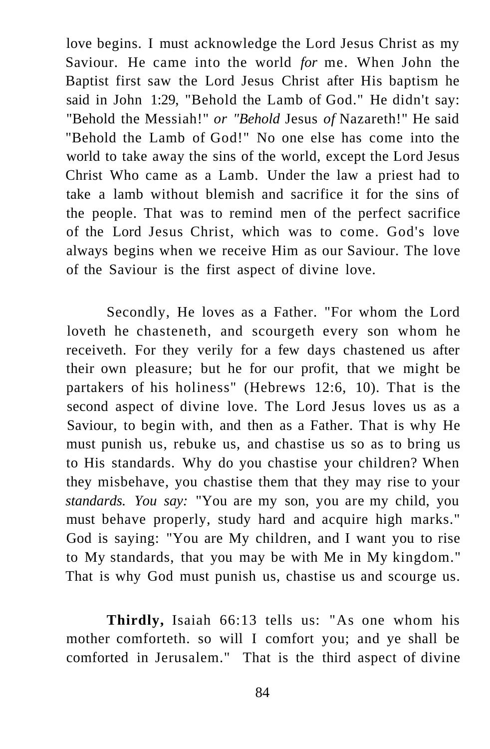love begins. I must acknowledge the Lord Jesus Christ as my Saviour. He came into the world *for* me. When John the Baptist first saw the Lord Jesus Christ after His baptism he said in John 1:29, "Behold the Lamb of God." He didn't say: "Behold the Messiah!" *or "Behold* Jesus *of* Nazareth!" He said "Behold the Lamb of God!" No one else has come into the world to take away the sins of the world, except the Lord Jesus Christ Who came as a Lamb. Under the law a priest had to take a lamb without blemish and sacrifice it for the sins of the people. That was to remind men of the perfect sacrifice of the Lord Jesus Christ, which was to come. God's love always begins when we receive Him as our Saviour. The love of the Saviour is the first aspect of divine love.

Secondly, He loves as a Father. "For whom the Lord loveth he chasteneth, and scourgeth every son whom he receiveth. For they verily for a few days chastened us after their own pleasure; but he for our profit, that we might be partakers of his holiness" (Hebrews 12:6, 10). That is the second aspect of divine love. The Lord Jesus loves us as a Saviour, to begin with, and then as a Father. That is why He must punish us, rebuke us, and chastise us so as to bring us to His standards. Why do you chastise your children? When they misbehave, you chastise them that they may rise to your *standards. You say:* "You are my son, you are my child, you must behave properly, study hard and acquire high marks." God is saying: "You are My children, and I want you to rise to My standards, that you may be with Me in My kingdom." That is why God must punish us, chastise us and scourge us.

**Thirdly,** Isaiah 66:13 tells us: "As one whom his mother comforteth. so will I comfort you; and ye shall be comforted in Jerusalem." That is the third aspect of divine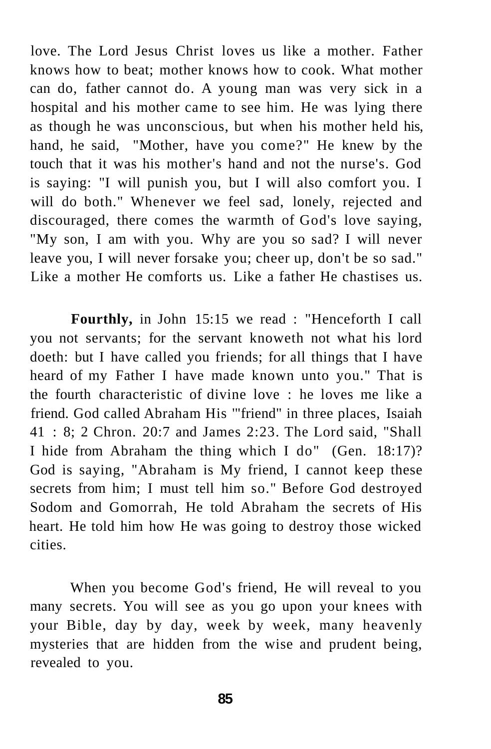love. The Lord Jesus Christ loves us like a mother. Father knows how to beat; mother knows how to cook. What mother can do, father cannot do. A young man was very sick in a hospital and his mother came to see him. He was lying there as though he was unconscious, but when his mother held his, hand, he said, "Mother, have you come?" He knew by the touch that it was his mother's hand and not the nurse's. God is saying: "I will punish you, but I will also comfort you. I will do both." Whenever we feel sad, lonely, rejected and discouraged, there comes the warmth of God's love saying, "My son, I am with you. Why are you so sad? I will never leave you, I will never forsake you; cheer up, don't be so sad." Like a mother He comforts us. Like a father He chastises us.

**Fourthly,** in John 15:15 we read : "Henceforth I call you not servants; for the servant knoweth not what his lord doeth: but I have called you friends; for all things that I have heard of my Father I have made known unto you." That is the fourth characteristic of divine love : he loves me like a friend. God called Abraham His '"friend" in three places, Isaiah 41 : 8; 2 Chron. 20:7 and James 2:23. The Lord said, "Shall I hide from Abraham the thing which I do" (Gen. 18:17)? God is saying, "Abraham is My friend, I cannot keep these secrets from him; I must tell him so." Before God destroyed Sodom and Gomorrah, He told Abraham the secrets of His heart. He told him how He was going to destroy those wicked cities.

When you become God's friend, He will reveal to you many secrets. You will see as you go upon your knees with your Bible, day by day, week by week, many heavenly mysteries that are hidden from the wise and prudent being, revealed to you.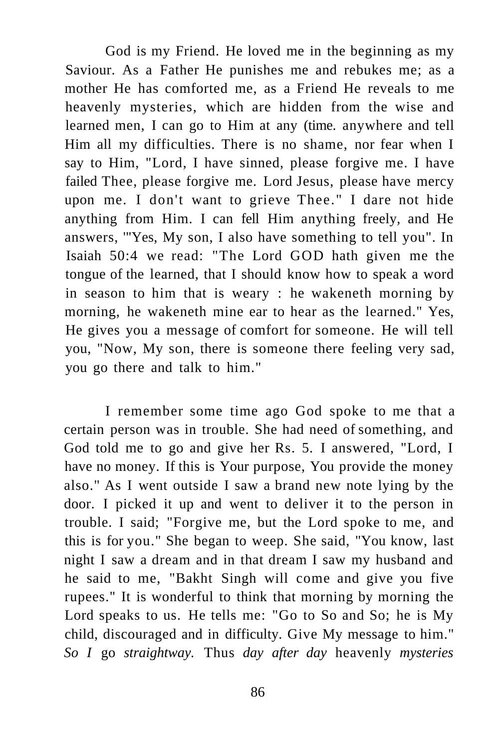God is my Friend. He loved me in the beginning as my Saviour. As a Father He punishes me and rebukes me; as a mother He has comforted me, as a Friend He reveals to me heavenly mysteries, which are hidden from the wise and learned men, I can go to Him at any (time. anywhere and tell Him all my difficulties. There is no shame, nor fear when I say to Him, "Lord, I have sinned, please forgive me. I have failed Thee, please forgive me. Lord Jesus, please have mercy upon me. I don't want to grieve Thee." I dare not hide anything from Him. I can fell Him anything freely, and He answers, '"Yes, My son, I also have something to tell you". In Isaiah 50:4 we read: "The Lord GOD hath given me the tongue of the learned, that I should know how to speak a word in season to him that is weary : he wakeneth morning by morning, he wakeneth mine ear to hear as the learned." Yes, He gives you a message of comfort for someone. He will tell you, "Now, My son, there is someone there feeling very sad, you go there and talk to him."

I remember some time ago God spoke to me that a certain person was in trouble. She had need of something, and God told me to go and give her Rs. 5. I answered, "Lord, I have no money. If this is Your purpose, You provide the money also." As I went outside I saw a brand new note lying by the door. I picked it up and went to deliver it to the person in trouble. I said; "Forgive me, but the Lord spoke to me, and this is for you." She began to weep. She said, "You know, last night I saw a dream and in that dream I saw my husband and he said to me, "Bakht Singh will come and give you five rupees." It is wonderful to think that morning by morning the Lord speaks to us. He tells me: "Go to So and So; he is My child, discouraged and in difficulty. Give My message to him." *So I* go *straightway.* Thus *day after day* heavenly *mysteries*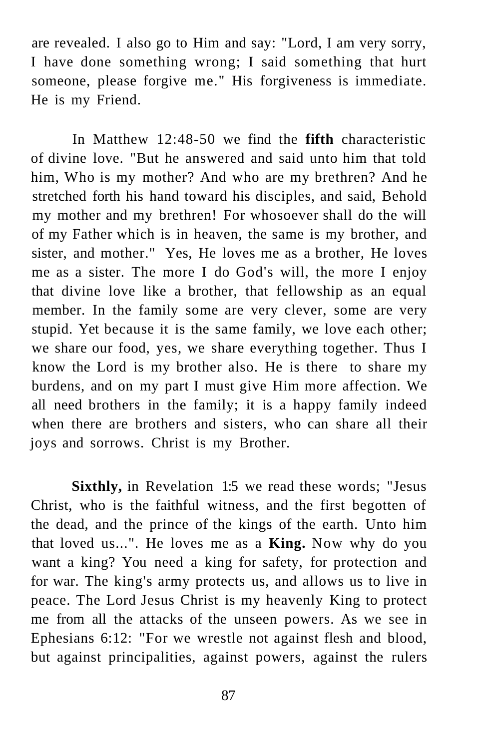are revealed. I also go to Him and say: "Lord, I am very sorry, I have done something wrong; I said something that hurt someone, please forgive me." His forgiveness is immediate. He is my Friend.

In Matthew 12:48-50 we find the **fifth** characteristic of divine love. "But he answered and said unto him that told him, Who is my mother? And who are my brethren? And he stretched forth his hand toward his disciples, and said, Behold my mother and my brethren! For whosoever shall do the will of my Father which is in heaven, the same is my brother, and sister, and mother." Yes, He loves me as a brother, He loves me as a sister. The more I do God's will, the more I enjoy that divine love like a brother, that fellowship as an equal member. In the family some are very clever, some are very stupid. Yet because it is the same family, we love each other; we share our food, yes, we share everything together. Thus I know the Lord is my brother also. He is there to share my burdens, and on my part I must give Him more affection. We all need brothers in the family; it is a happy family indeed when there are brothers and sisters, who can share all their joys and sorrows. Christ is my Brother.

**Sixthly,** in Revelation 1:5 we read these words; "Jesus Christ, who is the faithful witness, and the first begotten of the dead, and the prince of the kings of the earth. Unto him that loved us...". He loves me as a **King.** Now why do you want a king? You need a king for safety, for protection and for war. The king's army protects us, and allows us to live in peace. The Lord Jesus Christ is my heavenly King to protect me from all the attacks of the unseen powers. As we see in Ephesians 6:12: "For we wrestle not against flesh and blood, but against principalities, against powers, against the rulers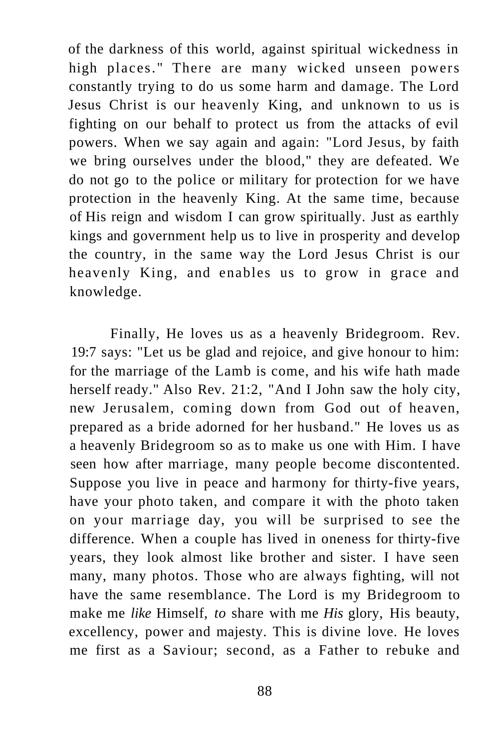of the darkness of this world, against spiritual wickedness in high places." There are many wicked unseen powers constantly trying to do us some harm and damage. The Lord Jesus Christ is our heavenly King, and unknown to us is fighting on our behalf to protect us from the attacks of evil powers. When we say again and again: "Lord Jesus, by faith we bring ourselves under the blood," they are defeated. We do not go to the police or military for protection for we have protection in the heavenly King. At the same time, because of His reign and wisdom I can grow spiritually. Just as earthly kings and government help us to live in prosperity and develop the country, in the same way the Lord Jesus Christ is our heavenly King, and enables us to grow in grace and knowledge.

Finally, He loves us as a heavenly Bridegroom. Rev. 19:7 says: "Let us be glad and rejoice, and give honour to him: for the marriage of the Lamb is come, and his wife hath made herself ready." Also Rev. 21:2, "And I John saw the holy city, new Jerusalem, coming down from God out of heaven, prepared as a bride adorned for her husband." He loves us as a heavenly Bridegroom so as to make us one with Him. I have seen how after marriage, many people become discontented. Suppose you live in peace and harmony for thirty-five years, have your photo taken, and compare it with the photo taken on your marriage day, you will be surprised to see the difference. When a couple has lived in oneness for thirty-five years, they look almost like brother and sister. I have seen many, many photos. Those who are always fighting, will not have the same resemblance. The Lord is my Bridegroom to make me *like* Himself, *to* share with me *His* glory, His beauty, excellency, power and majesty. This is divine love. He loves me first as a Saviour; second, as a Father to rebuke and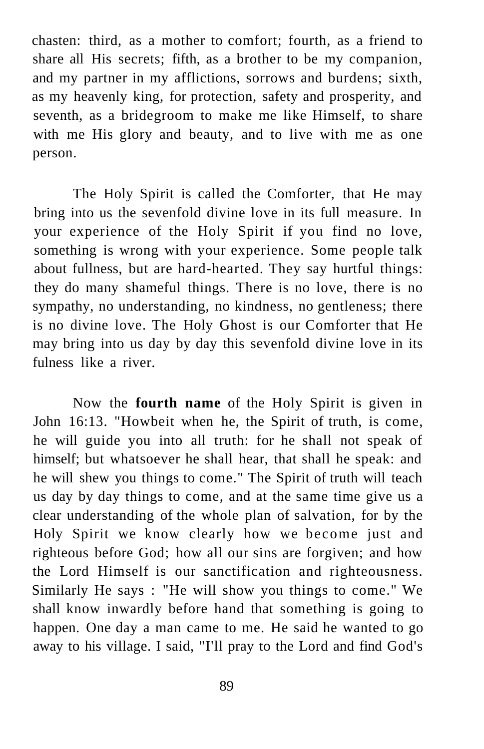chasten: third, as a mother to comfort; fourth, as a friend to share all His secrets; fifth, as a brother to be my companion, and my partner in my afflictions, sorrows and burdens; sixth, as my heavenly king, for protection, safety and prosperity, and seventh, as a bridegroom to make me like Himself, to share with me His glory and beauty, and to live with me as one person.

The Holy Spirit is called the Comforter, that He may bring into us the sevenfold divine love in its full measure. In your experience of the Holy Spirit if you find no love, something is wrong with your experience. Some people talk about fullness, but are hard-hearted. They say hurtful things: they do many shameful things. There is no love, there is no sympathy, no understanding, no kindness, no gentleness; there is no divine love. The Holy Ghost is our Comforter that He may bring into us day by day this sevenfold divine love in its fulness like a river.

Now the **fourth name** of the Holy Spirit is given in John 16:13. "Howbeit when he, the Spirit of truth, is come, he will guide you into all truth: for he shall not speak of himself; but whatsoever he shall hear, that shall he speak: and he will shew you things to come." The Spirit of truth will teach us day by day things to come, and at the same time give us a clear understanding of the whole plan of salvation, for by the Holy Spirit we know clearly how we become just and righteous before God; how all our sins are forgiven; and how the Lord Himself is our sanctification and righteousness. Similarly He says : "He will show you things to come." We shall know inwardly before hand that something is going to happen. One day a man came to me. He said he wanted to go away to his village. I said, "I'll pray to the Lord and find God's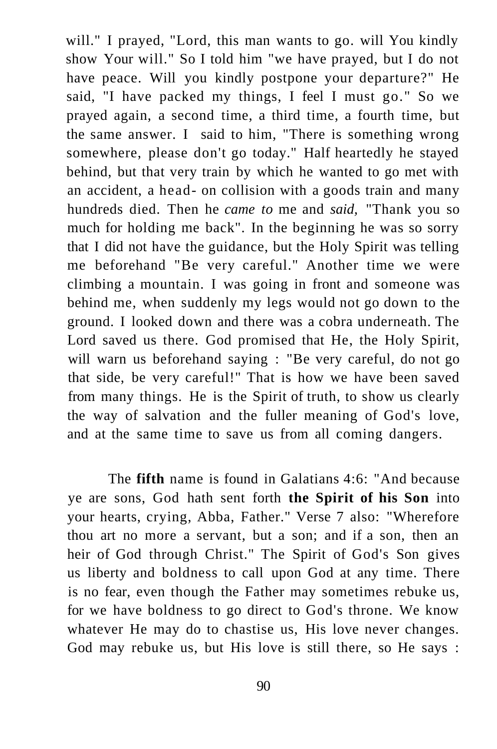will." I prayed, "Lord, this man wants to go. will You kindly show Your will." So I told him "we have prayed, but I do not have peace. Will you kindly postpone your departure?" He said, "I have packed my things, I feel I must go." So we prayed again, a second time, a third time, a fourth time, but the same answer. I said to him, "There is something wrong somewhere, please don't go today." Half heartedly he stayed behind, but that very train by which he wanted to go met with an accident, a head- on collision with a goods train and many hundreds died. Then he *came to* me and *said,* "Thank you so much for holding me back". In the beginning he was so sorry that I did not have the guidance, but the Holy Spirit was telling me beforehand "Be very careful." Another time we were climbing a mountain. I was going in front and someone was behind me, when suddenly my legs would not go down to the ground. I looked down and there was a cobra underneath. The Lord saved us there. God promised that He, the Holy Spirit, will warn us beforehand saying : "Be very careful, do not go that side, be very careful!" That is how we have been saved from many things. He is the Spirit of truth, to show us clearly the way of salvation and the fuller meaning of God's love, and at the same time to save us from all coming dangers.

The **fifth** name is found in Galatians 4:6: "And because ye are sons, God hath sent forth **the Spirit of his Son** into your hearts, crying, Abba, Father." Verse 7 also: "Wherefore thou art no more a servant, but a son; and if a son, then an heir of God through Christ." The Spirit of God's Son gives us liberty and boldness to call upon God at any time. There is no fear, even though the Father may sometimes rebuke us, for we have boldness to go direct to God's throne. We know whatever He may do to chastise us, His love never changes. God may rebuke us, but His love is still there, so He says :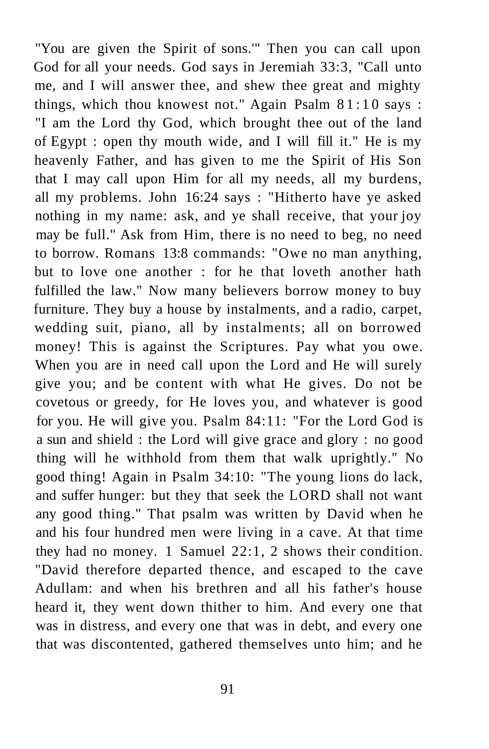"You are given the Spirit of sons.'" Then you can call upon God for all your needs. God says in Jeremiah 33:3, "Call unto me, and I will answer thee, and shew thee great and mighty things, which thou knowest not." Again Psalm  $81:10$  says: "I am the Lord thy God, which brought thee out of the land of Egypt : open thy mouth wide, and I will fill it." He is my heavenly Father, and has given to me the Spirit of His Son that I may call upon Him for all my needs, all my burdens, all my problems. John 16:24 says : "Hitherto have ye asked nothing in my name: ask, and ye shall receive, that your joy may be full." Ask from Him, there is no need to beg, no need to borrow. Romans 13:8 commands: "Owe no man anything, but to love one another : for he that loveth another hath fulfilled the law." Now many believers borrow money to buy furniture. They buy a house by instalments, and a radio, carpet, wedding suit, piano, all by instalments; all on borrowed money! This is against the Scriptures. Pay what you owe. When you are in need call upon the Lord and He will surely give you; and be content with what He gives. Do not be covetous or greedy, for He loves you, and whatever is good for you. He will give you. Psalm 84:11: "For the Lord God is a sun and shield : the Lord will give grace and glory : no good thing will he withhold from them that walk uprightly." No good thing! Again in Psalm 34:10: "The young lions do lack, and suffer hunger: but they that seek the LORD shall not want any good thing." That psalm was written by David when he and his four hundred men were living in a cave. At that time they had no money. 1 Samuel 22:1, 2 shows their condition. "David therefore departed thence, and escaped to the cave Adullam: and when his brethren and all his father's house heard it, they went down thither to him. And every one that was in distress, and every one that was in debt, and every one that was discontented, gathered themselves unto him; and he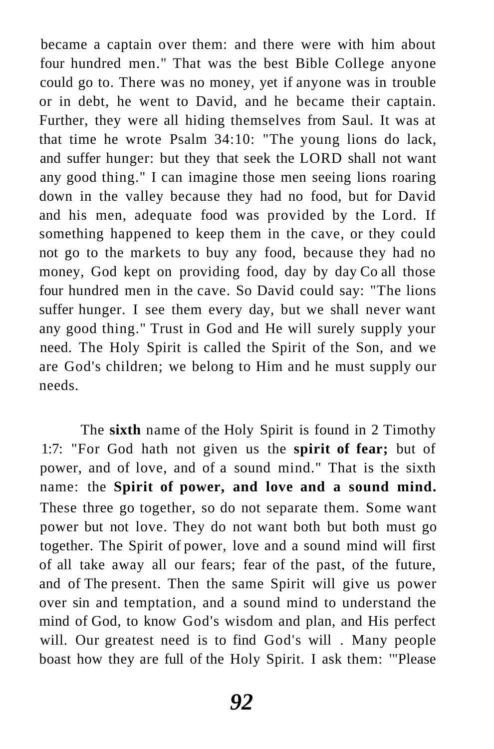became a captain over them: and there were with him about four hundred men." That was the best Bible College anyone could go to. There was no money, yet if anyone was in trouble or in debt, he went to David, and he became their captain. Further, they were all hiding themselves from Saul. It was at that time he wrote Psalm 34:10: "The young lions do lack, and suffer hunger: but they that seek the LORD shall not want any good thing." I can imagine those men seeing lions roaring down in the valley because they had no food, but for David and his men, adequate food was provided by the Lord. If something happened to keep them in the cave, or they could not go to the markets to buy any food, because they had no money, God kept on providing food, day by day Co all those four hundred men in the cave. So David could say: "The lions suffer hunger. I see them every day, but we shall never want any good thing." Trust in God and He will surely supply your need. The Holy Spirit is called the Spirit of the Son, and we are God's children; we belong to Him and he must supply our needs.

The **sixth** name of the Holy Spirit is found in 2 Timothy 1:7: "For God hath not given us the **spirit of fear;** but of power, and of love, and of a sound mind." That is the sixth name: the **Spirit of power, and love and a sound mind.**  These three go together, so do not separate them. Some want power but not love. They do not want both but both must go together. The Spirit of power, love and a sound mind will first of all take away all our fears; fear of the past, of the future, and of The present. Then the same Spirit will give us power over sin and temptation, and a sound mind to understand the mind of God, to know God's wisdom and plan, and His perfect will. Our greatest need is to find God's will . Many people boast how they are full of the Holy Spirit. I ask them: '"Please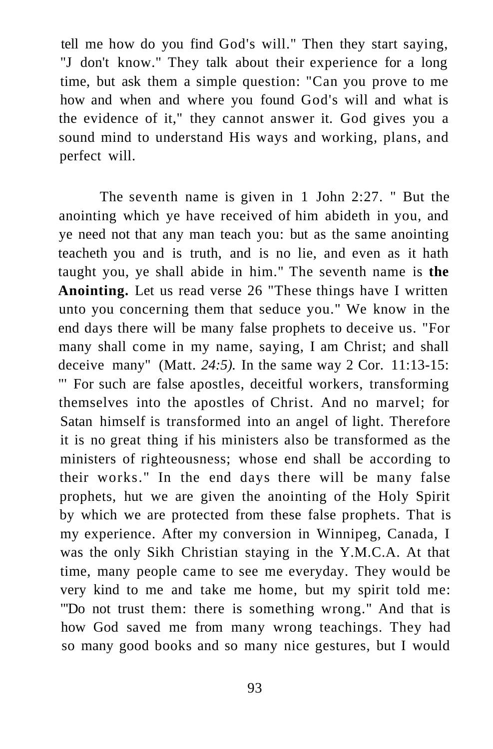tell me how do you find God's will." Then they start saying, "J don't know." They talk about their experience for a long time, but ask them a simple question: "Can you prove to me how and when and where you found God's will and what is the evidence of it," they cannot answer it. God gives you a sound mind to understand His ways and working, plans, and perfect will.

The seventh name is given in 1 John 2:27. " But the anointing which ye have received of him abideth in you, and ye need not that any man teach you: but as the same anointing teacheth you and is truth, and is no lie, and even as it hath taught you, ye shall abide in him." The seventh name is **the Anointing.** Let us read verse 26 "These things have I written unto you concerning them that seduce you." We know in the end days there will be many false prophets to deceive us. "For many shall come in my name, saying, I am Christ; and shall deceive many" (Matt. *24:5).* In the same way 2 Cor. 11:13-15: "' For such are false apostles, deceitful workers, transforming themselves into the apostles of Christ. And no marvel; for Satan himself is transformed into an angel of light. Therefore it is no great thing if his ministers also be transformed as the ministers of righteousness; whose end shall be according to their works." In the end days there will be many false prophets, hut we are given the anointing of the Holy Spirit by which we are protected from these false prophets. That is my experience. After my conversion in Winnipeg, Canada, I was the only Sikh Christian staying in the Y.M.C.A. At that time, many people came to see me everyday. They would be very kind to me and take me home, but my spirit told me: "'Do not trust them: there is something wrong." And that is how God saved me from many wrong teachings. They had so many good books and so many nice gestures, but I would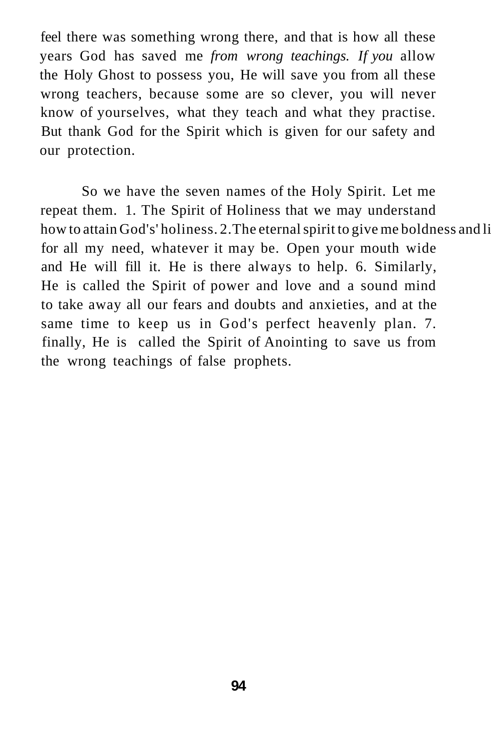feel there was something wrong there, and that is how all these years God has saved me *from wrong teachings. If you* allow the Holy Ghost to possess you, He will save you from all these wrong teachers, because some are so clever, you will never know of yourselves, what they teach and what they practise. But thank God for the Spirit which is given for our safety and our protection.

So we have the seven names of the Holy Spirit. Let me repeat them. 1. The Spirit of Holiness that we may understand how to attain God's' holiness. 2. The eternal spirit to give me boldness and li for all my need, whatever it may be. Open your mouth wide and He will fill it. He is there always to help. 6. Similarly, He is called the Spirit of power and love and a sound mind to take away all our fears and doubts and anxieties, and at the same time to keep us in God's perfect heavenly plan. 7. finally, He is called the Spirit of Anointing to save us from the wrong teachings of false prophets.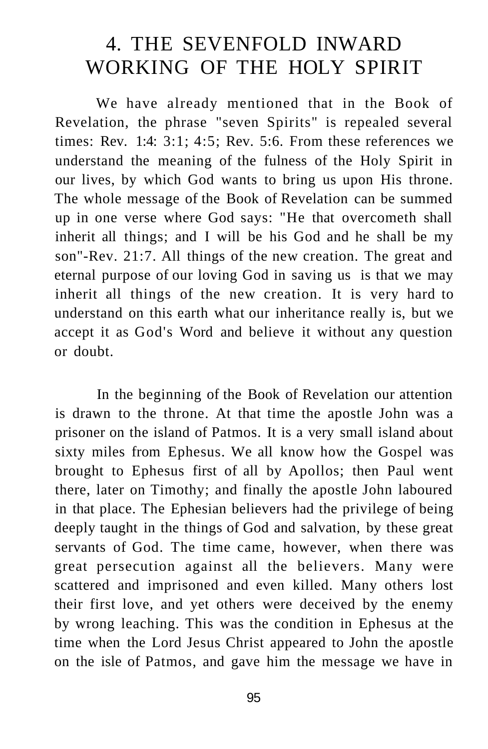## 4. THE SEVENFOLD INWARD WORKING OF THE HOLY SPIRIT

We have already mentioned that in the Book of Revelation, the phrase "seven Spirits" is repealed several times: Rev. 1:4: 3:1; 4:5; Rev. 5:6. From these references we understand the meaning of the fulness of the Holy Spirit in our lives, by which God wants to bring us upon His throne. The whole message of the Book of Revelation can be summed up in one verse where God says: "He that overcometh shall inherit all things; and I will be his God and he shall be my son"-Rev. 21:7. All things of the new creation. The great and eternal purpose of our loving God in saving us is that we may inherit all things of the new creation. It is very hard to understand on this earth what our inheritance really is, but we accept it as God's Word and believe it without any question or doubt.

In the beginning of the Book of Revelation our attention is drawn to the throne. At that time the apostle John was a prisoner on the island of Patmos. It is a very small island about sixty miles from Ephesus. We all know how the Gospel was brought to Ephesus first of all by Apollos; then Paul went there, later on Timothy; and finally the apostle John laboured in that place. The Ephesian believers had the privilege of being deeply taught in the things of God and salvation, by these great servants of God. The time came, however, when there was great persecution against all the believers. Many were scattered and imprisoned and even killed. Many others lost their first love, and yet others were deceived by the enemy by wrong leaching. This was the condition in Ephesus at the time when the Lord Jesus Christ appeared to John the apostle on the isle of Patmos, and gave him the message we have in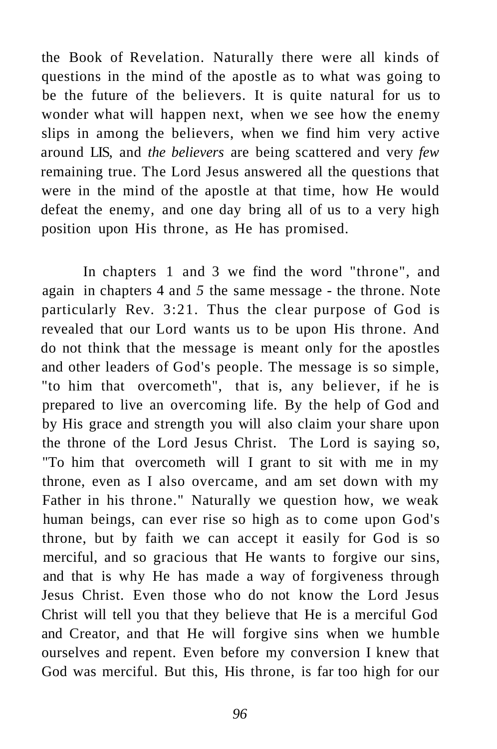the Book of Revelation. Naturally there were all kinds of questions in the mind of the apostle as to what was going to be the future of the believers. It is quite natural for us to wonder what will happen next, when we see how the enemy slips in among the believers, when we find him very active around LIS, and *the believers* are being scattered and very *few*  remaining true. The Lord Jesus answered all the questions that were in the mind of the apostle at that time, how He would defeat the enemy, and one day bring all of us to a very high position upon His throne, as He has promised.

In chapters 1 and 3 we find the word "throne", and again in chapters 4 and *5* the same message - the throne. Note particularly Rev. 3:21. Thus the clear purpose of God is revealed that our Lord wants us to be upon His throne. And do not think that the message is meant only for the apostles and other leaders of God's people. The message is so simple, "to him that overcometh", that is, any believer, if he is prepared to live an overcoming life. By the help of God and by His grace and strength you will also claim your share upon the throne of the Lord Jesus Christ. The Lord is saying so, "To him that overcometh will I grant to sit with me in my throne, even as I also overcame, and am set down with my Father in his throne." Naturally we question how, we weak human beings, can ever rise so high as to come upon God's throne, but by faith we can accept it easily for God is so merciful, and so gracious that He wants to forgive our sins, and that is why He has made a way of forgiveness through Jesus Christ. Even those who do not know the Lord Jesus Christ will tell you that they believe that He is a merciful God and Creator, and that He will forgive sins when we humble ourselves and repent. Even before my conversion I knew that God was merciful. But this, His throne, is far too high for our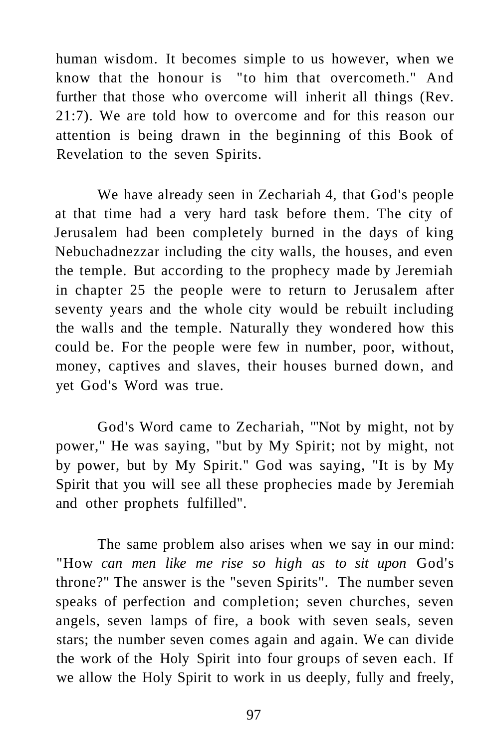human wisdom. It becomes simple to us however, when we know that the honour is "to him that overcometh." And further that those who overcome will inherit all things (Rev. 21:7). We are told how to overcome and for this reason our attention is being drawn in the beginning of this Book of Revelation to the seven Spirits.

We have already seen in Zechariah 4, that God's people at that time had a very hard task before them. The city of Jerusalem had been completely burned in the days of king Nebuchadnezzar including the city walls, the houses, and even the temple. But according to the prophecy made by Jeremiah in chapter 25 the people were to return to Jerusalem after seventy years and the whole city would be rebuilt including the walls and the temple. Naturally they wondered how this could be. For the people were few in number, poor, without, money, captives and slaves, their houses burned down, and yet God's Word was true.

God's Word came to Zechariah, "'Not by might, not by power," He was saying, "but by My Spirit; not by might, not by power, but by My Spirit." God was saying, "It is by My Spirit that you will see all these prophecies made by Jeremiah and other prophets fulfilled".

The same problem also arises when we say in our mind: "How *can men like me rise so high as to sit upon* God's throne?" The answer is the "seven Spirits". The number seven speaks of perfection and completion; seven churches, seven angels, seven lamps of fire, a book with seven seals, seven stars; the number seven comes again and again. We can divide the work of the Holy Spirit into four groups of seven each. If we allow the Holy Spirit to work in us deeply, fully and freely,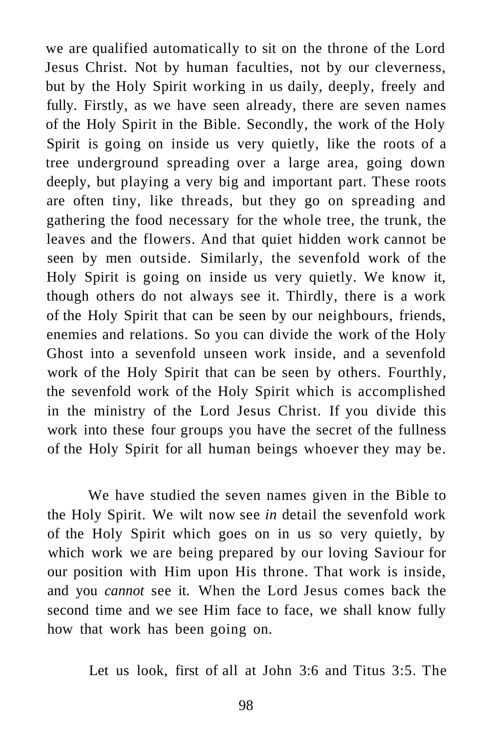we are qualified automatically to sit on the throne of the Lord Jesus Christ. Not by human faculties, not by our cleverness, but by the Holy Spirit working in us daily, deeply, freely and fully. Firstly, as we have seen already, there are seven names of the Holy Spirit in the Bible. Secondly, the work of the Holy Spirit is going on inside us very quietly, like the roots of a tree underground spreading over a large area, going down deeply, but playing a very big and important part. These roots are often tiny, like threads, but they go on spreading and gathering the food necessary for the whole tree, the trunk, the leaves and the flowers. And that quiet hidden work cannot be seen by men outside. Similarly, the sevenfold work of the Holy Spirit is going on inside us very quietly. We know it, though others do not always see it. Thirdly, there is a work of the Holy Spirit that can be seen by our neighbours, friends, enemies and relations. So you can divide the work of the Holy Ghost into a sevenfold unseen work inside, and a sevenfold work of the Holy Spirit that can be seen by others. Fourthly, the sevenfold work of the Holy Spirit which is accomplished in the ministry of the Lord Jesus Christ. If you divide this work into these four groups you have the secret of the fullness of the Holy Spirit for all human beings whoever they may be.

We have studied the seven names given in the Bible to the Holy Spirit. We wilt now see *in* detail the sevenfold work of the Holy Spirit which goes on in us so very quietly, by which work we are being prepared by our loving Saviour for our position with Him upon His throne. That work is inside, and you *cannot* see it. When the Lord Jesus comes back the second time and we see Him face to face, we shall know fully how that work has been going on.

Let us look, first of all at John 3:6 and Titus 3:5. The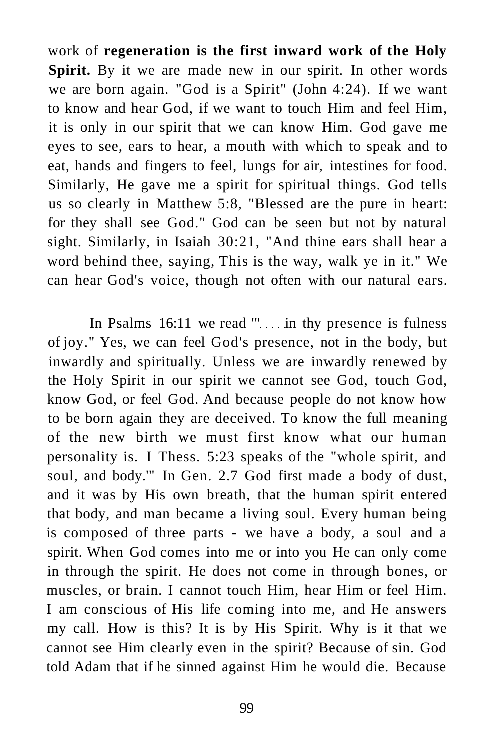work of **regeneration is the first inward work of the Holy Spirit.** By it we are made new in our spirit. In other words we are born again. "God is a Spirit" (John 4:24). If we want to know and hear God, if we want to touch Him and feel Him, it is only in our spirit that we can know Him. God gave me eyes to see, ears to hear, a mouth with which to speak and to eat, hands and fingers to feel, lungs for air, intestines for food. Similarly, He gave me a spirit for spiritual things. God tells us so clearly in Matthew 5:8, "Blessed are the pure in heart: for they shall see God." God can be seen but not by natural sight. Similarly, in Isaiah 30:21, "And thine ears shall hear a word behind thee, saying, This is the way, walk ye in it." We can hear God's voice, though not often with our natural ears.

In Psalms 16:11 we read " in thy presence is fulness of joy." Yes, we can feel God's presence, not in the body, but inwardly and spiritually. Unless we are inwardly renewed by the Holy Spirit in our spirit we cannot see God, touch God, know God, or feel God. And because people do not know how to be born again they are deceived. To know the full meaning of the new birth we must first know what our human personality is. I Thess. 5:23 speaks of the "whole spirit, and soul, and body.'" In Gen. 2.7 God first made a body of dust, and it was by His own breath, that the human spirit entered that body, and man became a living soul. Every human being is composed of three parts - we have a body, a soul and a spirit. When God comes into me or into you He can only come in through the spirit. He does not come in through bones, or muscles, or brain. I cannot touch Him, hear Him or feel Him. I am conscious of His life coming into me, and He answers my call. How is this? It is by His Spirit. Why is it that we cannot see Him clearly even in the spirit? Because of sin. God told Adam that if he sinned against Him he would die. Because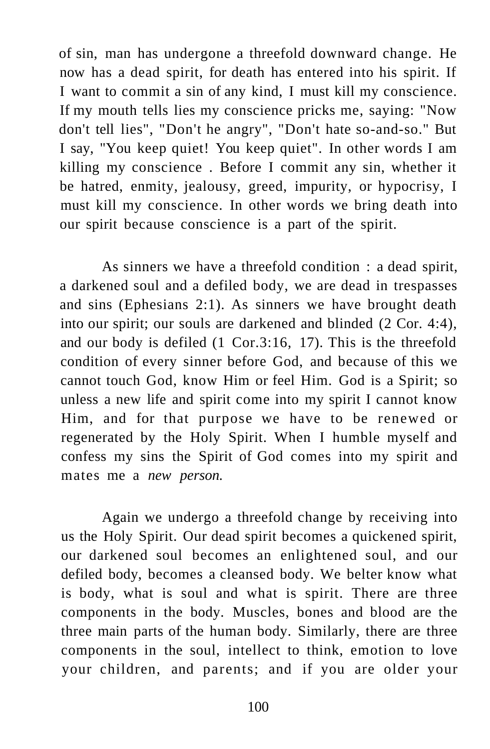of sin, man has undergone a threefold downward change. He now has a dead spirit, for death has entered into his spirit. If I want to commit a sin of any kind, I must kill my conscience. If my mouth tells lies my conscience pricks me, saying: "Now don't tell lies", "Don't he angry", "Don't hate so-and-so." But I say, "You keep quiet! You keep quiet". In other words I am killing my conscience . Before I commit any sin, whether it be hatred, enmity, jealousy, greed, impurity, or hypocrisy, I must kill my conscience. In other words we bring death into our spirit because conscience is a part of the spirit.

As sinners we have a threefold condition : a dead spirit, a darkened soul and a defiled body, we are dead in trespasses and sins (Ephesians 2:1). As sinners we have brought death into our spirit; our souls are darkened and blinded (2 Cor. 4:4), and our body is defiled (1 Cor.3:16, 17). This is the threefold condition of every sinner before God, and because of this we cannot touch God, know Him or feel Him. God is a Spirit; so unless a new life and spirit come into my spirit I cannot know Him, and for that purpose we have to be renewed or regenerated by the Holy Spirit. When I humble myself and confess my sins the Spirit of God comes into my spirit and mates me a *new person.* 

Again we undergo a threefold change by receiving into us the Holy Spirit. Our dead spirit becomes a quickened spirit, our darkened soul becomes an enlightened soul, and our defiled body, becomes a cleansed body. We belter know what is body, what is soul and what is spirit. There are three components in the body. Muscles, bones and blood are the three main parts of the human body. Similarly, there are three components in the soul, intellect to think, emotion to love your children, and parents; and if you are older your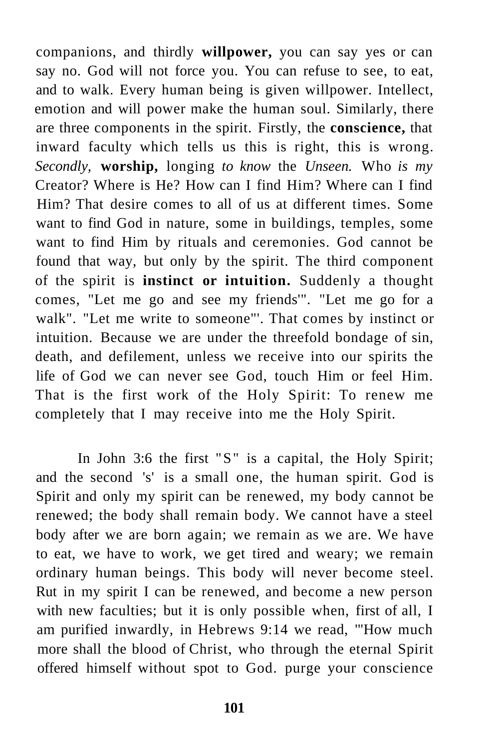companions, and thirdly **willpower,** you can say yes or can say no. God will not force you. You can refuse to see, to eat, and to walk. Every human being is given willpower. Intellect, emotion and will power make the human soul. Similarly, there are three components in the spirit. Firstly, the **conscience,** that inward faculty which tells us this is right, this is wrong. *Secondly,* **worship,** longing *to know* the *Unseen.* Who *is my*  Creator? Where is He? How can I find Him? Where can I find Him? That desire comes to all of us at different times. Some want to find God in nature, some in buildings, temples, some want to find Him by rituals and ceremonies. God cannot be found that way, but only by the spirit. The third component of the spirit is **instinct or intuition.** Suddenly a thought comes, "Let me go and see my friends'". "Let me go for a walk". "Let me write to someone"'. That comes by instinct or intuition. Because we are under the threefold bondage of sin, death, and defilement, unless we receive into our spirits the life of God we can never see God, touch Him or feel Him. That is the first work of the Holy Spirit: To renew me completely that I may receive into me the Holy Spirit.

In John 3:6 the first "S" is a capital, the Holy Spirit; and the second 's' is a small one, the human spirit. God is Spirit and only my spirit can be renewed, my body cannot be renewed; the body shall remain body. We cannot have a steel body after we are born again; we remain as we are. We have to eat, we have to work, we get tired and weary; we remain ordinary human beings. This body will never become steel. Rut in my spirit I can be renewed, and become a new person with new faculties; but it is only possible when, first of all, I am purified inwardly, in Hebrews 9:14 we read, '"How much more shall the blood of Christ, who through the eternal Spirit offered himself without spot to God. purge your conscience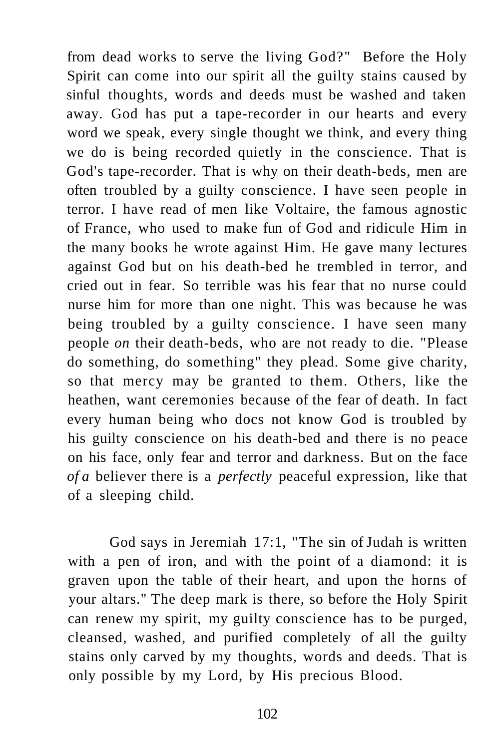from dead works to serve the living God?" Before the Holy Spirit can come into our spirit all the guilty stains caused by sinful thoughts, words and deeds must be washed and taken away. God has put a tape-recorder in our hearts and every word we speak, every single thought we think, and every thing we do is being recorded quietly in the conscience. That is God's tape-recorder. That is why on their death-beds, men are often troubled by a guilty conscience. I have seen people in terror. I have read of men like Voltaire, the famous agnostic of France, who used to make fun of God and ridicule Him in the many books he wrote against Him. He gave many lectures against God but on his death-bed he trembled in terror, and cried out in fear. So terrible was his fear that no nurse could nurse him for more than one night. This was because he was being troubled by a guilty conscience. I have seen many people *on* their death-beds, who are not ready to die. "Please do something, do something" they plead. Some give charity, so that mercy may be granted to them. Others, like the heathen, want ceremonies because of the fear of death. In fact every human being who docs not know God is troubled by his guilty conscience on his death-bed and there is no peace on his face, only fear and terror and darkness. But on the face *of a* believer there is a *perfectly* peaceful expression, like that of a sleeping child.

God says in Jeremiah 17:1, "The sin of Judah is written with a pen of iron, and with the point of a diamond: it is graven upon the table of their heart, and upon the horns of your altars." The deep mark is there, so before the Holy Spirit can renew my spirit, my guilty conscience has to be purged, cleansed, washed, and purified completely of all the guilty stains only carved by my thoughts, words and deeds. That is only possible by my Lord, by His precious Blood.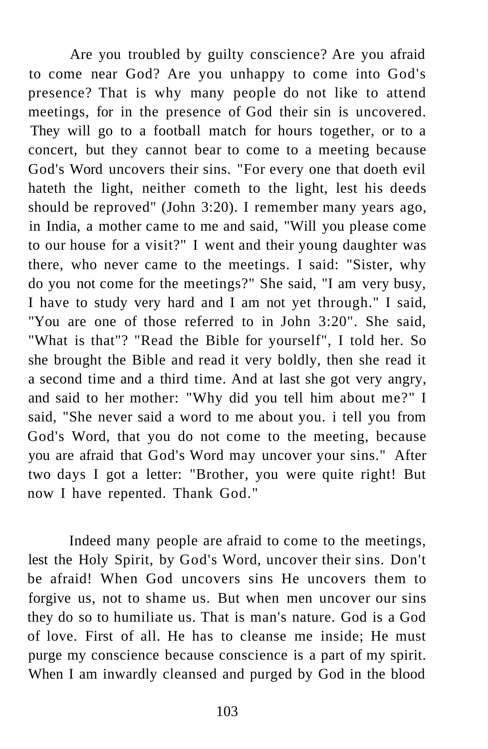Are you troubled by guilty conscience? Are you afraid to come near God? Are you unhappy to come into God's presence? That is why many people do not like to attend meetings, for in the presence of God their sin is uncovered. They will go to a football match for hours together, or to a concert, but they cannot bear to come to a meeting because God's Word uncovers their sins. "For every one that doeth evil hateth the light, neither cometh to the light, lest his deeds should be reproved" (John 3:20). I remember many years ago, in India, a mother came to me and said, "Will you please come to our house for a visit?" I went and their young daughter was there, who never came to the meetings. I said: "Sister, why do you not come for the meetings?" She said, "I am very busy, I have to study very hard and I am not yet through." I said, "You are one of those referred to in John 3:20". She said, "What is that"? "Read the Bible for yourself", I told her. So she brought the Bible and read it very boldly, then she read it a second time and a third time. And at last she got very angry, and said to her mother: "Why did you tell him about me?" I said, "She never said a word to me about you. i tell you from God's Word, that you do not come to the meeting, because you are afraid that God's Word may uncover your sins." After two days I got a letter: "Brother, you were quite right! But now I have repented. Thank God."

Indeed many people are afraid to come to the meetings, lest the Holy Spirit, by God's Word, uncover their sins. Don't be afraid! When God uncovers sins He uncovers them to forgive us, not to shame us. But when men uncover our sins they do so to humiliate us. That is man's nature. God is a God of love. First of all. He has to cleanse me inside; He must purge my conscience because conscience is a part of my spirit. When I am inwardly cleansed and purged by God in the blood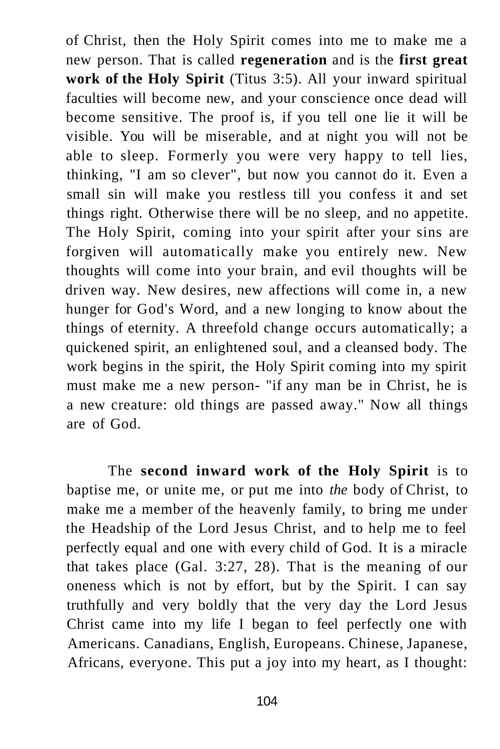of Christ, then the Holy Spirit comes into me to make me a new person. That is called **regeneration** and is the **first great work of the Holy Spirit** (Titus 3:5). All your inward spiritual faculties will become new, and your conscience once dead will become sensitive. The proof is, if you tell one lie it will be visible. You will be miserable, and at night you will not be able to sleep. Formerly you were very happy to tell lies, thinking, "I am so clever", but now you cannot do it. Even a small sin will make you restless till you confess it and set things right. Otherwise there will be no sleep, and no appetite. The Holy Spirit, coming into your spirit after your sins are forgiven will automatically make you entirely new. New thoughts will come into your brain, and evil thoughts will be driven way. New desires, new affections will come in, a new hunger for God's Word, and a new longing to know about the things of eternity. A threefold change occurs automatically; a quickened spirit, an enlightened soul, and a cleansed body. The work begins in the spirit, the Holy Spirit coming into my spirit must make me a new person- "if any man be in Christ, he is a new creature: old things are passed away." Now all things are of God.

The **second inward work of the Holy Spirit** is to baptise me, or unite me, or put me into *the* body of Christ, to make me a member of the heavenly family, to bring me under the Headship of the Lord Jesus Christ, and to help me to feel perfectly equal and one with every child of God. It is a miracle that takes place (Gal. 3:27, 28). That is the meaning of our oneness which is not by effort, but by the Spirit. I can say truthfully and very boldly that the very day the Lord Jesus Christ came into my life I began to feel perfectly one with Americans. Canadians, English, Europeans. Chinese, Japanese, Africans, everyone. This put a joy into my heart, as I thought: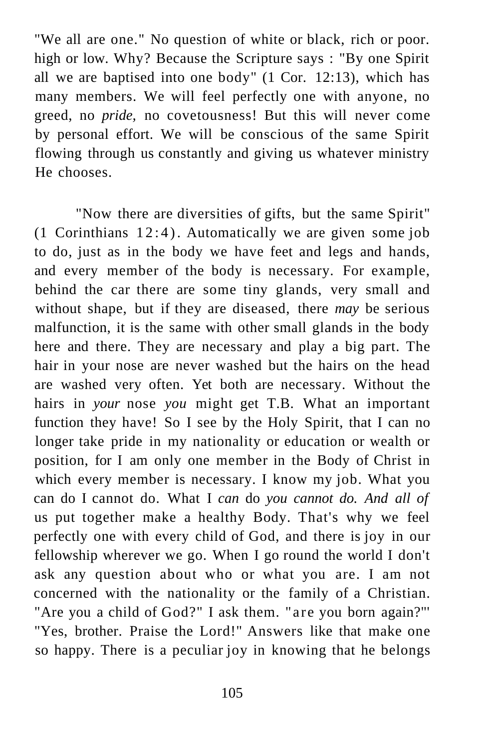"We all are one." No question of white or black, rich or poor. high or low. Why? Because the Scripture says : "By one Spirit all we are baptised into one body" (1 Cor. 12:13), which has many members. We will feel perfectly one with anyone, no greed, no *pride,* no covetousness! But this will never come by personal effort. We will be conscious of the same Spirit flowing through us constantly and giving us whatever ministry He chooses.

"Now there are diversities of gifts, but the same Spirit" (1 Corinthians 12:4). Automatically we are given some job to do, just as in the body we have feet and legs and hands, and every member of the body is necessary. For example, behind the car there are some tiny glands, very small and without shape, but if they are diseased, there *may* be serious malfunction, it is the same with other small glands in the body here and there. They are necessary and play a big part. The hair in your nose are never washed but the hairs on the head are washed very often. Yet both are necessary. Without the hairs in *your* nose *you* might get T.B. What an important function they have! So I see by the Holy Spirit, that I can no longer take pride in my nationality or education or wealth or position, for I am only one member in the Body of Christ in which every member is necessary. I know my job. What you can do I cannot do. What I *can* do *you cannot do. And all of*  us put together make a healthy Body. That's why we feel perfectly one with every child of God, and there is joy in our fellowship wherever we go. When I go round the world I don't ask any question about who or what you are. I am not concerned with the nationality or the family of a Christian. "Are you a child of God?" I ask them. "are you born again?"' "Yes, brother. Praise the Lord!" Answers like that make one so happy. There is a peculiar joy in knowing that he belongs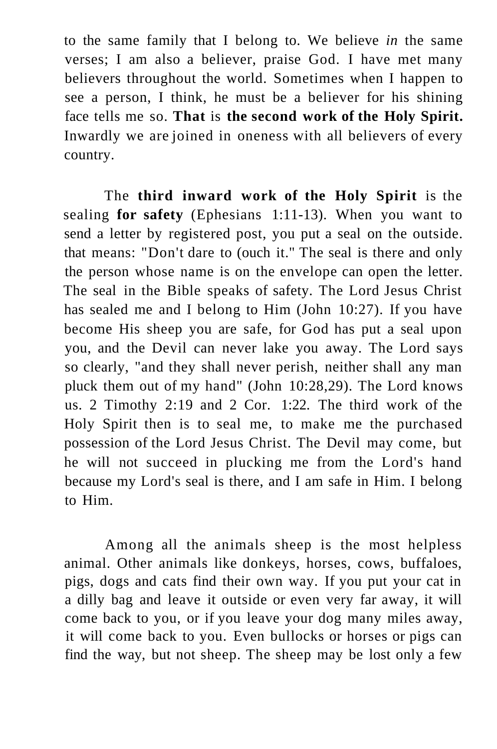to the same family that I belong to. We believe *in* the same verses; I am also a believer, praise God. I have met many believers throughout the world. Sometimes when I happen to see a person, I think, he must be a believer for his shining face tells me so. **That** is **the second work of the Holy Spirit.**  Inwardly we are joined in oneness with all believers of every country.

The **third inward work of the Holy Spirit** is the sealing **for safety** (Ephesians 1:11-13). When you want to send a letter by registered post, you put a seal on the outside. that means: "Don't dare to (ouch it." The seal is there and only the person whose name is on the envelope can open the letter. The seal in the Bible speaks of safety. The Lord Jesus Christ has sealed me and I belong to Him (John 10:27). If you have become His sheep you are safe, for God has put a seal upon you, and the Devil can never lake you away. The Lord says so clearly, "and they shall never perish, neither shall any man pluck them out of my hand" (John 10:28,29). The Lord knows us. 2 Timothy 2:19 and 2 Cor. 1:22. The third work of the Holy Spirit then is to seal me, to make me the purchased possession of the Lord Jesus Christ. The Devil may come, but he will not succeed in plucking me from the Lord's hand because my Lord's seal is there, and I am safe in Him. I belong to Him.

Among all the animals sheep is the most helpless animal. Other animals like donkeys, horses, cows, buffaloes, pigs, dogs and cats find their own way. If you put your cat in a dilly bag and leave it outside or even very far away, it will come back to you, or if you leave your dog many miles away, it will come back to you. Even bullocks or horses or pigs can find the way, but not sheep. The sheep may be lost only a few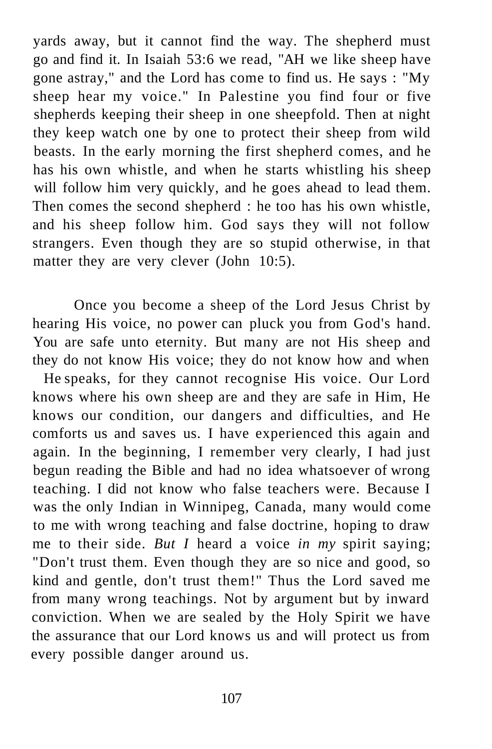yards away, but it cannot find the way. The shepherd must go and find it. In Isaiah 53:6 we read, "AH we like sheep have gone astray," and the Lord has come to find us. He says : "My sheep hear my voice." In Palestine you find four or five shepherds keeping their sheep in one sheepfold. Then at night they keep watch one by one to protect their sheep from wild beasts. In the early morning the first shepherd comes, and he has his own whistle, and when he starts whistling his sheep will follow him very quickly, and he goes ahead to lead them. Then comes the second shepherd : he too has his own whistle, and his sheep follow him. God says they will not follow strangers. Even though they are so stupid otherwise, in that matter they are very clever (John 10:5).

Once you become a sheep of the Lord Jesus Christ by hearing His voice, no power can pluck you from God's hand. You are safe unto eternity. But many are not His sheep and they do not know His voice; they do not know how and when

He speaks, for they cannot recognise His voice. Our Lord knows where his own sheep are and they are safe in Him, He knows our condition, our dangers and difficulties, and He comforts us and saves us. I have experienced this again and again. In the beginning, I remember very clearly, I had just begun reading the Bible and had no idea whatsoever of wrong teaching. I did not know who false teachers were. Because I was the only Indian in Winnipeg, Canada, many would come to me with wrong teaching and false doctrine, hoping to draw me to their side. *But I* heard a voice *in my* spirit saying; "Don't trust them. Even though they are so nice and good, so kind and gentle, don't trust them!" Thus the Lord saved me from many wrong teachings. Not by argument but by inward conviction. When we are sealed by the Holy Spirit we have the assurance that our Lord knows us and will protect us from every possible danger around us.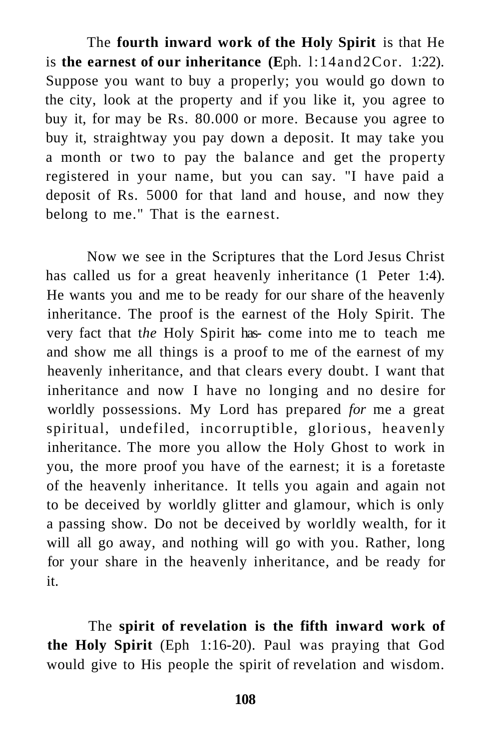The **fourth inward work of the Holy Spirit** is that He is **the earnest of our inheritance (E**ph. l:14and2Cor. 1:22). Suppose you want to buy a properly; you would go down to the city, look at the property and if you like it, you agree to buy it, for may be Rs. 80.000 or more. Because you agree to buy it, straightway you pay down a deposit. It may take you a month or two to pay the balance and get the property registered in your name, but you can say. "I have paid a deposit of Rs. 5000 for that land and house, and now they belong to me." That is the earnest.

Now we see in the Scriptures that the Lord Jesus Christ has called us for a great heavenly inheritance  $(1 \text{ Peter } 1:4)$ . He wants you and me to be ready for our share of the heavenly inheritance. The proof is the earnest of the Holy Spirit. The very fact that t*he* Holy Spirit has- come into me to teach me and show me all things is a proof to me of the earnest of my heavenly inheritance, and that clears every doubt. I want that inheritance and now I have no longing and no desire for worldly possessions. My Lord has prepared *for* me a great spiritual, undefiled, incorruptible, glorious, heavenly inheritance. The more you allow the Holy Ghost to work in you, the more proof you have of the earnest; it is a foretaste of the heavenly inheritance. It tells you again and again not to be deceived by worldly glitter and glamour, which is only a passing show. Do not be deceived by worldly wealth, for it will all go away, and nothing will go with you. Rather, long for your share in the heavenly inheritance, and be ready for it.

The **spirit of revelation is the fifth inward work of the Holy Spirit** (Eph 1:16-20). Paul was praying that God would give to His people the spirit of revelation and wisdom.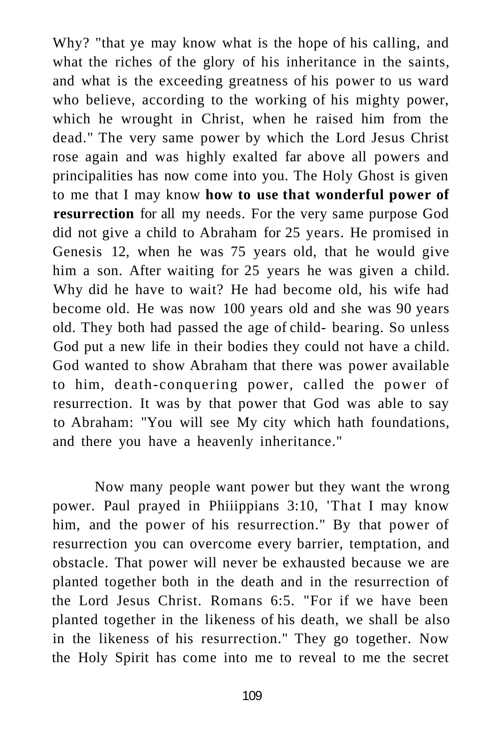Why? "that ye may know what is the hope of his calling, and what the riches of the glory of his inheritance in the saints, and what is the exceeding greatness of his power to us ward who believe, according to the working of his mighty power, which he wrought in Christ, when he raised him from the dead." The very same power by which the Lord Jesus Christ rose again and was highly exalted far above all powers and principalities has now come into you. The Holy Ghost is given to me that I may know **how to use that wonderful power of resurrection** for all my needs. For the very same purpose God did not give a child to Abraham for 25 years. He promised in Genesis 12, when he was 75 years old, that he would give him a son. After waiting for 25 years he was given a child. Why did he have to wait? He had become old, his wife had become old. He was now 100 years old and she was 90 years old. They both had passed the age of child- bearing. So unless God put a new life in their bodies they could not have a child. God wanted to show Abraham that there was power available to him, death-conquering power, called the power of resurrection. It was by that power that God was able to say to Abraham: "You will see My city which hath foundations, and there you have a heavenly inheritance."

Now many people want power but they want the wrong power. Paul prayed in Phiiippians 3:10, 'That I may know him, and the power of his resurrection." By that power of resurrection you can overcome every barrier, temptation, and obstacle. That power will never be exhausted because we are planted together both in the death and in the resurrection of the Lord Jesus Christ. Romans 6:5. "For if we have been planted together in the likeness of his death, we shall be also in the likeness of his resurrection." They go together. Now the Holy Spirit has come into me to reveal to me the secret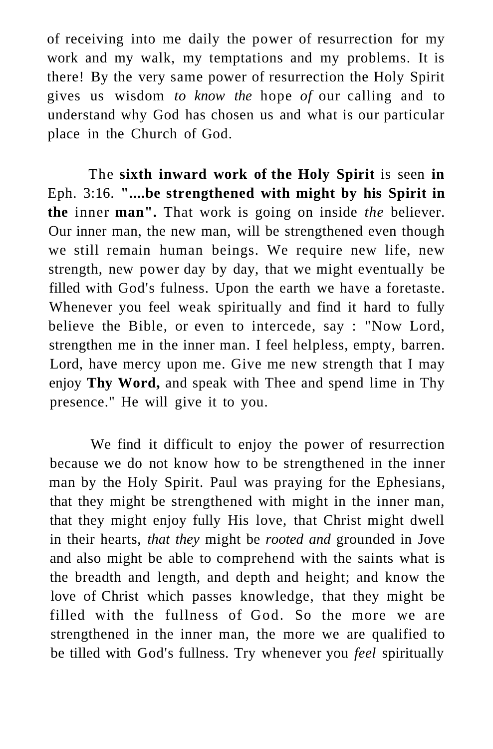of receiving into me daily the power of resurrection for my work and my walk, my temptations and my problems. It is there! By the very same power of resurrection the Holy Spirit gives us wisdom *to know the* hope *of* our calling and to understand why God has chosen us and what is our particular place in the Church of God.

The **sixth inward work of the Holy Spirit** is seen **in**  Eph. 3:16. **"....be strengthened with might by his Spirit in the** inner **man".** That work is going on inside *the* believer. Our inner man, the new man, will be strengthened even though we still remain human beings. We require new life, new strength, new power day by day, that we might eventually be filled with God's fulness. Upon the earth we have a foretaste. Whenever you feel weak spiritually and find it hard to fully believe the Bible, or even to intercede, say : "Now Lord, strengthen me in the inner man. I feel helpless, empty, barren. Lord, have mercy upon me. Give me new strength that I may enjoy **Thy Word,** and speak with Thee and spend lime in Thy presence." He will give it to you.

We find it difficult to enjoy the power of resurrection because we do not know how to be strengthened in the inner man by the Holy Spirit. Paul was praying for the Ephesians, that they might be strengthened with might in the inner man, that they might enjoy fully His love, that Christ might dwell in their hearts, *that they* might be *rooted and* grounded in Jove and also might be able to comprehend with the saints what is the breadth and length, and depth and height; and know the love of Christ which passes knowledge, that they might be filled with the fullness of God. So the more we are strengthened in the inner man, the more we are qualified to be tilled with God's fullness. Try whenever you *feel* spiritually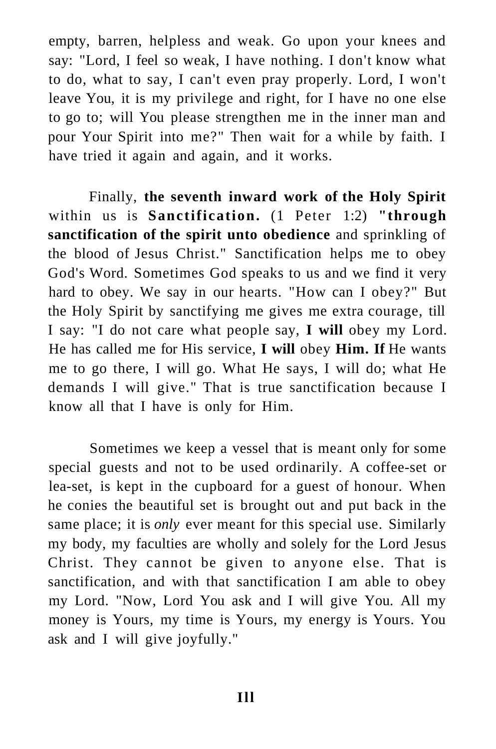empty, barren, helpless and weak. Go upon your knees and say: "Lord, I feel so weak, I have nothing. I don't know what to do, what to say, I can't even pray properly. Lord, I won't leave You, it is my privilege and right, for I have no one else to go to; will You please strengthen me in the inner man and pour Your Spirit into me?" Then wait for a while by faith. I have tried it again and again, and it works.

Finally, **the seventh inward work of the Holy Spirit**  within us is **Sanctification.** (1 Peter 1:2) **"through sanctification of the spirit unto obedience** and sprinkling of the blood of Jesus Christ." Sanctification helps me to obey God's Word. Sometimes God speaks to us and we find it very hard to obey. We say in our hearts. "How can I obey?" But the Holy Spirit by sanctifying me gives me extra courage, till I say: "I do not care what people say, **I will** obey my Lord. He has called me for His service, **I will** obey **Him. If** He wants me to go there, I will go. What He says, I will do; what He demands I will give." That is true sanctification because I know all that I have is only for Him.

Sometimes we keep a vessel that is meant only for some special guests and not to be used ordinarily. A coffee-set or lea-set, is kept in the cupboard for a guest of honour. When he conies the beautiful set is brought out and put back in the same place; it is *only* ever meant for this special use. Similarly my body, my faculties are wholly and solely for the Lord Jesus Christ. They cannot be given to anyone else. That is sanctification, and with that sanctification I am able to obey my Lord. "Now, Lord You ask and I will give You. All my money is Yours, my time is Yours, my energy is Yours. You ask and I will give joyfully."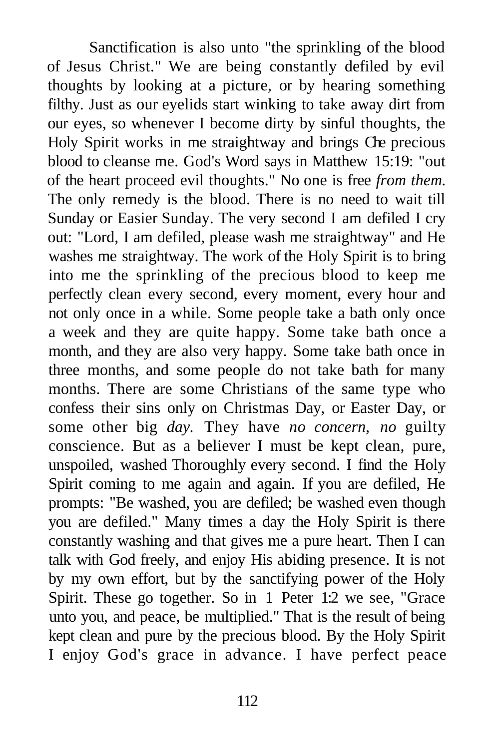Sanctification is also unto "the sprinkling of the blood of Jesus Christ." We are being constantly defiled by evil thoughts by looking at a picture, or by hearing something filthy. Just as our eyelids start winking to take away dirt from our eyes, so whenever I become dirty by sinful thoughts, the Holy Spirit works in me straightway and brings Che precious blood to cleanse me. God's Word says in Matthew 15:19: "out of the heart proceed evil thoughts." No one is free *from them.*  The only remedy is the blood. There is no need to wait till Sunday or Easier Sunday. The very second I am defiled I cry out: "Lord, I am defiled, please wash me straightway" and He washes me straightway. The work of the Holy Spirit is to bring into me the sprinkling of the precious blood to keep me perfectly clean every second, every moment, every hour and not only once in a while. Some people take a bath only once a week and they are quite happy. Some take bath once a month, and they are also very happy. Some take bath once in three months, and some people do not take bath for many months. There are some Christians of the same type who confess their sins only on Christmas Day, or Easter Day, or some other big *day.* They have *no concern, no* guilty conscience. But as a believer I must be kept clean, pure, unspoiled, washed Thoroughly every second. I find the Holy Spirit coming to me again and again. If you are defiled, He prompts: "Be washed, you are defiled; be washed even though you are defiled." Many times a day the Holy Spirit is there constantly washing and that gives me a pure heart. Then I can talk with God freely, and enjoy His abiding presence. It is not by my own effort, but by the sanctifying power of the Holy Spirit. These go together. So in 1 Peter 1:2 we see, "Grace unto you, and peace, be multiplied." That is the result of being kept clean and pure by the precious blood. By the Holy Spirit I enjoy God's grace in advance. I have perfect peace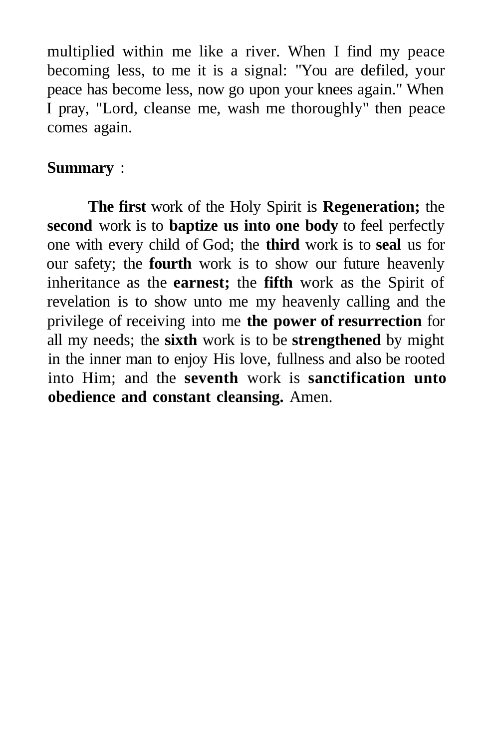multiplied within me like a river. When I find my peace becoming less, to me it is a signal: "You are defiled, your peace has become less, now go upon your knees again." When I pray, "Lord, cleanse me, wash me thoroughly" then peace comes again.

## **Summary** :

**The first** work of the Holy Spirit is **Regeneration;** the **second** work is to **baptize us into one body** to feel perfectly one with every child of God; the **third** work is to **seal** us for our safety; the **fourth** work is to show our future heavenly inheritance as the **earnest;** the **fifth** work as the Spirit of revelation is to show unto me my heavenly calling and the privilege of receiving into me **the power of resurrection** for all my needs; the **sixth** work is to be **strengthened** by might in the inner man to enjoy His love, fullness and also be rooted into Him; and the **seventh** work is **sanctification unto obedience and constant cleansing.** Amen.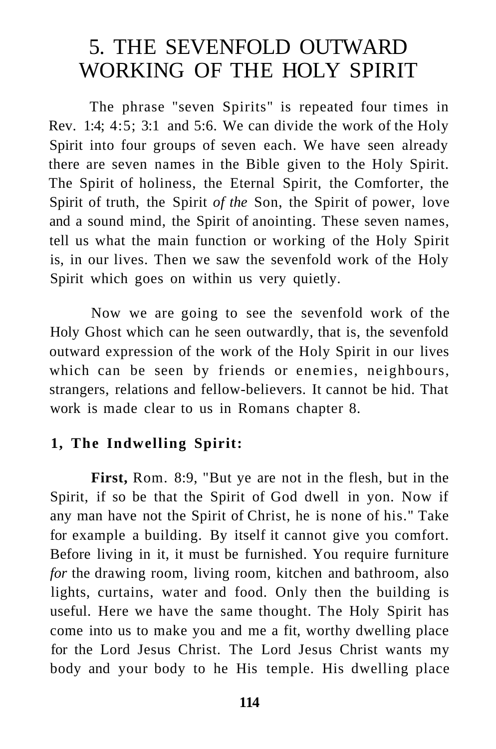# 5. THE SEVENFOLD OUTWARD WORKING OF THE HOLY SPIRIT

The phrase "seven Spirits" is repeated four times in Rev. 1:4; 4:5; 3:1 and 5:6. We can divide the work of the Holy Spirit into four groups of seven each. We have seen already there are seven names in the Bible given to the Holy Spirit. The Spirit of holiness, the Eternal Spirit, the Comforter, the Spirit of truth, the Spirit *of the* Son, the Spirit of power, love and a sound mind, the Spirit of anointing. These seven names, tell us what the main function or working of the Holy Spirit is, in our lives. Then we saw the sevenfold work of the Holy Spirit which goes on within us very quietly.

Now we are going to see the sevenfold work of the Holy Ghost which can he seen outwardly, that is, the sevenfold outward expression of the work of the Holy Spirit in our lives which can be seen by friends or enemies, neighbours, strangers, relations and fellow-believers. It cannot be hid. That work is made clear to us in Romans chapter 8.

#### **1, The Indwelling Spirit:**

**First,** Rom. 8:9, "But ye are not in the flesh, but in the Spirit, if so be that the Spirit of God dwell in yon. Now if any man have not the Spirit of Christ, he is none of his." Take for example a building. By itself it cannot give you comfort. Before living in it, it must be furnished. You require furniture *for* the drawing room, living room, kitchen and bathroom, also lights, curtains, water and food. Only then the building is useful. Here we have the same thought. The Holy Spirit has come into us to make you and me a fit, worthy dwelling place for the Lord Jesus Christ. The Lord Jesus Christ wants my body and your body to he His temple. His dwelling place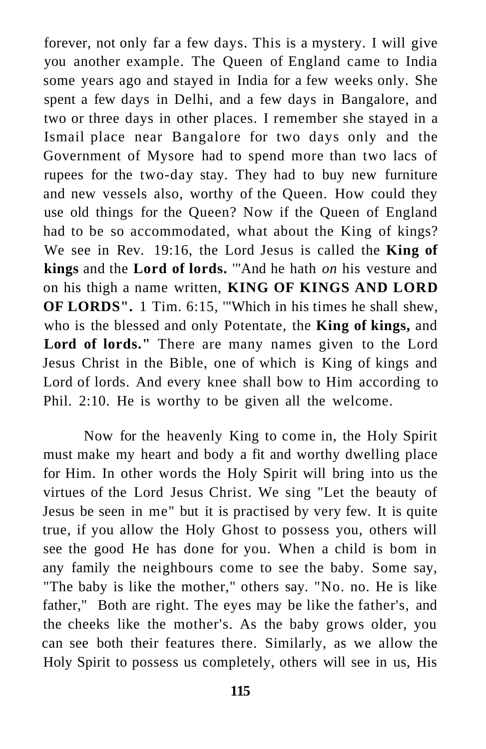forever, not only far a few days. This is a mystery. I will give you another example. The Queen of England came to India some years ago and stayed in India for a few weeks only. She spent a few days in Delhi, and a few days in Bangalore, and two or three days in other places. I remember she stayed in a Ismail place near Bangalore for two days only and the Government of Mysore had to spend more than two lacs of rupees for the two-day stay. They had to buy new furniture and new vessels also, worthy of the Queen. How could they use old things for the Queen? Now if the Queen of England had to be so accommodated, what about the King of kings? We see in Rev. 19:16, the Lord Jesus is called the **King of kings** and the **Lord of lords.** '"And he hath *on* his vesture and on his thigh a name written, **KING OF KINGS AND LORD OF LORDS".** 1 Tim. 6:15, '"Which in his times he shall shew, who is the blessed and only Potentate, the **King of kings,** and **Lord of lords."** There are many names given to the Lord Jesus Christ in the Bible, one of which is King of kings and Lord of lords. And every knee shall bow to Him according to Phil. 2:10. He is worthy to be given all the welcome.

Now for the heavenly King to come in, the Holy Spirit must make my heart and body a fit and worthy dwelling place for Him. In other words the Holy Spirit will bring into us the virtues of the Lord Jesus Christ. We sing "Let the beauty of Jesus be seen in me" but it is practised by very few. It is quite true, if you allow the Holy Ghost to possess you, others will see the good He has done for you. When a child is bom in any family the neighbours come to see the baby. Some say, "The baby is like the mother," others say. "No. no. He is like father," Both are right. The eyes may be like the father's, and the cheeks like the mother's. As the baby grows older, you can see both their features there. Similarly, as we allow the Holy Spirit to possess us completely, others will see in us, His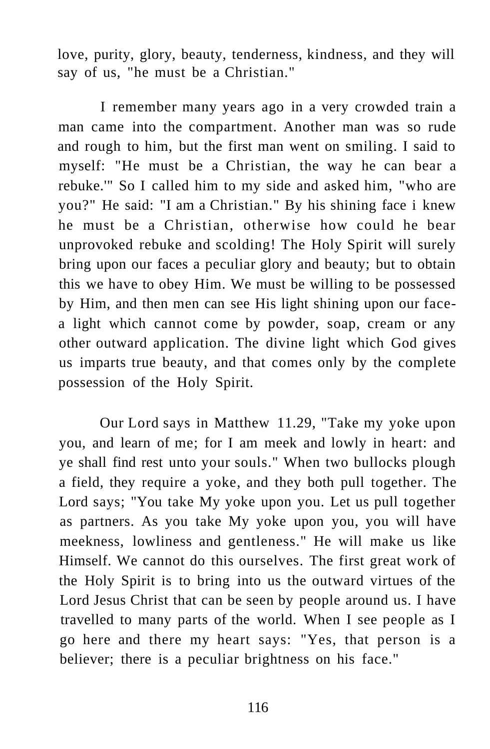love, purity, glory, beauty, tenderness, kindness, and they will say of us, "he must be a Christian."

I remember many years ago in a very crowded train a man came into the compartment. Another man was so rude and rough to him, but the first man went on smiling. I said to myself: "He must be a Christian, the way he can bear a rebuke.'" So I called him to my side and asked him, "who are you?" He said: "I am a Christian." By his shining face i knew he must be a Christian, otherwise how could he bear unprovoked rebuke and scolding! The Holy Spirit will surely bring upon our faces a peculiar glory and beauty; but to obtain this we have to obey Him. We must be willing to be possessed by Him, and then men can see His light shining upon our facea light which cannot come by powder, soap, cream or any other outward application. The divine light which God gives us imparts true beauty, and that comes only by the complete possession of the Holy Spirit.

Our Lord says in Matthew 11.29, "Take my yoke upon you, and learn of me; for I am meek and lowly in heart: and ye shall find rest unto your souls." When two bullocks plough a field, they require a yoke, and they both pull together. The Lord says; "You take My yoke upon you. Let us pull together as partners. As you take My yoke upon you, you will have meekness, lowliness and gentleness." He will make us like Himself. We cannot do this ourselves. The first great work of the Holy Spirit is to bring into us the outward virtues of the Lord Jesus Christ that can be seen by people around us. I have travelled to many parts of the world. When I see people as I go here and there my heart says: "Yes, that person is a believer; there is a peculiar brightness on his face."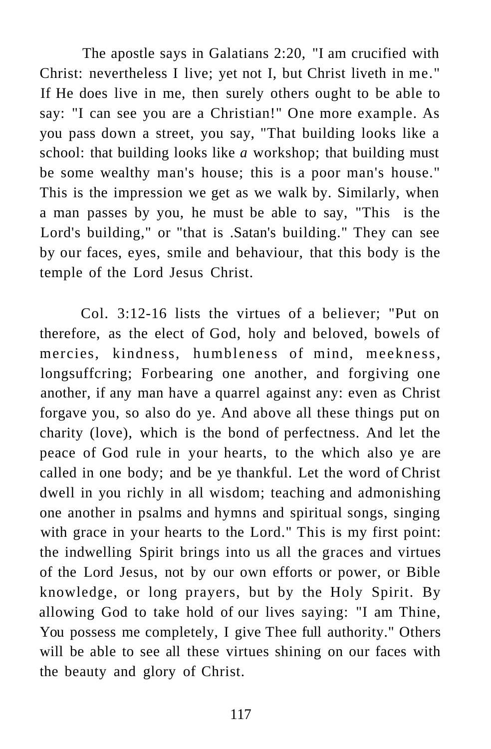The apostle says in Galatians 2:20, "I am crucified with Christ: nevertheless I live; yet not I, but Christ liveth in me." If He does live in me, then surely others ought to be able to say: "I can see you are a Christian!" One more example. As you pass down a street, you say, "That building looks like a school: that building looks like *a* workshop; that building must be some wealthy man's house; this is a poor man's house." This is the impression we get as we walk by. Similarly, when a man passes by you, he must be able to say, "This is the Lord's building," or "that is .Satan's building." They can see by our faces, eyes, smile and behaviour, that this body is the temple of the Lord Jesus Christ.

Col. 3:12-16 lists the virtues of a believer; "Put on therefore, as the elect of God, holy and beloved, bowels of mercies, kindness, humbleness of mind, meekness, longsuffcring; Forbearing one another, and forgiving one another, if any man have a quarrel against any: even as Christ forgave you, so also do ye. And above all these things put on charity (love), which is the bond of perfectness. And let the peace of God rule in your hearts, to the which also ye are called in one body; and be ye thankful. Let the word of Christ dwell in you richly in all wisdom; teaching and admonishing one another in psalms and hymns and spiritual songs, singing with grace in your hearts to the Lord." This is my first point: the indwelling Spirit brings into us all the graces and virtues of the Lord Jesus, not by our own efforts or power, or Bible knowledge, or long prayers, but by the Holy Spirit. By allowing God to take hold of our lives saying: "I am Thine, You possess me completely, I give Thee full authority." Others will be able to see all these virtues shining on our faces with the beauty and glory of Christ.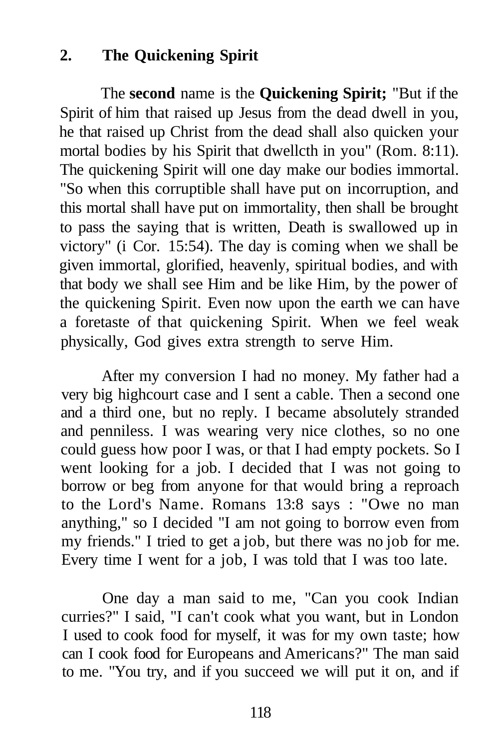# **2. The Quickening Spirit**

The **second** name is the **Quickening Spirit;** "But if the Spirit of him that raised up Jesus from the dead dwell in you, he that raised up Christ from the dead shall also quicken your mortal bodies by his Spirit that dwellcth in you" (Rom. 8:11). The quickening Spirit will one day make our bodies immortal. "So when this corruptible shall have put on incorruption, and this mortal shall have put on immortality, then shall be brought to pass the saying that is written, Death is swallowed up in victory" (i Cor. 15:54). The day is coming when we shall be given immortal, glorified, heavenly, spiritual bodies, and with that body we shall see Him and be like Him, by the power of the quickening Spirit. Even now upon the earth we can have a foretaste of that quickening Spirit. When we feel weak physically, God gives extra strength to serve Him.

After my conversion I had no money. My father had a very big highcourt case and I sent a cable. Then a second one and a third one, but no reply. I became absolutely stranded and penniless. I was wearing very nice clothes, so no one could guess how poor I was, or that I had empty pockets. So I went looking for a job. I decided that I was not going to borrow or beg from anyone for that would bring a reproach to the Lord's Name. Romans 13:8 says : "Owe no man anything," so I decided "I am not going to borrow even from my friends." I tried to get a job, but there was no job for me. Every time I went for a job, I was told that I was too late.

One day a man said to me, "Can you cook Indian curries?" I said, "I can't cook what you want, but in London I used to cook food for myself, it was for my own taste; how can I cook food for Europeans and Americans?" The man said to me. "You try, and if you succeed we will put it on, and if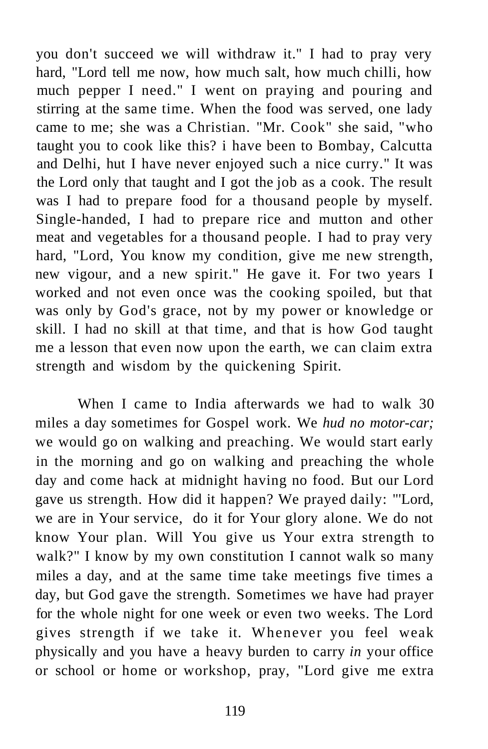you don't succeed we will withdraw it." I had to pray very hard, "Lord tell me now, how much salt, how much chilli, how much pepper I need." I went on praying and pouring and stirring at the same time. When the food was served, one lady came to me; she was a Christian. "Mr. Cook" she said, "who taught you to cook like this? i have been to Bombay, Calcutta and Delhi, hut I have never enjoyed such a nice curry." It was the Lord only that taught and I got the job as a cook. The result was I had to prepare food for a thousand people by myself. Single-handed, I had to prepare rice and mutton and other meat and vegetables for a thousand people. I had to pray very hard, "Lord, You know my condition, give me new strength, new vigour, and a new spirit." He gave it. For two years I worked and not even once was the cooking spoiled, but that was only by God's grace, not by my power or knowledge or skill. I had no skill at that time, and that is how God taught me a lesson that even now upon the earth, we can claim extra strength and wisdom by the quickening Spirit.

When I came to India afterwards we had to walk 30 miles a day sometimes for Gospel work. We *hud no motor-car;*  we would go on walking and preaching. We would start early in the morning and go on walking and preaching the whole day and come hack at midnight having no food. But our Lord gave us strength. How did it happen? We prayed daily: "'Lord, we are in Your service, do it for Your glory alone. We do not know Your plan. Will You give us Your extra strength to walk?" I know by my own constitution I cannot walk so many miles a day, and at the same time take meetings five times a day, but God gave the strength. Sometimes we have had prayer for the whole night for one week or even two weeks. The Lord gives strength if we take it. Whenever you feel weak physically and you have a heavy burden to carry *in* your office or school or home or workshop, pray, "Lord give me extra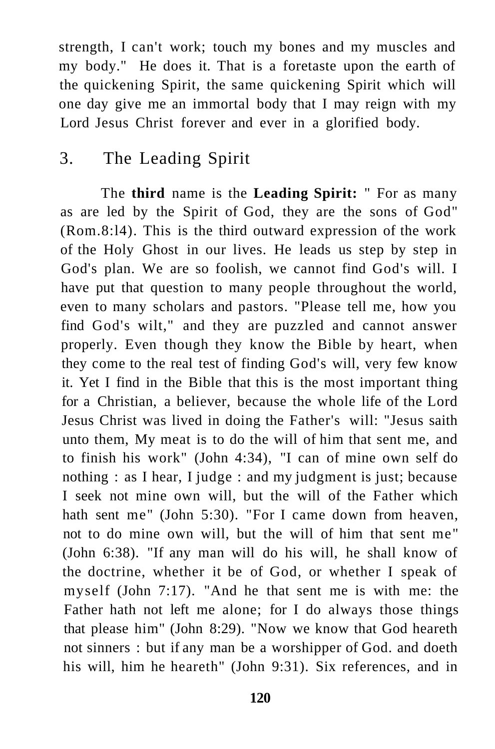strength, I can't work; touch my bones and my muscles and my body." He does it. That is a foretaste upon the earth of the quickening Spirit, the same quickening Spirit which will one day give me an immortal body that I may reign with my Lord Jesus Christ forever and ever in a glorified body.

# 3. The Leading Spirit

The **third** name is the **Leading Spirit:** " For as many as are led by the Spirit of God, they are the sons of God" (Rom.8:l4). This is the third outward expression of the work of the Holy Ghost in our lives. He leads us step by step in God's plan. We are so foolish, we cannot find God's will. I have put that question to many people throughout the world, even to many scholars and pastors. "Please tell me, how you find God's wilt," and they are puzzled and cannot answer properly. Even though they know the Bible by heart, when they come to the real test of finding God's will, very few know it. Yet I find in the Bible that this is the most important thing for a Christian, a believer, because the whole life of the Lord Jesus Christ was lived in doing the Father's will: "Jesus saith unto them, My meat is to do the will of him that sent me, and to finish his work" (John 4:34), "I can of mine own self do nothing : as I hear, I judge : and my judgment is just; because I seek not mine own will, but the will of the Father which hath sent me" (John 5:30). "For I came down from heaven, not to do mine own will, but the will of him that sent me" (John 6:38). "If any man will do his will, he shall know of the doctrine, whether it be of God, or whether I speak of myself (John 7:17). "And he that sent me is with me: the Father hath not left me alone; for I do always those things that please him" (John 8:29). "Now we know that God heareth not sinners : but if any man be a worshipper of God. and doeth his will, him he heareth" (John 9:31). Six references, and in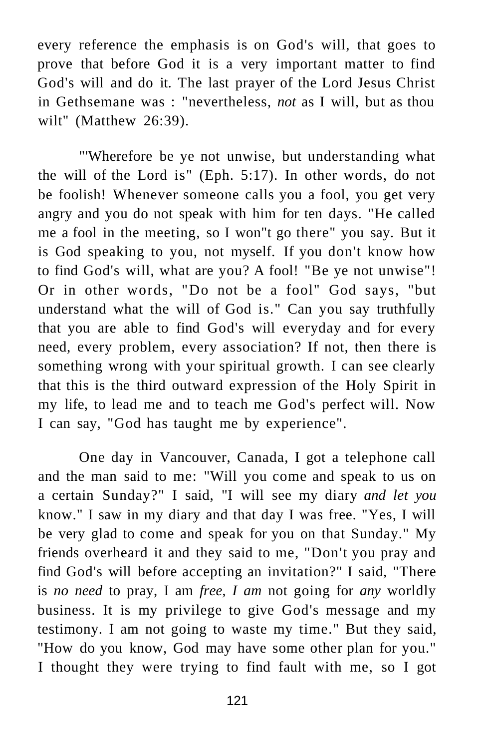every reference the emphasis is on God's will, that goes to prove that before God it is a very important matter to find God's will and do it. The last prayer of the Lord Jesus Christ in Gethsemane was : "nevertheless, *not* as I will, but as thou wilt" (Matthew 26:39).

"'Wherefore be ye not unwise, but understanding what the will of the Lord is" (Eph. 5:17). In other words, do not be foolish! Whenever someone calls you a fool, you get very angry and you do not speak with him for ten days. "He called me a fool in the meeting, so I won"t go there" you say. But it is God speaking to you, not myself. If you don't know how to find God's will, what are you? A fool! "Be ye not unwise"! Or in other words, "Do not be a fool" God says, "but understand what the will of God is." Can you say truthfully that you are able to find God's will everyday and for every need, every problem, every association? If not, then there is something wrong with your spiritual growth. I can see clearly that this is the third outward expression of the Holy Spirit in my life, to lead me and to teach me God's perfect will. Now I can say, "God has taught me by experience".

One day in Vancouver, Canada, I got a telephone call and the man said to me: "Will you come and speak to us on a certain Sunday?" I said, "I will see my diary *and let you*  know." I saw in my diary and that day I was free. "Yes, I will be very glad to come and speak for you on that Sunday." My friends overheard it and they said to me, "Don't you pray and find God's will before accepting an invitation?" I said, "There is *no need* to pray, I am *free, I am* not going for *any* worldly business. It is my privilege to give God's message and my testimony. I am not going to waste my time." But they said, "How do you know, God may have some other plan for you." I thought they were trying to find fault with me, so I got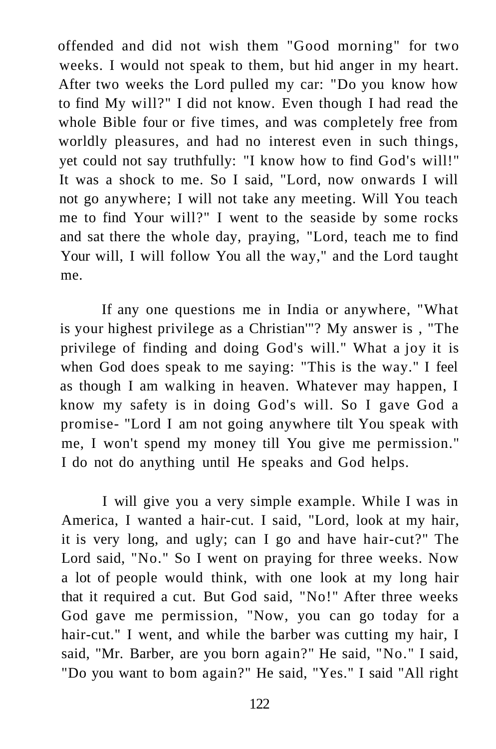offended and did not wish them "Good morning" for two weeks. I would not speak to them, but hid anger in my heart. After two weeks the Lord pulled my car: "Do you know how to find My will?" I did not know. Even though I had read the whole Bible four or five times, and was completely free from worldly pleasures, and had no interest even in such things, yet could not say truthfully: "I know how to find God's will!" It was a shock to me. So I said, "Lord, now onwards I will not go anywhere; I will not take any meeting. Will You teach me to find Your will?" I went to the seaside by some rocks and sat there the whole day, praying, "Lord, teach me to find Your will, I will follow You all the way," and the Lord taught me.

If any one questions me in India or anywhere, "What is your highest privilege as a Christian'"? My answer is , "The privilege of finding and doing God's will." What a joy it is when God does speak to me saying: "This is the way." I feel as though I am walking in heaven. Whatever may happen, I know my safety is in doing God's will. So I gave God a promise- "Lord I am not going anywhere tilt You speak with me, I won't spend my money till You give me permission." I do not do anything until He speaks and God helps.

I will give you a very simple example. While I was in America, I wanted a hair-cut. I said, "Lord, look at my hair, it is very long, and ugly; can I go and have hair-cut?" The Lord said, "No." So I went on praying for three weeks. Now a lot of people would think, with one look at my long hair that it required a cut. But God said, "No!" After three weeks God gave me permission, "Now, you can go today for a hair-cut." I went, and while the barber was cutting my hair, I said, "Mr. Barber, are you born again?" He said, "No." I said, "Do you want to bom again?" He said, "Yes." I said "All right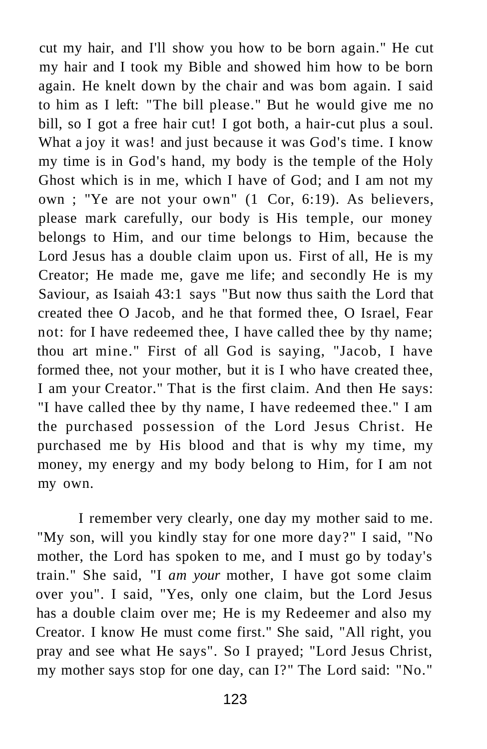cut my hair, and I'll show you how to be born again." He cut my hair and I took my Bible and showed him how to be born again. He knelt down by the chair and was bom again. I said to him as I left: "The bill please." But he would give me no bill, so I got a free hair cut! I got both, a hair-cut plus a soul. What a joy it was! and just because it was God's time. I know my time is in God's hand, my body is the temple of the Holy Ghost which is in me, which I have of God; and I am not my own ; "Ye are not your own" (1 Cor, 6:19). As believers, please mark carefully, our body is His temple, our money belongs to Him, and our time belongs to Him, because the Lord Jesus has a double claim upon us. First of all, He is my Creator; He made me, gave me life; and secondly He is my Saviour, as Isaiah 43:1 says "But now thus saith the Lord that created thee O Jacob, and he that formed thee, O Israel, Fear not: for I have redeemed thee, I have called thee by thy name; thou art mine." First of all God is saying, "Jacob, I have formed thee, not your mother, but it is I who have created thee, I am your Creator." That is the first claim. And then He says: "I have called thee by thy name, I have redeemed thee." I am the purchased possession of the Lord Jesus Christ. He purchased me by His blood and that is why my time, my money, my energy and my body belong to Him, for I am not my own.

I remember very clearly, one day my mother said to me. "My son, will you kindly stay for one more day?" I said, "No mother, the Lord has spoken to me, and I must go by today's train." She said, "I *am your* mother, I have got some claim over you". I said, "Yes, only one claim, but the Lord Jesus has a double claim over me; He is my Redeemer and also my Creator. I know He must come first." She said, "All right, you pray and see what He says". So I prayed; "Lord Jesus Christ, my mother says stop for one day, can I?" The Lord said: "No."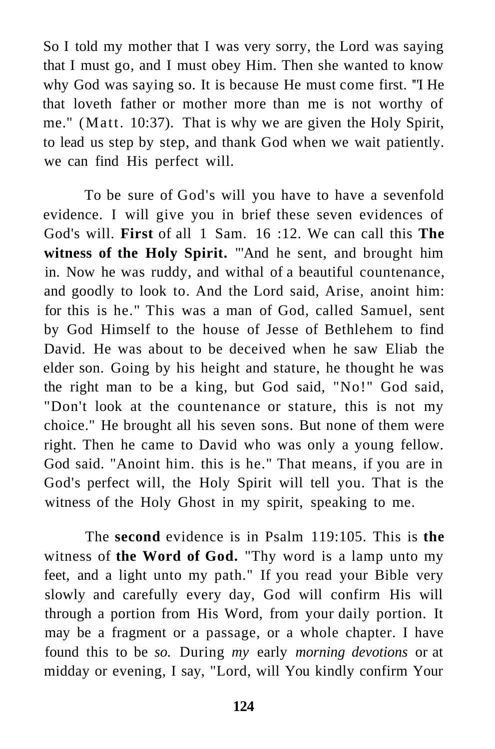So I told my mother that I was very sorry, the Lord was saying that I must go, and I must obey Him. Then she wanted to know why God was saying so. It is because He must come first. '"I He that loveth father or mother more than me is not worthy of me." (Matt. 10:37). That is why we are given the Holy Spirit, to lead us step by step, and thank God when we wait patiently. we can find His perfect will.

To be sure of God's will you have to have a sevenfold evidence. I will give you in brief these seven evidences of God's will. **First** of all 1 Sam. 16 :12. We can call this **The witness of the Holy Spirit.** "'And he sent, and brought him in. Now he was ruddy, and withal of a beautiful countenance, and goodly to look to. And the Lord said, Arise, anoint him: for this is he." This was a man of God, called Samuel, sent by God Himself to the house of Jesse of Bethlehem to find David. He was about to be deceived when he saw Eliab the elder son. Going by his height and stature, he thought he was the right man to be a king, but God said, "No!" God said, "Don't look at the countenance or stature, this is not my choice." He brought all his seven sons. But none of them were right. Then he came to David who was only a young fellow. God said. "Anoint him. this is he." That means, if you are in God's perfect will, the Holy Spirit will tell you. That is the witness of the Holy Ghost in my spirit, speaking to me.

The **second** evidence is in Psalm 119:105. This is **the**  witness of **the Word of God.** "Thy word is a lamp unto my feet, and a light unto my path." If you read your Bible very slowly and carefully every day, God will confirm His will through a portion from His Word, from your daily portion. It may be a fragment or a passage, or a whole chapter. I have found this to be *so.* During *my* early *morning devotions* or at midday or evening, I say, "Lord, will You kindly confirm Your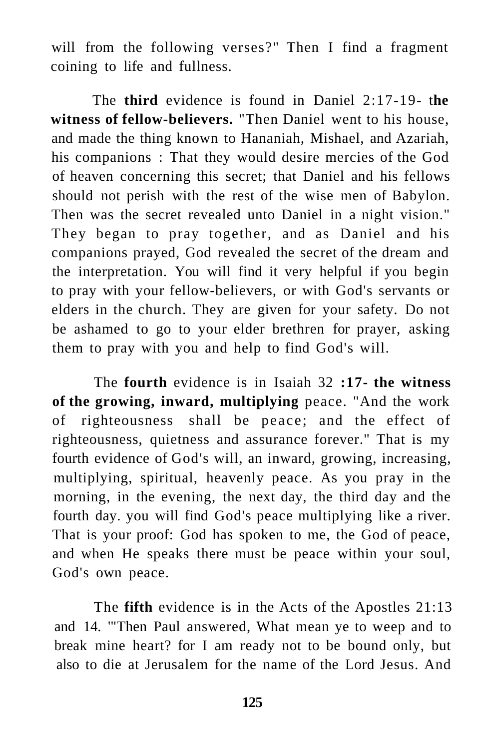will from the following verses?" Then I find a fragment coining to life and fullness.

The **third** evidence is found in Daniel 2:17-19- t**he witness of fellow-believers.** "Then Daniel went to his house, and made the thing known to Hananiah, Mishael, and Azariah, his companions : That they would desire mercies of the God of heaven concerning this secret; that Daniel and his fellows should not perish with the rest of the wise men of Babylon. Then was the secret revealed unto Daniel in a night vision." They began to pray together, and as Daniel and his companions prayed, God revealed the secret of the dream and the interpretation. You will find it very helpful if you begin to pray with your fellow-believers, or with God's servants or elders in the church. They are given for your safety. Do not be ashamed to go to your elder brethren for prayer, asking them to pray with you and help to find God's will.

The **fourth** evidence is in Isaiah 32 **:17- the witness of the growing, inward, multiplying** peace. "And the work of righteousness shall be peace; and the effect of righteousness, quietness and assurance forever." That is my fourth evidence of God's will, an inward, growing, increasing, multiplying, spiritual, heavenly peace. As you pray in the morning, in the evening, the next day, the third day and the fourth day. you will find God's peace multiplying like a river. That is your proof: God has spoken to me, the God of peace, and when He speaks there must be peace within your soul, God's own peace.

The **fifth** evidence is in the Acts of the Apostles 21:13 and 14. '"Then Paul answered, What mean ye to weep and to break mine heart? for I am ready not to be bound only, but also to die at Jerusalem for the name of the Lord Jesus. And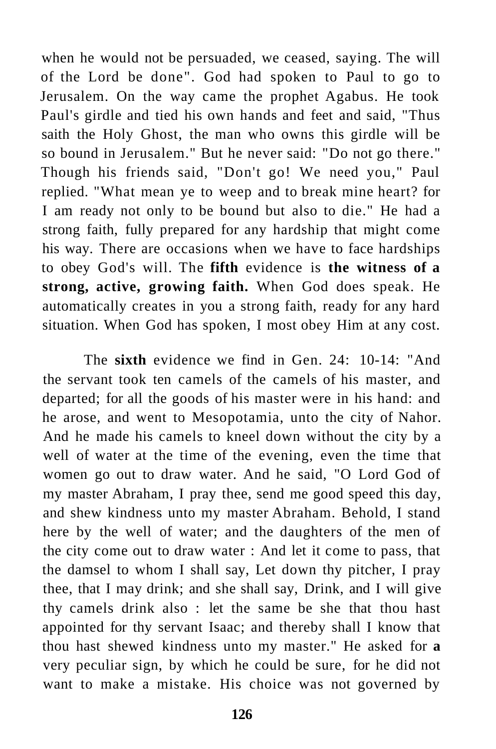when he would not be persuaded, we ceased, saying. The will of the Lord be done". God had spoken to Paul to go to Jerusalem. On the way came the prophet Agabus. He took Paul's girdle and tied his own hands and feet and said, "Thus saith the Holy Ghost, the man who owns this girdle will be so bound in Jerusalem." But he never said: "Do not go there." Though his friends said, "Don't go! We need you," Paul replied. "What mean ye to weep and to break mine heart? for I am ready not only to be bound but also to die." He had a strong faith, fully prepared for any hardship that might come his way. There are occasions when we have to face hardships to obey God's will. The **fifth** evidence is **the witness of a strong, active, growing faith.** When God does speak. He automatically creates in you a strong faith, ready for any hard situation. When God has spoken, I most obey Him at any cost.

The **sixth** evidence we find in Gen. 24: 10-14: "And the servant took ten camels of the camels of his master, and departed; for all the goods of his master were in his hand: and he arose, and went to Mesopotamia, unto the city of Nahor. And he made his camels to kneel down without the city by a well of water at the time of the evening, even the time that women go out to draw water. And he said, "O Lord God of my master Abraham, I pray thee, send me good speed this day, and shew kindness unto my master Abraham. Behold, I stand here by the well of water; and the daughters of the men of the city come out to draw water : And let it come to pass, that the damsel to whom I shall say, Let down thy pitcher, I pray thee, that I may drink; and she shall say, Drink, and I will give thy camels drink also : let the same be she that thou hast appointed for thy servant Isaac; and thereby shall I know that thou hast shewed kindness unto my master." He asked for **a**  very peculiar sign, by which he could be sure, for he did not want to make a mistake. His choice was not governed by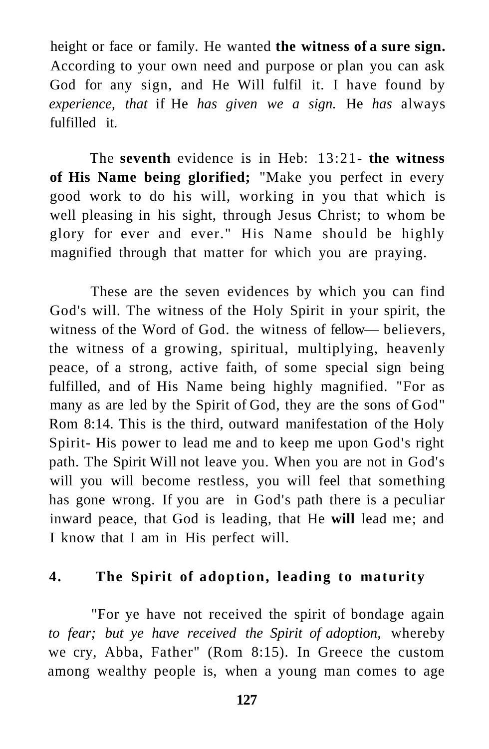height or face or family. He wanted **the witness of a sure sign.**  According to your own need and purpose or plan you can ask God for any sign, and He Will fulfil it. I have found by *experience, that* if He *has given we a sign.* He *has* always fulfilled it.

The **seventh** evidence is in Heb: 13:21- **the witness of His Name being glorified;** "Make you perfect in every good work to do his will, working in you that which is well pleasing in his sight, through Jesus Christ; to whom be glory for ever and ever." His Name should be highly magnified through that matter for which you are praying.

These are the seven evidences by which you can find God's will. The witness of the Holy Spirit in your spirit, the witness of the Word of God. the witness of fellow— believers, the witness of a growing, spiritual, multiplying, heavenly peace, of a strong, active faith, of some special sign being fulfilled, and of His Name being highly magnified. "For as many as are led by the Spirit of God, they are the sons of God" Rom 8:14. This is the third, outward manifestation of the Holy Spirit- His power to lead me and to keep me upon God's right path. The Spirit Will not leave you. When you are not in God's will you will become restless, you will feel that something has gone wrong. If you are in God's path there is a peculiar inward peace, that God is leading, that He **will** lead me; and I know that I am in His perfect will.

#### **4. The Spirit of adoption, leading to maturity**

"For ye have not received the spirit of bondage again *to fear; but ye have received the Spirit of adoption,* whereby we cry, Abba, Father" (Rom 8:15). In Greece the custom among wealthy people is, when a young man comes to age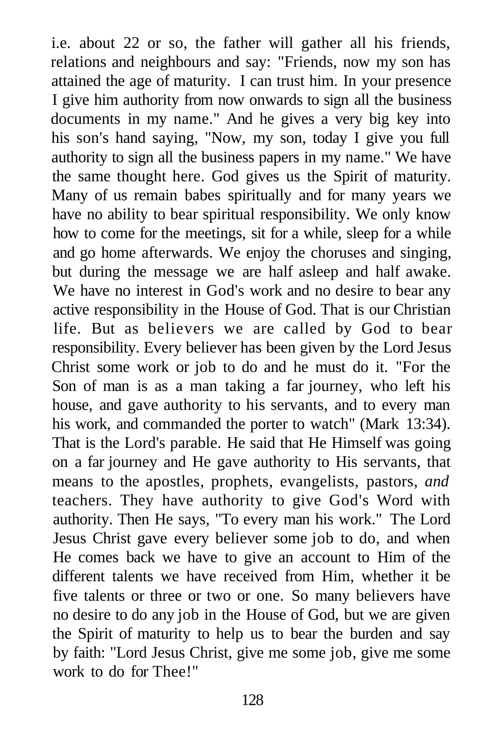i.e. about 22 or so, the father will gather all his friends, relations and neighbours and say: "Friends, now my son has attained the age of maturity. I can trust him. In your presence I give him authority from now onwards to sign all the business documents in my name." And he gives a very big key into his son's hand saying, "Now, my son, today I give you full authority to sign all the business papers in my name." We have the same thought here. God gives us the Spirit of maturity. Many of us remain babes spiritually and for many years we have no ability to bear spiritual responsibility. We only know how to come for the meetings, sit for a while, sleep for a while and go home afterwards. We enjoy the choruses and singing, but during the message we are half asleep and half awake. We have no interest in God's work and no desire to bear any active responsibility in the House of God. That is our Christian life. But as believers we are called by God to bear responsibility. Every believer has been given by the Lord Jesus Christ some work or job to do and he must do it. "For the Son of man is as a man taking a far journey, who left his house, and gave authority to his servants, and to every man his work, and commanded the porter to watch" (Mark 13:34). That is the Lord's parable. He said that He Himself was going on a far journey and He gave authority to His servants, that means to the apostles, prophets, evangelists, pastors, *and*  teachers. They have authority to give God's Word with authority. Then He says, "To every man his work." The Lord Jesus Christ gave every believer some job to do, and when He comes back we have to give an account to Him of the different talents we have received from Him, whether it be five talents or three or two or one. So many believers have no desire to do any job in the House of God, but we are given the Spirit of maturity to help us to bear the burden and say by faith: "Lord Jesus Christ, give me some job, give me some work to do for Thee!"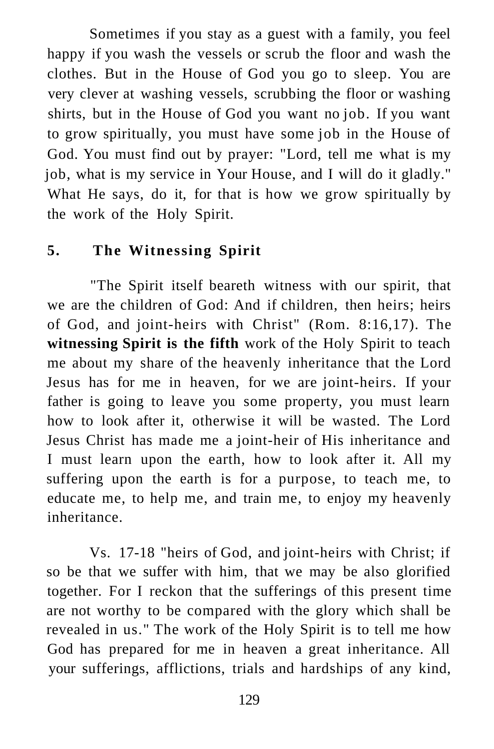Sometimes if you stay as a guest with a family, you feel happy if you wash the vessels or scrub the floor and wash the clothes. But in the House of God you go to sleep. You are very clever at washing vessels, scrubbing the floor or washing shirts, but in the House of God you want no job. If you want to grow spiritually, you must have some job in the House of God. You must find out by prayer: "Lord, tell me what is my job, what is my service in Your House, and I will do it gladly." What He says, do it, for that is how we grow spiritually by the work of the Holy Spirit.

#### **5. The Witnessing Spirit**

"The Spirit itself beareth witness with our spirit, that we are the children of God: And if children, then heirs; heirs of God, and joint-heirs with Christ" (Rom. 8:16,17). The **witnessing Spirit is the fifth** work of the Holy Spirit to teach me about my share of the heavenly inheritance that the Lord Jesus has for me in heaven, for we are joint-heirs. If your father is going to leave you some property, you must learn how to look after it, otherwise it will be wasted. The Lord Jesus Christ has made me a joint-heir of His inheritance and I must learn upon the earth, how to look after it. All my suffering upon the earth is for a purpose, to teach me, to educate me, to help me, and train me, to enjoy my heavenly inheritance.

Vs. 17-18 "heirs of God, and joint-heirs with Christ; if so be that we suffer with him, that we may be also glorified together. For I reckon that the sufferings of this present time are not worthy to be compared with the glory which shall be revealed in us." The work of the Holy Spirit is to tell me how God has prepared for me in heaven a great inheritance. All your sufferings, afflictions, trials and hardships of any kind,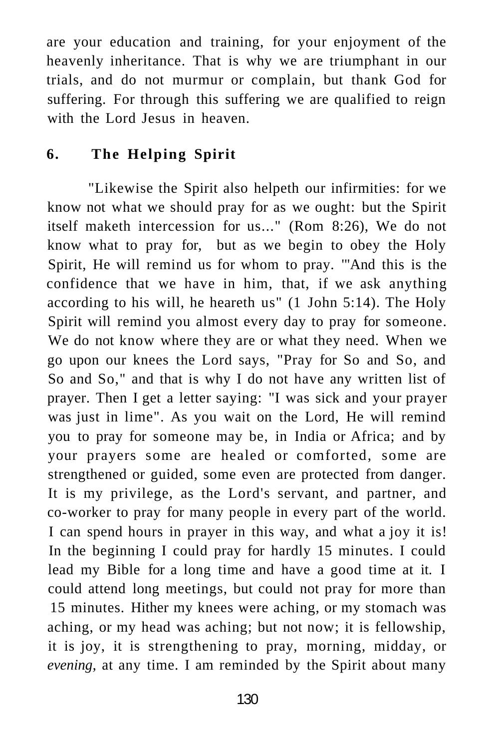are your education and training, for your enjoyment of the heavenly inheritance. That is why we are triumphant in our trials, and do not murmur or complain, but thank God for suffering. For through this suffering we are qualified to reign with the Lord Jesus in heaven.

## **6. The Helping Spirit**

"Likewise the Spirit also helpeth our infirmities: for we know not what we should pray for as we ought: but the Spirit itself maketh intercession for us..." (Rom 8:26), We do not know what to pray for, but as we begin to obey the Holy Spirit, He will remind us for whom to pray. '"And this is the confidence that we have in him, that, if we ask anything according to his will, he heareth us" (1 John 5:14). The Holy Spirit will remind you almost every day to pray for someone. We do not know where they are or what they need. When we go upon our knees the Lord says, "Pray for So and So, and So and So," and that is why I do not have any written list of prayer. Then I get a letter saying: "I was sick and your prayer was just in lime". As you wait on the Lord, He will remind you to pray for someone may be, in India or Africa; and by your prayers some are healed or comforted, some are strengthened or guided, some even are protected from danger. It is my privilege, as the Lord's servant, and partner, and co-worker to pray for many people in every part of the world. I can spend hours in prayer in this way, and what a joy it is! In the beginning I could pray for hardly 15 minutes. I could lead my Bible for a long time and have a good time at it. I could attend long meetings, but could not pray for more than 15 minutes. Hither my knees were aching, or my stomach was aching, or my head was aching; but not now; it is fellowship, it is joy, it is strengthening to pray, morning, midday, or *evening,* at any time. I am reminded by the Spirit about many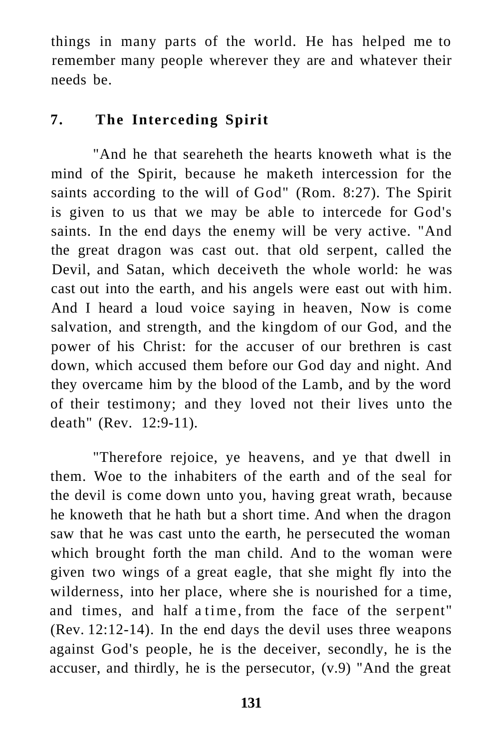things in many parts of the world. He has helped me to remember many people wherever they are and whatever their needs be.

## **7. The Interceding Spirit**

"And he that seareheth the hearts knoweth what is the mind of the Spirit, because he maketh intercession for the saints according to the will of God" (Rom. 8:27). The Spirit is given to us that we may be able to intercede for God's saints. In the end days the enemy will be very active. "And the great dragon was cast out. that old serpent, called the Devil, and Satan, which deceiveth the whole world: he was cast out into the earth, and his angels were east out with him. And I heard a loud voice saying in heaven, Now is come salvation, and strength, and the kingdom of our God, and the power of his Christ: for the accuser of our brethren is cast down, which accused them before our God day and night. And they overcame him by the blood of the Lamb, and by the word of their testimony; and they loved not their lives unto the death" (Rev. 12:9-11).

"Therefore rejoice, ye heavens, and ye that dwell in them. Woe to the inhabiters of the earth and of the seal for the devil is come down unto you, having great wrath, because he knoweth that he hath but a short time. And when the dragon saw that he was cast unto the earth, he persecuted the woman which brought forth the man child. And to the woman were given two wings of a great eagle, that she might fly into the wilderness, into her place, where she is nourished for a time, and times, and half a time , from the face of the serpent" (Rev. 12:12-14). In the end days the devil uses three weapons against God's people, he is the deceiver, secondly, he is the accuser, and thirdly, he is the persecutor, (v.9) "And the great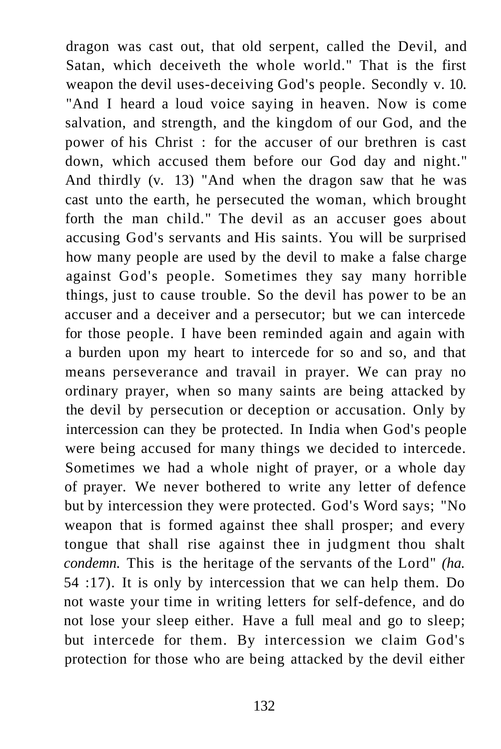dragon was cast out, that old serpent, called the Devil, and Satan, which deceiveth the whole world." That is the first weapon the devil uses-deceiving God's people. Secondly v. 10. "And I heard a loud voice saying in heaven. Now is come salvation, and strength, and the kingdom of our God, and the power of his Christ : for the accuser of our brethren is cast down, which accused them before our God day and night." And thirdly (v. 13) "And when the dragon saw that he was cast unto the earth, he persecuted the woman, which brought forth the man child." The devil as an accuser goes about accusing God's servants and His saints. You will be surprised how many people are used by the devil to make a false charge against God's people. Sometimes they say many horrible things, just to cause trouble. So the devil has power to be an accuser and a deceiver and a persecutor; but we can intercede for those people. I have been reminded again and again with a burden upon my heart to intercede for so and so, and that means perseverance and travail in prayer. We can pray no ordinary prayer, when so many saints are being attacked by the devil by persecution or deception or accusation. Only by intercession can they be protected. In India when God's people were being accused for many things we decided to intercede. Sometimes we had a whole night of prayer, or a whole day of prayer. We never bothered to write any letter of defence but by intercession they were protected. God's Word says; "No weapon that is formed against thee shall prosper; and every tongue that shall rise against thee in judgment thou shalt *condemn.* This is the heritage of the servants of the Lord" *(ha.*  54 :17). It is only by intercession that we can help them. Do not waste your time in writing letters for self-defence, and do not lose your sleep either. Have a full meal and go to sleep; but intercede for them. By intercession we claim God's protection for those who are being attacked by the devil either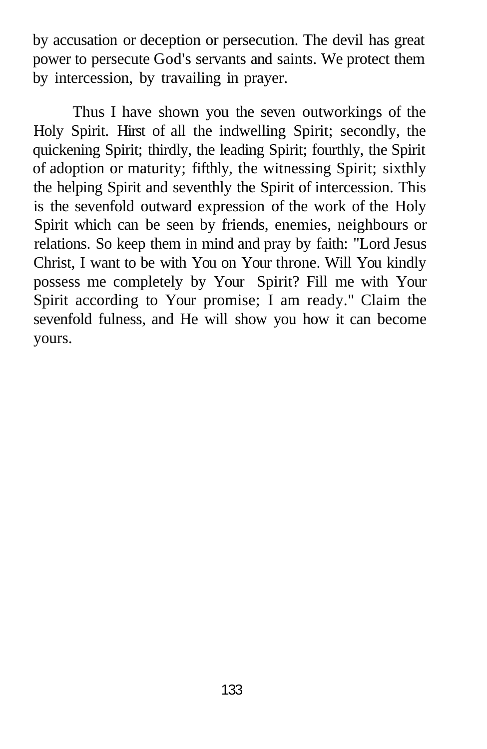by accusation or deception or persecution. The devil has great power to persecute God's servants and saints. We protect them by intercession, by travailing in prayer.

Thus I have shown you the seven outworkings of the Holy Spirit. Hirst of all the indwelling Spirit; secondly, the quickening Spirit; thirdly, the leading Spirit; fourthly, the Spirit of adoption or maturity; fifthly, the witnessing Spirit; sixthly the helping Spirit and seventhly the Spirit of intercession. This is the sevenfold outward expression of the work of the Holy Spirit which can be seen by friends, enemies, neighbours or relations. So keep them in mind and pray by faith: "Lord Jesus Christ, I want to be with You on Your throne. Will You kindly possess me completely by Your Spirit? Fill me with Your Spirit according to Your promise; I am ready." Claim the sevenfold fulness, and He will show you how it can become yours.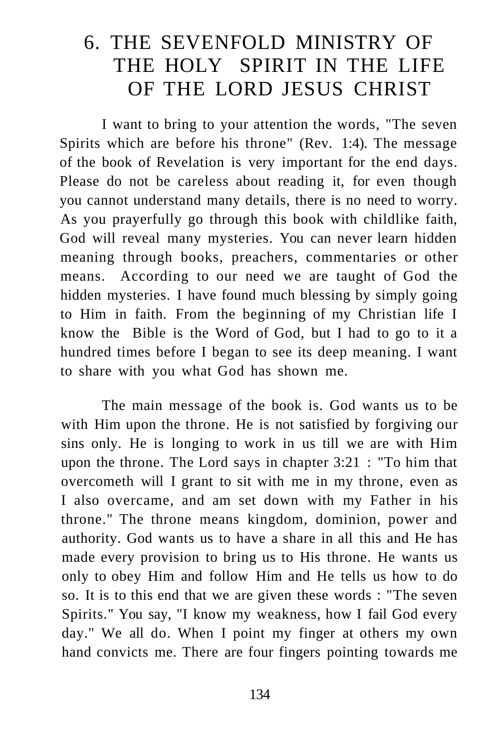# 6. THE SEVENFOLD MINISTRY OF THE HOLY SPIRIT IN THE LIFE OF THE LORD JESUS CHRIST

I want to bring to your attention the words, "The seven Spirits which are before his throne" (Rev. 1:4). The message of the book of Revelation is very important for the end days. Please do not be careless about reading it, for even though you cannot understand many details, there is no need to worry. As you prayerfully go through this book with childlike faith, God will reveal many mysteries. You can never learn hidden meaning through books, preachers, commentaries or other means. According to our need we are taught of God the hidden mysteries. I have found much blessing by simply going to Him in faith. From the beginning of my Christian life I know the Bible is the Word of God, but I had to go to it a hundred times before I began to see its deep meaning. I want to share with you what God has shown me.

The main message of the book is. God wants us to be with Him upon the throne. He is not satisfied by forgiving our sins only. He is longing to work in us till we are with Him upon the throne. The Lord says in chapter 3:21 : "To him that overcometh will I grant to sit with me in my throne, even as I also overcame, and am set down with my Father in his throne." The throne means kingdom, dominion, power and authority. God wants us to have a share in all this and He has made every provision to bring us to His throne. He wants us only to obey Him and follow Him and He tells us how to do so. It is to this end that we are given these words : "The seven Spirits." You say, "I know my weakness, how I fail God every day." We all do. When I point my finger at others my own hand convicts me. There are four fingers pointing towards me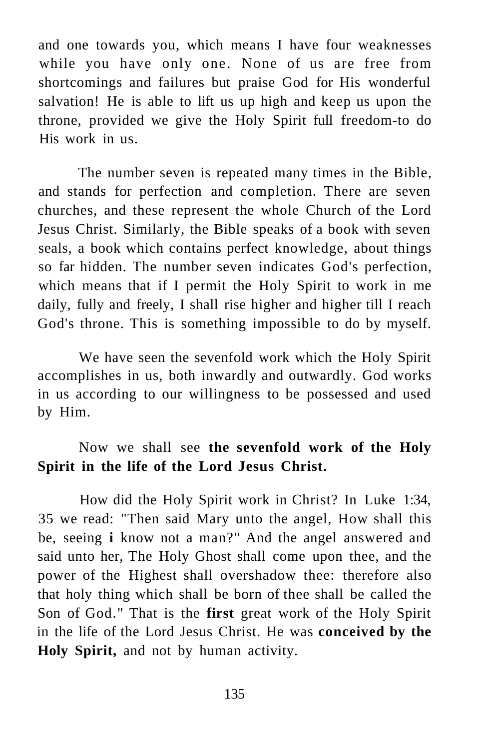and one towards you, which means I have four weaknesses while you have only one. None of us are free from shortcomings and failures but praise God for His wonderful salvation! He is able to lift us up high and keep us upon the throne, provided we give the Holy Spirit full freedom-to do His work in us.

The number seven is repeated many times in the Bible, and stands for perfection and completion. There are seven churches, and these represent the whole Church of the Lord Jesus Christ. Similarly, the Bible speaks of a book with seven seals, a book which contains perfect knowledge, about things so far hidden. The number seven indicates God's perfection, which means that if I permit the Holy Spirit to work in me daily, fully and freely, I shall rise higher and higher till I reach God's throne. This is something impossible to do by myself.

We have seen the sevenfold work which the Holy Spirit accomplishes in us, both inwardly and outwardly. God works in us according to our willingness to be possessed and used by Him.

## Now we shall see **the sevenfold work of the Holy Spirit in the life of the Lord Jesus Christ.**

How did the Holy Spirit work in Christ? In Luke 1:34, 35 we read: "Then said Mary unto the angel, How shall this be, seeing **i** know not a man?" And the angel answered and said unto her, The Holy Ghost shall come upon thee, and the power of the Highest shall overshadow thee: therefore also that holy thing which shall be born of thee shall be called the Son of God." That is the **first** great work of the Holy Spirit in the life of the Lord Jesus Christ. He was **conceived by the Holy Spirit,** and not by human activity.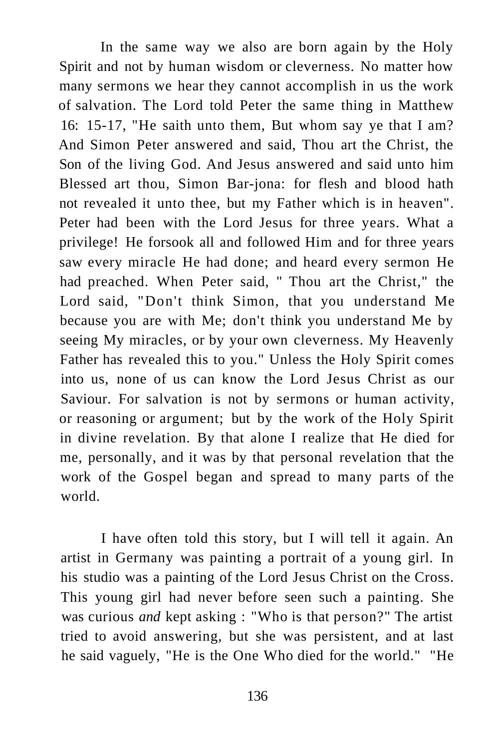In the same way we also are born again by the Holy Spirit and not by human wisdom or cleverness. No matter how many sermons we hear they cannot accomplish in us the work of salvation. The Lord told Peter the same thing in Matthew 16: 15-17, "He saith unto them, But whom say ye that I am? And Simon Peter answered and said, Thou art the Christ, the Son of the living God. And Jesus answered and said unto him Blessed art thou, Simon Bar-jona: for flesh and blood hath not revealed it unto thee, but my Father which is in heaven". Peter had been with the Lord Jesus for three years. What a privilege! He forsook all and followed Him and for three years saw every miracle He had done; and heard every sermon He had preached. When Peter said, " Thou art the Christ," the Lord said, "Don't think Simon, that you understand Me because you are with Me; don't think you understand Me by seeing My miracles, or by your own cleverness. My Heavenly Father has revealed this to you." Unless the Holy Spirit comes into us, none of us can know the Lord Jesus Christ as our Saviour. For salvation is not by sermons or human activity, or reasoning or argument; but by the work of the Holy Spirit in divine revelation. By that alone I realize that He died for me, personally, and it was by that personal revelation that the work of the Gospel began and spread to many parts of the world.

I have often told this story, but I will tell it again. An artist in Germany was painting a portrait of a young girl. In his studio was a painting of the Lord Jesus Christ on the Cross. This young girl had never before seen such a painting. She was curious *and* kept asking : "Who is that person?" The artist tried to avoid answering, but she was persistent, and at last he said vaguely, "He is the One Who died for the world." "He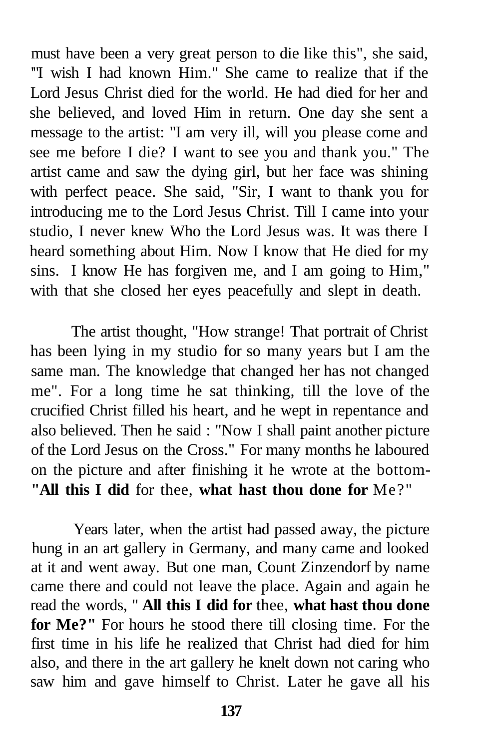must have been a very great person to die like this", she said, '"I wish I had known Him." She came to realize that if the Lord Jesus Christ died for the world. He had died for her and she believed, and loved Him in return. One day she sent a message to the artist: "I am very ill, will you please come and see me before I die? I want to see you and thank you." The artist came and saw the dying girl, but her face was shining with perfect peace. She said, "Sir, I want to thank you for introducing me to the Lord Jesus Christ. Till I came into your studio, I never knew Who the Lord Jesus was. It was there I heard something about Him. Now I know that He died for my sins. I know He has forgiven me, and I am going to Him," with that she closed her eyes peacefully and slept in death.

The artist thought, "How strange! That portrait of Christ has been lying in my studio for so many years but I am the same man. The knowledge that changed her has not changed me". For a long time he sat thinking, till the love of the crucified Christ filled his heart, and he wept in repentance and also believed. Then he said : "Now I shall paint another picture of the Lord Jesus on the Cross." For many months he laboured on the picture and after finishing it he wrote at the bottom- **"All this I did** for thee, **what hast thou done for** Me?"

Years later, when the artist had passed away, the picture hung in an art gallery in Germany, and many came and looked at it and went away. But one man, Count Zinzendorf by name came there and could not leave the place. Again and again he read the words, " **All this I did for** thee, **what hast thou done for Me?"** For hours he stood there till closing time. For the first time in his life he realized that Christ had died for him also, and there in the art gallery he knelt down not caring who saw him and gave himself to Christ. Later he gave all his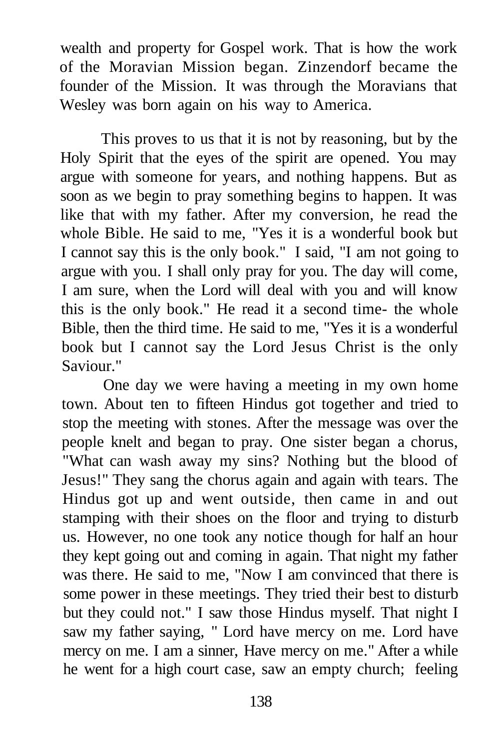wealth and property for Gospel work. That is how the work of the Moravian Mission began. Zinzendorf became the founder of the Mission. It was through the Moravians that Wesley was born again on his way to America.

This proves to us that it is not by reasoning, but by the Holy Spirit that the eyes of the spirit are opened. You may argue with someone for years, and nothing happens. But as soon as we begin to pray something begins to happen. It was like that with my father. After my conversion, he read the whole Bible. He said to me, "Yes it is a wonderful book but I cannot say this is the only book." I said, "I am not going to argue with you. I shall only pray for you. The day will come, I am sure, when the Lord will deal with you and will know this is the only book." He read it a second time- the whole Bible, then the third time. He said to me, "Yes it is a wonderful book but I cannot say the Lord Jesus Christ is the only Saviour."

One day we were having a meeting in my own home town. About ten to fifteen Hindus got together and tried to stop the meeting with stones. After the message was over the people knelt and began to pray. One sister began a chorus, "What can wash away my sins? Nothing but the blood of Jesus!" They sang the chorus again and again with tears. The Hindus got up and went outside, then came in and out stamping with their shoes on the floor and trying to disturb us. However, no one took any notice though for half an hour they kept going out and coming in again. That night my father was there. He said to me, "Now I am convinced that there is some power in these meetings. They tried their best to disturb but they could not." I saw those Hindus myself. That night I saw my father saying, " Lord have mercy on me. Lord have mercy on me. I am a sinner, Have mercy on me." After a while he went for a high court case, saw an empty church; feeling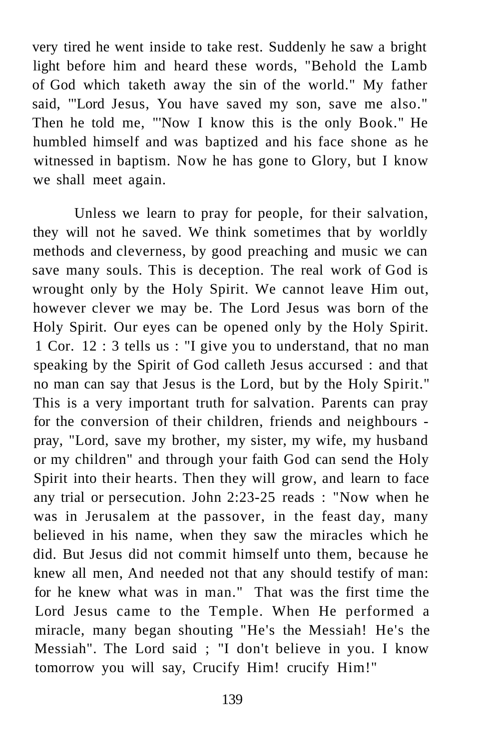very tired he went inside to take rest. Suddenly he saw a bright light before him and heard these words, "Behold the Lamb of God which taketh away the sin of the world." My father said, '"Lord Jesus, You have saved my son, save me also." Then he told me, "'Now I know this is the only Book." He humbled himself and was baptized and his face shone as he witnessed in baptism. Now he has gone to Glory, but I know we shall meet again.

Unless we learn to pray for people, for their salvation, they will not he saved. We think sometimes that by worldly methods and cleverness, by good preaching and music we can save many souls. This is deception. The real work of God is wrought only by the Holy Spirit. We cannot leave Him out, however clever we may be. The Lord Jesus was born of the Holy Spirit. Our eyes can be opened only by the Holy Spirit. 1 Cor. 12 : 3 tells us : "I give you to understand, that no man speaking by the Spirit of God calleth Jesus accursed : and that no man can say that Jesus is the Lord, but by the Holy Spirit." This is a very important truth for salvation. Parents can pray for the conversion of their children, friends and neighbours pray, "Lord, save my brother, my sister, my wife, my husband or my children" and through your faith God can send the Holy Spirit into their hearts. Then they will grow, and learn to face any trial or persecution. John 2:23-25 reads : "Now when he was in Jerusalem at the passover, in the feast day, many believed in his name, when they saw the miracles which he did. But Jesus did not commit himself unto them, because he knew all men, And needed not that any should testify of man: for he knew what was in man." That was the first time the Lord Jesus came to the Temple. When He performed a miracle, many began shouting "He's the Messiah! He's the Messiah". The Lord said ; "I don't believe in you. I know tomorrow you will say, Crucify Him! crucify Him!"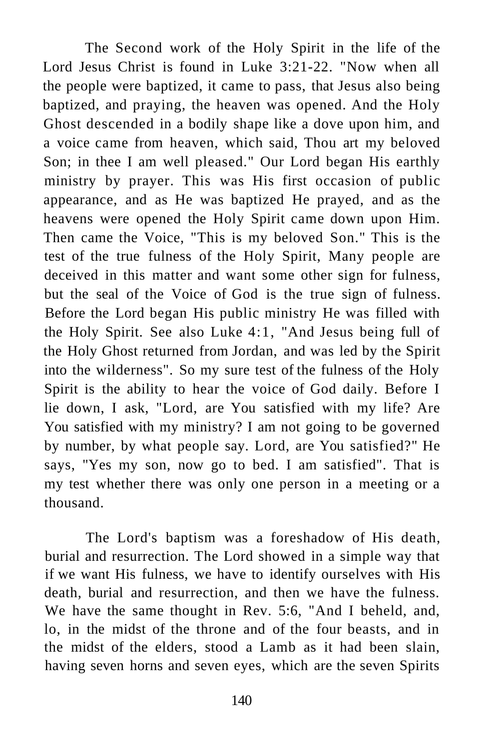The Second work of the Holy Spirit in the life of the Lord Jesus Christ is found in Luke 3:21-22. "Now when all the people were baptized, it came to pass, that Jesus also being baptized, and praying, the heaven was opened. And the Holy Ghost descended in a bodily shape like a dove upon him, and a voice came from heaven, which said, Thou art my beloved Son; in thee I am well pleased." Our Lord began His earthly ministry by prayer. This was His first occasion of public appearance, and as He was baptized He prayed, and as the heavens were opened the Holy Spirit came down upon Him. Then came the Voice, "This is my beloved Son." This is the test of the true fulness of the Holy Spirit, Many people are deceived in this matter and want some other sign for fulness, but the seal of the Voice of God is the true sign of fulness. Before the Lord began His public ministry He was filled with the Holy Spirit. See also Luke 4:1, "And Jesus being full of the Holy Ghost returned from Jordan, and was led by the Spirit into the wilderness". So my sure test of the fulness of the Holy Spirit is the ability to hear the voice of God daily. Before I lie down, I ask, "Lord, are You satisfied with my life? Are You satisfied with my ministry? I am not going to be governed by number, by what people say. Lord, are You satisfied?" He says, "Yes my son, now go to bed. I am satisfied". That is my test whether there was only one person in a meeting or a thousand.

The Lord's baptism was a foreshadow of His death, burial and resurrection. The Lord showed in a simple way that if we want His fulness, we have to identify ourselves with His death, burial and resurrection, and then we have the fulness. We have the same thought in Rev. 5:6, "And I beheld, and, lo, in the midst of the throne and of the four beasts, and in the midst of the elders, stood a Lamb as it had been slain, having seven horns and seven eyes, which are the seven Spirits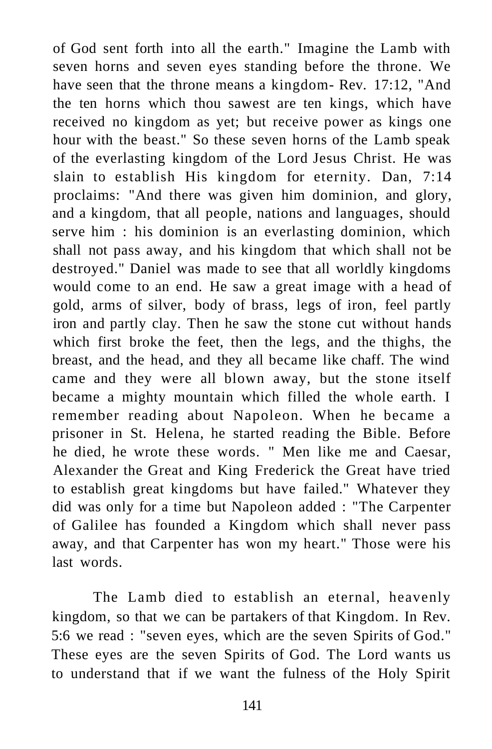of God sent forth into all the earth." Imagine the Lamb with seven horns and seven eyes standing before the throne. We have seen that the throne means a kingdom- Rev. 17:12, "And the ten horns which thou sawest are ten kings, which have received no kingdom as yet; but receive power as kings one hour with the beast." So these seven horns of the Lamb speak of the everlasting kingdom of the Lord Jesus Christ. He was slain to establish His kingdom for eternity. Dan, 7:14 proclaims: "And there was given him dominion, and glory, and a kingdom, that all people, nations and languages, should serve him : his dominion is an everlasting dominion, which shall not pass away, and his kingdom that which shall not be destroyed." Daniel was made to see that all worldly kingdoms would come to an end. He saw a great image with a head of gold, arms of silver, body of brass, legs of iron, feel partly iron and partly clay. Then he saw the stone cut without hands which first broke the feet, then the legs, and the thighs, the breast, and the head, and they all became like chaff. The wind came and they were all blown away, but the stone itself became a mighty mountain which filled the whole earth. I remember reading about Napoleon. When he became a prisoner in St. Helena, he started reading the Bible. Before he died, he wrote these words. " Men like me and Caesar, Alexander the Great and King Frederick the Great have tried to establish great kingdoms but have failed." Whatever they did was only for a time but Napoleon added : "The Carpenter of Galilee has founded a Kingdom which shall never pass away, and that Carpenter has won my heart." Those were his last words.

The Lamb died to establish an eternal, heavenly kingdom, so that we can be partakers of that Kingdom. In Rev. 5:6 we read : "seven eyes, which are the seven Spirits of God." These eyes are the seven Spirits of God. The Lord wants us to understand that if we want the fulness of the Holy Spirit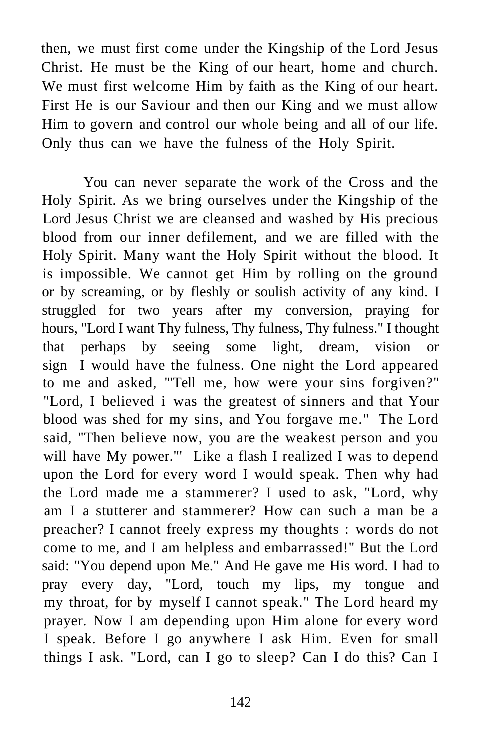then, we must first come under the Kingship of the Lord Jesus Christ. He must be the King of our heart, home and church. We must first welcome Him by faith as the King of our heart. First He is our Saviour and then our King and we must allow Him to govern and control our whole being and all of our life. Only thus can we have the fulness of the Holy Spirit.

You can never separate the work of the Cross and the Holy Spirit. As we bring ourselves under the Kingship of the Lord Jesus Christ we are cleansed and washed by His precious blood from our inner defilement, and we are filled with the Holy Spirit. Many want the Holy Spirit without the blood. It is impossible. We cannot get Him by rolling on the ground or by screaming, or by fleshly or soulish activity of any kind. I struggled for two years after my conversion, praying for hours, "Lord I want Thy fulness, Thy fulness, Thy fulness." I thought that perhaps by seeing some light, dream, vision or sign I would have the fulness. One night the Lord appeared to me and asked, '"Tell me, how were your sins forgiven?" "Lord, I believed i was the greatest of sinners and that Your blood was shed for my sins, and You forgave me." The Lord said, "Then believe now, you are the weakest person and you will have My power."' Like a flash I realized I was to depend upon the Lord for every word I would speak. Then why had the Lord made me a stammerer? I used to ask, "Lord, why am I a stutterer and stammerer? How can such a man be a preacher? I cannot freely express my thoughts : words do not come to me, and I am helpless and embarrassed!" But the Lord said: "You depend upon Me." And He gave me His word. I had to pray every day, "Lord, touch my lips, my tongue and my throat, for by myself I cannot speak." The Lord heard my prayer. Now I am depending upon Him alone for every word I speak. Before I go anywhere I ask Him. Even for small things I ask. "Lord, can I go to sleep? Can I do this? Can I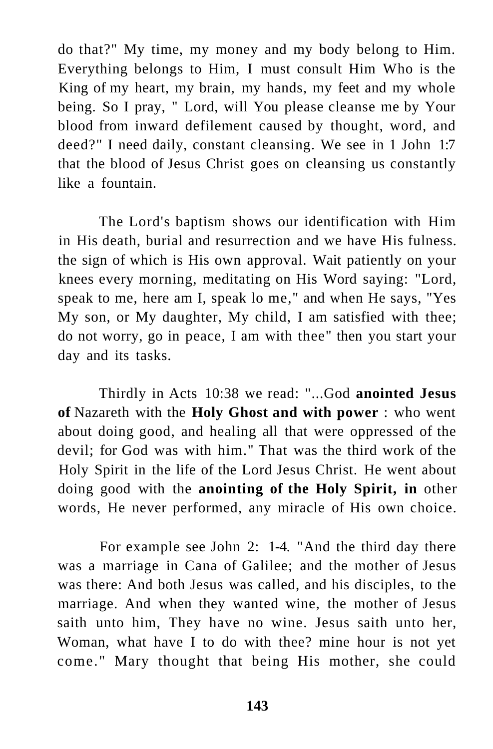do that?" My time, my money and my body belong to Him. Everything belongs to Him, I must consult Him Who is the King of my heart, my brain, my hands, my feet and my whole being. So I pray, " Lord, will You please cleanse me by Your blood from inward defilement caused by thought, word, and deed?" I need daily, constant cleansing. We see in 1 John 1:7 that the blood of Jesus Christ goes on cleansing us constantly like a fountain.

The Lord's baptism shows our identification with Him in His death, burial and resurrection and we have His fulness. the sign of which is His own approval. Wait patiently on your knees every morning, meditating on His Word saying: "Lord, speak to me, here am I, speak lo me," and when He says, "Yes My son, or My daughter, My child, I am satisfied with thee; do not worry, go in peace, I am with thee" then you start your day and its tasks.

Thirdly in Acts 10:38 we read: "...God **anointed Jesus of** Nazareth with the **Holy Ghost and with power** : who went about doing good, and healing all that were oppressed of the devil; for God was with him." That was the third work of the Holy Spirit in the life of the Lord Jesus Christ. He went about doing good with the **anointing of the Holy Spirit, in** other words, He never performed, any miracle of His own choice.

For example see John 2: 1-4. "And the third day there was a marriage in Cana of Galilee; and the mother of Jesus was there: And both Jesus was called, and his disciples, to the marriage. And when they wanted wine, the mother of Jesus saith unto him, They have no wine. Jesus saith unto her, Woman, what have I to do with thee? mine hour is not yet come." Mary thought that being His mother, she could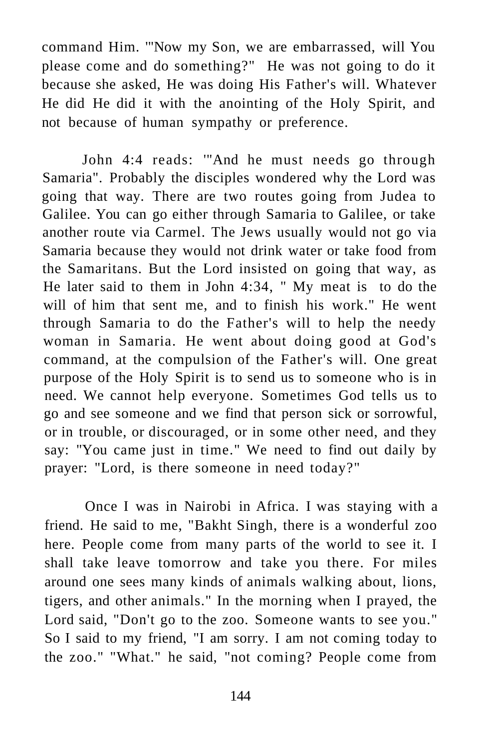command Him. '"Now my Son, we are embarrassed, will You please come and do something?" He was not going to do it because she asked, He was doing His Father's will. Whatever He did He did it with the anointing of the Holy Spirit, and not because of human sympathy or preference.

John 4:4 reads: '"And he must needs go through Samaria". Probably the disciples wondered why the Lord was going that way. There are two routes going from Judea to Galilee. You can go either through Samaria to Galilee, or take another route via Carmel. The Jews usually would not go via Samaria because they would not drink water or take food from the Samaritans. But the Lord insisted on going that way, as He later said to them in John 4:34, " My meat is to do the will of him that sent me, and to finish his work." He went through Samaria to do the Father's will to help the needy woman in Samaria. He went about doing good at God's command, at the compulsion of the Father's will. One great purpose of the Holy Spirit is to send us to someone who is in need. We cannot help everyone. Sometimes God tells us to go and see someone and we find that person sick or sorrowful, or in trouble, or discouraged, or in some other need, and they say: "You came just in time." We need to find out daily by prayer: "Lord, is there someone in need today?"

Once I was in Nairobi in Africa. I was staying with a friend. He said to me, "Bakht Singh, there is a wonderful zoo here. People come from many parts of the world to see it. I shall take leave tomorrow and take you there. For miles around one sees many kinds of animals walking about, lions, tigers, and other animals." In the morning when I prayed, the Lord said, "Don't go to the zoo. Someone wants to see you." So I said to my friend, "I am sorry. I am not coming today to the zoo." "What." he said, "not coming? People come from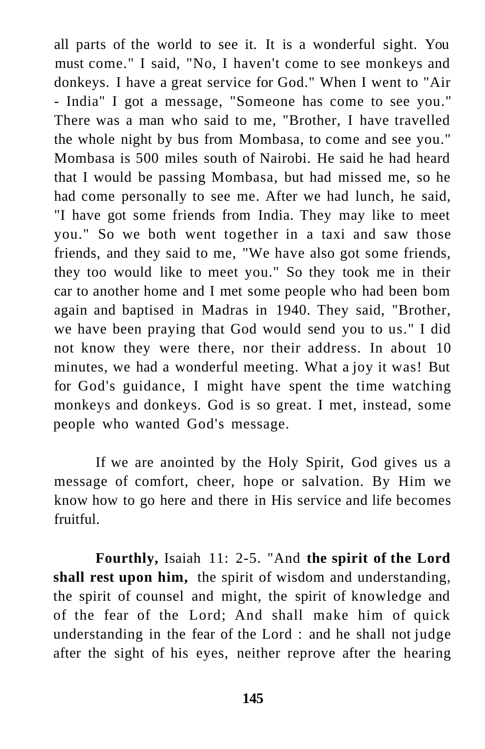all parts of the world to see it. It is a wonderful sight. You must come." I said, "No, I haven't come to see monkeys and donkeys. I have a great service for God." When I went to "Air - India" I got a message, "Someone has come to see you." There was a man who said to me, "Brother, I have travelled the whole night by bus from Mombasa, to come and see you." Mombasa is 500 miles south of Nairobi. He said he had heard that I would be passing Mombasa, but had missed me, so he had come personally to see me. After we had lunch, he said, "I have got some friends from India. They may like to meet you." So we both went together in a taxi and saw those friends, and they said to me, "We have also got some friends, they too would like to meet you." So they took me in their car to another home and I met some people who had been bom again and baptised in Madras in 1940. They said, "Brother, we have been praying that God would send you to us." I did not know they were there, nor their address. In about 10 minutes, we had a wonderful meeting. What a joy it was! But for God's guidance, I might have spent the time watching monkeys and donkeys. God is so great. I met, instead, some people who wanted God's message.

If we are anointed by the Holy Spirit, God gives us a message of comfort, cheer, hope or salvation. By Him we know how to go here and there in His service and life becomes fruitful.

**Fourthly,** Isaiah 11: 2-5. "And **the spirit of the Lord shall rest upon him,** the spirit of wisdom and understanding, the spirit of counsel and might, the spirit of knowledge and of the fear of the Lord; And shall make him of quick understanding in the fear of the Lord : and he shall not judge after the sight of his eyes, neither reprove after the hearing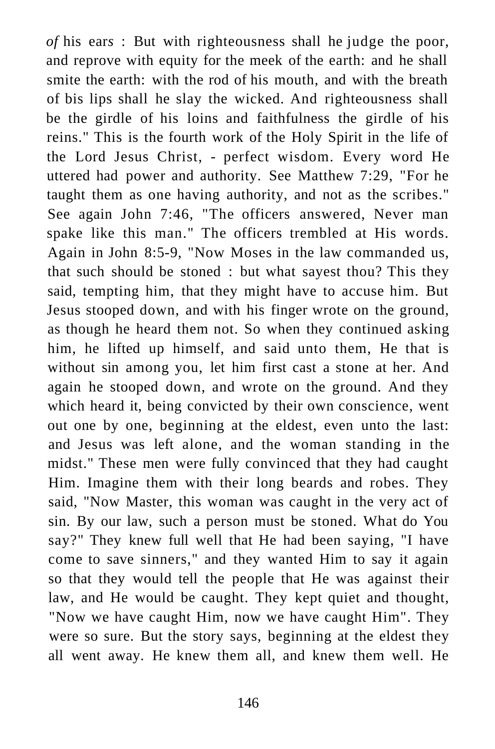*of* his ear*s* : But with righteousness shall he judge the poor, and reprove with equity for the meek of the earth: and he shall smite the earth: with the rod of his mouth, and with the breath of bis lips shall he slay the wicked. And righteousness shall be the girdle of his loins and faithfulness the girdle of his reins." This is the fourth work of the Holy Spirit in the life of the Lord Jesus Christ, - perfect wisdom. Every word He uttered had power and authority. See Matthew 7:29, "For he taught them as one having authority, and not as the scribes." See again John 7:46, "The officers answered, Never man spake like this man." The officers trembled at His words. Again in John 8:5-9, "Now Moses in the law commanded us, that such should be stoned : but what sayest thou? This they said, tempting him, that they might have to accuse him. But Jesus stooped down, and with his finger wrote on the ground, as though he heard them not. So when they continued asking him, he lifted up himself, and said unto them, He that is without sin among you, let him first cast a stone at her. And again he stooped down, and wrote on the ground. And they which heard it, being convicted by their own conscience, went out one by one, beginning at the eldest, even unto the last: and Jesus was left alone, and the woman standing in the midst." These men were fully convinced that they had caught Him. Imagine them with their long beards and robes. They said, "Now Master, this woman was caught in the very act of sin. By our law, such a person must be stoned. What do You say?" They knew full well that He had been saying, "I have come to save sinners," and they wanted Him to say it again so that they would tell the people that He was against their law, and He would be caught. They kept quiet and thought, "Now we have caught Him, now we have caught Him". They were so sure. But the story says, beginning at the eldest they all went away. He knew them all, and knew them well. He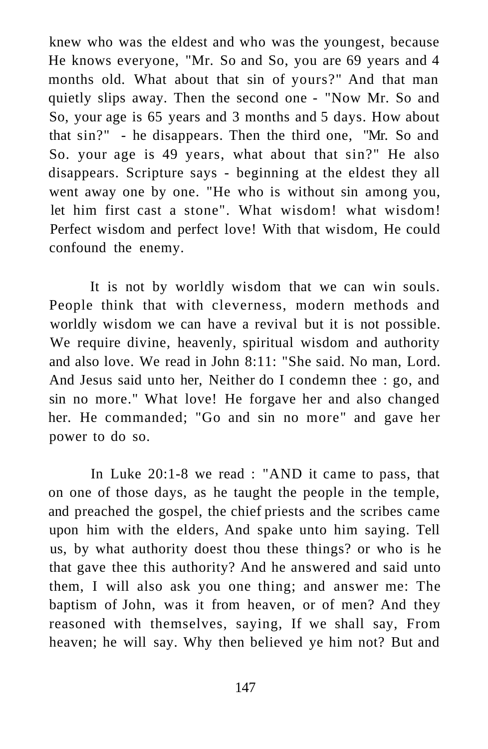knew who was the eldest and who was the youngest, because He knows everyone, "Mr. So and So, you are 69 years and 4 months old. What about that sin of yours?" And that man quietly slips away. Then the second one - "Now Mr. So and So, your age is 65 years and 3 months and 5 days. How about that sin?" - he disappears. Then the third one, "Mr. So and So. your age is 49 years, what about that sin?" He also disappears. Scripture says - beginning at the eldest they all went away one by one. "He who is without sin among you, let him first cast a stone". What wisdom! what wisdom! Perfect wisdom and perfect love! With that wisdom, He could confound the enemy.

It is not by worldly wisdom that we can win souls. People think that with cleverness, modern methods and worldly wisdom we can have a revival but it is not possible. We require divine, heavenly, spiritual wisdom and authority and also love. We read in John 8:11: "She said. No man, Lord. And Jesus said unto her, Neither do I condemn thee : go, and sin no more." What love! He forgave her and also changed her. He commanded; "Go and sin no more" and gave her power to do so.

In Luke 20:1-8 we read : "AND it came to pass, that on one of those days, as he taught the people in the temple, and preached the gospel, the chief priests and the scribes came upon him with the elders, And spake unto him saying. Tell us, by what authority doest thou these things? or who is he that gave thee this authority? And he answered and said unto them, I will also ask you one thing; and answer me: The baptism of John, was it from heaven, or of men? And they reasoned with themselves, saying, If we shall say, From heaven; he will say. Why then believed ye him not? But and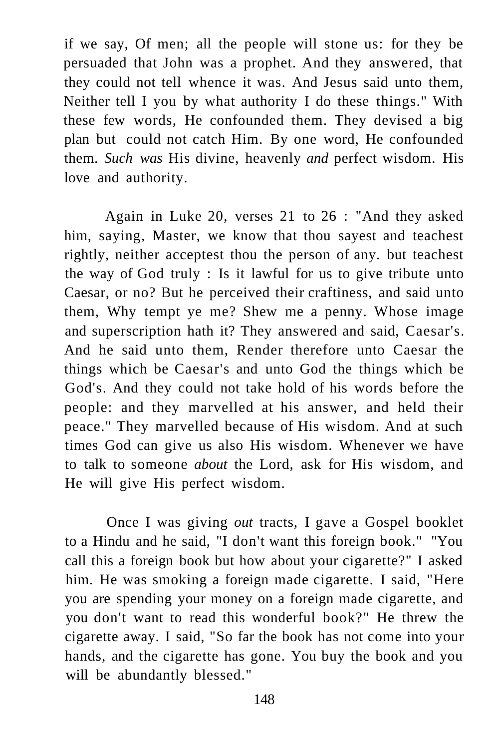if we say, Of men; all the people will stone us: for they be persuaded that John was a prophet. And they answered, that they could not tell whence it was. And Jesus said unto them, Neither tell I you by what authority I do these things." With these few words, He confounded them. They devised a big plan but could not catch Him. By one word, He confounded them. *Such was* His divine, heavenly *and* perfect wisdom. His love and authority.

Again in Luke 20, verses 21 to 26 : "And they asked him, saying, Master, we know that thou sayest and teachest rightly, neither acceptest thou the person of any. but teachest the way of God truly : Is it lawful for us to give tribute unto Caesar, or no? But he perceived their craftiness, and said unto them, Why tempt ye me? Shew me a penny. Whose image and superscription hath it? They answered and said, Caesar's. And he said unto them, Render therefore unto Caesar the things which be Caesar's and unto God the things which be God's. And they could not take hold of his words before the people: and they marvelled at his answer, and held their peace." They marvelled because of His wisdom. And at such times God can give us also His wisdom. Whenever we have to talk to someone *about* the Lord, ask for His wisdom, and He will give His perfect wisdom.

Once I was giving *out* tracts, I gave a Gospel booklet to a Hindu and he said, "I don't want this foreign book." "You call this a foreign book but how about your cigarette?" I asked him. He was smoking a foreign made cigarette. I said, "Here you are spending your money on a foreign made cigarette, and you don't want to read this wonderful book?" He threw the cigarette away. I said, "So far the book has not come into your hands, and the cigarette has gone. You buy the book and you will be abundantly blessed."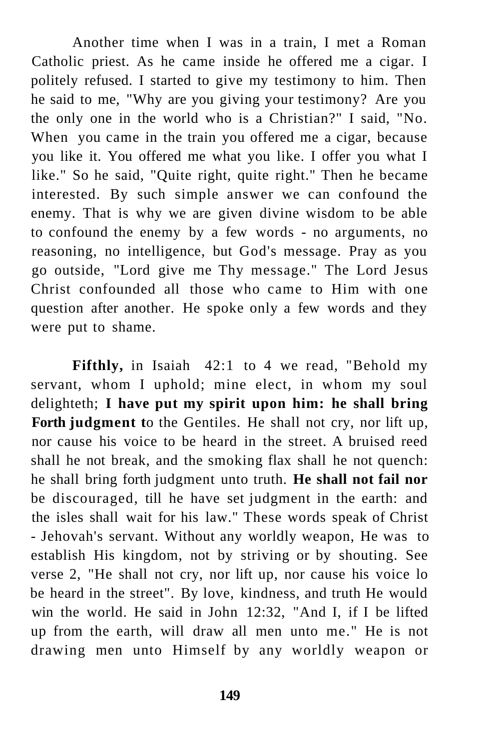Another time when I was in a train, I met a Roman Catholic priest. As he came inside he offered me a cigar. I politely refused. I started to give my testimony to him. Then he said to me, "Why are you giving your testimony? Are you the only one in the world who is a Christian?" I said, "No. When you came in the train you offered me a cigar, because you like it. You offered me what you like. I offer you what I like." So he said, "Quite right, quite right." Then he became interested. By such simple answer we can confound the enemy. That is why we are given divine wisdom to be able to confound the enemy by a few words - no arguments, no reasoning, no intelligence, but God's message. Pray as you go outside, "Lord give me Thy message." The Lord Jesus Christ confounded all those who came to Him with one question after another. He spoke only a few words and they were put to shame.

Fifthly, in Isaiah 42:1 to 4 we read, "Behold my servant, whom I uphold; mine elect, in whom my soul delighteth; **I have put my spirit upon him: he shall bring Forth judgment t**o the Gentiles. He shall not cry, nor lift up, nor cause his voice to be heard in the street. A bruised reed shall he not break, and the smoking flax shall he not quench: he shall bring forth judgment unto truth. **He shall not fail nor**  be discouraged, till he have set judgment in the earth: and the isles shall wait for his law." These words speak of Christ - Jehovah's servant. Without any worldly weapon, He was to establish His kingdom, not by striving or by shouting. See verse 2, "He shall not cry, nor lift up, nor cause his voice lo be heard in the street". By love, kindness, and truth He would win the world. He said in John 12:32, "And I, if I be lifted up from the earth, will draw all men unto me." He is not drawing men unto Himself by any worldly weapon or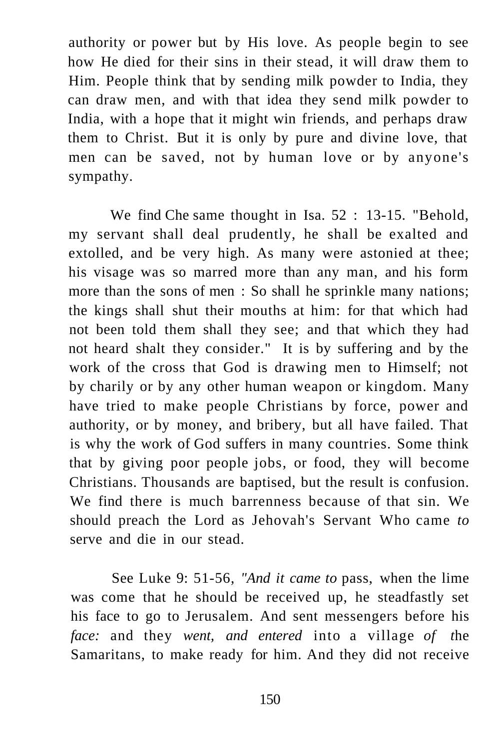authority or power but by His love. As people begin to see how He died for their sins in their stead, it will draw them to Him. People think that by sending milk powder to India, they can draw men, and with that idea they send milk powder to India, with a hope that it might win friends, and perhaps draw them to Christ. But it is only by pure and divine love, that men can be saved, not by human love or by anyone's sympathy.

We find Che same thought in Isa. 52 : 13-15. "Behold, my servant shall deal prudently, he shall be exalted and extolled, and be very high. As many were astonied at thee; his visage was so marred more than any man, and his form more than the sons of men : So shall he sprinkle many nations; the kings shall shut their mouths at him: for that which had not been told them shall they see; and that which they had not heard shalt they consider." It is by suffering and by the work of the cross that God is drawing men to Himself; not by charily or by any other human weapon or kingdom. Many have tried to make people Christians by force, power and authority, or by money, and bribery, but all have failed. That is why the work of God suffers in many countries. Some think that by giving poor people jobs, or food, they will become Christians. Thousands are baptised, but the result is confusion. We find there is much barrenness because of that sin. We should preach the Lord as Jehovah's Servant Who came *to*  serve and die in our stead.

See Luke 9: 51-56, *"And it came to* pass, when the lime was come that he should be received up, he steadfastly set his face to go to Jerusalem. And sent messengers before his *face:* and they *went, and entered* into a village *of t*he Samaritans, to make ready for him. And they did not receive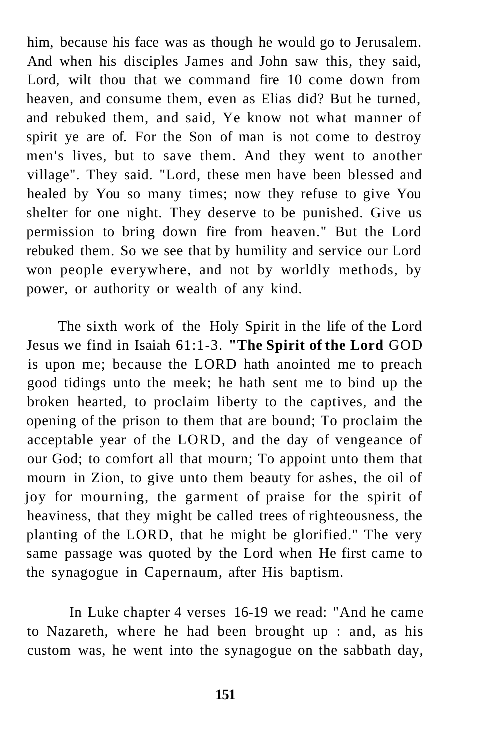him, because his face was as though he would go to Jerusalem. And when his disciples James and John saw this, they said, Lord, wilt thou that we command fire 10 come down from heaven, and consume them, even as Elias did? But he turned, and rebuked them, and said, Ye know not what manner of spirit ye are of. For the Son of man is not come to destroy men's lives, but to save them. And they went to another village". They said. "Lord, these men have been blessed and healed by You so many times; now they refuse to give You shelter for one night. They deserve to be punished. Give us permission to bring down fire from heaven." But the Lord rebuked them. So we see that by humility and service our Lord won people everywhere, and not by worldly methods, by power, or authority or wealth of any kind.

The sixth work of the Holy Spirit in the life of the Lord Jesus we find in Isaiah 61:1-3. **"The Spirit of the Lord** GOD is upon me; because the LORD hath anointed me to preach good tidings unto the meek; he hath sent me to bind up the broken hearted, to proclaim liberty to the captives, and the opening of the prison to them that are bound; To proclaim the acceptable year of the LORD, and the day of vengeance of our God; to comfort all that mourn; To appoint unto them that mourn in Zion, to give unto them beauty for ashes, the oil of joy for mourning, the garment of praise for the spirit of heaviness, that they might be called trees of righteousness, the planting of the LORD, that he might be glorified." The very same passage was quoted by the Lord when He first came to the synagogue in Capernaum, after His baptism.

In Luke chapter 4 verses 16-19 we read: "And he came to Nazareth, where he had been brought up : and, as his custom was, he went into the synagogue on the sabbath day,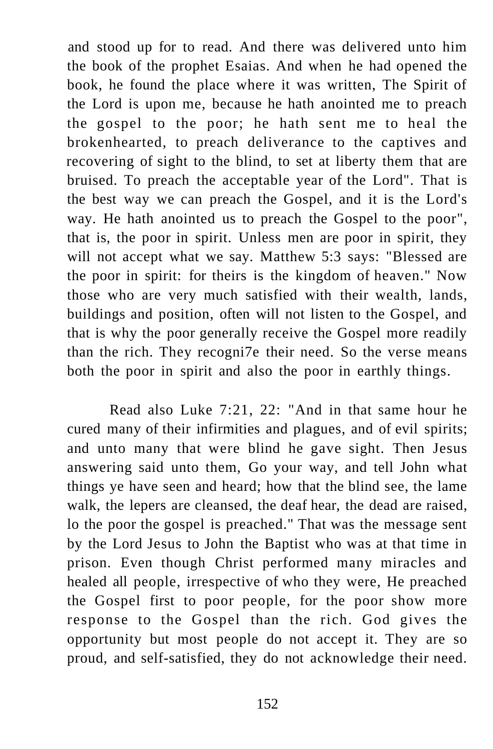and stood up for to read. And there was delivered unto him the book of the prophet Esaias. And when he had opened the book, he found the place where it was written, The Spirit of the Lord is upon me, because he hath anointed me to preach the gospel to the poor; he hath sent me to heal the brokenhearted, to preach deliverance to the captives and recovering of sight to the blind, to set at liberty them that are bruised. To preach the acceptable year of the Lord". That is the best way we can preach the Gospel, and it is the Lord's way. He hath anointed us to preach the Gospel to the poor", that is, the poor in spirit. Unless men are poor in spirit, they will not accept what we say. Matthew 5:3 says: "Blessed are the poor in spirit: for theirs is the kingdom of heaven." Now those who are very much satisfied with their wealth, lands, buildings and position, often will not listen to the Gospel, and that is why the poor generally receive the Gospel more readily than the rich. They recogni7e their need. So the verse means both the poor in spirit and also the poor in earthly things.

Read also Luke 7:21, 22: "And in that same hour he cured many of their infirmities and plagues, and of evil spirits; and unto many that were blind he gave sight. Then Jesus answering said unto them, Go your way, and tell John what things ye have seen and heard; how that the blind see, the lame walk, the lepers are cleansed, the deaf hear, the dead are raised, lo the poor the gospel is preached." That was the message sent by the Lord Jesus to John the Baptist who was at that time in prison. Even though Christ performed many miracles and healed all people, irrespective of who they were, He preached the Gospel first to poor people, for the poor show more response to the Gospel than the rich. God gives the opportunity but most people do not accept it. They are so proud, and self-satisfied, they do not acknowledge their need.

152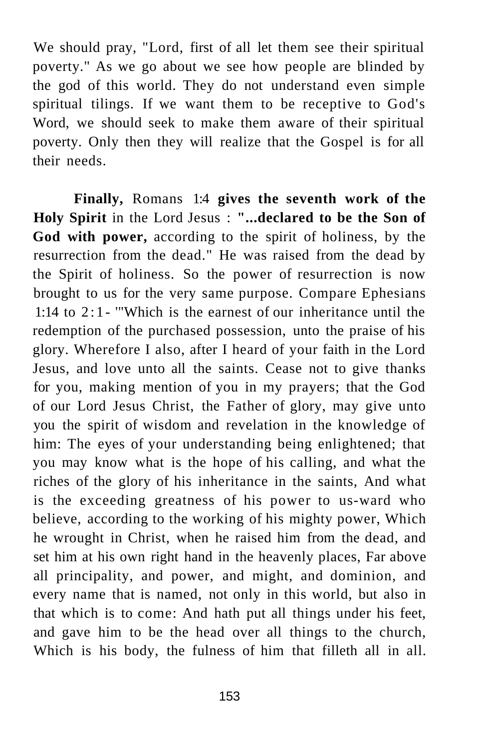We should pray, "Lord, first of all let them see their spiritual poverty." As we go about we see how people are blinded by the god of this world. They do not understand even simple spiritual tilings. If we want them to be receptive to God's Word, we should seek to make them aware of their spiritual poverty. Only then they will realize that the Gospel is for all their needs.

**Finally,** Romans 1:4 **gives the seventh work of the Holy Spirit** in the Lord Jesus : **"...declared to be the Son of God with power,** according to the spirit of holiness, by the resurrection from the dead." He was raised from the dead by the Spirit of holiness. So the power of resurrection is now brought to us for the very same purpose. Compare Ephesians 1:14 to 2:1 - '"Which is the earnest of our inheritance until the redemption of the purchased possession, unto the praise of his glory. Wherefore I also, after I heard of your faith in the Lord Jesus, and love unto all the saints. Cease not to give thanks for you, making mention of you in my prayers; that the God of our Lord Jesus Christ, the Father of glory, may give unto you the spirit of wisdom and revelation in the knowledge of him: The eyes of your understanding being enlightened; that you may know what is the hope of his calling, and what the riches of the glory of his inheritance in the saints, And what is the exceeding greatness of his power to us-ward who believe, according to the working of his mighty power, Which he wrought in Christ, when he raised him from the dead, and set him at his own right hand in the heavenly places, Far above all principality, and power, and might, and dominion, and every name that is named, not only in this world, but also in that which is to come: And hath put all things under his feet, and gave him to be the head over all things to the church, Which is his body, the fulness of him that filleth all in all.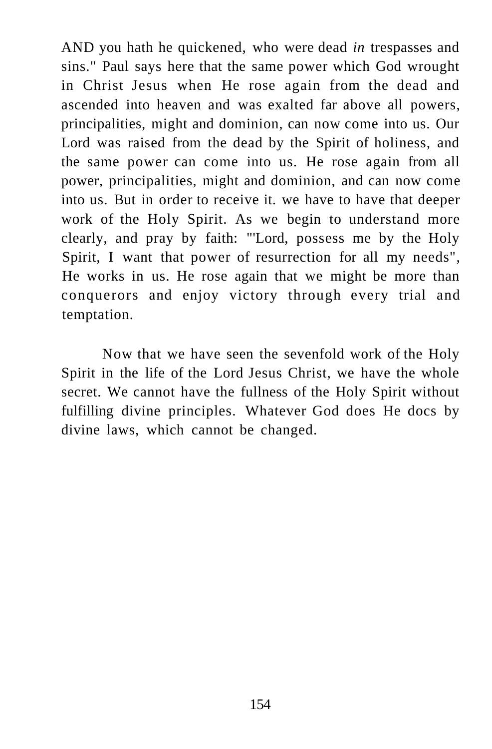AND you hath he quickened, who were dead *in* trespasses and sins." Paul says here that the same power which God wrought in Christ Jesus when He rose again from the dead and ascended into heaven and was exalted far above all powers, principalities, might and dominion, can now come into us. Our Lord was raised from the dead by the Spirit of holiness, and the same power can come into us. He rose again from all power, principalities, might and dominion, and can now come into us. But in order to receive it. we have to have that deeper work of the Holy Spirit. As we begin to understand more clearly, and pray by faith: "'Lord, possess me by the Holy Spirit, I want that power of resurrection for all my needs", He works in us. He rose again that we might be more than conquerors and enjoy victory through every trial and temptation.

Now that we have seen the sevenfold work of the Holy Spirit in the life of the Lord Jesus Christ, we have the whole secret. We cannot have the fullness of the Holy Spirit without fulfilling divine principles. Whatever God does He docs by divine laws, which cannot be changed.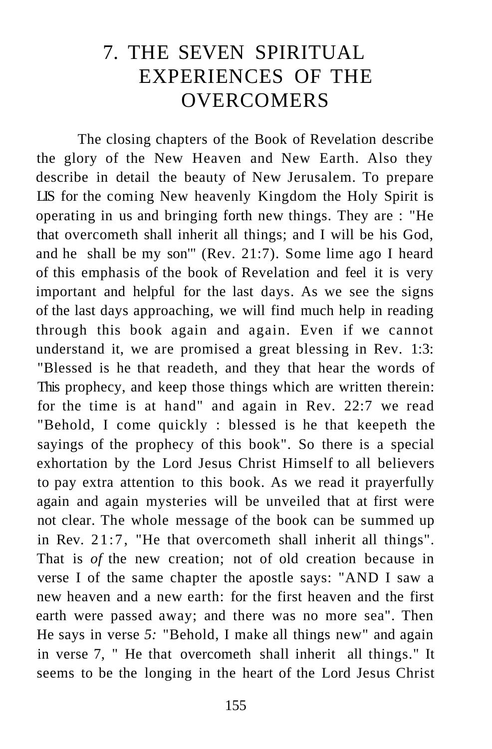## 7. THE SEVEN SPIRITUAL EXPERIENCES OF THE **OVERCOMERS**

The closing chapters of the Book of Revelation describe the glory of the New Heaven and New Earth. Also they describe in detail the beauty of New Jerusalem. To prepare LIS for the coming New heavenly Kingdom the Holy Spirit is operating in us and bringing forth new things. They are : "He that overcometh shall inherit all things; and I will be his God, and he shall be my son'" (Rev. 21:7). Some lime ago I heard of this emphasis of the book of Revelation and feel it is very important and helpful for the last days. As we see the signs of the last days approaching, we will find much help in reading through this book again and again. Even if we cannot understand it, we are promised a great blessing in Rev. 1:3: "Blessed is he that readeth, and they that hear the words of This prophecy, and keep those things which are written therein: for the time is at hand" and again in Rev. 22:7 we read "Behold, I come quickly : blessed is he that keepeth the sayings of the prophecy of this book". So there is a special exhortation by the Lord Jesus Christ Himself to all believers to pay extra attention to this book. As we read it prayerfully again and again mysteries will be unveiled that at first were not clear. The whole message of the book can be summed up in Rev. 21:7, "He that overcometh shall inherit all things". That is *of* the new creation; not of old creation because in verse I of the same chapter the apostle says: "AND I saw a new heaven and a new earth: for the first heaven and the first earth were passed away; and there was no more sea". Then He says in verse *5:* "Behold, I make all things new" and again in verse 7, " He that overcometh shall inherit all things." It seems to be the longing in the heart of the Lord Jesus Christ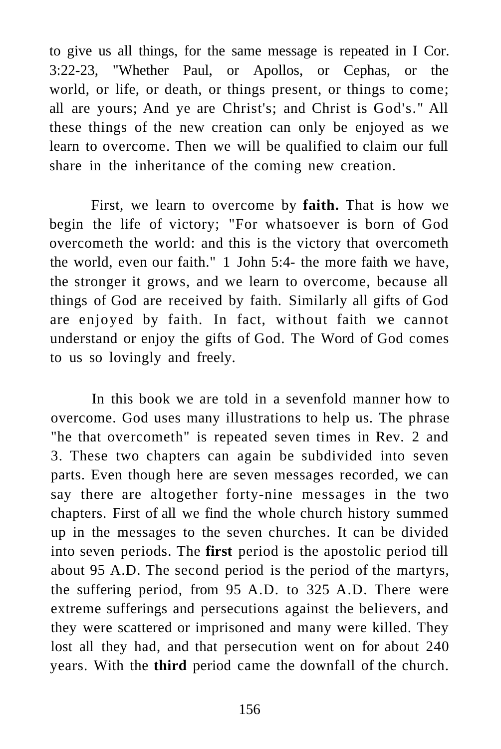to give us all things, for the same message is repeated in I Cor. 3:22-23, "Whether Paul, or Apollos, or Cephas, or the world, or life, or death, or things present, or things to come; all are yours; And ye are Christ's; and Christ is God's." All these things of the new creation can only be enjoyed as we learn to overcome. Then we will be qualified to claim our full share in the inheritance of the coming new creation.

First, we learn to overcome by **faith.** That is how we begin the life of victory; "For whatsoever is born of God overcometh the world: and this is the victory that overcometh the world, even our faith." 1 John 5:4- the more faith we have, the stronger it grows, and we learn to overcome, because all things of God are received by faith. Similarly all gifts of God are enjoyed by faith. In fact, without faith we cannot understand or enjoy the gifts of God. The Word of God comes to us so lovingly and freely.

In this book we are told in a sevenfold manner how to overcome. God uses many illustrations to help us. The phrase "he that overcometh" is repeated seven times in Rev. 2 and 3. These two chapters can again be subdivided into seven parts. Even though here are seven messages recorded, we can say there are altogether forty-nine messages in the two chapters. First of all we find the whole church history summed up in the messages to the seven churches. It can be divided into seven periods. The **first** period is the apostolic period till about 95 A.D. The second period is the period of the martyrs, the suffering period, from 95 A.D. to 325 A.D. There were extreme sufferings and persecutions against the believers, and they were scattered or imprisoned and many were killed. They lost all they had, and that persecution went on for about 240 years. With the **third** period came the downfall of the church.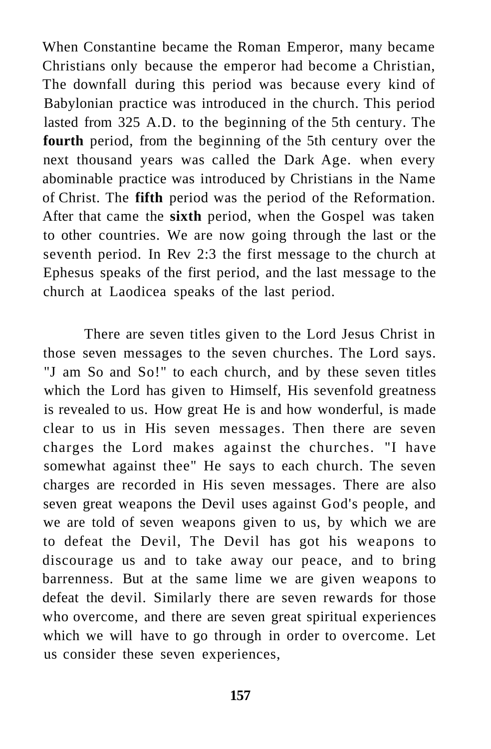When Constantine became the Roman Emperor, many became Christians only because the emperor had become a Christian, The downfall during this period was because every kind of Babylonian practice was introduced in the church. This period lasted from 325 A.D. to the beginning of the 5th century. The **fourth** period, from the beginning of the 5th century over the next thousand years was called the Dark Age. when every abominable practice was introduced by Christians in the Name of Christ. The **fifth** period was the period of the Reformation. After that came the **sixth** period, when the Gospel was taken to other countries. We are now going through the last or the seventh period. In Rev 2:3 the first message to the church at Ephesus speaks of the first period, and the last message to the church at Laodicea speaks of the last period.

There are seven titles given to the Lord Jesus Christ in those seven messages to the seven churches. The Lord says. "J am So and So!" to each church, and by these seven titles which the Lord has given to Himself, His sevenfold greatness is revealed to us. How great He is and how wonderful, is made clear to us in His seven messages. Then there are seven charges the Lord makes against the churches. "I have somewhat against thee" He says to each church. The seven charges are recorded in His seven messages. There are also seven great weapons the Devil uses against God's people, and we are told of seven weapons given to us, by which we are to defeat the Devil, The Devil has got his weapons to discourage us and to take away our peace, and to bring barrenness. But at the same lime we are given weapons to defeat the devil. Similarly there are seven rewards for those who overcome, and there are seven great spiritual experiences which we will have to go through in order to overcome. Let us consider these seven experiences,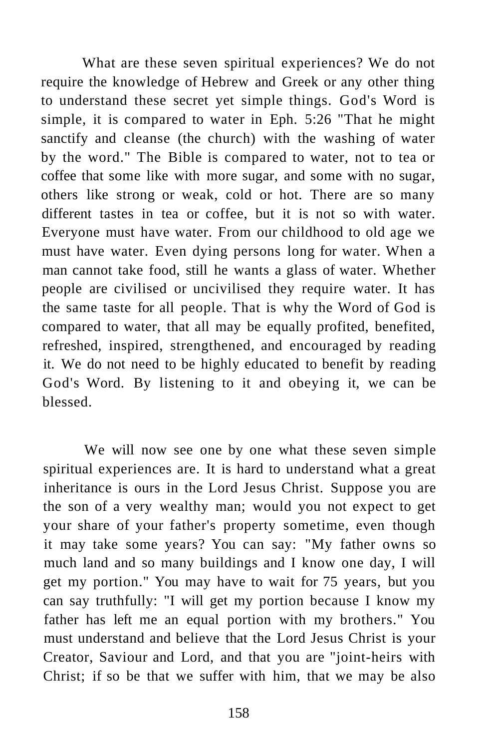What are these seven spiritual experiences? We do not require the knowledge of Hebrew and Greek or any other thing to understand these secret yet simple things. God's Word is simple, it is compared to water in Eph. 5:26 "That he might sanctify and cleanse (the church) with the washing of water by the word." The Bible is compared to water, not to tea or coffee that some like with more sugar, and some with no sugar, others like strong or weak, cold or hot. There are so many different tastes in tea or coffee, but it is not so with water. Everyone must have water. From our childhood to old age we must have water. Even dying persons long for water. When a man cannot take food, still he wants a glass of water. Whether people are civilised or uncivilised they require water. It has the same taste for all people. That is why the Word of God is compared to water, that all may be equally profited, benefited, refreshed, inspired, strengthened, and encouraged by reading it. We do not need to be highly educated to benefit by reading God's Word. By listening to it and obeying it, we can be blessed.

We will now see one by one what these seven simple spiritual experiences are. It is hard to understand what a great inheritance is ours in the Lord Jesus Christ. Suppose you are the son of a very wealthy man; would you not expect to get your share of your father's property sometime, even though it may take some years? You can say: "My father owns so much land and so many buildings and I know one day, I will get my portion." You may have to wait for 75 years, but you can say truthfully: "I will get my portion because I know my father has left me an equal portion with my brothers." You must understand and believe that the Lord Jesus Christ is your Creator, Saviour and Lord, and that you are "joint-heirs with Christ; if so be that we suffer with him, that we may be also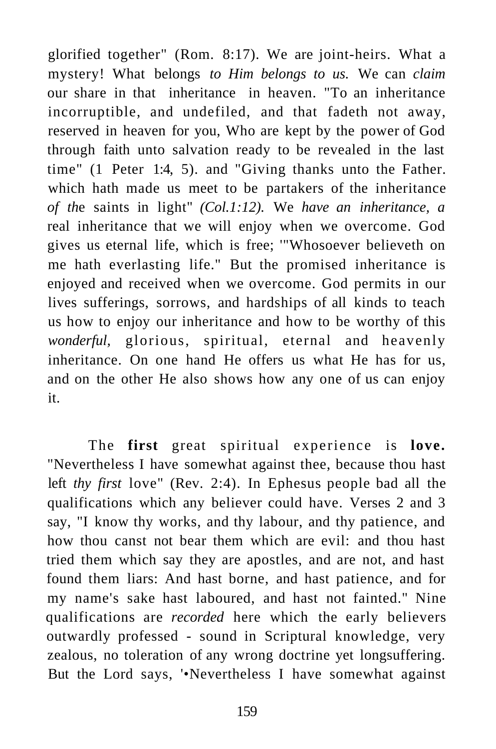glorified together" (Rom. 8:17). We are joint-heirs. What a mystery! What belongs *to Him belongs to us.* We can *claim*  our share in that inheritance in heaven. "To an inheritance incorruptible, and undefiled, and that fadeth not away, reserved in heaven for you, Who are kept by the power of God through faith unto salvation ready to be revealed in the last time" (1 Peter 1:4, 5). and "Giving thanks unto the Father. which hath made us meet to be partakers of the inheritance *of th*e saints in light" *(Col.1:12).* We *have an inheritance, a*  real inheritance that we will enjoy when we overcome. God gives us eternal life, which is free; '"Whosoever believeth on me hath everlasting life." But the promised inheritance is enjoyed and received when we overcome. God permits in our lives sufferings, sorrows, and hardships of all kinds to teach us how to enjoy our inheritance and how to be worthy of this *wonderful,* glorious, spiritual, eternal and heavenly inheritance. On one hand He offers us what He has for us, and on the other He also shows how any one of us can enjoy it.

The **first** great spiritual experience is **love.**  "Nevertheless I have somewhat against thee, because thou hast left *thy first* love" (Rev. 2:4). In Ephesus people bad all the qualifications which any believer could have. Verses 2 and 3 say, "I know thy works, and thy labour, and thy patience, and how thou canst not bear them which are evil: and thou hast tried them which say they are apostles, and are not, and hast found them liars: And hast borne, and hast patience, and for my name's sake hast laboured, and hast not fainted." Nine qualifications are *recorded* here which the early believers outwardly professed - sound in Scriptural knowledge, very zealous, no toleration of any wrong doctrine yet longsuffering. But the Lord says, '•Nevertheless I have somewhat against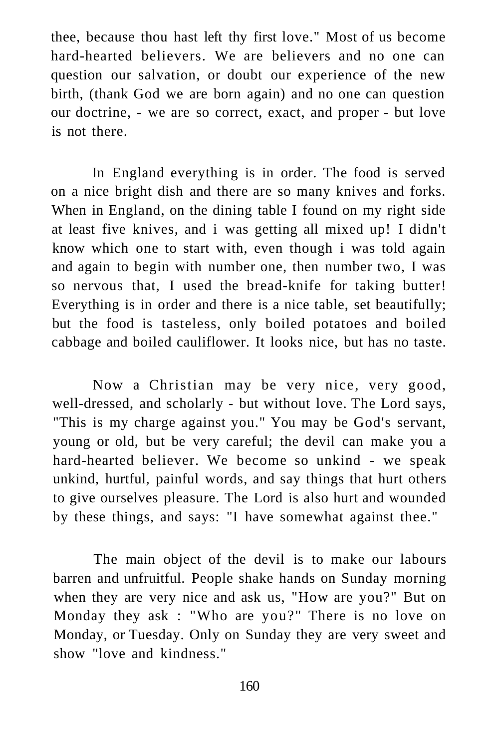thee, because thou hast left thy first love." Most of us become hard-hearted believers. We are believers and no one can question our salvation, or doubt our experience of the new birth, (thank God we are born again) and no one can question our doctrine, - we are so correct, exact, and proper - but love is not there.

In England everything is in order. The food is served on a nice bright dish and there are so many knives and forks. When in England, on the dining table I found on my right side at least five knives, and i was getting all mixed up! I didn't know which one to start with, even though i was told again and again to begin with number one, then number two, I was so nervous that, I used the bread-knife for taking butter! Everything is in order and there is a nice table, set beautifully; but the food is tasteless, only boiled potatoes and boiled cabbage and boiled cauliflower. It looks nice, but has no taste.

Now a Christian may be very nice, very good, well-dressed, and scholarly - but without love. The Lord says, "This is my charge against you." You may be God's servant, young or old, but be very careful; the devil can make you a hard-hearted believer. We become so unkind - we speak unkind, hurtful, painful words, and say things that hurt others to give ourselves pleasure. The Lord is also hurt and wounded by these things, and says: "I have somewhat against thee."

The main object of the devil is to make our labours barren and unfruitful. People shake hands on Sunday morning when they are very nice and ask us, "How are you?" But on Monday they ask : "Who are you?" There is no love on Monday, or Tuesday. Only on Sunday they are very sweet and show "love and kindness."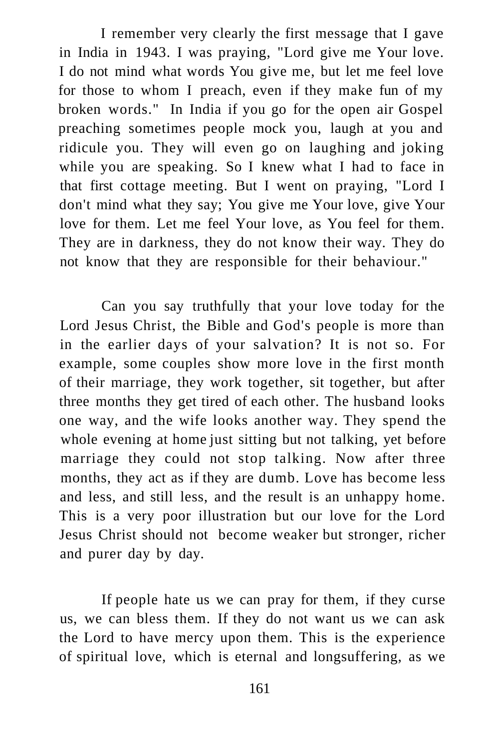I remember very clearly the first message that I gave in India in 1943. I was praying, "Lord give me Your love. I do not mind what words You give me, but let me feel love for those to whom I preach, even if they make fun of my broken words." In India if you go for the open air Gospel preaching sometimes people mock you, laugh at you and ridicule you. They will even go on laughing and joking while you are speaking. So I knew what I had to face in that first cottage meeting. But I went on praying, "Lord I don't mind what they say; You give me Your love, give Your love for them. Let me feel Your love, as You feel for them. They are in darkness, they do not know their way. They do not know that they are responsible for their behaviour."

Can you say truthfully that your love today for the Lord Jesus Christ, the Bible and God's people is more than in the earlier days of your salvation? It is not so. For example, some couples show more love in the first month of their marriage, they work together, sit together, but after three months they get tired of each other. The husband looks one way, and the wife looks another way. They spend the whole evening at home just sitting but not talking, yet before marriage they could not stop talking. Now after three months, they act as if they are dumb. Love has become less and less, and still less, and the result is an unhappy home. This is a very poor illustration but our love for the Lord Jesus Christ should not become weaker but stronger, richer and purer day by day.

If people hate us we can pray for them, if they curse us, we can bless them. If they do not want us we can ask the Lord to have mercy upon them. This is the experience of spiritual love, which is eternal and longsuffering, as we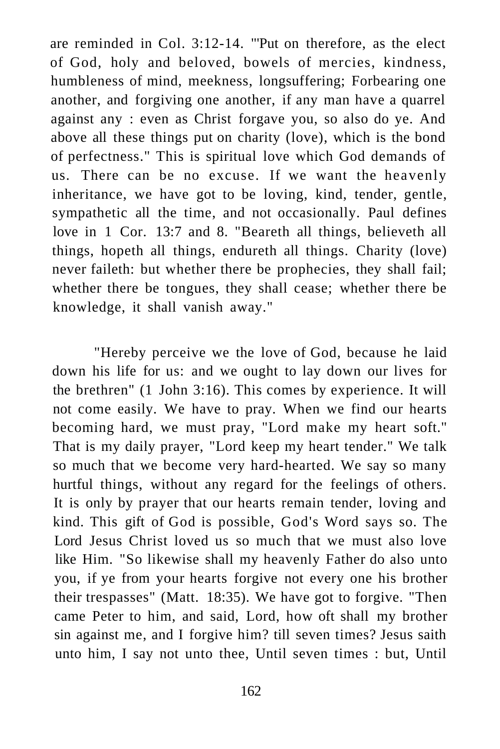are reminded in Col. 3:12-14. "'Put on therefore, as the elect of God, holy and beloved, bowels of mercies, kindness, humbleness of mind, meekness, longsuffering; Forbearing one another, and forgiving one another, if any man have a quarrel against any : even as Christ forgave you, so also do ye. And above all these things put on charity (love), which is the bond of perfectness." This is spiritual love which God demands of us. There can be no excuse. If we want the heavenly inheritance, we have got to be loving, kind, tender, gentle, sympathetic all the time, and not occasionally. Paul defines love in 1 Cor. 13:7 and 8. "Beareth all things, believeth all things, hopeth all things, endureth all things. Charity (love) never faileth: but whether there be prophecies, they shall fail; whether there be tongues, they shall cease; whether there be knowledge, it shall vanish away."

"Hereby perceive we the love of God, because he laid down his life for us: and we ought to lay down our lives for the brethren" (1 John 3:16). This comes by experience. It will not come easily. We have to pray. When we find our hearts becoming hard, we must pray, "Lord make my heart soft." That is my daily prayer, "Lord keep my heart tender." We talk so much that we become very hard-hearted. We say so many hurtful things, without any regard for the feelings of others. It is only by prayer that our hearts remain tender, loving and kind. This gift of God is possible, God's Word says so. The Lord Jesus Christ loved us so much that we must also love like Him. "So likewise shall my heavenly Father do also unto you, if ye from your hearts forgive not every one his brother their trespasses" (Matt. 18:35). We have got to forgive. "Then came Peter to him, and said, Lord, how oft shall my brother sin against me, and I forgive him? till seven times? Jesus saith unto him, I say not unto thee, Until seven times : but, Until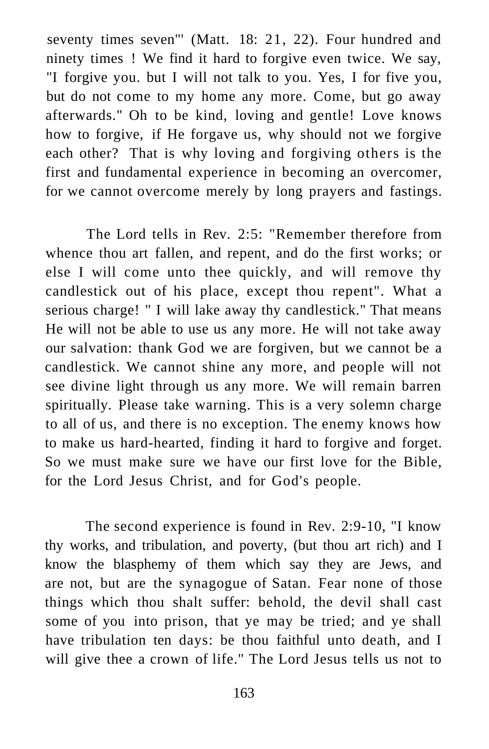seventy times seven"' (Matt. 18: 21, 22). Four hundred and ninety times ! We find it hard to forgive even twice. We say, "I forgive you. but I will not talk to you. Yes, I for five you, but do not come to my home any more. Come, but go away afterwards." Oh to be kind, loving and gentle! Love knows how to forgive, if He forgave us, why should not we forgive each other? That is why loving and forgiving others is the first and fundamental experience in becoming an overcomer, for we cannot overcome merely by long prayers and fastings.

The Lord tells in Rev. 2:5: "Remember therefore from whence thou art fallen, and repent, and do the first works; or else I will come unto thee quickly, and will remove thy candlestick out of his place, except thou repent". What a serious charge! " I will lake away thy candlestick." That means He will not be able to use us any more. He will not take away our salvation: thank God we are forgiven, but we cannot be a candlestick. We cannot shine any more, and people will not see divine light through us any more. We will remain barren spiritually. Please take warning. This is a very solemn charge to all of us, and there is no exception. The enemy knows how to make us hard-hearted, finding it hard to forgive and forget. So we must make sure we have our first love for the Bible, for the Lord Jesus Christ, and for God's people.

The second experience is found in Rev. 2:9-10, "I know thy works, and tribulation, and poverty, (but thou art rich) and I know the blasphemy of them which say they are Jews, and are not, but are the synagogue of Satan. Fear none of those things which thou shalt suffer: behold, the devil shall cast some of you into prison, that ye may be tried; and ye shall have tribulation ten days: be thou faithful unto death, and I will give thee a crown of life." The Lord Jesus tells us not to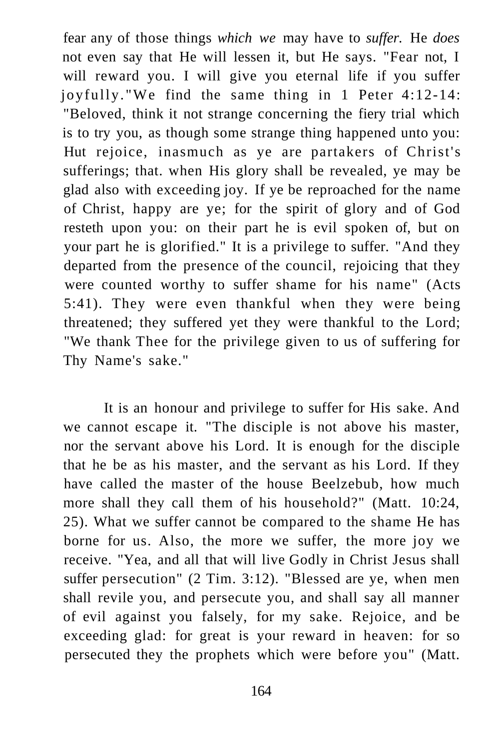fear any of those things *which we* may have to *suffer.* He *does*  not even say that He will lessen it, but He says. "Fear not, I will reward you. I will give you eternal life if you suffer joyfully."We find the same thing in 1 Peter 4:12-14: "Beloved, think it not strange concerning the fiery trial which is to try you, as though some strange thing happened unto you: Hut rejoice, inasmuch as ye are partakers of Christ's sufferings; that. when His glory shall be revealed, ye may be glad also with exceeding joy. If ye be reproached for the name of Christ, happy are ye; for the spirit of glory and of God resteth upon you: on their part he is evil spoken of, but on your part he is glorified." It is a privilege to suffer. "And they departed from the presence of the council, rejoicing that they were counted worthy to suffer shame for his name" (Acts 5:41). They were even thankful when they were being threatened; they suffered yet they were thankful to the Lord; "We thank Thee for the privilege given to us of suffering for Thy Name's sake."

It is an honour and privilege to suffer for His sake. And we cannot escape it. "The disciple is not above his master, nor the servant above his Lord. It is enough for the disciple that he be as his master, and the servant as his Lord. If they have called the master of the house Beelzebub, how much more shall they call them of his household?" (Matt. 10:24, 25). What we suffer cannot be compared to the shame He has borne for us. Also, the more we suffer, the more joy we receive. "Yea, and all that will live Godly in Christ Jesus shall suffer persecution" (2 Tim. 3:12). "Blessed are ye, when men shall revile you, and persecute you, and shall say all manner of evil against you falsely, for my sake. Rejoice, and be exceeding glad: for great is your reward in heaven: for so persecuted they the prophets which were before you" (Matt.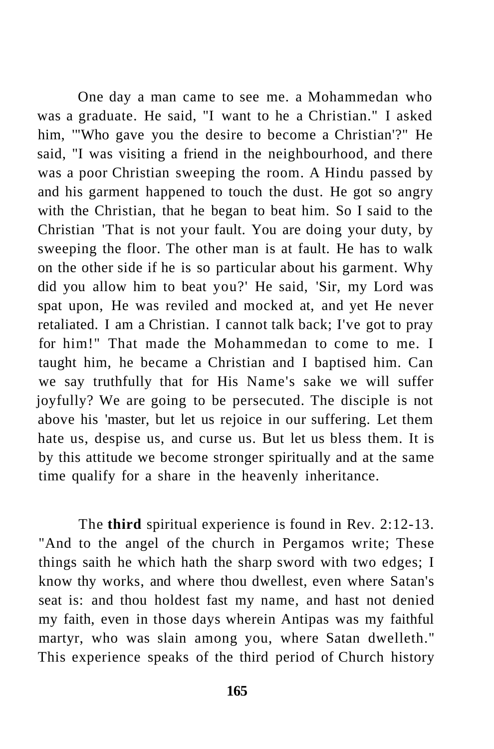One day a man came to see me. a Mohammedan who was a graduate. He said, "I want to he a Christian." I asked him, '"Who gave you the desire to become a Christian'?" He said, "I was visiting a friend in the neighbourhood, and there was a poor Christian sweeping the room. A Hindu passed by and his garment happened to touch the dust. He got so angry with the Christian, that he began to beat him. So I said to the Christian 'That is not your fault. You are doing your duty, by sweeping the floor. The other man is at fault. He has to walk on the other side if he is so particular about his garment. Why did you allow him to beat you?' He said, 'Sir, my Lord was spat upon, He was reviled and mocked at, and yet He never retaliated. I am a Christian. I cannot talk back; I've got to pray for him!" That made the Mohammedan to come to me. I taught him, he became a Christian and I baptised him. Can we say truthfully that for His Name's sake we will suffer joyfully? We are going to be persecuted. The disciple is not above his 'master, but let us rejoice in our suffering. Let them hate us, despise us, and curse us. But let us bless them. It is by this attitude we become stronger spiritually and at the same time qualify for a share in the heavenly inheritance.

The **third** spiritual experience is found in Rev. 2:12-13. "And to the angel of the church in Pergamos write; These things saith he which hath the sharp sword with two edges; I know thy works, and where thou dwellest, even where Satan's seat is: and thou holdest fast my name, and hast not denied my faith, even in those days wherein Antipas was my faithful martyr, who was slain among you, where Satan dwelleth." This experience speaks of the third period of Church history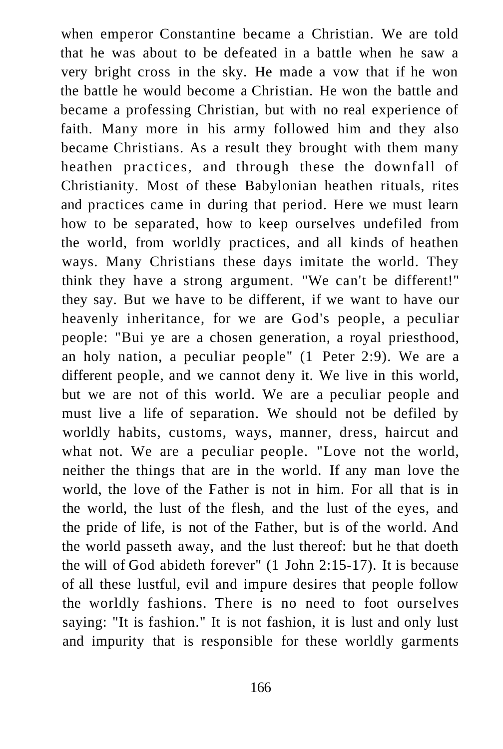when emperor Constantine became a Christian. We are told that he was about to be defeated in a battle when he saw a very bright cross in the sky. He made a vow that if he won the battle he would become a Christian. He won the battle and became a professing Christian, but with no real experience of faith. Many more in his army followed him and they also became Christians. As a result they brought with them many heathen practices, and through these the downfall of Christianity. Most of these Babylonian heathen rituals, rites and practices came in during that period. Here we must learn how to be separated, how to keep ourselves undefiled from the world, from worldly practices, and all kinds of heathen ways. Many Christians these days imitate the world. They think they have a strong argument. "We can't be different!" they say. But we have to be different, if we want to have our heavenly inheritance, for we are God's people, a peculiar people: "Bui ye are a chosen generation, a royal priesthood, an holy nation, a peculiar people" (1 Peter 2:9). We are a different people, and we cannot deny it. We live in this world, but we are not of this world. We are a peculiar people and must live a life of separation. We should not be defiled by worldly habits, customs, ways, manner, dress, haircut and what not. We are a peculiar people. "Love not the world, neither the things that are in the world. If any man love the world, the love of the Father is not in him. For all that is in the world, the lust of the flesh, and the lust of the eyes, and the pride of life, is not of the Father, but is of the world. And the world passeth away, and the lust thereof: but he that doeth the will of God abideth forever" (1 John 2:15-17). It is because of all these lustful, evil and impure desires that people follow the worldly fashions. There is no need to foot ourselves saying: "It is fashion." It is not fashion, it is lust and only lust and impurity that is responsible for these worldly garments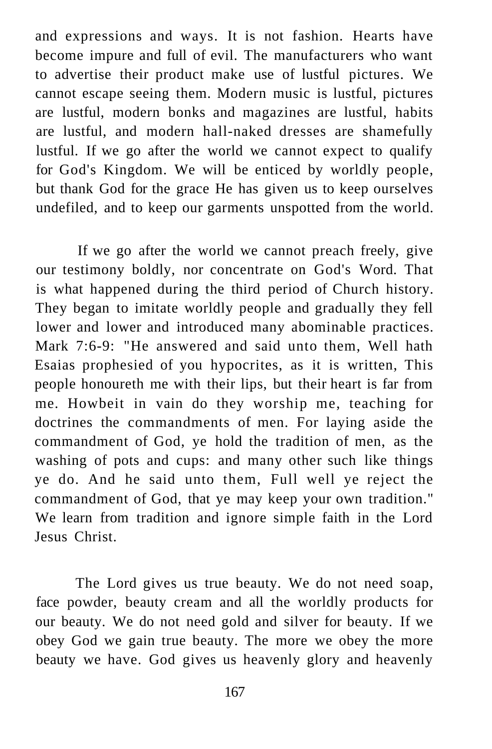and expressions and ways. It is not fashion. Hearts have become impure and full of evil. The manufacturers who want to advertise their product make use of lustful pictures. We cannot escape seeing them. Modern music is lustful, pictures are lustful, modern bonks and magazines are lustful, habits are lustful, and modern hall-naked dresses are shamefully lustful. If we go after the world we cannot expect to qualify for God's Kingdom. We will be enticed by worldly people, but thank God for the grace He has given us to keep ourselves undefiled, and to keep our garments unspotted from the world.

If we go after the world we cannot preach freely, give our testimony boldly, nor concentrate on God's Word. That is what happened during the third period of Church history. They began to imitate worldly people and gradually they fell lower and lower and introduced many abominable practices. Mark 7:6-9: "He answered and said unto them, Well hath Esaias prophesied of you hypocrites, as it is written, This people honoureth me with their lips, but their heart is far from me. Howbeit in vain do they worship me, teaching for doctrines the commandments of men. For laying aside the commandment of God, ye hold the tradition of men, as the washing of pots and cups: and many other such like things ye do. And he said unto them, Full well ye reject the commandment of God, that ye may keep your own tradition." We learn from tradition and ignore simple faith in the Lord Jesus Christ.

The Lord gives us true beauty. We do not need soap, face powder, beauty cream and all the worldly products for our beauty. We do not need gold and silver for beauty. If we obey God we gain true beauty. The more we obey the more beauty we have. God gives us heavenly glory and heavenly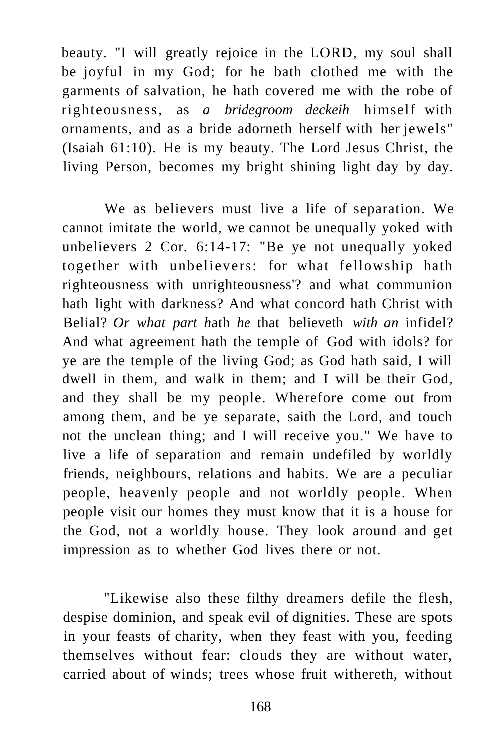beauty. "I will greatly rejoice in the LORD, my soul shall be joyful in my God; for he bath clothed me with the garments of salvation, he hath covered me with the robe of righteousness, as *a bridegroom deckeih* himself with ornaments, and as a bride adorneth herself with her jewels" (Isaiah 61:10). He is my beauty. The Lord Jesus Christ, the living Person, becomes my bright shining light day by day.

We as believers must live a life of separation. We cannot imitate the world, we cannot be unequally yoked with unbelievers 2 Cor. 6:14-17: "Be ye not unequally yoked together with unbelievers: for what fellowship hath righteousness with unrighteousness'? and what communion hath light with darkness? And what concord hath Christ with Belial? *Or what part h*ath *he* that believeth *with an* infidel? And what agreement hath the temple of God with idols? for ye are the temple of the living God; as God hath said, I will dwell in them, and walk in them; and I will be their God, and they shall be my people. Wherefore come out from among them, and be ye separate, saith the Lord, and touch not the unclean thing; and I will receive you." We have to live a life of separation and remain undefiled by worldly friends, neighbours, relations and habits. We are a peculiar people, heavenly people and not worldly people. When people visit our homes they must know that it is a house for the God, not a worldly house. They look around and get impression as to whether God lives there or not.

"Likewise also these filthy dreamers defile the flesh, despise dominion, and speak evil of dignities. These are spots in your feasts of charity, when they feast with you, feeding themselves without fear: clouds they are without water, carried about of winds; trees whose fruit withereth, without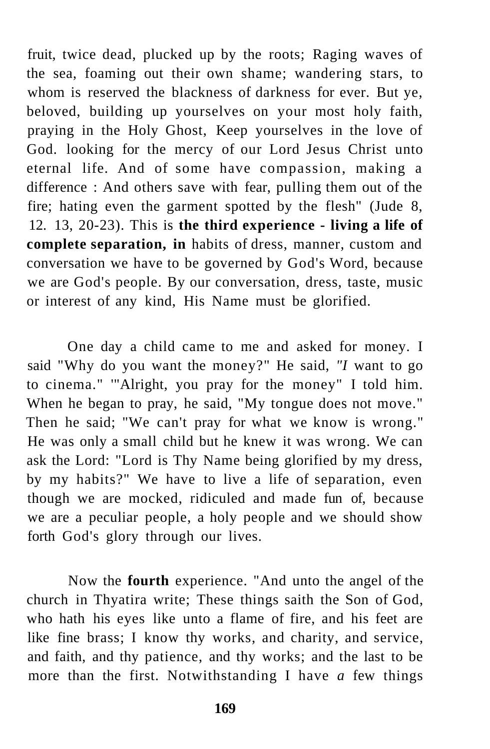fruit, twice dead, plucked up by the roots; Raging waves of the sea, foaming out their own shame; wandering stars, to whom is reserved the blackness of darkness for ever. But ye, beloved, building up yourselves on your most holy faith, praying in the Holy Ghost, Keep yourselves in the love of God. looking for the mercy of our Lord Jesus Christ unto eternal life. And of some have compassion, making a difference : And others save with fear, pulling them out of the fire; hating even the garment spotted by the flesh" (Jude 8, 12. 13, 20-23). This is **the third experience - living a life of complete separation, in** habits of dress, manner, custom and conversation we have to be governed by God's Word, because we are God's people. By our conversation, dress, taste, music or interest of any kind, His Name must be glorified.

One day a child came to me and asked for money. I said "Why do you want the money?" He said, *"I* want to go to cinema." '"Alright, you pray for the money" I told him. When he began to pray, he said, "My tongue does not move." Then he said; "We can't pray for what we know is wrong." He was only a small child but he knew it was wrong. We can ask the Lord: "Lord is Thy Name being glorified by my dress, by my habits?" We have to live a life of separation, even though we are mocked, ridiculed and made fun of, because we are a peculiar people, a holy people and we should show forth God's glory through our lives.

Now the **fourth** experience. "And unto the angel of the church in Thyatira write; These things saith the Son of God, who hath his eyes like unto a flame of fire, and his feet are like fine brass; I know thy works, and charity, and service, and faith, and thy patience, and thy works; and the last to be more than the first. Notwithstanding I have *a* few things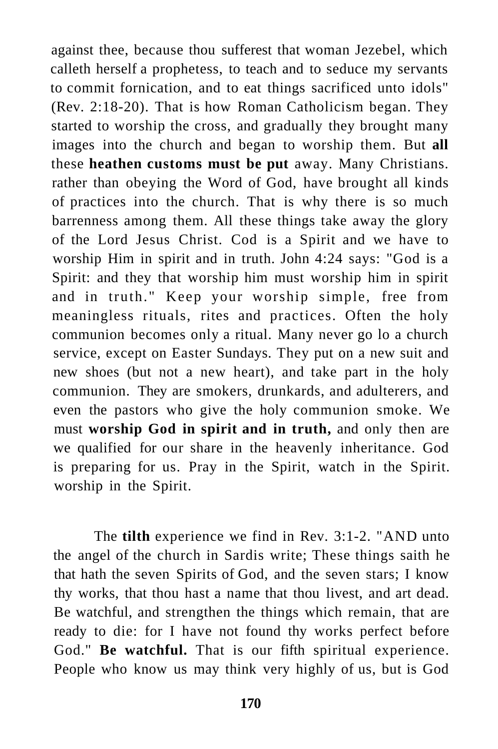against thee, because thou sufferest that woman Jezebel, which calleth herself a prophetess, to teach and to seduce my servants to commit fornication, and to eat things sacrificed unto idols" (Rev. 2:18-20). That is how Roman Catholicism began. They started to worship the cross, and gradually they brought many images into the church and began to worship them. But **all**  these **heathen customs must be put** away. Many Christians. rather than obeying the Word of God, have brought all kinds of practices into the church. That is why there is so much barrenness among them. All these things take away the glory of the Lord Jesus Christ. Cod is a Spirit and we have to worship Him in spirit and in truth. John 4:24 says: "God is a Spirit: and they that worship him must worship him in spirit and in truth." Keep your worship simple, free from meaningless rituals, rites and practices. Often the holy communion becomes only a ritual. Many never go lo a church service, except on Easter Sundays. They put on a new suit and new shoes (but not a new heart), and take part in the holy communion. They are smokers, drunkards, and adulterers, and even the pastors who give the holy communion smoke. We must **worship God in spirit and in truth,** and only then are we qualified for our share in the heavenly inheritance. God is preparing for us. Pray in the Spirit, watch in the Spirit. worship in the Spirit.

The **tilth** experience we find in Rev. 3:1-2. "AND unto the angel of the church in Sardis write; These things saith he that hath the seven Spirits of God, and the seven stars; I know thy works, that thou hast a name that thou livest, and art dead. Be watchful, and strengthen the things which remain, that are ready to die: for I have not found thy works perfect before God." **Be watchful.** That is our fifth spiritual experience. People who know us may think very highly of us, but is God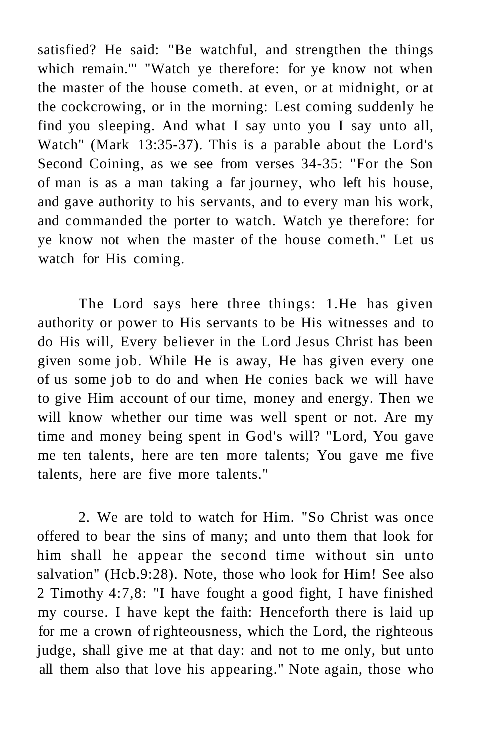satisfied? He said: "Be watchful, and strengthen the things which remain."' "Watch ye therefore: for ye know not when the master of the house cometh. at even, or at midnight, or at the cockcrowing, or in the morning: Lest coming suddenly he find you sleeping. And what I say unto you I say unto all, Watch" (Mark 13:35-37). This is a parable about the Lord's Second Coining, as we see from verses 34-35: "For the Son of man is as a man taking a far journey, who left his house, and gave authority to his servants, and to every man his work, and commanded the porter to watch. Watch ye therefore: for ye know not when the master of the house cometh." Let us watch for His coming.

The Lord says here three things: 1.He has given authority or power to His servants to be His witnesses and to do His will, Every believer in the Lord Jesus Christ has been given some job. While He is away, He has given every one of us some job to do and when He conies back we will have to give Him account of our time, money and energy. Then we will know whether our time was well spent or not. Are my time and money being spent in God's will? "Lord, You gave me ten talents, here are ten more talents; You gave me five talents, here are five more talents."

2. We are told to watch for Him. "So Christ was once offered to bear the sins of many; and unto them that look for him shall he appear the second time without sin unto salvation" (Hcb.9:28). Note, those who look for Him! See also 2 Timothy 4:7,8: "I have fought a good fight, I have finished my course. I have kept the faith: Henceforth there is laid up for me a crown of righteousness, which the Lord, the righteous judge, shall give me at that day: and not to me only, but unto all them also that love his appearing." Note again, those who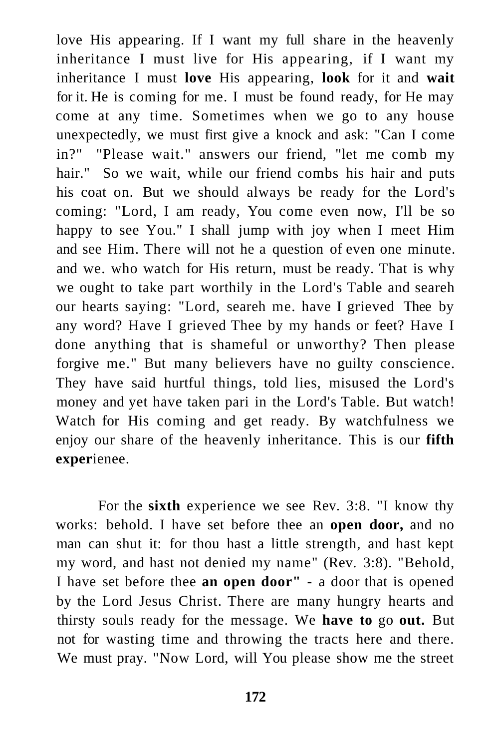love His appearing. If I want my full share in the heavenly inheritance I must live for His appearing, if I want my inheritance I must **love** His appearing, **look** for it and **wait**  for it. He is coming for me. I must be found ready, for He may come at any time. Sometimes when we go to any house unexpectedly, we must first give a knock and ask: "Can I come in?" "Please wait." answers our friend, "let me comb my hair." So we wait, while our friend combs his hair and puts his coat on. But we should always be ready for the Lord's coming: "Lord, I am ready, You come even now, I'll be so happy to see You." I shall jump with joy when I meet Him and see Him. There will not he a question of even one minute. and we. who watch for His return, must be ready. That is why we ought to take part worthily in the Lord's Table and seareh our hearts saying: "Lord, seareh me. have I grieved Thee by any word? Have I grieved Thee by my hands or feet? Have I done anything that is shameful or unworthy? Then please forgive me." But many believers have no guilty conscience. They have said hurtful things, told lies, misused the Lord's money and yet have taken pari in the Lord's Table. But watch! Watch for His coming and get ready. By watchfulness we enjoy our share of the heavenly inheritance. This is our **fifth exper**ienee.

For the **sixth** experience we see Rev. 3:8. "I know thy works: behold. I have set before thee an **open door,** and no man can shut it: for thou hast a little strength, and hast kept my word, and hast not denied my name" (Rev. 3:8). "Behold, I have set before thee **an open door"** - a door that is opened by the Lord Jesus Christ. There are many hungry hearts and thirsty souls ready for the message. We **have to** go **out.** But not for wasting time and throwing the tracts here and there. We must pray. "Now Lord, will You please show me the street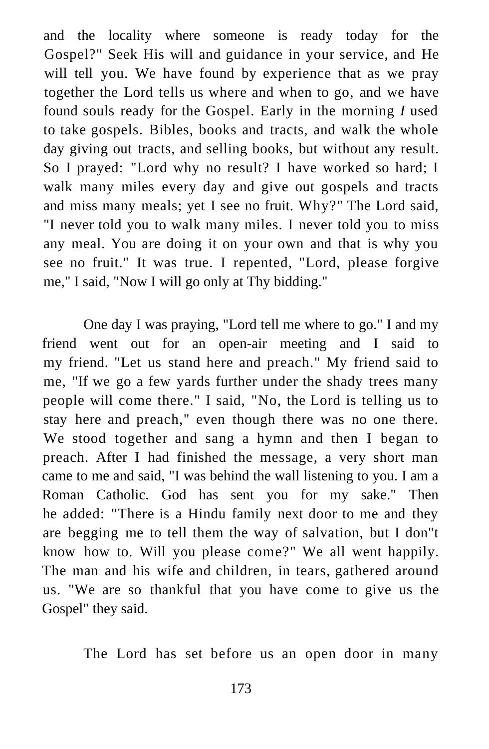and the locality where someone is ready today for the Gospel?" Seek His will and guidance in your service, and He will tell you. We have found by experience that as we pray together the Lord tells us where and when to go, and we have found souls ready for the Gospel. Early in the morning *I* used to take gospels. Bibles, books and tracts, and walk the whole day giving out tracts, and selling books, but without any result. So I prayed: "Lord why no result? I have worked so hard; I walk many miles every day and give out gospels and tracts and miss many meals; yet I see no fruit. Why?" The Lord said, "I never told you to walk many miles. I never told you to miss any meal. You are doing it on your own and that is why you see no fruit." It was true. I repented, "Lord, please forgive me," I said, "Now I will go only at Thy bidding."

One day I was praying, "Lord tell me where to go." I and my friend went out for an open-air meeting and I said to my friend. "Let us stand here and preach." My friend said to me, "If we go a few yards further under the shady trees many people will come there." I said, "No, the Lord is telling us to stay here and preach," even though there was no one there. We stood together and sang a hymn and then I began to preach. After I had finished the message, a very short man came to me and said, "I was behind the wall listening to you. I am a Roman Catholic. God has sent you for my sake." Then he added: "There is a Hindu family next door to me and they are begging me to tell them the way of salvation, but I don"t know how to. Will you please come?" We all went happily. The man and his wife and children, in tears, gathered around us. "We are so thankful that you have come to give us the Gospel" they said.

The Lord has set before us an open door in many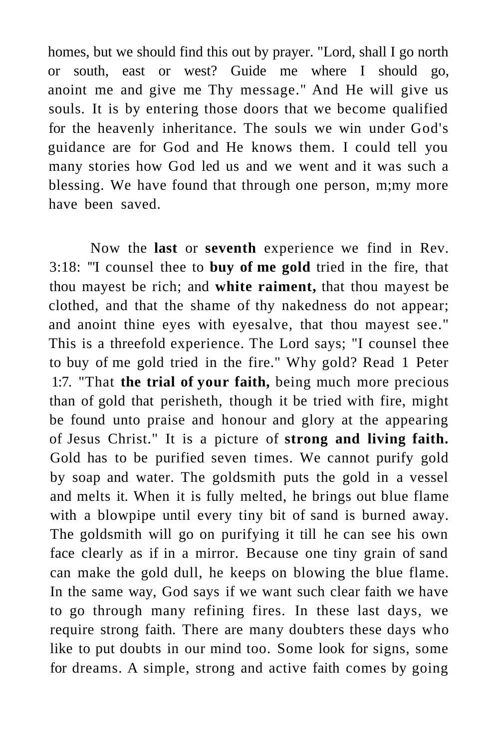homes, but we should find this out by prayer. "Lord, shall I go north or south, east or west? Guide me where I should go, anoint me and give me Thy message." And He will give us souls. It is by entering those doors that we become qualified for the heavenly inheritance. The souls we win under God's guidance are for God and He knows them. I could tell you many stories how God led us and we went and it was such a blessing. We have found that through one person, m;my more have been saved.

Now the **last** or **seventh** experience we find in Rev. 3:18: '"I counsel thee to **buy of me gold** tried in the fire, that thou mayest be rich; and **white raiment,** that thou mayest be clothed, and that the shame of thy nakedness do not appear; and anoint thine eyes with eyesalve, that thou mayest see." This is a threefold experience. The Lord says; "I counsel thee to buy of me gold tried in the fire." Why gold? Read 1 Peter 1:7. "That **the trial of your faith,** being much more precious than of gold that perisheth, though it be tried with fire, might be found unto praise and honour and glory at the appearing of Jesus Christ." It is a picture of **strong and living faith.**  Gold has to be purified seven times. We cannot purify gold by soap and water. The goldsmith puts the gold in a vessel and melts it. When it is fully melted, he brings out blue flame with a blowpipe until every tiny bit of sand is burned away. The goldsmith will go on purifying it till he can see his own face clearly as if in a mirror. Because one tiny grain of sand can make the gold dull, he keeps on blowing the blue flame. In the same way, God says if we want such clear faith we have to go through many refining fires. In these last days, we require strong faith. There are many doubters these days who like to put doubts in our mind too. Some look for signs, some for dreams. A simple, strong and active faith comes by going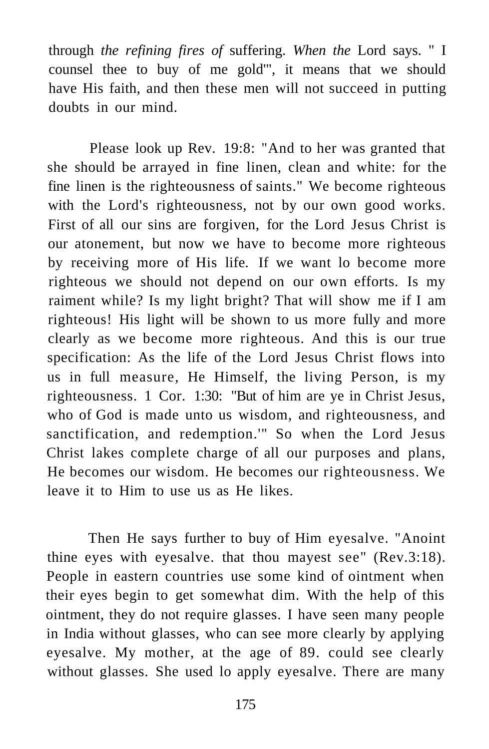through *the refining fires of* suffering. *When the* Lord says. " I counsel thee to buy of me gold'", it means that we should have His faith, and then these men will not succeed in putting doubts in our mind.

Please look up Rev. 19:8: "And to her was granted that she should be arrayed in fine linen, clean and white: for the fine linen is the righteousness of saints." We become righteous with the Lord's righteousness, not by our own good works. First of all our sins are forgiven, for the Lord Jesus Christ is our atonement, but now we have to become more righteous by receiving more of His life. If we want lo become more righteous we should not depend on our own efforts. Is my raiment while? Is my light bright? That will show me if I am righteous! His light will be shown to us more fully and more clearly as we become more righteous. And this is our true specification: As the life of the Lord Jesus Christ flows into us in full measure, He Himself, the living Person, is my righteousness. 1 Cor. 1:30: "But of him are ye in Christ Jesus, who of God is made unto us wisdom, and righteousness, and sanctification, and redemption.'" So when the Lord Jesus Christ lakes complete charge of all our purposes and plans, He becomes our wisdom. He becomes our righteousness. We leave it to Him to use us as He likes.

Then He says further to buy of Him eyesalve. "Anoint thine eyes with eyesalve. that thou mayest see" (Rev.3:18). People in eastern countries use some kind of ointment when their eyes begin to get somewhat dim. With the help of this ointment, they do not require glasses. I have seen many people in India without glasses, who can see more clearly by applying eyesalve. My mother, at the age of 89. could see clearly without glasses. She used lo apply eyesalve. There are many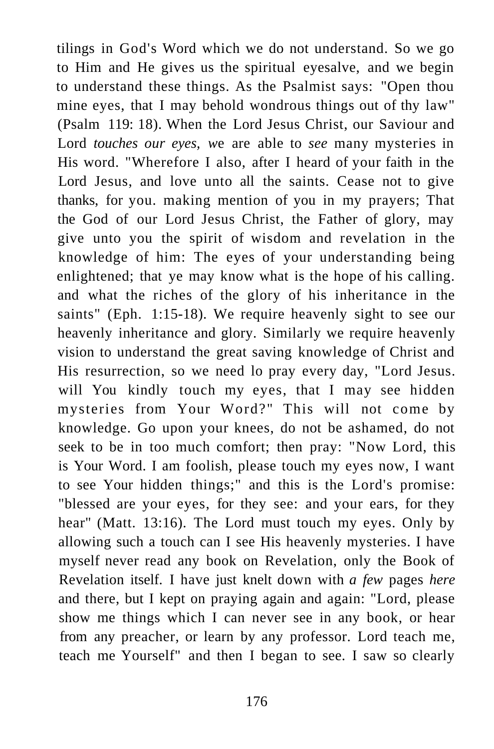tilings in God's Word which we do not understand. So we go to Him and He gives us the spiritual eyesalve, and we begin to understand these things. As the Psalmist says: "Open thou mine eyes, that I may behold wondrous things out of thy law" (Psalm 119: 18). When the Lord Jesus Christ, our Saviour and Lord *touches our eyes, w*e are able to *see* many mysteries in His word. "Wherefore I also, after I heard of your faith in the Lord Jesus, and love unto all the saints. Cease not to give thanks, for you. making mention of you in my prayers; That the God of our Lord Jesus Christ, the Father of glory, may give unto you the spirit of wisdom and revelation in the knowledge of him: The eyes of your understanding being enlightened; that ye may know what is the hope of his calling. and what the riches of the glory of his inheritance in the saints" (Eph. 1:15-18). We require heavenly sight to see our heavenly inheritance and glory. Similarly we require heavenly vision to understand the great saving knowledge of Christ and His resurrection, so we need lo pray every day, "Lord Jesus. will You kindly touch my eyes, that I may see hidden mysteries from Your Word?" This will not come by knowledge. Go upon your knees, do not be ashamed, do not seek to be in too much comfort; then pray: "Now Lord, this is Your Word. I am foolish, please touch my eyes now, I want to see Your hidden things;" and this is the Lord's promise: "blessed are your eyes, for they see: and your ears, for they hear" (Matt. 13:16). The Lord must touch my eyes. Only by allowing such a touch can I see His heavenly mysteries. I have myself never read any book on Revelation, only the Book of Revelation itself. I have just knelt down with *a few* pages *here*  and there, but I kept on praying again and again: "Lord, please show me things which I can never see in any book, or hear from any preacher, or learn by any professor. Lord teach me, teach me Yourself" and then I began to see. I saw so clearly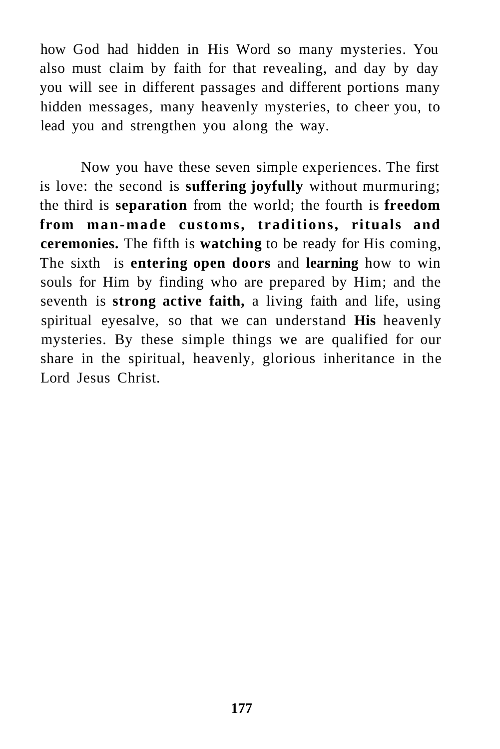how God had hidden in His Word so many mysteries. You also must claim by faith for that revealing, and day by day you will see in different passages and different portions many hidden messages, many heavenly mysteries, to cheer you, to lead you and strengthen you along the way.

Now you have these seven simple experiences. The first is love: the second is **suffering joyfully** without murmuring; the third is **separation** from the world; the fourth is **freedom from man-made customs, traditions, rituals and ceremonies.** The fifth is **watching** to be ready for His coming, The sixth is **entering open doors** and **learning** how to win souls for Him by finding who are prepared by Him; and the seventh is **strong active faith,** a living faith and life, using spiritual eyesalve, so that we can understand **His** heavenly mysteries. By these simple things we are qualified for our share in the spiritual, heavenly, glorious inheritance in the Lord Jesus Christ.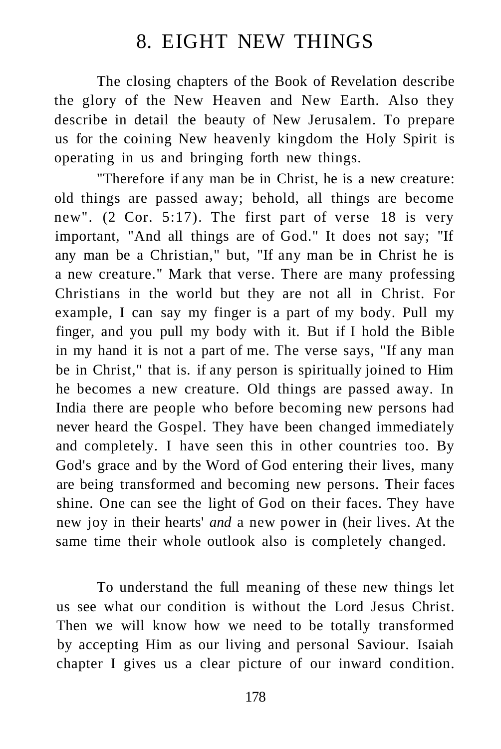## 8. EIGHT NEW THINGS

The closing chapters of the Book of Revelation describe the glory of the New Heaven and New Earth. Also they describe in detail the beauty of New Jerusalem. To prepare us for the coining New heavenly kingdom the Holy Spirit is operating in us and bringing forth new things.

"Therefore if any man be in Christ, he is a new creature: old things are passed away; behold, all things are become new". (2 Cor. 5:17). The first part of verse 18 is very important, "And all things are of God." It does not say; "If any man be a Christian," but, "If any man be in Christ he is a new creature." Mark that verse. There are many professing Christians in the world but they are not all in Christ. For example, I can say my finger is a part of my body. Pull my finger, and you pull my body with it. But if I hold the Bible in my hand it is not a part of me. The verse says, "If any man be in Christ," that is. if any person is spiritually joined to Him he becomes a new creature. Old things are passed away. In India there are people who before becoming new persons had never heard the Gospel. They have been changed immediately and completely. I have seen this in other countries too. By God's grace and by the Word of God entering their lives, many are being transformed and becoming new persons. Their faces shine. One can see the light of God on their faces. They have new joy in their hearts' *and* a new power in (heir lives. At the same time their whole outlook also is completely changed.

To understand the full meaning of these new things let us see what our condition is without the Lord Jesus Christ. Then we will know how we need to be totally transformed by accepting Him as our living and personal Saviour. Isaiah chapter I gives us a clear picture of our inward condition.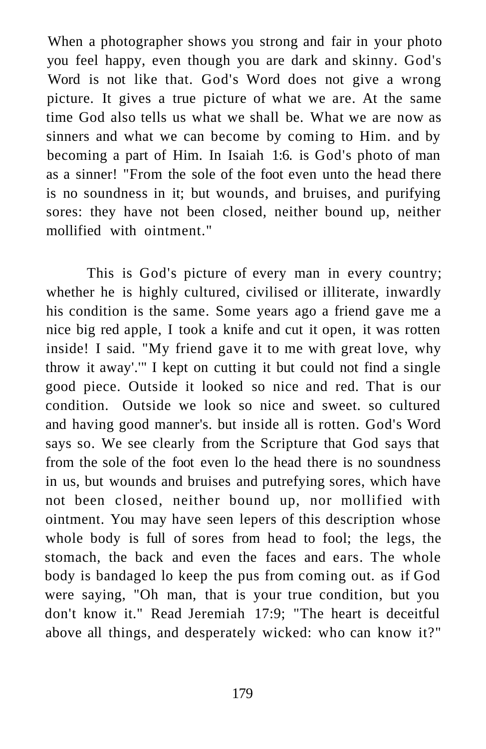When a photographer shows you strong and fair in your photo you feel happy, even though you are dark and skinny. God's Word is not like that. God's Word does not give a wrong picture. It gives a true picture of what we are. At the same time God also tells us what we shall be. What we are now as sinners and what we can become by coming to Him. and by becoming a part of Him. In Isaiah 1:6. is God's photo of man as a sinner! "From the sole of the foot even unto the head there is no soundness in it; but wounds, and bruises, and purifying sores: they have not been closed, neither bound up, neither mollified with ointment."

This is God's picture of every man in every country; whether he is highly cultured, civilised or illiterate, inwardly his condition is the same. Some years ago a friend gave me a nice big red apple, I took a knife and cut it open, it was rotten inside! I said. "My friend gave it to me with great love, why throw it away'.'" I kept on cutting it but could not find a single good piece. Outside it looked so nice and red. That is our condition. Outside we look so nice and sweet. so cultured and having good manner's. but inside all is rotten. God's Word says so. We see clearly from the Scripture that God says that from the sole of the foot even lo the head there is no soundness in us, but wounds and bruises and putrefying sores, which have not been closed, neither bound up, nor mollified with ointment. You may have seen lepers of this description whose whole body is full of sores from head to fool; the legs, the stomach, the back and even the faces and ears. The whole body is bandaged lo keep the pus from coming out. as if God were saying, "Oh man, that is your true condition, but you don't know it." Read Jeremiah 17:9; "The heart is deceitful above all things, and desperately wicked: who can know it?"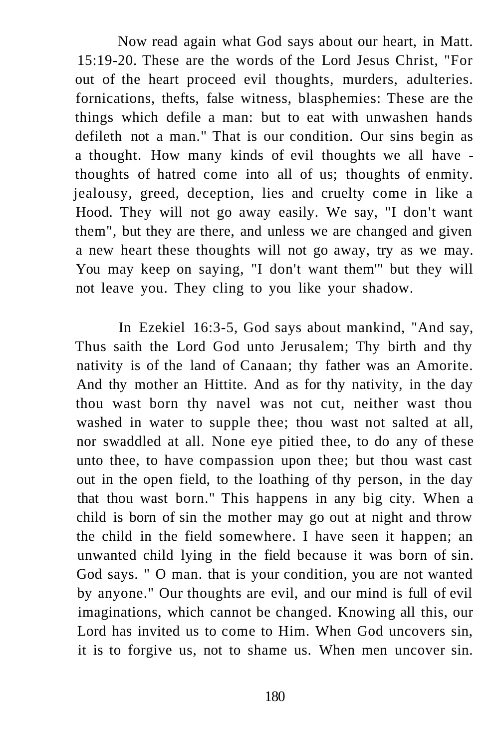Now read again what God says about our heart, in Matt. 15:19-20. These are the words of the Lord Jesus Christ, "For out of the heart proceed evil thoughts, murders, adulteries. fornications, thefts, false witness, blasphemies: These are the things which defile a man: but to eat with unwashen hands defileth not a man." That is our condition. Our sins begin as a thought. How many kinds of evil thoughts we all have thoughts of hatred come into all of us; thoughts of enmity. jealousy, greed, deception, lies and cruelty come in like a Hood. They will not go away easily. We say, "I don't want them", but they are there, and unless we are changed and given a new heart these thoughts will not go away, try as we may. You may keep on saying, "I don't want them'" but they will not leave you. They cling to you like your shadow.

In Ezekiel 16:3-5, God says about mankind, "And say, Thus saith the Lord God unto Jerusalem; Thy birth and thy nativity is of the land of Canaan; thy father was an Amorite. And thy mother an Hittite. And as for thy nativity, in the day thou wast born thy navel was not cut, neither wast thou washed in water to supple thee; thou wast not salted at all, nor swaddled at all. None eye pitied thee, to do any of these unto thee, to have compassion upon thee; but thou wast cast out in the open field, to the loathing of thy person, in the day that thou wast born." This happens in any big city. When a child is born of sin the mother may go out at night and throw the child in the field somewhere. I have seen it happen; an unwanted child lying in the field because it was born of sin. God says. " O man. that is your condition, you are not wanted by anyone." Our thoughts are evil, and our mind is full of evil imaginations, which cannot be changed. Knowing all this, our Lord has invited us to come to Him. When God uncovers sin, it is to forgive us, not to shame us. When men uncover sin.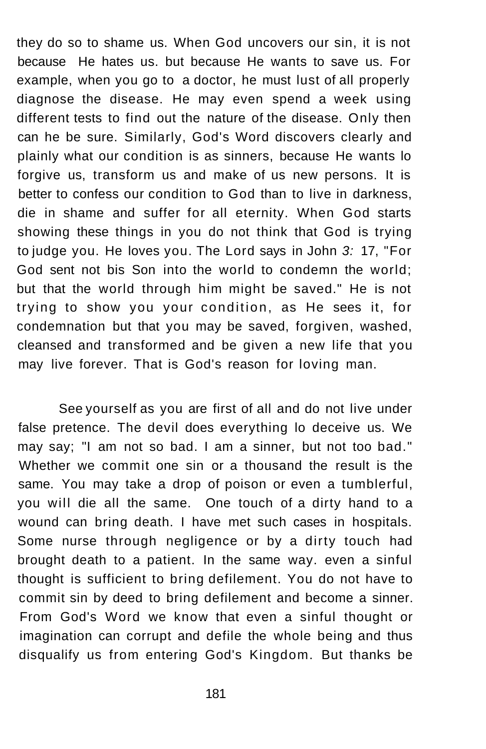they do so to shame us. When God uncovers our sin, it is not because He hates us. but because He wants to save us. For example, when you go to a doctor, he must lust of all properly diagnose the disease. He may even spend a week using different tests to find out the nature of the disease. Only then can he be sure. Similarly, God's Word discovers clearly and plainly what our condition is as sinners, because He wants lo forgive us, transform us and make of us new persons. It is better to confess our condition to God than to live in darkness, die in shame and suffer for all eternity. When God starts showing these things in you do not think that God is trying to judge you. He loves you. The Lord says in John 3: 17, "For God sent not bis Son into the world to condemn the world; but that the world through him might be saved." He is not trying to show you your condition, as He sees it, for condemnation but that you may be saved, forgiven, washed, cleansed and transformed and be given a new life that you may live forever. That is God's reason for loving man.

See yourself as you are first of all and do not live under false pretence. The devil does everything lo deceive us. We may say; "I am not so bad. I am a sinner, but not too bad." Whether we commit one sin or a thousand the result is the same. You may take a drop of poison or even a tumblerful, you will die all the same. One touch of a dirty hand to a wound can bring death. I have met such cases in hospitals. Some nurse through negligence or by a dirty touch had brought death to a patient. In the same way. even a sinful thought is sufficient to bring defilement. You do not have to commit sin by deed to bring defilement and become a sinner. From God's Word we know that even a sinful thought or imagination can corrupt and defile the whole being and thus disqualify us from entering God's Kingdom. But thanks be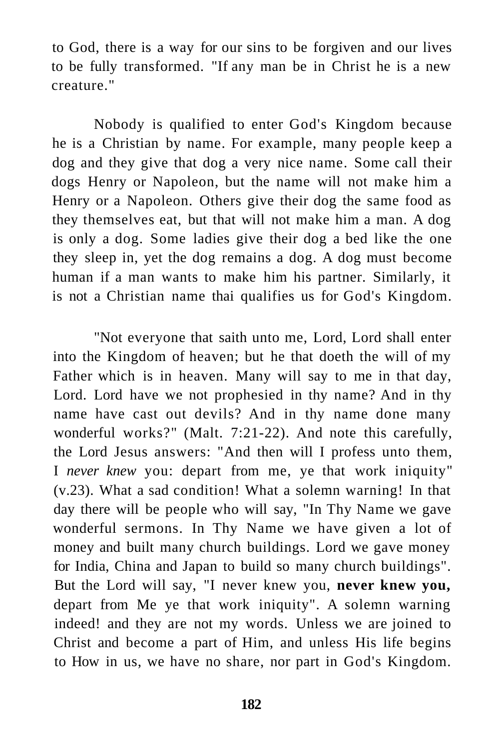to God, there is a way for our sins to be forgiven and our lives to be fully transformed. "If any man be in Christ he is a new creature."

Nobody is qualified to enter God's Kingdom because he is a Christian by name. For example, many people keep a dog and they give that dog a very nice name. Some call their dogs Henry or Napoleon, but the name will not make him a Henry or a Napoleon. Others give their dog the same food as they themselves eat, but that will not make him a man. A dog is only a dog. Some ladies give their dog a bed like the one they sleep in, yet the dog remains a dog. A dog must become human if a man wants to make him his partner. Similarly, it is not a Christian name thai qualifies us for God's Kingdom.

"Not everyone that saith unto me, Lord, Lord shall enter into the Kingdom of heaven; but he that doeth the will of my Father which is in heaven. Many will say to me in that day, Lord. Lord have we not prophesied in thy name? And in thy name have cast out devils? And in thy name done many wonderful works?" (Malt. 7:21-22). And note this carefully, the Lord Jesus answers: "And then will I profess unto them, I *never knew* you: depart from me, ye that work iniquity" (v.23). What a sad condition! What a solemn warning! In that day there will be people who will say, "In Thy Name we gave wonderful sermons. In Thy Name we have given a lot of money and built many church buildings. Lord we gave money for India, China and Japan to build so many church buildings". But the Lord will say, "I never knew you, **never knew you,**  depart from Me ye that work iniquity". A solemn warning indeed! and they are not my words. Unless we are joined to Christ and become a part of Him, and unless His life begins to How in us, we have no share, nor part in God's Kingdom.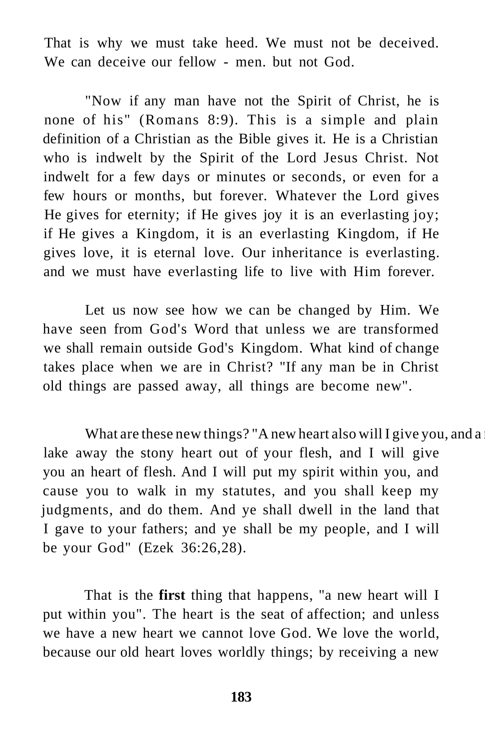That is why we must take heed. We must not be deceived. We can deceive our fellow - men. but not God.

"Now if any man have not the Spirit of Christ, he is none of his" (Romans 8:9). This is a simple and plain definition of a Christian as the Bible gives it. He is a Christian who is indwelt by the Spirit of the Lord Jesus Christ. Not indwelt for a few days or minutes or seconds, or even for a few hours or months, but forever. Whatever the Lord gives He gives for eternity; if He gives joy it is an everlasting joy; if He gives a Kingdom, it is an everlasting Kingdom, if He gives love, it is eternal love. Our inheritance is everlasting. and we must have everlasting life to live with Him forever.

Let us now see how we can be changed by Him. We have seen from God's Word that unless we are transformed we shall remain outside God's Kingdom. What kind of change takes place when we are in Christ? "If any man be in Christ old things are passed away, all things are become new".

What are these new things? "A new heart also will I give you, and a lake away the stony heart out of your flesh, and I will give you an heart of flesh. And I will put my spirit within you, and cause you to walk in my statutes, and you shall keep my judgments, and do them. And ye shall dwell in the land that I gave to your fathers; and ye shall be my people, and I will be your God" (Ezek 36:26,28).

That is the **first** thing that happens, "a new heart will I put within you". The heart is the seat of affection; and unless we have a new heart we cannot love God. We love the world, because our old heart loves worldly things; by receiving a new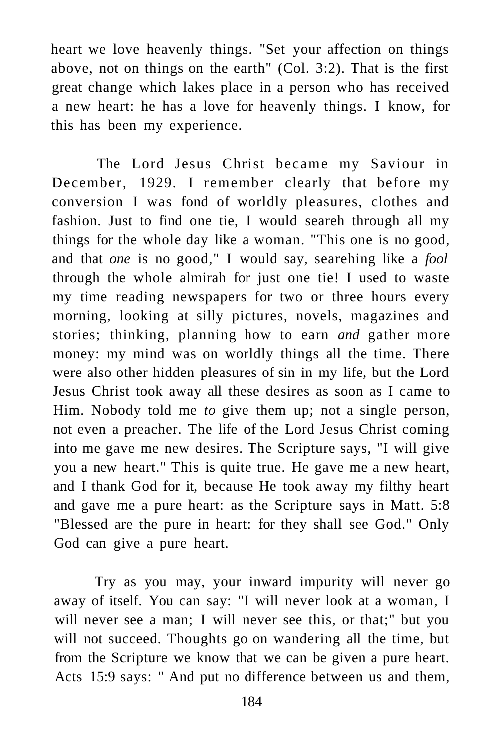heart we love heavenly things. "Set your affection on things above, not on things on the earth" (Col. 3:2). That is the first great change which lakes place in a person who has received a new heart: he has a love for heavenly things. I know, for this has been my experience.

The Lord Jesus Christ became my Saviour in December, 1929. I remember clearly that before my conversion I was fond of worldly pleasures, clothes and fashion. Just to find one tie, I would seareh through all my things for the whole day like a woman. "This one is no good, and that *one* is no good," I would say, searehing like a *fool*  through the whole almirah for just one tie! I used to waste my time reading newspapers for two or three hours every morning, looking at silly pictures, novels, magazines and stories; thinking, planning how to earn *and* gather more money: my mind was on worldly things all the time. There were also other hidden pleasures of sin in my life, but the Lord Jesus Christ took away all these desires as soon as I came to Him. Nobody told me *to* give them up; not a single person, not even a preacher. The life of the Lord Jesus Christ coming into me gave me new desires. The Scripture says, "I will give you a new heart." This is quite true. He gave me a new heart, and I thank God for it, because He took away my filthy heart and gave me a pure heart: as the Scripture says in Matt. 5:8 "Blessed are the pure in heart: for they shall see God." Only God can give a pure heart.

Try as you may, your inward impurity will never go away of itself. You can say: "I will never look at a woman, I will never see a man; I will never see this, or that;" but you will not succeed. Thoughts go on wandering all the time, but from the Scripture we know that we can be given a pure heart. Acts 15:9 says: '' And put no difference between us and them,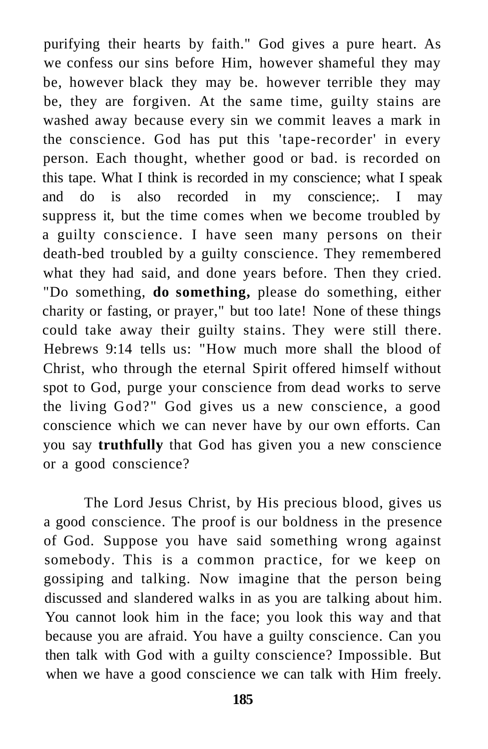purifying their hearts by faith." God gives a pure heart. As we confess our sins before Him, however shameful they may be, however black they may be. however terrible they may be, they are forgiven. At the same time, guilty stains are washed away because every sin we commit leaves a mark in the conscience. God has put this 'tape-recorder' in every person. Each thought, whether good or bad. is recorded on this tape. What I think is recorded in my conscience; what I speak and do is also recorded in my conscience;. I may suppress it, but the time comes when we become troubled by a guilty conscience. I have seen many persons on their death-bed troubled by a guilty conscience. They remembered what they had said, and done years before. Then they cried. "Do something, **do something,** please do something, either charity or fasting, or prayer," but too late! None of these things could take away their guilty stains. They were still there. Hebrews 9:14 tells us: "How much more shall the blood of Christ, who through the eternal Spirit offered himself without spot to God, purge your conscience from dead works to serve the living God?" God gives us a new conscience, a good conscience which we can never have by our own efforts. Can you say **truthfully** that God has given you a new conscience or a good conscience?

The Lord Jesus Christ, by His precious blood, gives us a good conscience. The proof is our boldness in the presence of God. Suppose you have said something wrong against somebody. This is a common practice, for we keep on gossiping and talking. Now imagine that the person being discussed and slandered walks in as you are talking about him. You cannot look him in the face; you look this way and that because you are afraid. You have a guilty conscience. Can you then talk with God with a guilty conscience? Impossible. But when we have a good conscience we can talk with Him freely.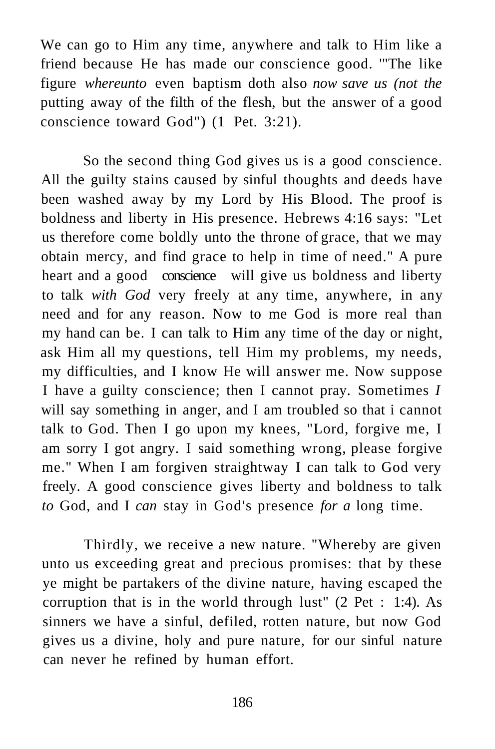We can go to Him any time, anywhere and talk to Him like a friend because He has made our conscience good. '"The like figure *whereunto* even baptism doth also *now save us (not the*  putting away of the filth of the flesh, but the answer of a good conscience toward God") (1 Pet. 3:21).

So the second thing God gives us is a good conscience. All the guilty stains caused by sinful thoughts and deeds have been washed away by my Lord by His Blood. The proof is boldness and liberty in His presence. Hebrews 4:16 says: "Let us therefore come boldly unto the throne of grace, that we may obtain mercy, and find grace to help in time of need." A pure heart and a good conscience will give us boldness and liberty to talk *with God* very freely at any time, anywhere, in any need and for any reason. Now to me God is more real than my hand can be. I can talk to Him any time of the day or night, ask Him all my questions, tell Him my problems, my needs, my difficulties, and I know He will answer me. Now suppose I have a guilty conscience; then I cannot pray. Sometimes *I*  will say something in anger, and I am troubled so that i cannot talk to God. Then I go upon my knees, "Lord, forgive me, I am sorry I got angry. I said something wrong, please forgive me." When I am forgiven straightway I can talk to God very freely. A good conscience gives liberty and boldness to talk *to* God, and I *can* stay in God's presence *for a* long time.

Thirdly, we receive a new nature. "Whereby are given unto us exceeding great and precious promises: that by these ye might be partakers of the divine nature, having escaped the corruption that is in the world through lust" (2 Pet : 1:4). As sinners we have a sinful, defiled, rotten nature, but now God gives us a divine, holy and pure nature, for our sinful nature can never he refined by human effort.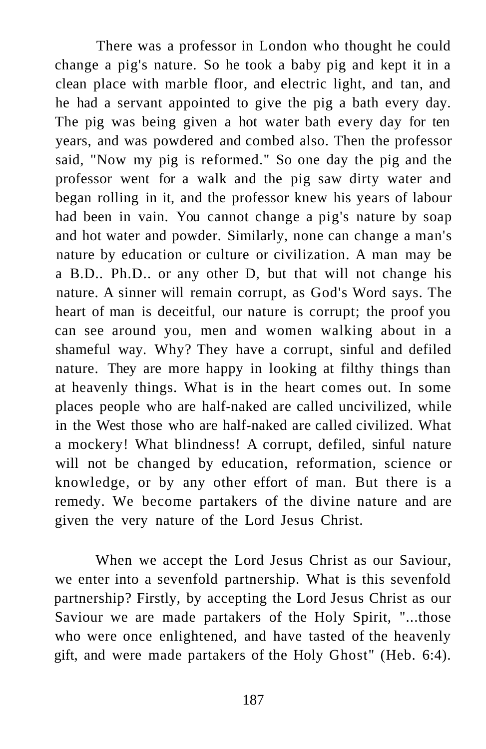There was a professor in London who thought he could change a pig's nature. So he took a baby pig and kept it in a clean place with marble floor, and electric light, and tan, and he had a servant appointed to give the pig a bath every day. The pig was being given a hot water bath every day for ten years, and was powdered and combed also. Then the professor said, "Now my pig is reformed." So one day the pig and the professor went for a walk and the pig saw dirty water and began rolling in it, and the professor knew his years of labour had been in vain. You cannot change a pig's nature by soap and hot water and powder. Similarly, none can change a man's nature by education or culture or civilization. A man may be a B.D.. Ph.D.. or any other D, but that will not change his nature. A sinner will remain corrupt, as God's Word says. The heart of man is deceitful, our nature is corrupt; the proof you can see around you, men and women walking about in a shameful way. Why? They have a corrupt, sinful and defiled nature. They are more happy in looking at filthy things than at heavenly things. What is in the heart comes out. In some places people who are half-naked are called uncivilized, while in the West those who are half-naked are called civilized. What a mockery! What blindness! A corrupt, defiled, sinful nature will not be changed by education, reformation, science or knowledge, or by any other effort of man. But there is a remedy. We become partakers of the divine nature and are given the very nature of the Lord Jesus Christ.

When we accept the Lord Jesus Christ as our Saviour, we enter into a sevenfold partnership. What is this sevenfold partnership? Firstly, by accepting the Lord Jesus Christ as our Saviour we are made partakers of the Holy Spirit, "...those who were once enlightened, and have tasted of the heavenly gift, and were made partakers of the Holy Ghost" (Heb. 6:4).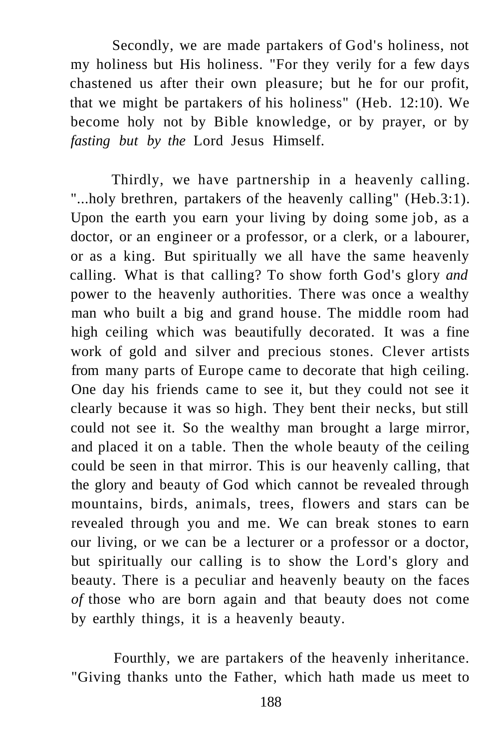Secondly, we are made partakers of God's holiness, not my holiness but His holiness. "For they verily for a few days chastened us after their own pleasure; but he for our profit, that we might be partakers of his holiness" (Heb. 12:10). We become holy not by Bible knowledge, or by prayer, or by *fasting but by the* Lord Jesus Himself.

Thirdly, we have partnership in a heavenly calling. "...holy brethren, partakers of the heavenly calling" (Heb.3:1). Upon the earth you earn your living by doing some job, as a doctor, or an engineer or a professor, or a clerk, or a labourer, or as a king. But spiritually we all have the same heavenly calling. What is that calling? To show forth God's glory *and*  power to the heavenly authorities. There was once a wealthy man who built a big and grand house. The middle room had high ceiling which was beautifully decorated. It was a fine work of gold and silver and precious stones. Clever artists from many parts of Europe came to decorate that high ceiling. One day his friends came to see it, but they could not see it clearly because it was so high. They bent their necks, but still could not see it. So the wealthy man brought a large mirror, and placed it on a table. Then the whole beauty of the ceiling could be seen in that mirror. This is our heavenly calling, that the glory and beauty of God which cannot be revealed through mountains, birds, animals, trees, flowers and stars can be revealed through you and me. We can break stones to earn our living, or we can be a lecturer or a professor or a doctor, but spiritually our calling is to show the Lord's glory and beauty. There is a peculiar and heavenly beauty on the faces *of* those who are born again and that beauty does not come by earthly things, it is a heavenly beauty.

Fourthly, we are partakers of the heavenly inheritance. "Giving thanks unto the Father, which hath made us meet to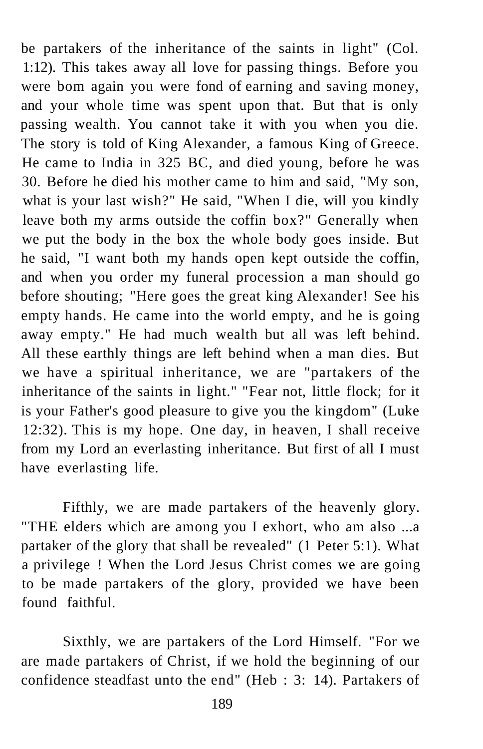be partakers of the inheritance of the saints in light" (Col. 1:12). This takes away all love for passing things. Before you were bom again you were fond of earning and saving money, and your whole time was spent upon that. But that is only passing wealth. You cannot take it with you when you die. The story is told of King Alexander, a famous King of Greece. He came to India in 325 BC, and died young, before he was 30. Before he died his mother came to him and said, "My son, what is your last wish?" He said, "When I die, will you kindly leave both my arms outside the coffin box?" Generally when we put the body in the box the whole body goes inside. But he said, "I want both my hands open kept outside the coffin, and when you order my funeral procession a man should go before shouting; "Here goes the great king Alexander! See his empty hands. He came into the world empty, and he is going away empty." He had much wealth but all was left behind. All these earthly things are left behind when a man dies. But we have a spiritual inheritance, we are "partakers of the inheritance of the saints in light." "Fear not, little flock; for it is your Father's good pleasure to give you the kingdom" (Luke 12:32). This is my hope. One day, in heaven, I shall receive from my Lord an everlasting inheritance. But first of all I must have everlasting life.

Fifthly, we are made partakers of the heavenly glory. "THE elders which are among you I exhort, who am also ...a partaker of the glory that shall be revealed" (1 Peter 5:1). What a privilege ! When the Lord Jesus Christ comes we are going to be made partakers of the glory, provided we have been found faithful.

Sixthly, we are partakers of the Lord Himself. "For we are made partakers of Christ, if we hold the beginning of our confidence steadfast unto the end" (Heb : 3: 14). Partakers of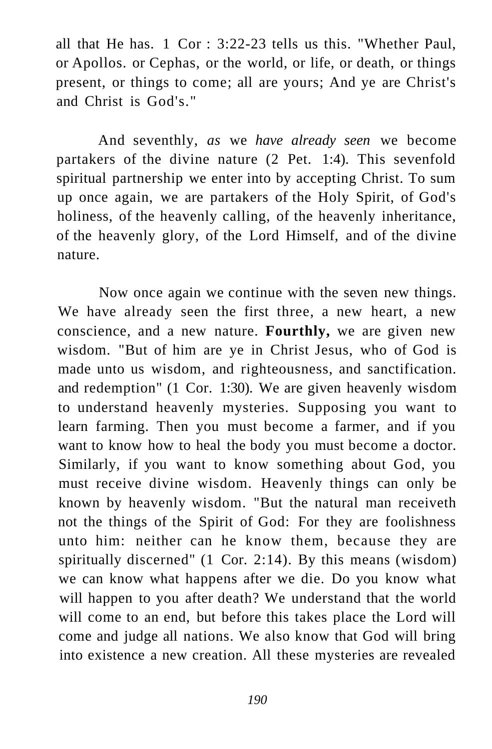all that He has. 1 Cor : 3:22-23 tells us this. "Whether Paul, or Apollos. or Cephas, or the world, or life, or death, or things present, or things to come; all are yours; And ye are Christ's and Christ is God's."

And seventhly, *as* we *have already seen* we become partakers of the divine nature (2 Pet. 1:4). This sevenfold spiritual partnership we enter into by accepting Christ. To sum up once again, we are partakers of the Holy Spirit, of God's holiness, of the heavenly calling, of the heavenly inheritance, of the heavenly glory, of the Lord Himself, and of the divine nature.

Now once again we continue with the seven new things. We have already seen the first three, a new heart, a new conscience, and a new nature. **Fourthly,** we are given new wisdom. "But of him are ye in Christ Jesus, who of God is made unto us wisdom, and righteousness, and sanctification. and redemption" (1 Cor. 1:30). We are given heavenly wisdom to understand heavenly mysteries. Supposing you want to learn farming. Then you must become a farmer, and if you want to know how to heal the body you must become a doctor. Similarly, if you want to know something about God, you must receive divine wisdom. Heavenly things can only be known by heavenly wisdom. "But the natural man receiveth not the things of the Spirit of God: For they are foolishness unto him: neither can he know them, because they are spiritually discerned" (1 Cor. 2:14). By this means (wisdom) we can know what happens after we die. Do you know what will happen to you after death? We understand that the world will come to an end, but before this takes place the Lord will come and judge all nations. We also know that God will bring into existence a new creation. All these mysteries are revealed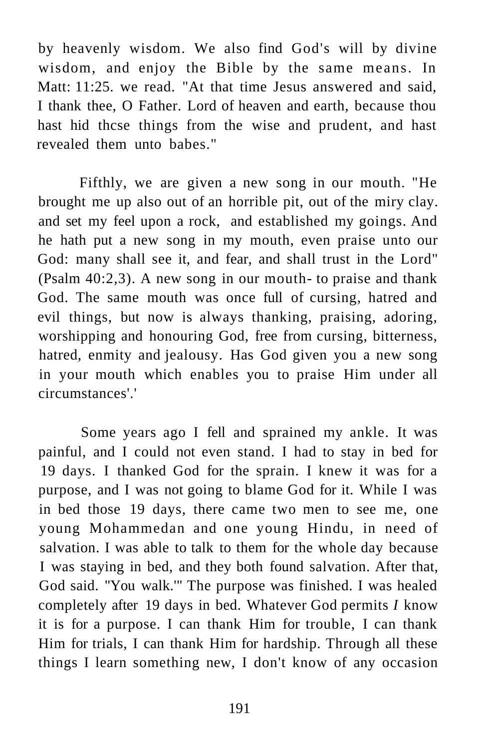by heavenly wisdom. We also find God's will by divine wisdom, and enjoy the Bible by the same means. In Matt: 11:25. we read. "At that time Jesus answered and said, I thank thee, O Father. Lord of heaven and earth, because thou hast hid thcse things from the wise and prudent, and hast revealed them unto babes."

Fifthly, we are given a new song in our mouth. "He brought me up also out of an horrible pit, out of the miry clay. and set my feel upon a rock, and established my goings. And he hath put a new song in my mouth, even praise unto our God: many shall see it, and fear, and shall trust in the Lord" (Psalm 40:2,3). A new song in our mouth- to praise and thank God. The same mouth was once full of cursing, hatred and evil things, but now is always thanking, praising, adoring, worshipping and honouring God, free from cursing, bitterness, hatred, enmity and jealousy. Has God given you a new song in your mouth which enables you to praise Him under all circumstances'.'

Some years ago I fell and sprained my ankle. It was painful, and I could not even stand. I had to stay in bed for 19 days. I thanked God for the sprain. I knew it was for a purpose, and I was not going to blame God for it. While I was in bed those 19 days, there came two men to see me, one young Mohammedan and one young Hindu, in need of salvation. I was able to talk to them for the whole day because I was staying in bed, and they both found salvation. After that, God said. "You walk.'" The purpose was finished. I was healed completely after 19 days in bed. Whatever God permits *I* know it is for a purpose. I can thank Him for trouble, I can thank Him for trials, I can thank Him for hardship. Through all these things I learn something new, I don't know of any occasion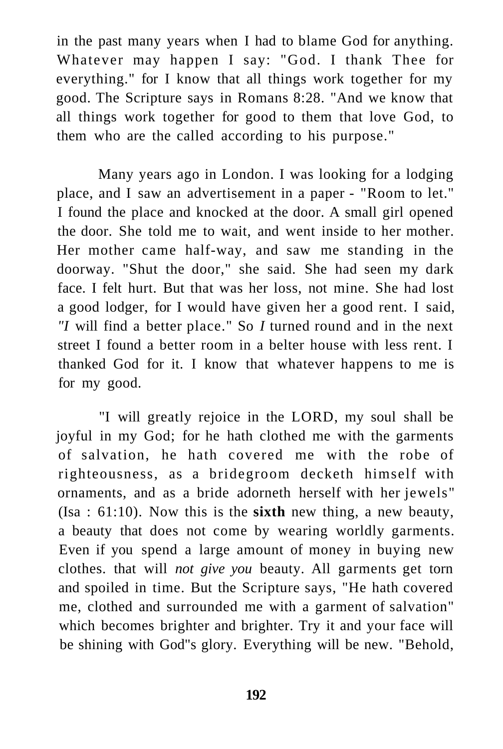in the past many years when I had to blame God for anything. Whatever may happen I say: "God. I thank Thee for everything." for I know that all things work together for my good. The Scripture says in Romans 8:28. "And we know that all things work together for good to them that love God, to them who are the called according to his purpose."

Many years ago in London. I was looking for a lodging place, and I saw an advertisement in a paper - "Room to let." I found the place and knocked at the door. A small girl opened the door. She told me to wait, and went inside to her mother. Her mother came half-way, and saw me standing in the doorway. "Shut the door," she said. She had seen my dark face. I felt hurt. But that was her loss, not mine. She had lost a good lodger, for I would have given her a good rent. I said, *"I* will find a better place." So *I* turned round and in the next street I found a better room in a belter house with less rent. I thanked God for it. I know that whatever happens to me is for my good.

"I will greatly rejoice in the LORD, my soul shall be joyful in my God; for he hath clothed me with the garments of salvation, he hath covered me with the robe of righteousness, as a bridegroom decketh himself with ornaments, and as a bride adorneth herself with her jewels" (Isa : 61:10). Now this is the **sixth** new thing, a new beauty, a beauty that does not come by wearing worldly garments. Even if you spend a large amount of money in buying new clothes. that will *not give you* beauty. All garments get torn and spoiled in time. But the Scripture says, "He hath covered me, clothed and surrounded me with a garment of salvation" which becomes brighter and brighter. Try it and your face will be shining with God"s glory. Everything will be new. "Behold,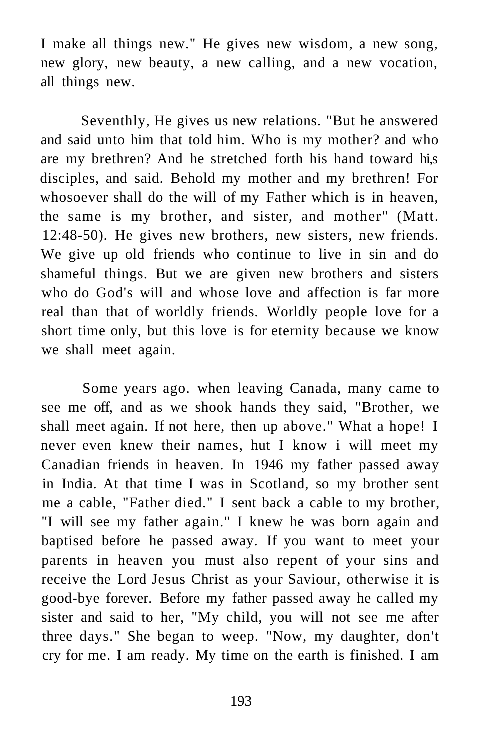I make all things new." He gives new wisdom, a new song, new glory, new beauty, a new calling, and a new vocation, all things new.

Seventhly, He gives us new relations. "But he answered and said unto him that told him. Who is my mother? and who are my brethren? And he stretched forth his hand toward hi,s disciples, and said. Behold my mother and my brethren! For whosoever shall do the will of my Father which is in heaven, the same is my brother, and sister, and mother" (Matt. 12:48-50). He gives new brothers, new sisters, new friends. We give up old friends who continue to live in sin and do shameful things. But we are given new brothers and sisters who do God's will and whose love and affection is far more real than that of worldly friends. Worldly people love for a short time only, but this love is for eternity because we know we shall meet again.

Some years ago. when leaving Canada, many came to see me off, and as we shook hands they said, "Brother, we shall meet again. If not here, then up above." What a hope! I never even knew their names, hut I know i will meet my Canadian friends in heaven. In 1946 my father passed away in India. At that time I was in Scotland, so my brother sent me a cable, "Father died." I sent back a cable to my brother, "I will see my father again." I knew he was born again and baptised before he passed away. If you want to meet your parents in heaven you must also repent of your sins and receive the Lord Jesus Christ as your Saviour, otherwise it is good-bye forever. Before my father passed away he called my sister and said to her, "My child, you will not see me after three days." She began to weep. "Now, my daughter, don't cry for me. I am ready. My time on the earth is finished. I am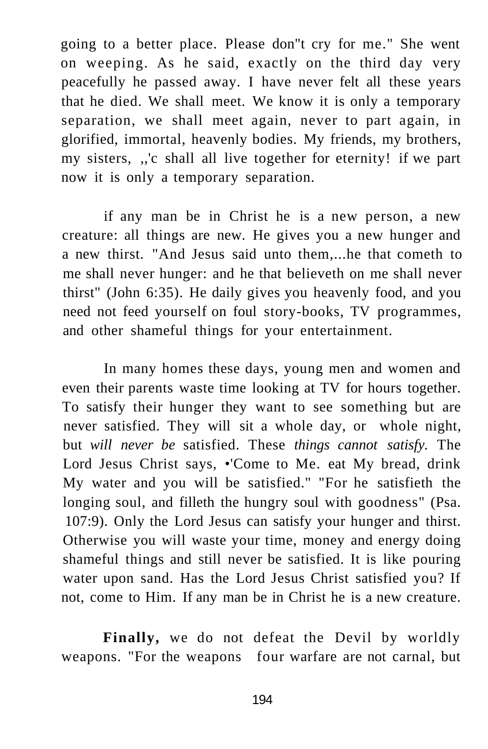going to a better place. Please don"t cry for me." She went on weeping. As he said, exactly on the third day very peacefully he passed away. I have never felt all these years that he died. We shall meet. We know it is only a temporary separation, we shall meet again, never to part again, in glorified, immortal, heavenly bodies. My friends, my brothers, my sisters, ,,'c shall all live together for eternity! if we part now it is only a temporary separation.

if any man be in Christ he is a new person, a new creature: all things are new. He gives you a new hunger and a new thirst. "And Jesus said unto them,...he that cometh to me shall never hunger: and he that believeth on me shall never thirst" (John 6:35). He daily gives you heavenly food, and you need not feed yourself on foul story-books, TV programmes, and other shameful things for your entertainment.

In many homes these days, young men and women and even their parents waste time looking at TV for hours together. To satisfy their hunger they want to see something but are never satisfied. They will sit a whole day, or whole night, but *will never be* satisfied. These *things cannot satisfy.* The Lord Jesus Christ says, •'Come to Me. eat My bread, drink My water and you will be satisfied." "For he satisfieth the longing soul, and filleth the hungry soul with goodness" (Psa. 107:9). Only the Lord Jesus can satisfy your hunger and thirst. Otherwise you will waste your time, money and energy doing shameful things and still never be satisfied. It is like pouring water upon sand. Has the Lord Jesus Christ satisfied you? If not, come to Him. If any man be in Christ he is a new creature.

**Finally,** we do not defeat the Devil by worldly weapons. "For the weapons four warfare are not carnal, but